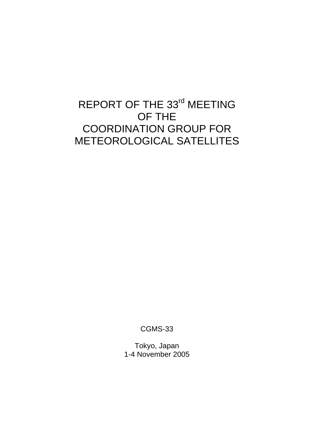# REPORT OF THE 33<sup>rd</sup> MEETING OF THE COORDINATION GROUP FOR METEOROLOGICAL SATELLITES

CGMS-33

Tokyo, Japan 1-4 November 2005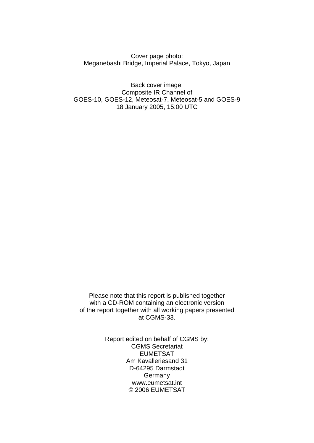Cover page photo: Meganebashi Bridge, Imperial Palace, Tokyo, Japan

Back cover image: Composite IR Channel of GOES-10, GOES-12, Meteosat-7, Meteosat-5 and GOES-9 18 January 2005, 15:00 UTC

Please note that this report is published together with a CD-ROM containing an electronic version of the report together with all working papers presented at CGMS-33.

> Report edited on behalf of CGMS by: CGMS Secretariat EUMETSAT Am Kavalleriesand 31 D-64295 Darmstadt Germany www.eumetsat.int © 2006 EUMETSAT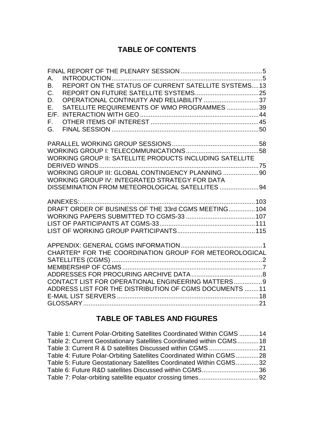## **TABLE OF CONTENTS**

| Α.                                                              |  |
|-----------------------------------------------------------------|--|
| REPORT ON THE STATUS OF CURRENT SATELLITE SYSTEMS13<br>B.       |  |
| C.<br>OPERATIONAL CONTINUITY AND RELIABILITY 37                 |  |
| D.<br>SATELLITE REQUIREMENTS OF WMO PROGRAMMES 39<br>Ε.         |  |
| E/F.                                                            |  |
| F.                                                              |  |
| G.                                                              |  |
|                                                                 |  |
|                                                                 |  |
| <b>WORKING GROUP II: SATELLITE PRODUCTS INCLUDING SATELLITE</b> |  |
|                                                                 |  |
| WORKING GROUP III: GLOBAL CONTINGENCY PLANNING 90               |  |
| WORKING GROUP IV: INTEGRATED STRATEGY FOR DATA                  |  |
| DISSEMINATION FROM METEOROLOGICAL SATELLITES  94                |  |
|                                                                 |  |
|                                                                 |  |
|                                                                 |  |
|                                                                 |  |
|                                                                 |  |
|                                                                 |  |
| CHARTER* FOR THE COORDINATION GROUP FOR METEOROLOGICAL          |  |
|                                                                 |  |
|                                                                 |  |
| CONTACT LIST FOR OPERATIONAL ENGINEERING MATTERS9               |  |
| ADDRESS LIST FOR THE DISTRIBUTION OF CGMS DOCUMENTS 11          |  |
|                                                                 |  |
|                                                                 |  |
|                                                                 |  |

## **TABLE OF TABLES AND FIGURES**

| Table 1: Current Polar-Orbiting Satellites Coordinated Within CGMS 14 |  |
|-----------------------------------------------------------------------|--|
| Table 2: Current Geostationary Satellites Coordinated within CGMS18   |  |
|                                                                       |  |
| Table 4: Future Polar-Orbiting Satellites Coordinated Within CGMS28   |  |
| Table 5: Future Geostationary Satellites Coordinated Within CGMS32    |  |
| Table 6: Future R&D satellites Discussed within CGMS36                |  |
|                                                                       |  |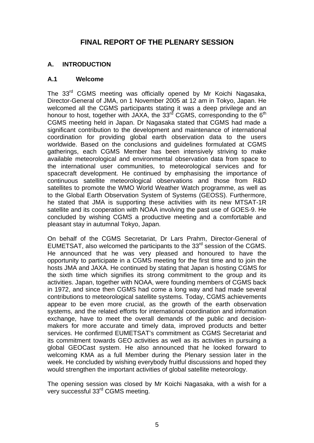## **FINAL REPORT OF THE PLENARY SESSION**

### <span id="page-4-0"></span>**A. INTRODUCTION**

#### **A.1 Welcome**

The 33<sup>rd</sup> CGMS meeting was officially opened by Mr Koichi Nagasaka, Director-General of JMA, on 1 November 2005 at 12 am in Tokyo, Japan. He welcomed all the CGMS participants stating it was a deep privilege and an honour to host, together with JAXA, the  $33<sup>rd</sup>$  CGMS, corresponding to the 6<sup>th</sup> CGMS meeting held in Japan. Dr Nagasaka stated that CGMS had made a significant contribution to the development and maintenance of international coordination for providing global earth observation data to the users worldwide. Based on the conclusions and guidelines formulated at CGMS gatherings, each CGMS Member has been intensively striving to make available meteorological and environmental observation data from space to the international user communities, to meteorological services and for spacecraft development. He continued by emphasising the importance of continuous satellite meteorological observations and those from R&D satellites to promote the WMO World Weather Watch programme, as well as to the Global Earth Observation System of Systems (GEOSS). Furthermore, he stated that JMA is supporting these activities with its new MTSAT-1R satellite and its cooperation with NOAA involving the past use of GOES-9. He concluded by wishing CGMS a productive meeting and a comfortable and pleasant stay in autumnal Tokyo, Japan.

On behalf of the CGMS Secretariat, Dr Lars Prahm, Director-General of EUMETSAT, also welcomed the participants to the  $33<sup>rd</sup>$  session of the CGMS. He announced that he was very pleased and honoured to have the opportunity to participate in a CGMS meeting for the first time and to join the hosts JMA and JAXA. He continued by stating that Japan is hosting CGMS for the sixth time which signifies its strong commitment to the group and its activities. Japan, together with NOAA, were founding members of CGMS back in 1972, and since then CGMS had come a long way and had made several contributions to meteorological satellite systems. Today, CGMS achievements appear to be even more crucial, as the growth of the earth observation systems, and the related efforts for international coordination and information exchange, have to meet the overall demands of the public and decisionmakers for more accurate and timely data, improved products and better services. He confirmed EUMETSAT's commitment as CGMS Secretariat and its commitment towards GEO activities as well as its activities in pursuing a global GEOCast system. He also announced that he looked forward to welcoming KMA as a full Member during the Plenary session later in the week. He concluded by wishing everybody fruitful discussions and hoped they would strengthen the important activities of global satellite meteorology.

The opening session was closed by Mr Koichi Nagasaka, with a wish for a very successful 33rd CGMS meeting.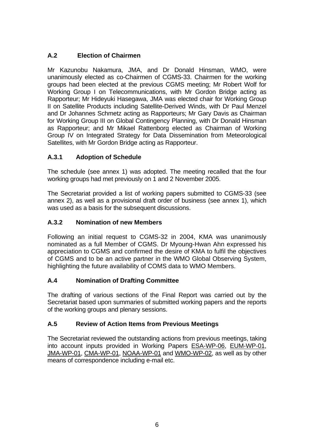## **A.2 Election of Chairmen**

Mr Kazunobu Nakamura, JMA, and Dr Donald Hinsman, WMO, were unanimously elected as co-Chairmen of CGMS-33. Chairmen for the working groups had been elected at the previous CGMS meeting; Mr Robert Wolf for Working Group I on Telecommunications, with Mr Gordon Bridge acting as Rapporteur; Mr Hideyuki Hasegawa, JMA was elected chair for Working Group II on Satellite Products including Satellite-Derived Winds, with Dr Paul Menzel and Dr Johannes Schmetz acting as Rapporteurs; Mr Gary Davis as Chairman for Working Group III on Global Contingency Planning, with Dr Donald Hinsman as Rapporteur; and Mr Mikael Rattenborg elected as Chairman of Working Group IV on Integrated Strategy for Data Dissemination from Meteorological Satellites, with Mr Gordon Bridge acting as Rapporteur.

## **A.3.1 Adoption of Schedule**

The schedule (see annex 1) was adopted. The meeting recalled that the four working groups had met previously on 1 and 2 November 2005.

The Secretariat provided a list of working papers submitted to CGMS-33 (see annex 2), as well as a provisional draft order of business (see annex 1), which was used as a basis for the subsequent discussions.

#### **A.3.2 Nomination of new Members**

Following an initial request to CGMS-32 in 2004, KMA was unanimously nominated as a full Member of CGMS. Dr Myoung-Hwan Ahn expressed his appreciation to CGMS and confirmed the desire of KMA to fulfil the objectives of CGMS and to be an active partner in the WMO Global Observing System, highlighting the future availability of COMS data to WMO Members.

#### **A.4 Nomination of Drafting Committee**

The drafting of various sections of the Final Report was carried out by the Secretariat based upon summaries of submitted working papers and the reports of the working groups and plenary sessions.

#### **A.5 Review of Action Items from Previous Meetings**

The Secretariat reviewed the outstanding actions from previous meetings, taking into account inputs provided in Working Papers ESA-WP-06, EUM-WP-01, JMA-WP-01, CMA-WP-01, NOAA-WP-01 and WMO-WP-02, as well as by other means of correspondence including e-mail etc.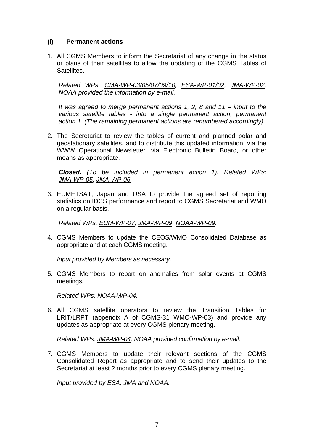#### **(i) Permanent actions**

1. All CGMS Members to inform the Secretariat of any change in the status or plans of their satellites to allow the updating of the CGMS Tables of Satellites.

*Related WPs: CMA-WP-03/05/07/09/10, ESA-WP-01/02, JMA-WP-02. NOAA provided the information by e-mail.* 

*It was agreed to merge permanent actions 1, 2, 8 and 11 – input to the various satellite tables - into a single permanent action, permanent action 1. (The remaining permanent actions are renumbered accordingly).* 

2. The Secretariat to review the tables of current and planned polar and geostationary satellites, and to distribute this updated information, via the WWW Operational Newsletter, via Electronic Bulletin Board, or other means as appropriate.

*Closed. (To be included in permanent action 1). Related WPs: JMA-WP-05, JMA-WP-06.* 

3. EUMETSAT, Japan and USA to provide the agreed set of reporting statistics on IDCS performance and report to CGMS Secretariat and WMO on a regular basis.

*Related WPs: EUM-WP-07, JMA-WP-09, NOAA-WP-09.*

4. CGMS Members to update the CEOS/WMO Consolidated Database as appropriate and at each CGMS meeting.

*Input provided by Members as necessary.* 

5. CGMS Members to report on anomalies from solar events at CGMS meetings.

*Related WPs: NOAA-WP-04.* 

6. All CGMS satellite operators to review the Transition Tables for LRIT/LRPT (appendix A of CGMS-31 WMO-WP-03) and provide any updates as appropriate at every CGMS plenary meeting.

*Related WPs: JMA-WP-04. NOAA provided confirmation by e-mail.*

7. CGMS Members to update their relevant sections of the CGMS Consolidated Report as appropriate and to send their updates to the Secretariat at least 2 months prior to every CGMS plenary meeting.

*Input provided by ESA, JMA and NOAA.*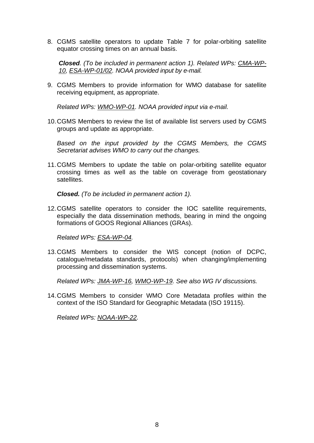8. CGMS satellite operators to update Table 7 for polar-orbiting satellite equator crossing times on an annual basis.

*Closed. (To be included in permanent action 1). Related WPs: CMA-WP-10, ESA-WP-01/02. NOAA provided input by e-mail.*

9. CGMS Members to provide information for WMO database for satellite receiving equipment, as appropriate.

*Related WPs: WMO-WP-01. NOAA provided input via e-mail.*

10. CGMS Members to review the list of available list servers used by CGMS groups and update as appropriate.

*Based on the input provided by the CGMS Members, the CGMS Secretariat advises WMO to carry out the changes.* 

11. CGMS Members to update the table on polar-orbiting satellite equator crossing times as well as the table on coverage from geostationary satellites.

*Closed. (To be included in permanent action 1).*

12. CGMS satellite operators to consider the IOC satellite requirements, especially the data dissemination methods, bearing in mind the ongoing formations of GOOS Regional Alliances (GRAs).

*Related WPs: ESA-WP-04.* 

13. CGMS Members to consider the WIS concept (notion of DCPC, catalogue/metadata standards, protocols) when changing/implementing processing and dissemination systems.

*Related WPs: JMA-WP-16, WMO-WP-19. See also WG IV discussions.*

14. CGMS Members to consider WMO Core Metadata profiles within the context of the ISO Standard for Geographic Metadata (ISO 19115).

*Related WPs: NOAA-WP-22.*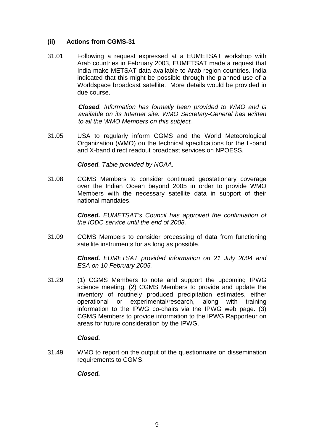#### **(ii) Actions from CGMS-31**

31.01 Following a request expressed at a EUMETSAT workshop with Arab countries in February 2003, EUMETSAT made a request that India make METSAT data available to Arab region countries. India indicated that this might be possible through the planned use of a Worldspace broadcast satellite. More details would be provided in due course.

> *Closed. Information has formally been provided to WMO and is available on its Internet site. WMO Secretary-General has written to all the WMO Members on this subject.*

31.05 USA to regularly inform CGMS and the World Meteorological Organization (WMO) on the technical specifications for the L-band and X-band direct readout broadcast services on NPOESS.

*Closed. Table provided by NOAA.* 

31.08 CGMS Members to consider continued geostationary coverage over the Indian Ocean beyond 2005 in order to provide WMO Members with the necessary satellite data in support of their national mandates.

> *Closed. EUMETSAT's Council has approved the continuation of the IODC service until the end of 2008.*

31.09 CGMS Members to consider processing of data from functioning satellite instruments for as long as possible.

> *Closed. EUMETSAT provided information on 21 July 2004 and ESA on 10 February 2005.*

31.29 (1) CGMS Members to note and support the upcoming IPWG science meeting. (2) CGMS Members to provide and update the inventory of routinely produced precipitation estimates, either operational or experimental/research, along with training information to the IPWG co-chairs via the IPWG web page. (3) CGMS Members to provide information to the IPWG Rapporteur on areas for future consideration by the IPWG.

#### *Closed.*

31.49 WMO to report on the output of the questionnaire on dissemination requirements to CGMS.

*Closed.*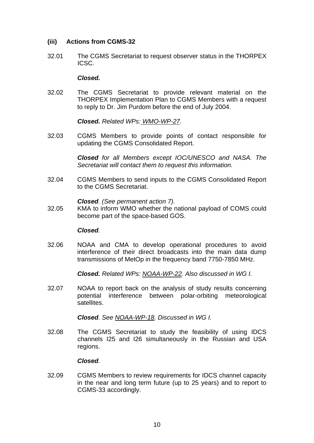#### **(iii) Actions from CGMS-32**

32.01 The CGMS Secretariat to request observer status in the THORPEX ICSC.

#### *Closed.*

32.02 The CGMS Secretariat to provide relevant material on the THORPEX Implementation Plan to CGMS Members with a request to reply to Dr. Jim Purdom before the end of July 2004.

*Closed. Related WPs: WMO-WP-27.*

32.03 CGMS Members to provide points of contact responsible for updating the CGMS Consolidated Report.

> *Closed for all Members except IOC/UNESCO and NASA. The Secretariat will contact them to request this information.*

32.04 CGMS Members to send inputs to the CGMS Consolidated Report to the CGMS Secretariat.

*Closed. (See permanent action 7).*

32.05 KMA to inform WMO whether the national payload of COMS could become part of the space-based GOS.

#### *Closed.*

32.06 NOAA and CMA to develop operational procedures to avoid interference of their direct broadcasts into the main data dump transmissions of MetOp in the frequency band 7750-7850 MHz.

*Closed. Related WPs: NOAA-WP-22. Also discussed in WG I.*

32.07 NOAA to report back on the analysis of study results concerning potential interference between polar-orbiting meteorological satellites.

*Closed. See NOAA-WP-18. Discussed in WG I.*

32.08 The CGMS Secretariat to study the feasibility of using IDCS channels I25 and I26 simultaneously in the Russian and USA regions.

#### *Closed.*

32.09 CGMS Members to review requirements for IDCS channel capacity in the near and long term future (up to 25 years) and to report to CGMS-33 accordingly.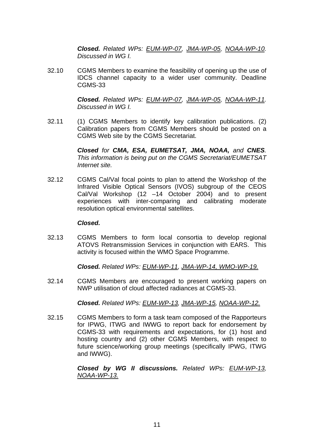*Closed. Related WPs: EUM-WP-07, JMA-WP-05, NOAA-WP-10. Discussed in WG I.*

32.10 CGMS Members to examine the feasibility of opening up the use of IDCS channel capacity to a wider user community. Deadline CGMS-33

> *Closed. Related WPs: EUM-WP-07, JMA-WP-05, NOAA-WP-11. Discussed in WG I.*

32.11 (1) CGMS Members to identify key calibration publications. (2) Calibration papers from CGMS Members should be posted on a CGMS Web site by the CGMS Secretariat.

> *Closed for CMA, ESA, EUMETSAT, JMA, NOAA, and CNES. This information is being put on the CGMS Secretariat/EUMETSAT Internet site.*

32.12 CGMS Cal/Val focal points to plan to attend the Workshop of the Infrared Visible Optical Sensors (IVOS) subgroup of the CEOS Cal/Val Workshop (12 –14 October 2004) and to present experiences with inter-comparing and calibrating moderate resolution optical environmental satellites.

#### *Closed.*

32.13 CGMS Members to form local consortia to develop regional ATOVS Retransmission Services in conjunction with EARS. This activity is focused within the WMO Space Programme.

*Closed. Related WPs: EUM-WP-11, JMA-WP-14, WMO-WP-19.*

32.14 CGMS Members are encouraged to present working papers on NWP utilisation of cloud affected radiances at CGMS-33.

*Closed. Related WPs: EUM-WP-13, JMA-WP-15, NOAA-WP-12.*

32.15 CGMS Members to form a task team composed of the Rapporteurs for IPWG, ITWG and IWWG to report back for endorsement by CGMS-33 with requirements and expectations, for (1) host and hosting country and (2) other CGMS Members, with respect to future science/working group meetings (specifically IPWG, ITWG and IWWG).

> *Closed by WG II discussions. Related WPs: EUM-WP-13, NOAA-WP-13.*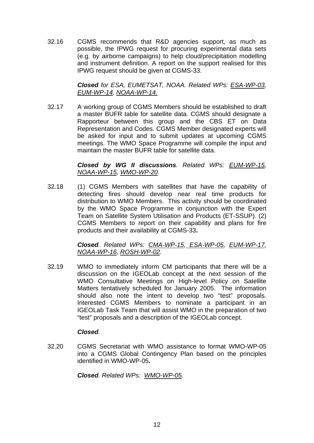32.16 CGMS recommends that R&D agencies support, as much as possible, the IPWG request for procuring experimental data sets (e.g. by airborne campaigns) to help cloud/precipitation modelling and instrument definition. A report on the support realised for this IPWG request should be given at CGMS-33.

> *Closed for ESA, EUMETSAT, NOAA. Related WPs: ESA-WP-03, EUM-WP-14, NOAA-WP-14.*

32.17 A working group of CGMS Members should be established to draft a master BUFR table for satellite data. CGMS should designate a Rapporteur between this group and the CBS ET on Data Representation and Codes. CGMS Member designated experts will be asked for input and to submit updates at upcoming CGMS meetings. The WMO Space Programme will compile the input and maintain the master BUFR table for satellite data.

> *Closed by WG II discussions. Related WPs: EUM-WP-15, NOAA-WP-15, WMO-WP-20.*

32.18 (1) CGMS Members with satellites that have the capability of detecting fires should develop near real time products for distribution to WMO Members. This activity should be coordinated by the WMO Space Programme in conjunction with the Expert Team on Satellite System Utilisation and Products (ET-SSUP). (2) CGMS Members to report on their capability and plans for fire products and their availability at CGMS-33**.** 

> *Closed. Related WPs: CMA-WP-15, ESA-WP-05, EUM-WP-17, NOAA-WP-16, ROSH-WP-02.*

32.19 WMO to immediately inform CM participants that there will be a discussion on the IGEOLab concept at the next session of the WMO Consultative Meetings on High-level Policy on Satellite Matters tentatively scheduled for January 2005. The information should also note the intent to develop two "test" proposals. Interested CGMS Members to nominate a participant in an IGEOLab Task Team that will assist WMO in the preparation of two "test" proposals and a description of the IGEOLab concept.

#### *Closed.*

32.20 CGMS Secretariat with WMO assistance to format WMO-WP-05 into a CGMS Global Contingency Plan based on the principles identified in WMO-WP-05**.**

*Closed. Related WPs: WMO-WP-05.*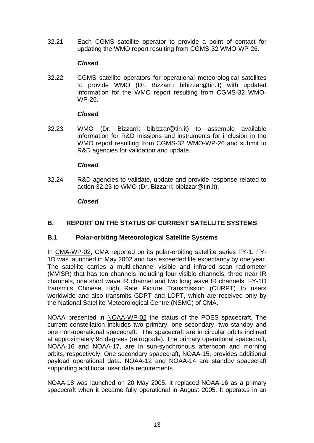<span id="page-12-0"></span>32.21 Each CGMS satellite operator to provide a point of contact for updating the WMO report resulting from CGMS-32 WMO-WP-26.

#### *Closed.*

32.22 CGMS satellite operators for operational meteorological satellites to provide WMO (Dr. Bizzarri: bibizzar@tin.it) with updated information for the WMO report resulting from CGMS-32 WMO-WP-26.

#### *Closed.*

32.23 WMO (Dr. Bizzarri: bibizzar@tin.it) to assemble available information for R&D missions and instruments for inclusion in the WMO report resulting from CGMS-32 WMO-WP-26 and submit to R&D agencies for validation and update.

#### *Closed.*

32.24 R&D agencies to validate, update and provide response related to action 32.23 to WMO (Dr. Bizzarri: bibizzar@tin.it).

#### *Closed.*

### **B. REPORT ON THE STATUS OF CURRENT SATELLITE SYSTEMS**

#### **B.1 Polar-orbiting Meteorological Satellite Systems**

In CMA-WP-02, CMA reported on its polar-orbiting satellite series FY-1. FY-1D was launched in May 2002 and has exceeded life expectancy by one year. The satellite carries a multi-channel visible and infrared scan radiometer (MVISR) that has ten channels including four visible channels, three near IR channels, one short wave IR channel and two long wave IR channels. FY-1D transmits Chinese High Rate Picture Transmission (CHRPT) to users worldwide and also transmits GDPT and LDPT, which are received only by the National Satellite Meteorological Centre (NSMC) of CMA.

NOAA presented in NOAA-WP-02 the status of the POES spacecraft. The current constellation includes two primary, one secondary, two standby and one non-operational spacecraft. The spacecraft are in circular orbits inclined at approximately 98 degrees (retrograde). The primary operational spacecraft, NOAA-16 and NOAA-17, are in sun-synchronous afternoon and morning orbits, respectively. One secondary spacecraft, NOAA-15, provides additional payload operational data. NOAA-12 and NOAA-14 are standby spacecraft supporting additional user data requirements.

NOAA-18 was launched on 20 May 2005. It replaced NOAA-16 as a primary spacecraft when it became fully operational in August 2005. It operates in an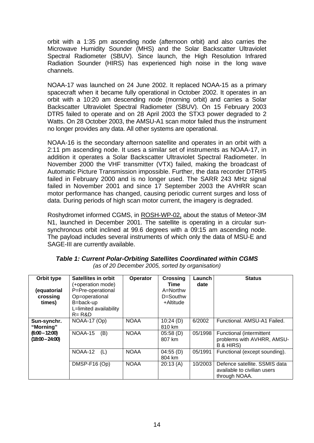<span id="page-13-0"></span>orbit with a 1:35 pm ascending node (afternoon orbit) and also carries the Microwave Humidity Sounder (MHS) and the Solar Backscatter Ultraviolet Spectral Radiometer (SBUV). Since launch, the High Resolution Infrared Radiation Sounder (HIRS) has experienced high noise in the long wave channels.

NOAA-17 was launched on 24 June 2002. It replaced NOAA-15 as a primary spacecraft when it became fully operational in October 2002. It operates in an orbit with a 10:20 am descending node (morning orbit) and carries a Solar Backscatter Ultraviolet Spectral Radiometer (SBUV). On 15 February 2003 DTR5 failed to operate and on 28 April 2003 the STX3 power degraded to 2 Watts. On 28 October 2003, the AMSU-A1 scan motor failed thus the instrument no longer provides any data. All other systems are operational.

NOAA-16 is the secondary afternoon satellite and operates in an orbit with a 2:11 pm ascending node. It uses a similar set of instruments as NOAA-17, in addition it operates a Solar Backscatter Ultraviolet Spectral Radiometer. In November 2000 the VHF transmitter (VTX) failed, making the broadcast of Automatic Picture Transmission impossible. Further, the data recorder DTR#5 failed in February 2000 and is no longer used. The SARR 243 MHz signal failed in November 2001 and since 17 September 2003 the AVHRR scan motor performance has changed, causing periodic current surges and loss of data. During periods of high scan motor current, the imagery is degraded.

Roshydromet informed CGMS, in ROSH-WP-02, about the status of Meteor-3M N1, launched in December 2001. The satellite is operating in a circular sunsynchronous orbit inclined at 99.6 degrees with a 09:15 am ascending node. The payload includes several instruments of which only the data of MSU-E and SAGE-III are currently available.

| Orbit type<br>(equatorial<br>crossing<br>times) | <b>Satellites in orbit</b><br>(+operation mode)<br>P=Pre-operational<br>Op=operational<br>B=back-up<br>L=limited availability<br>$R = R&D$ | Operator    | <b>Crossing</b><br>Time<br>A=Northw<br>D=Southw<br>+Altitude | Launch<br>date | <b>Status</b>                                                                 |
|-------------------------------------------------|--------------------------------------------------------------------------------------------------------------------------------------------|-------------|--------------------------------------------------------------|----------------|-------------------------------------------------------------------------------|
| Sun-synchr.<br>"Morning"                        | NOAA-17 (Op)                                                                                                                               | <b>NOAA</b> | 10:24(D)<br>810 km                                           | 6/2002         | Functional. AMSU-A1 Failed.                                                   |
| $(6:00 - 12:00)$<br>$(18:00 - 24:00)$           | (B)<br>NOAA-15                                                                                                                             | <b>NOAA</b> | 05:58(D)<br>807 km                                           | 05/1998        | Functional (intermittent<br>problems with AVHRR, AMSU-<br>B & HIRS)           |
|                                                 | NOAA-12<br>(L)                                                                                                                             | <b>NOAA</b> | 04:55(D)<br>804 km                                           | 05/1991        | Functional (except sounding).                                                 |
|                                                 | DMSP-F16 (Op)                                                                                                                              | <b>NOAA</b> | 20:13(A)                                                     | 10/2003        | Defence satellite. SSMIS data<br>available to civilian users<br>through NOAA. |

*Table 1: Current Polar-Orbiting Satellites Coordinated within CGMS (as of 20 December 2005, sorted by organisation)*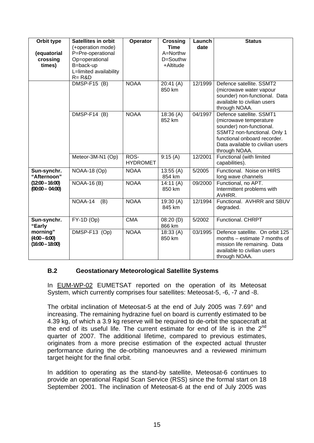| Orbit type                                       | <b>Satellites in orbit</b>                                                                                   | Operator                | <b>Crossing</b>                                      | Launch  | <b>Status</b>                                                                                                                                                                                       |
|--------------------------------------------------|--------------------------------------------------------------------------------------------------------------|-------------------------|------------------------------------------------------|---------|-----------------------------------------------------------------------------------------------------------------------------------------------------------------------------------------------------|
| (equatorial<br>crossing<br>times)                | (+operation mode)<br>P=Pre-operational<br>Op=operational<br>B=back-up<br>L=limited availability<br>$R = R&D$ |                         | <b>Time</b><br>$A =$ Northw<br>D=Southw<br>+Altitude | date    |                                                                                                                                                                                                     |
|                                                  | $DMSP-F15$ (B)                                                                                               | <b>NOAA</b>             | 20:41(A)<br>850 km                                   | 12/1999 | Defence satellite. SSMT2<br>(microwave water vapour<br>sounder) non-functional. Data<br>available to civilian users<br>through NOAA.                                                                |
|                                                  | DMSP-F14 (B)                                                                                                 | <b>NOAA</b>             | 18:36(A)<br>852 km                                   | 04/1997 | Defence satellite. SSMT1<br>(microwave temperature<br>sounder) non-functional.<br>SSMT2 non-functional. Only 1<br>functional onboard recorder.<br>Data available to civilian users<br>through NOAA. |
|                                                  | Meteor-3M-N1 (Op)                                                                                            | ROS-<br><b>HYDROMET</b> | 9:15(A)                                              | 12/2001 | Functional (with limited<br>capabilities).                                                                                                                                                          |
| Sun-synchr.<br>"Afternoon"                       | NOAA-18 (Op)                                                                                                 | <b>NOAA</b>             | 13:55(A)<br>854 km                                   | 5/2005  | Functional. Noise on HIRS<br>long wave channels                                                                                                                                                     |
| $(12:00 - 16:00)$<br>$(00:00 - 04:00)$           | <b>NOAA-16 (B)</b>                                                                                           | <b>NOAA</b>             | 14:11(A)<br>850 km                                   | 09/2000 | Functional, no APT.<br>Intermittent problems with<br>AVHRR.                                                                                                                                         |
|                                                  | NOAA-14<br>(B)                                                                                               | <b>NOAA</b>             | 19:30(A)<br>845 km                                   | 12/1994 | Functional, AVHRR and SBUV<br>degraded.                                                                                                                                                             |
| Sun-synchr.<br>"Early                            | $FY-1D$ (Op)                                                                                                 | <b>CMA</b>              | 08:20(D)<br>866 km                                   | 5/2002  | <b>Functional, CHRPT</b>                                                                                                                                                                            |
| morning"<br>$(4:00 - 6:00)$<br>$(16:00 - 18:00)$ | DMSP-F13 (Op)                                                                                                | <b>NOAA</b>             | 18:33(A)<br>850 km                                   | 03/1995 | Defence satellite. On orbit 125<br>months – estimate 7 months of<br>mission life remaining. Data<br>available to civilian users<br>through NOAA.                                                    |

#### **B.2 Geostationary Meteorological Satellite Systems**

In EUM-WP-02 EUMETSAT reported on the operation of its Meteosat System, which currently comprises four satellites: Meteosat-5, -6, -7 and -8.

The orbital inclination of Meteosat-5 at the end of July 2005 was 7.69° and increasing. The remaining hydrazine fuel on board is currently estimated to be 4.39 kg, of which a 3.9 kg reserve will be required to de-orbit the spacecraft at the end of its useful life. The current estimate for end of life is in the  $2<sup>nd</sup>$ quarter of 2007. The additional lifetime, compared to previous estimates, originates from a more precise estimation of the expected actual thruster performance during the de-orbiting manoeuvres and a reviewed minimum target height for the final orbit.

In addition to operating as the stand-by satellite, Meteosat-6 continues to provide an operational Rapid Scan Service (RSS) since the formal start on 18 September 2001. The inclination of Meteosat-6 at the end of July 2005 was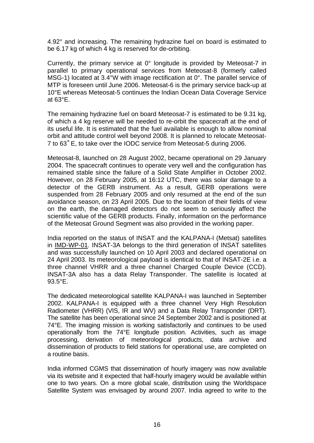4.92° and increasing. The remaining hydrazine fuel on board is estimated to be 6.17 kg of which 4 kg is reserved for de-orbiting.

Currently, the primary service at 0° longitude is provided by Meteosat-7 in parallel to primary operational services from Meteosat-8 (formerly called MSG-1) located at 3.4°W with image rectification at 0°. The parallel service of MTP is foreseen until June 2006. Meteosat-6 is the primary service back-up at 10°E whereas Meteosat-5 continues the Indian Ocean Data Coverage Service at 63°E.

The remaining hydrazine fuel on board Meteosat-7 is estimated to be 9.31 kg, of which a 4 kg reserve will be needed to re-orbit the spacecraft at the end of its useful life. It is estimated that the fuel available is enough to allow nominal orbit and attitude control well beyond 2008. It is planned to relocate Meteosat-7 to 63˚E, to take over the IODC service from Meteosat-5 during 2006.

Meteosat-8, launched on 28 August 2002, became operational on 29 January 2004. The spacecraft continues to operate very well and the configuration has remained stable since the failure of a Solid State Amplifier in October 2002. However, on 28 February 2005, at 16:12 UTC, there was solar damage to a detector of the GERB instrument. As a result, GERB operations were suspended from 28 February 2005 and only resumed at the end of the sun avoidance season, on 23 April 2005. Due to the location of their fields of view on the earth, the damaged detectors do not seem to seriously affect the scientific value of the GERB products. Finally, information on the performance of the Meteosat Ground Segment was also provided in the working paper.

India reported on the status of INSAT and the KALPANA-I (Metsat) satellites in IMD-WP-01. INSAT-3A belongs to the third generation of INSAT satellites and was successfully launched on 10 April 2003 and declared operational on 24 April 2003. Its meteorological payload is identical to that of INSAT-2E i.e. a three channel VHRR and a three channel Charged Couple Device (CCD). INSAT-3A also has a data Relay Transponder. The satellite is located at 93.5°E.

The dedicated meteorological satellite KALPANA-I was launched in September 2002. KALPANA-I is equipped with a three channel Very High Resolution Radiometer (VHRR) (VIS, IR and WV) and a Data Relay Transponder (DRT). The satellite has been operational since 24 September 2002 and is positioned at 74°E. The imaging mission is working satisfactorily and continues to be used operationally from the 74°E longitude position. Activities, such as image processing, derivation of meteorological products, data archive and dissemination of products to field stations for operational use, are completed on a routine basis.

India informed CGMS that dissemination of hourly imagery was now available via its website and it expected that half-hourly imagery would be available within one to two years. On a more global scale, distribution using the Worldspace Satellite System was envisaged by around 2007. India agreed to write to the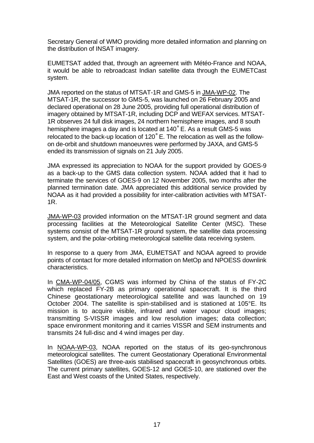Secretary General of WMO providing more detailed information and planning on the distribution of INSAT imagery.

EUMETSAT added that, through an agreement with Météo-France and NOAA, it would be able to rebroadcast Indian satellite data through the EUMETCast system.

JMA reported on the status of MTSAT-1R and GMS-5 in JMA-WP-02. The MTSAT-1R, the successor to GMS-5, was launched on 26 February 2005 and declared operational on 28 June 2005, providing full operational distribution of imagery obtained by MTSAT-1R, including DCP and WEFAX services. MTSAT-1R observes 24 full disk images, 24 northern hemisphere images, and 8 south hemisphere images a day and is located at 140˚E. As a result GMS-5 was relocated to the back-up location of 120˚E. The relocation as well as the followon de-orbit and shutdown manoeuvres were performed by JAXA, and GMS-5 ended its transmission of signals on 21 July 2005.

JMA expressed its appreciation to NOAA for the support provided by GOES-9 as a back-up to the GMS data collection system. NOAA added that it had to terminate the services of GOES-9 on 12 November 2005, two months after the planned termination date. JMA appreciated this additional service provided by NOAA as it had provided a possibility for inter-calibration activities with MTSAT-1R.

JMA-WP-03 provided information on the MTSAT-1R ground segment and data processing facilities at the Meteorological Satellite Center (MSC). These systems consist of the MTSAT-1R ground system, the satellite data processing system, and the polar-orbiting meteorological satellite data receiving system.

In response to a query from JMA, EUMETSAT and NOAA agreed to provide points of contact for more detailed information on MetOp and NPOESS downlink characteristics.

In CMA-WP-04/05, CGMS was informed by China of the status of FY-2C which replaced FY-2B as primary operational spacecraft. It is the third Chinese geostationary meteorological satellite and was launched on 19 October 2004. The satellite is spin-stabilised and is stationed at 105°E. Its mission is to acquire visible, infrared and water vapour cloud images; transmitting S-VISSR images and low resolution images; data collection; space environment monitoring and it carries VISSR and SEM instruments and transmits 24 full-disc and 4 wind images per day.

In NOAA-WP-03, NOAA reported on the status of its geo-synchronous meteorological satellites. The current Geostationary Operational Environmental Satellites (GOES) are three-axis stabilised spacecraft in geosynchronous orbits. The current primary satellites, GOES-12 and GOES-10, are stationed over the East and West coasts of the United States, respectively.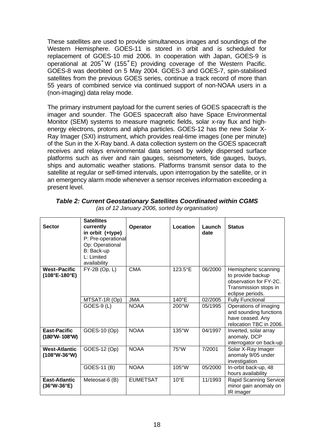<span id="page-17-0"></span>These satellites are used to provide simultaneous images and soundings of the Western Hemisphere. GOES-11 is stored in orbit and is scheduled for replacement of GOES-10 mid 2006. In cooperation with Japan, GOES-9 is operational at 205˚W (155˚E) providing coverage of the Western Pacific. GOES-8 was deorbited on 5 May 2004. GOES-3 and GOES-7, spin-stabilised satellites from the previous GOES series, continue a track record of more than 55 years of combined service via continued support of non-NOAA users in a (non-imaging) data relay mode.

The primary instrument payload for the current series of GOES spacecraft is the imager and sounder. The GOES spacecraft also have Space Environmental Monitor (SEM) systems to measure magnetic fields, solar x-ray flux and highenergy electrons, protons and alpha particles. GOES-12 has the new Solar X-Ray Imager (SXI) instrument, which provides real-time images (one per minute) of the Sun in the X-Ray band. A data collection system on the GOES spacecraft receives and relays environmental data sensed by widely dispersed surface platforms such as river and rain gauges, seismometers, tide gauges, buoys, ships and automatic weather stations. Platforms transmit sensor data to the satellite at regular or self-timed intervals, upon interrogation by the satellite, or in an emergency alarm mode whenever a sensor receives information exceeding a present level.

| <b>Sector</b>                                        | <b>Satellites</b><br>currently<br>in orbit (+type)<br>P: Pre-operational<br>Op: Operational<br>B: Back-up<br>L: Limited<br>availability | Operator        | Location        | Launch<br>date | <b>Status</b>                                                                                                    |
|------------------------------------------------------|-----------------------------------------------------------------------------------------------------------------------------------------|-----------------|-----------------|----------------|------------------------------------------------------------------------------------------------------------------|
| <b>West-Pacific</b><br>$(108^{\circ}E-180^{\circ}E)$ | FY-2B (Op, L)                                                                                                                           | <b>CMA</b>      | 123.5°E         | 06/2000        | Hemispheric scanning<br>to provide backup<br>observation for FY-2C.<br>Transmission stops in<br>eclipse periods. |
|                                                      | MTSAT-1R (Op)                                                                                                                           | <b>JMA</b>      | 140°E           | 02/2005        | <b>Fully Functional</b>                                                                                          |
|                                                      | <b>GOES-9 (L)</b>                                                                                                                       | <b>NOAA</b>     | 200°W           | 05/1995        | Operations of imaging<br>and sounding functions<br>have ceased. Any<br>relocation TBC in 2006.                   |
| <b>East-Pacific</b><br>$(180°W - 108°W)$             | GOES-10 (Op)                                                                                                                            | <b>NOAA</b>     | 135°W           | 04/1997        | Inverted, solar array<br>anomaly, DCP<br>interrogator on back-up                                                 |
| <b>West-Atlantic</b><br>$(108°W-36°W)$               | GOES-12 (Op)                                                                                                                            | <b>NOAA</b>     | $75^{\circ}$ W  | 7/2001         | Solar X-Ray Imager<br>anomaly 9/05 under<br>investigation                                                        |
|                                                      | GOES-11 (B)                                                                                                                             | <b>NOAA</b>     | $105^{\circ}$ W | 05/2000        | In-orbit back-up, 48<br>hours availability                                                                       |
| <b>East-Atlantic</b><br>$(36°W-36°E)$                | Meteosat-6 (B)                                                                                                                          | <b>EUMETSAT</b> | $10^{\circ}E$   | 11/1993        | Rapid Scanning Service<br>minor gain anomaly on<br>IR imager                                                     |

*Table 2: Current Geostationary Satellites Coordinated within CGMS (as of 12 January 2006, sorted by organisation)*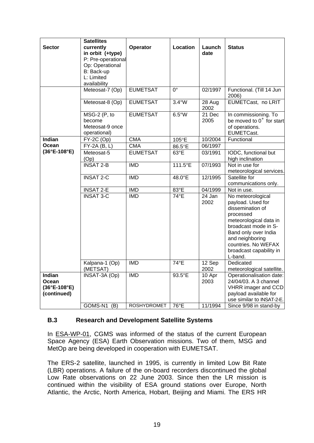|                                                                         | <b>Satellites</b>                                                      |                    |                 |                             |                                                                                                                                                                                                                                   |
|-------------------------------------------------------------------------|------------------------------------------------------------------------|--------------------|-----------------|-----------------------------|-----------------------------------------------------------------------------------------------------------------------------------------------------------------------------------------------------------------------------------|
| <b>Sector</b>                                                           | currently<br>in orbit (+type)<br>P: Pre-operational<br>Op: Operational | Operator           | Location        | Launch<br>date              | <b>Status</b>                                                                                                                                                                                                                     |
|                                                                         | B: Back-up<br>L: Limited<br>availability                               |                    |                 |                             |                                                                                                                                                                                                                                   |
|                                                                         | Meteosat-7 (Op)                                                        | <b>EUMETSAT</b>    | $0^{\circ}$     | 02/1997                     | Functional. (Till 14 Jun<br>2006)                                                                                                                                                                                                 |
|                                                                         | Meteosat-8 (Op)                                                        | <b>EUMETSAT</b>    | $3.4^{\circ}$ W | 28 Aug<br>2002              | EUMETCast, no LRIT                                                                                                                                                                                                                |
|                                                                         | MSG-2 (P, to<br>become<br>Meteosat-9 once<br>operational)              | <b>EUMETSAT</b>    | $6.5^{\circ}$ W | 21 Dec<br>2005              | In commissioning. To<br>be moved to 0° for start<br>of operations.<br><b>EUMETCast.</b>                                                                                                                                           |
| Indian                                                                  | $\overline{FY}$ -2C (Op)                                               | <b>CMA</b>         | 105°E           | 10/2004                     | Functional                                                                                                                                                                                                                        |
| Ocean                                                                   | $FY-2A(B, L)$                                                          | <b>CMA</b>         | 86.5°E          | 06/1997                     |                                                                                                                                                                                                                                   |
| $(36^{\circ}E - 108^{\circ}E)$                                          | Meteosat-5<br>(Op)                                                     | <b>EUMETSAT</b>    | 63°E            | 03/1991                     | IODC, functional but<br>high inclination                                                                                                                                                                                          |
|                                                                         | $INSAT 2-B$                                                            | <b>IMD</b>         | 111.5°E         | 07/1993                     | Not in use for<br>meteorological services.                                                                                                                                                                                        |
|                                                                         | <b>INSAT 2-C</b>                                                       | <b>IMD</b>         | 48.0°E          | 12/1995                     | Satellite for<br>communications only.                                                                                                                                                                                             |
|                                                                         | <b>INSAT 2-E</b>                                                       | <b>IMD</b>         | 83°E            | 04/1999                     | Not in use.                                                                                                                                                                                                                       |
|                                                                         | <b>INSAT 3-C</b>                                                       | <b>IMD</b>         | $74^{\circ}E$   | $\overline{24}$ Jan<br>2002 | No meteorological<br>payload. Used for<br>dissemination of<br>processed<br>meteorological data in<br>broadcast mode in S-<br>Band only over India<br>and neighboring<br>countries. No WEFAX<br>broadcast capability in<br>L-band. |
|                                                                         | Kalpana-1 (Op)<br>(METSAT)                                             | <b>IMD</b>         | 74°E            | 12 Sep<br>2002              | Dedicated<br>meteorological satellite.                                                                                                                                                                                            |
| <b>Indian</b><br>Ocean<br>$(36^{\circ}E - 108^{\circ}E)$<br>(continued) | <b>INSAT-3A (Op)</b>                                                   | <b>IMD</b>         | 93.5°E          | 10 Apr<br>2003              | Operationalisation date:<br>24/04/03. A 3 channel<br>VHRR imager and CCD<br>payload available for<br>use similar to INSAT-2-E.                                                                                                    |
|                                                                         | GOMS-N1 (B)                                                            | <b>ROSHYDROMET</b> | 76°E            | 11/1994                     | Since 9/98 in stand-by                                                                                                                                                                                                            |

#### **B.3 Research and Development Satellite Systems**

In **ESA-WP-01**, CGMS was informed of the status of the current European Space Agency (ESA) Earth Observation missions. Two of them, MSG and MetOp are being developed in cooperation with EUMETSAT.

The ERS-2 satellite, launched in 1995, is currently in limited Low Bit Rate (LBR) operations. A failure of the on-board recorders discontinued the global Low Rate observations on 22 June 2003. Since then the LR mission is continued within the visibility of ESA ground stations over Europe, North Atlantic, the Arctic, North America, Hobart, Beijing and Miami. The ERS HR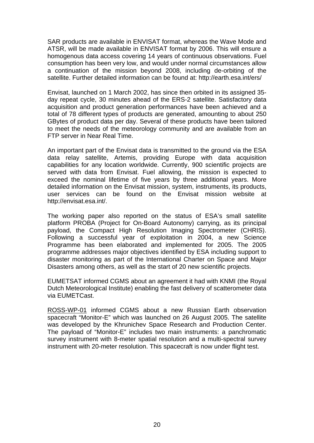SAR products are available in ENVISAT format, whereas the Wave Mode and ATSR, will be made available in ENVISAT format by 2006. This will ensure a homogenous data access covering 14 years of continuous observations. Fuel consumption has been very low, and would under normal circumstances allow a continuation of the mission beyond 2008, including de-orbiting of the satellite. Further detailed information can be found at: http://earth.esa.int/ers/

Envisat, launched on 1 March 2002, has since then orbited in its assigned 35 day repeat cycle, 30 minutes ahead of the ERS-2 satellite. Satisfactory data acquisition and product generation performances have been achieved and a total of 78 different types of products are generated, amounting to about 250 GBytes of product data per day. Several of these products have been tailored to meet the needs of the meteorology community and are available from an FTP server in Near Real Time.

An important part of the Envisat data is transmitted to the ground via the ESA data relay satellite, Artemis, providing Europe with data acquisition capabilities for any location worldwide. Currently, 900 scientific projects are served with data from Envisat. Fuel allowing, the mission is expected to exceed the nominal lifetime of five years by three additional years. More detailed information on the Envisat mission, system, instruments, its products, user services can be found on the Envisat mission website at <http://envisat.esa.int/>.

The working paper also reported on the status of ESA's small satellite platform PROBA (Project for On-Board Autonomy) carrying, as its principal payload, the Compact High Resolution Imaging Spectrometer (CHRIS). Following a successful year of exploitation in 2004, a new Science Programme has been elaborated and implemented for 2005. The 2005 programme addresses major objectives identified by ESA including support to disaster monitoring as part of the International Charter on Space and Major Disasters among others, as well as the start of 20 new scientific projects.

EUMETSAT informed CGMS about an agreement it had with KNMI (the Royal Dutch Meteorological Institute) enabling the fast delivery of scatterometer data via EUMETCast.

ROSS-WP-01 informed CGMS about a new Russian Earth observation spacecraft "Monitor-E" which was launched on 26 August 2005. The satellite was developed by the Khrunichev Space Research and Production Center. The payload of "Monitor-E" includes two main instruments: a panchromatic survey instrument with 8-meter spatial resolution and a multi-spectral survey instrument with 20-meter resolution. This spacecraft is now under flight test.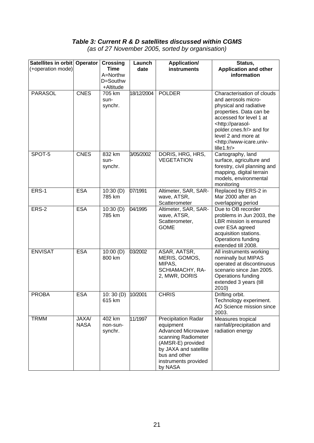## *Table 3: Current R & D satellites discussed within CGMS*

*(as of 27 November 2005, sorted by organisation)* 

<span id="page-20-0"></span>

| Satellites in orbit Operator<br>(+operation mode) |                      | <b>Crossing</b><br><b>Time</b><br>A=Northw<br>D=Southw<br>+Altitude | Launch<br>date | <b>Application/</b><br>instruments                                                                                                                                                     | Status,<br><b>Application and other</b><br>information                                                                                                                                                                                                                    |
|---------------------------------------------------|----------------------|---------------------------------------------------------------------|----------------|----------------------------------------------------------------------------------------------------------------------------------------------------------------------------------------|---------------------------------------------------------------------------------------------------------------------------------------------------------------------------------------------------------------------------------------------------------------------------|
| <b>PARASOL</b>                                    | <b>CNES</b>          | 705 km<br>sun-<br>synchr.                                           | 18/12/2004     | <b>POLDER</b>                                                                                                                                                                          | Characterisation of clouds<br>and aerosols micro-<br>physical and radiative<br>properties. Data can be<br>accessed for level 1 at<br><http: parasol-<br="">polder.cnes.fr/&gt; and for<br/>level 2 and more at<br/><http: www-icare.univ-<br="">lille1.fr</http:></http:> |
| SPOT-5                                            | <b>CNES</b>          | 832 km<br>sun-<br>synchr.                                           | 3/05/2002      | DORIS, HRG, HRS,<br><b>VEGETATION</b>                                                                                                                                                  | Cartography, land<br>surface, agriculture and<br>forestry, civil planning and<br>mapping, digital terrain<br>models, environmental<br>monitoring                                                                                                                          |
| ERS-1                                             | <b>ESA</b>           | 10:30(D)<br>785 km                                                  | 07/1991        | Altimeter, SAR, SAR-<br>wave, ATSR,<br>Scatterometer                                                                                                                                   | Replaced by ERS-2 in<br>Mar 2000 after an<br>overlapping period                                                                                                                                                                                                           |
| ERS-2                                             | <b>ESA</b>           | 10:30(D)<br>785 km                                                  | 04/1995        | Altimeter, SAR, SAR-<br>wave, ATSR,<br>Scatterometer,<br><b>GOME</b>                                                                                                                   | Due to OB recorder<br>problems in Jun 2003, the<br>LBR mission is ensured<br>over ESA agreed<br>acquisition stations.<br>Operations funding<br>extended till 2008.                                                                                                        |
| <b>ENVISAT</b>                                    | <b>ESA</b>           | 10:00(D)<br>800 km                                                  | 03/2002        | ASAR, AATSR,<br>MERIS, GOMOS,<br>MIPAS,<br>SCHIAMACHY, RA-<br>2, MWR, DORIS                                                                                                            | All instruments working<br>nominally but MIPAS<br>operated at discontinuous<br>scenario since Jan 2005.<br>Operations funding<br>extended 3 years (till<br>2010)                                                                                                          |
| PROBA                                             | ESA                  | 10: 30 (D)   10/2001<br>615 km                                      |                | <b>CHRIS</b>                                                                                                                                                                           | Drifting orbit.<br>Technology experiment.<br>AO Science mission since<br>2003.                                                                                                                                                                                            |
| <b>TRMM</b>                                       | JAXA/<br><b>NASA</b> | 402 km<br>non-sun-<br>synchr.                                       | 11/1997        | Precipitation Radar<br>equipment<br><b>Advanced Microwave</b><br>scanning Radiometer<br>(AMSR-E) provided<br>by JAXA and satellite<br>bus and other<br>instruments provided<br>by NASA | Measures tropical<br>rainfall/precipitation and<br>radiation energy                                                                                                                                                                                                       |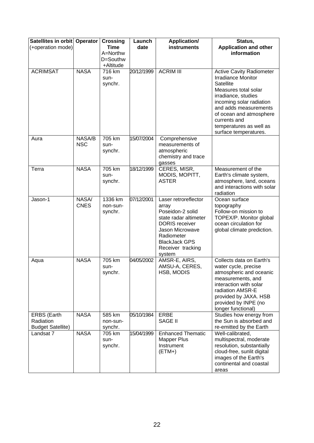| Satellites in orbit Operator<br>(+operation mode)           |                      | <b>Crossing</b><br><b>Time</b><br>A=Northw | Launch<br>date | <b>Application/</b><br>instruments                                                                                                                                                          | Status,<br><b>Application and other</b><br>information                                                                                                                                                                                                                       |
|-------------------------------------------------------------|----------------------|--------------------------------------------|----------------|---------------------------------------------------------------------------------------------------------------------------------------------------------------------------------------------|------------------------------------------------------------------------------------------------------------------------------------------------------------------------------------------------------------------------------------------------------------------------------|
|                                                             |                      | D=Southw<br>+Altitude                      |                |                                                                                                                                                                                             |                                                                                                                                                                                                                                                                              |
| <b>ACRIMSAT</b>                                             | <b>NASA</b>          | 716 km<br>sun-<br>synchr.                  | 20/12/1999     | <b>ACRIM III</b>                                                                                                                                                                            | <b>Active Cavity Radiometer</b><br><b>Irradiance Monitor</b><br>Satellite<br>Measures total solar<br>irradiance, studies<br>incoming solar radiation<br>and adds measurements<br>of ocean and atmosphere<br>currents and<br>temperatures as well as<br>surface temperatures. |
| Aura                                                        | NASA/B<br><b>NSC</b> | 705 km<br>sun-<br>synchr.                  | 15/07/2004     | Comprehensive<br>measurements of<br>atmospheric<br>chemistry and trace<br>gasses                                                                                                            |                                                                                                                                                                                                                                                                              |
| Terra                                                       | <b>NASA</b>          | 705 km<br>sun-<br>synchr.                  | 18/12/1999     | CERES, MISR,<br>MODIS, MOPITT,<br><b>ASTER</b>                                                                                                                                              | Measurement of the<br>Earth's climate system,<br>atmosphere, land, oceans<br>and interactions with solar<br>radiation                                                                                                                                                        |
| Jason-1                                                     | NASA/<br><b>CNES</b> | 1336 km<br>non-sun-<br>synchr.             | 07/12/2001     | Laser retroreflector<br>array<br>Poseidon-2 solid<br>state radar altimeter<br><b>DORIS</b> receiver<br>Jason Microwave<br>Radiometer<br><b>BlackJack GPS</b><br>Receiver tracking<br>system | Ocean surface<br>topography<br>Follow-on mission to<br>TOPEX/P. Monitor global<br>ocean circulation for<br>global climate prediction.                                                                                                                                        |
| Aqua                                                        | <b>NASA</b>          | 705 km<br>sun-<br>synchr.                  | 04/05/2002     | AMSR-E, AIRS,<br>AMSU-A, CERES,<br>HSB, MODIS                                                                                                                                               | Collects data on Earth's<br>water cycle, precise<br>atmospheric and oceanic<br>measurements, and<br>interaction with solar<br>radiation AMSR-E<br>provided by JAXA. HSB<br>provided by INPE (no<br>longer functional)                                                        |
| <b>ERBS</b> (Earth<br>Radiation<br><b>Budget Satellite)</b> | <b>NASA</b>          | 585 km<br>non-sun-<br>synchr.              | 05/10/1984     | ERBE<br><b>SAGE II</b>                                                                                                                                                                      | Studies how energy from<br>the Sun is absorbed and<br>re-emitted by the Earth                                                                                                                                                                                                |
| Landsat 7                                                   | <b>NASA</b>          | 705 km<br>sun-<br>synchr.                  | 15/04/1999     | <b>Enhanced Thematic</b><br><b>Mapper Plus</b><br>Instrument<br>$(ETM+)$                                                                                                                    | Well-calibrated,<br>multispectral, moderate<br>resolution, substantially<br>cloud-free, sunlit digital<br>images of the Earth's<br>continental and coastal<br>areas                                                                                                          |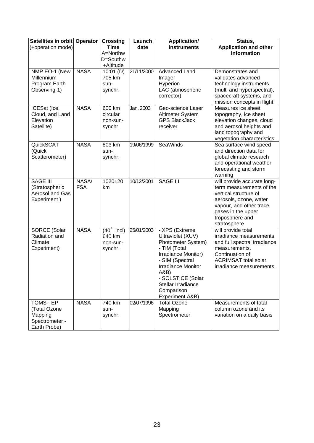| Satellites in orbit Operator<br>(+operation mode)                      |                     | <b>Crossing</b><br><b>Time</b><br>A=Northw<br>D=Southw<br>+Altitude | Launch<br>date | <b>Application/</b><br>instruments                                                                                                                                                                                                   | Status,<br><b>Application and other</b><br>information                                                                                                                                         |
|------------------------------------------------------------------------|---------------------|---------------------------------------------------------------------|----------------|--------------------------------------------------------------------------------------------------------------------------------------------------------------------------------------------------------------------------------------|------------------------------------------------------------------------------------------------------------------------------------------------------------------------------------------------|
| NMP EO-1 (New<br>Millennium<br>Program Earth<br>Observing-1)           | <b>NASA</b>         | 10:01(D)<br>705 km<br>sun-<br>synchr.                               | 21/11/2000     | <b>Advanced Land</b><br>Imager<br>Hyperion<br>LAC (atmospheric<br>corrector)                                                                                                                                                         | Demonstrates and<br>validates advanced<br>technology instruments<br>(multi and hyperspectral),<br>spacecraft systems, and<br>mission concepts in flight                                        |
| ICESat (Ice,<br>Cloud, and Land<br>Elevation<br>Satellite)             | <b>NASA</b>         | 600 km<br>circular<br>non-sun-<br>synchr.                           | Jan. 2003      | Geo-science Laser<br>Altimeter System<br><b>GPS BlackJack</b><br>receiver                                                                                                                                                            | Measures ice sheet<br>topography, ice sheet<br>elevation changes, cloud<br>and aerosol heights and<br>land topography and<br>vegetation characteristics.                                       |
| QuickSCAT<br>(Quick<br>Scatterometer)                                  | <b>NASA</b>         | 803 km<br>sun-<br>synchr.                                           | 19/06/1999     | SeaWinds                                                                                                                                                                                                                             | Sea surface wind speed<br>and direction data for<br>global climate research<br>and operational weather<br>forecasting and storm<br>warning                                                     |
| <b>SAGE III</b><br>(Stratospheric<br>Aerosol and Gas<br>Experiment)    | NASA/<br><b>FSA</b> | $1020 + 20$<br>km                                                   | 10/12/2001     | <b>SAGE III</b>                                                                                                                                                                                                                      | will provide accurate long-<br>term measurements of the<br>vertical structure of<br>aerosols, ozone, water<br>vapour, and other trace<br>gases in the upper<br>troposphere and<br>stratosphere |
| <b>SORCE (Solar</b><br>Radiation and<br>Climate<br>Experiment)         | <b>NASA</b>         | $(40°$ incl)<br>640 km<br>non-sun-<br>synchr.                       | 25/01/2003     | - XPS (Extreme<br>Ultraviolet (XUV)<br>Photometer System)<br>- TIM (Total<br>Irradiance Monitor)<br>- SIM (Spectral<br><b>Irradiance Monitor</b><br>A&B)<br>- SOLSTICE (Solar<br>Stellar Irradiance<br>Comparison<br>Experiment A&B) | will provide total<br>irradiance measurements<br>and full spectral irradiance<br>measurements.<br>Continuation of<br><b>ACRIMSAT total solar</b><br>irradiance measurements.                   |
| TOMS - EP<br>(Total Ozone<br>Mapping<br>Spectrometer -<br>Earth Probe) | <b>NASA</b>         | 740 km<br>sun-<br>synchr.                                           | 02/07/1996     | Total Ozone<br>Mapping<br>Spectrometer                                                                                                                                                                                               | Measurements of total<br>column ozone and its<br>variation on a daily basis                                                                                                                    |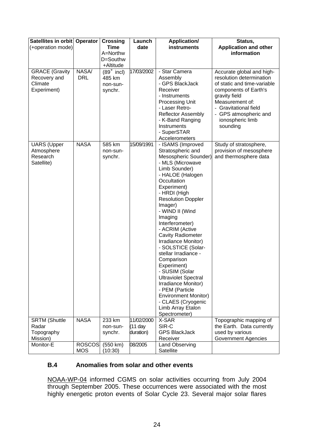| Satellites in orbit Operator<br>(+operation mode)               |                             | <b>Crossing</b><br><b>Time</b><br>A=Northw    | Launch<br>date                       | <b>Application/</b><br><b>instruments</b>                                                                                                                                                                                                                                                                                                                                                                                                                                                                                                                                                             | Status,<br><b>Application and other</b><br>information                                                                                                                                                                              |
|-----------------------------------------------------------------|-----------------------------|-----------------------------------------------|--------------------------------------|-------------------------------------------------------------------------------------------------------------------------------------------------------------------------------------------------------------------------------------------------------------------------------------------------------------------------------------------------------------------------------------------------------------------------------------------------------------------------------------------------------------------------------------------------------------------------------------------------------|-------------------------------------------------------------------------------------------------------------------------------------------------------------------------------------------------------------------------------------|
|                                                                 |                             | D=Southw<br>+Altitude                         |                                      |                                                                                                                                                                                                                                                                                                                                                                                                                                                                                                                                                                                                       |                                                                                                                                                                                                                                     |
| <b>GRACE (Gravity</b><br>Recovery and<br>Climate<br>Experiment) | NASA/<br><b>DRL</b>         | $(89°$ incl)<br>485 km<br>non-sun-<br>synchr. | 17/03/2002                           | - Star Camera<br>Assembly<br>- GPS BlackJack<br>Receiver<br>- Instruments<br>Processing Unit<br>- Laser Retro-<br><b>Reflector Assembly</b><br>- K-Band Ranging<br>Instruments<br>- SuperSTAR<br>Accelerometers                                                                                                                                                                                                                                                                                                                                                                                       | Accurate global and high-<br>resolution determination<br>of static and time-variable<br>components of Earth's<br>gravity field<br>Measurement of:<br>- Gravitational field<br>- GPS atmospheric and<br>ionospheric limb<br>sounding |
| <b>UARS</b> (Upper<br>Atmosphere<br>Research<br>Satellite)      | <b>NASA</b>                 | 585 km<br>non-sun-<br>synchr.                 | 15/09/1991                           | - ISAMS (Improved<br>Stratospheric and<br>Mesospheric Sounder)<br>- MLS (Microwave<br>Limb Sounder)<br>- HALOE (Halogen<br>Occultation<br>Experiment)<br>- HRDI (High<br><b>Resolution Doppler</b><br>Imager)<br>- WIND II (Wind<br>Imaging<br>Interferometer)<br>- ACRIM (Active<br><b>Cavity Radiometer</b><br>Irradiance Monitor)<br>- SOLSTICE (Solar-<br>stellar Irradiance -<br>Comparison<br>Experiment)<br>- SUSIM (Solar<br><b>Ultraviolet Spectral</b><br>Irradiance Monitor)<br>- PEM (Particle<br><b>Environment Monitor)</b><br>- CLAES (Cryogenic<br>Limb Array Etalon<br>Spectrometer) | Study of stratosphere,<br>provision of mesosphere<br>and thermosphere data                                                                                                                                                          |
| <b>SRTM (Shuttle</b><br>Radar<br>Topography                     | <b>NASA</b>                 | 233 km<br>non-sun-<br>synchr.                 | 11/02/2000<br>$(11$ day<br>duration) | X-SAR<br>SIR-C<br><b>GPS BlackJack</b>                                                                                                                                                                                                                                                                                                                                                                                                                                                                                                                                                                | Topographic mapping of<br>the Earth. Data currently<br>used by various                                                                                                                                                              |
| Mission)<br>Monitor-E                                           | <b>ROSCOS</b><br><b>MOS</b> | (550 km)<br>(10:30)                           | 08/2005                              | Receiver<br>Land Observing<br>Satellite                                                                                                                                                                                                                                                                                                                                                                                                                                                                                                                                                               | <b>Government Agencies</b>                                                                                                                                                                                                          |

#### **B.4 Anomalies from solar and other events**

NOAA-WP-04 informed CGMS on solar activities occurring from July 2004 through September 2005. These occurrences were associated with the most highly energetic proton events of Solar Cycle 23. Several major solar flares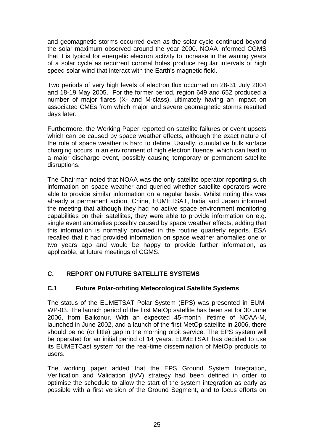<span id="page-24-0"></span>and geomagnetic storms occurred even as the solar cycle continued beyond the solar maximum observed around the year 2000. NOAA informed CGMS that it is typical for energetic electron activity to increase in the waning years of a solar cycle as recurrent coronal holes produce regular intervals of high speed solar wind that interact with the Earth's magnetic field.

Two periods of very high levels of electron flux occurred on 28-31 July 2004 and 18-19 May 2005. For the former period, region 649 and 652 produced a number of major flares (X- and M-class), ultimately having an impact on associated CMEs from which major and severe geomagnetic storms resulted days later.

Furthermore, the Working Paper reported on satellite failures or event upsets which can be caused by space weather effects, although the exact nature of the role of space weather is hard to define. Usually, cumulative bulk surface charging occurs in an environment of high electron fluence, which can lead to a major discharge event, possibly causing temporary or permanent satellite disruptions.

The Chairman noted that NOAA was the only satellite operator reporting such information on space weather and queried whether satellite operators were able to provide similar information on a regular basis. Whilst noting this was already a permanent action, China, EUMETSAT, India and Japan informed the meeting that although they had no active space environment monitoring capabilities on their satellites, they were able to provide information on e.g. single event anomalies possibly caused by space weather effects, adding that this information is normally provided in the routine quarterly reports. ESA recalled that it had provided information on space weather anomalies one or two years ago and would be happy to provide further information, as applicable, at future meetings of CGMS.

## **C. REPORT ON FUTURE SATELLITE SYSTEMS**

#### **C.1 Future Polar-orbiting Meteorological Satellite Systems**

The status of the EUMETSAT Polar System (EPS) was presented in EUM-WP-03. The launch period of the first MetOp satellite has been set for 30 June 2006, from Baikonur. With an expected 45-month lifetime of NOAA-M, launched in June 2002, and a launch of the first MetOp satellite in 2006, there should be no (or little) gap in the morning orbit service. The EPS system will be operated for an initial period of 14 years. EUMETSAT has decided to use its EUMETCast system for the real-time dissemination of MetOp products to users.

The working paper added that the EPS Ground System Integration, Verification and Validation (IVV) strategy had been defined in order to optimise the schedule to allow the start of the system integration as early as possible with a first version of the Ground Segment, and to focus efforts on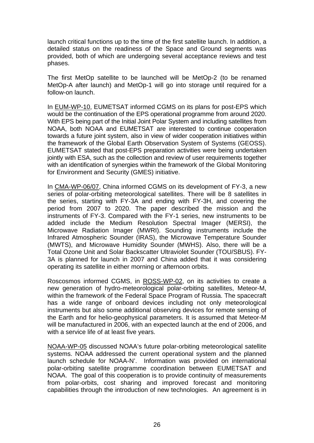launch critical functions up to the time of the first satellite launch. In addition, a detailed status on the readiness of the Space and Ground segments was provided, both of which are undergoing several acceptance reviews and test phases.

The first MetOp satellite to be launched will be MetOp-2 (to be renamed MetOp-A after launch) and MetOp-1 will go into storage until required for a follow-on launch.

In EUM-WP-10, EUMETSAT informed CGMS on its plans for post-EPS which would be the continuation of the EPS operational programme from around 2020. With EPS being part of the Initial Joint Polar System and including satellites from NOAA, both NOAA and EUMETSAT are interested to continue cooperation towards a future joint system, also in view of wider cooperation initiatives within the framework of the Global Earth Observation System of Systems (GEOSS). EUMETSAT stated that post-EPS preparation activities were being undertaken jointly with ESA, such as the collection and review of user requirements together with an identification of synergies within the framework of the Global Monitoring for Environment and Security (GMES) initiative.

In CMA-WP-06/07, China informed CGMS on its development of FY-3, a new series of polar-orbiting meteorological satellites. There will be 8 satellites in the series, starting with FY-3A and ending with FY-3H, and covering the period from 2007 to 2020. The paper described the mission and the instruments of FY-3. Compared with the FY-1 series, new instruments to be added include the Medium Resolution Spectral Imager (MERSI), the Microwave Radiation Imager (MWRI). Sounding instruments include the Infrared Atmospheric Sounder (IRAS), the Microwave Temperature Sounder (MWTS), and Microwave Humidity Sounder (MWHS). Also, there will be a Total Ozone Unit and Solar Backscatter Ultraviolet Sounder (TOU/SBUS). FY-3A is planned for launch in 2007 and China added that it was considering operating its satellite in either morning or afternoon orbits.

Roscosmos informed CGMS, in ROSS-WP-02, on its activities to create a new generation of hydro-meteorological polar-orbiting satellites, Meteor-M, within the framework of the Federal Space Program of Russia. The spacecraft has a wide range of onboard devices including not only meteorological instruments but also some additional observing devices for remote sensing of the Earth and for helio-geophysical parameters. It is assumed that Meteor-M will be manufactured in 2006, with an expected launch at the end of 2006, and with a service life of at least five years.

NOAA-WP-05 discussed NOAA's future polar-orbiting meteorological satellite systems. NOAA addressed the current operational system and the planned launch schedule for NOAA-N'. Information was provided on international polar-orbiting satellite programme coordination between EUMETSAT and NOAA. The goal of this cooperation is to provide continuity of measurements from polar-orbits, cost sharing and improved forecast and monitoring capabilities through the introduction of new technologies. An agreement is in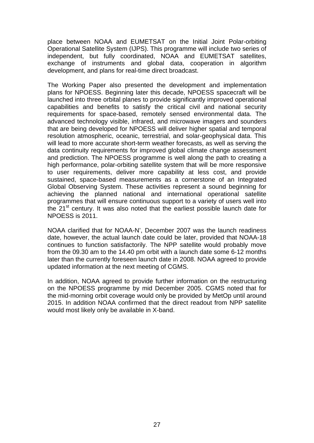place between NOAA and EUMETSAT on the Initial Joint Polar-orbiting Operational Satellite System (IJPS). This programme will include two series of independent, but fully coordinated, NOAA and EUMETSAT satellites, exchange of instruments and global data, cooperation in algorithm development, and plans for real-time direct broadcast.

The Working Paper also presented the development and implementation plans for NPOESS. Beginning later this decade, NPOESS spacecraft will be launched into three orbital planes to provide significantly improved operational capabilities and benefits to satisfy the critical civil and national security requirements for space-based, remotely sensed environmental data. The advanced technology visible, infrared, and microwave imagers and sounders that are being developed for NPOESS will deliver higher spatial and temporal resolution atmospheric, oceanic, terrestrial, and solar-geophysical data. This will lead to more accurate short-term weather forecasts, as well as serving the data continuity requirements for improved global climate change assessment and prediction. The NPOESS programme is well along the path to creating a high performance, polar-orbiting satellite system that will be more responsive to user requirements, deliver more capability at less cost, and provide sustained, space-based measurements as a cornerstone of an Integrated Global Observing System. These activities represent a sound beginning for achieving the planned national and international operational satellite programmes that will ensure continuous support to a variety of users well into the 21<sup>st</sup> century. It was also noted that the earliest possible launch date for NPOESS is 2011.

NOAA clarified that for NOAA-N', December 2007 was the launch readiness date, however, the actual launch date could be later, provided that NOAA-18 continues to function satisfactorily. The NPP satellite would probably move from the 09.30 am to the 14.40 pm orbit with a launch date some 6-12 months later than the currently foreseen launch date in 2008. NOAA agreed to provide updated information at the next meeting of CGMS.

In addition, NOAA agreed to provide further information on the restructuring on the NPOESS programme by mid December 2005. CGMS noted that for the mid-morning orbit coverage would only be provided by MetOp until around 2015. In addition NOAA confirmed that the direct readout from NPP satellite would most likely only be available in X-band.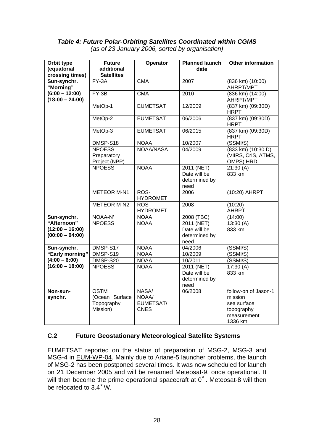#### <span id="page-27-0"></span>*Table 4: Future Polar-Orbiting Satellites Coordinated within CGMS (as of 23 January 2006, sorted by organisation)*

| Orbit type<br>(equatorial             | <b>Future</b><br>additional                   | Operator                | <b>Planned launch</b><br>date                       | Other information                                                          |
|---------------------------------------|-----------------------------------------------|-------------------------|-----------------------------------------------------|----------------------------------------------------------------------------|
| crossing times)                       | <b>Satellites</b>                             |                         |                                                     |                                                                            |
| Sun-synchr.<br>"Morning"              | $\overline{FY}$ -3A                           | <b>CMA</b>              | 2007                                                | $(836 \text{ km}) (10:00)$<br>AHRPT/MPT                                    |
| $(6:00 - 12:00)$<br>$(18:00 - 24:00)$ | $FY-3B$                                       | <b>CMA</b>              | 2010                                                | (836 km) (14:00)<br>AHRPT/MPT                                              |
|                                       | MetOp-1                                       | <b>EUMETSAT</b>         | 12/2009                                             | $(837 \text{ km}) (09:30D)$<br><b>HRPT</b>                                 |
|                                       | MetOp-2                                       | <b>EUMETSAT</b>         | 06/2006                                             | $(837 \text{ km}) (09:30D)$<br><b>HRPT</b>                                 |
|                                       | MetOp-3                                       | <b>EUMETSAT</b>         | 06/2015                                             | $(837 \text{ km}) (09:30D)$<br><b>HRPT</b>                                 |
|                                       | DMSP-S18                                      | <b>NOAA</b>             | 10/2007                                             | (SSMI/S)                                                                   |
|                                       | <b>NPOESS</b><br>Preparatory<br>Project (NPP) | <b>NOAA/NASA</b>        | 04/2009                                             | $(833 \text{ km})$ $(10:30 \text{ D})$<br>(VIIRS, CrIS, ATMS,<br>OMPS) HRD |
|                                       | <b>NPOESS</b>                                 | <b>NOAA</b>             | 2011 (NET)<br>Date will be<br>determined by<br>need | 21:30(A)<br>833 km                                                         |
|                                       | <b>METEOR M-N1</b>                            | ROS-<br><b>HYDROMET</b> | 2006                                                | (10:20) AHRPT                                                              |
|                                       | <b>METEOR M-N2</b>                            | ROS-<br><b>HYDROMET</b> | 2008                                                | (10:20)<br><b>AHRPT</b>                                                    |
| Sun-synchr.                           | NOAA-N'                                       | <b>NOAA</b>             | 2008 (TBC)                                          | (14:00)                                                                    |
| "Afternoon"                           | <b>NPOESS</b>                                 | <b>NOAA</b>             | 2011 (NET)                                          | 13:30(A)                                                                   |
| $(12:00 - 16:00)$                     |                                               |                         | Date will be                                        | 833 km                                                                     |
| $(00:00 - 04:00)$                     |                                               |                         | determined by                                       |                                                                            |
| Sun-synchr.                           | DMSP-S17                                      | <b>NOAA</b>             | need<br>04/2006                                     | (SSMI/S)                                                                   |
| "Early morning"                       | DMSP-S19                                      | <b>NOAA</b>             | 10/2009                                             | (SSMI/S)                                                                   |
| $(4:00 - 6:00)$                       | DMSP-S20                                      | <b>NOAA</b>             | 10/2011                                             | (SSMI/S)                                                                   |
| $(16:00 - 18:00)$                     | <b>NPOESS</b>                                 | <b>NOAA</b>             | 2011 (NET)                                          | 17:30(A)                                                                   |
|                                       |                                               |                         | Date will be                                        | 833 km                                                                     |
|                                       |                                               |                         | determined by                                       |                                                                            |
|                                       |                                               |                         | need                                                |                                                                            |
| Non-sun-                              | <b>OSTM</b>                                   | <b>NASA</b>             | 06/2008                                             | follow-on of Jason-1                                                       |
| synchr.                               | (Ocean Surface                                | NOAA/                   |                                                     | mission                                                                    |
|                                       | Topography                                    | EUMETSAT/               |                                                     | sea surface                                                                |
|                                       | Mission)                                      | <b>CNES</b>             |                                                     | topography                                                                 |
|                                       |                                               |                         |                                                     | measurement<br>1336 km                                                     |

#### **C.2 Future Geostationary Meteorological Satellite Systems**

EUMETSAT reported on the status of preparation of MSG-2, MSG-3 and MSG-4 in EUM-WP-04. Mainly due to Ariane-5 launcher problems, the launch of MSG-2 has been postponed several times. It was now scheduled for launch on 21 December 2005 and will be renamed Meteosat-9, once operational. It will then become the prime operational spacecraft at 0°. Meteosat-8 will then be relocated to 3.4˚W.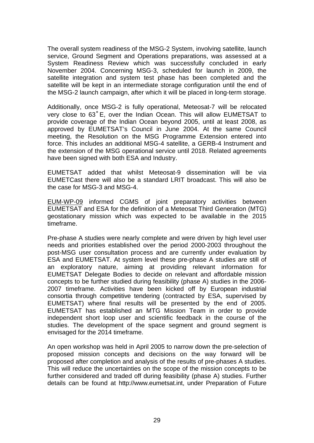The overall system readiness of the MSG-2 System, involving satellite, launch service, Ground Segment and Operations preparations, was assessed at a System Readiness Review which was successfully concluded in early November 2004. Concerning MSG-3, scheduled for launch in 2009, the satellite integration and system test phase has been completed and the satellite will be kept in an intermediate storage configuration until the end of the MSG-2 launch campaign, after which it will be placed in long-term storage.

Additionally, once MSG-2 is fully operational, Meteosat-7 will be relocated very close to 63˚E, over the Indian Ocean. This will allow EUMETSAT to provide coverage of the Indian Ocean beyond 2005, until at least 2008, as approved by EUMETSAT's Council in June 2004. At the same Council meeting, the Resolution on the MSG Programme Extension entered into force. This includes an additional MSG-4 satellite, a GERB-4 Instrument and the extension of the MSG operational service until 2018. Related agreements have been signed with both ESA and Industry.

EUMETSAT added that whilst Meteosat-9 dissemination will be via EUMETCast there will also be a standard LRIT broadcast. This will also be the case for MSG-3 and MSG-4.

EUM-WP-09 informed CGMS of joint preparatory activities between EUMETSAT and ESA for the definition of a Meteosat Third Generation (MTG) geostationary mission which was expected to be available in the 2015 timeframe.

Pre-phase A studies were nearly complete and were driven by high level user needs and priorities established over the period 2000-2003 throughout the post-MSG user consultation process and are currently under evaluation by ESA and EUMETSAT. At system level these pre-phase A studies are still of an exploratory nature, aiming at providing relevant information for EUMETSAT Delegate Bodies to decide on relevant and affordable mission concepts to be further studied during feasibility (phase A) studies in the 2006- 2007 timeframe. Activities have been kicked off by European industrial consortia through competitive tendering (contracted by ESA, supervised by EUMETSAT) where final results will be presented by the end of 2005. EUMETSAT has established an MTG Mission Team in order to provide independent short loop user and scientific feedback in the course of the studies. The development of the space segment and ground segment is envisaged for the 2014 timeframe.

An open workshop was held in April 2005 to narrow down the pre-selection of proposed mission concepts and decisions on the way forward will be proposed after completion and analysis of the results of pre-phases A studies. This will reduce the uncertainties on the scope of the mission concepts to be further considered and traded off during feasibility (phase A) studies. Further details can be found at http://www.eumetsat.int, under Preparation of Future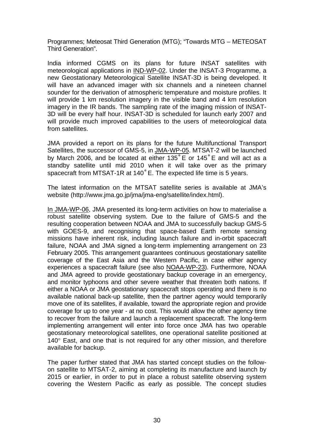Programmes; Meteosat Third Generation (MTG); "Towards MTG – METEOSAT Third Generation".

India informed CGMS on its plans for future INSAT satellites with meteorological applications in IND-WP-02. Under the INSAT-3 Programme, a new Geostationary Meteorological Satellite INSAT-3D is being developed. It will have an advanced imager with six channels and a nineteen channel sounder for the derivation of atmospheric temperature and moisture profiles. It will provide 1 km resolution imagery in the visible band and 4 km resolution imagery in the IR bands. The sampling rate of the imaging mission of INSAT-3D will be every half hour. INSAT-3D is scheduled for launch early 2007 and will provide much improved capabilities to the users of meteorological data from satellites.

JMA provided a report on its plans for the future Multifunctional Transport Satellites, the successor of GMS-5, in JMA-WP-05. MTSAT-2 will be launched by March 2006, and be located at either 135˚E or 145˚E and will act as a standby satellite until mid 2010 when it will take over as the primary spacecraft from MTSAT-1R at 140˚E. The expected life time is 5 years.

The latest information on the MTSAT satellite series is available at JMA's website (http://www.jma.go.jp/jma/jma-eng/satellite/index.html).

In JMA-WP-06, JMA presented its long-term activities on how to materialise a robust satellite observing system. Due to the failure of GMS-5 and the resulting cooperation between NOAA and JMA to successfully backup GMS-5 with GOES-9, and recognising that space-based Earth remote sensing missions have inherent risk, including launch failure and in-orbit spacecraft failure, NOAA and JMA signed a long-term implementing arrangement on 23 February 2005. This arrangement guarantees continuous geostationary satellite coverage of the East Asia and the Western Pacific, in case either agency experiences a spacecraft failure (see also NOAA-WP-23). Furthermore, NOAA and JMA agreed to provide geostationary backup coverage in an emergency, and monitor typhoons and other severe weather that threaten both nations. If either a NOAA or JMA geostationary spacecraft stops operating and there is no available national back-up satellite, then the partner agency would temporarily move one of its satellites, if available, toward the appropriate region and provide coverage for up to one year - at no cost. This would allow the other agency time to recover from the failure and launch a replacement spacecraft. The long-term implementing arrangement will enter into force once JMA has two operable geostationary meteorological satellites, one operational satellite positioned at 140° East, and one that is not required for any other mission, and therefore available for backup.

The paper further stated that JMA has started concept studies on the followon satellite to MTSAT-2, aiming at completing its manufacture and launch by 2015 or earlier, in order to put in place a robust satellite observing system covering the Western Pacific as early as possible. The concept studies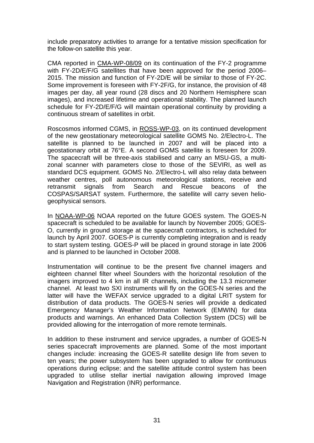include preparatory activities to arrange for a tentative mission specification for the follow-on satellite this year.

CMA reported in CMA-WP-08/09 on its continuation of the FY-2 programme with FY-2D/E/F/G satellites that have been approved for the period 2006– 2015. The mission and function of FY-2D/E will be similar to those of FY-2C. Some improvement is foreseen with FY-2F/G, for instance, the provision of 48 images per day, all year round (28 discs and 20 Northern Hemisphere scan images), and increased lifetime and operational stability. The planned launch schedule for FY-2D/E/F/G will maintain operational continuity by providing a continuous stream of satellites in orbit.

Roscosmos informed CGMS, in ROSS-WP-03, on its continued development of the new geostationary meteorological satellite GOMS No. 2/Electro-L. The satellite is planned to be launched in 2007 and will be placed into a geostationary orbit at 76°E. A second GOMS satellite is foreseen for 2009. The spacecraft will be three-axis stabilised and carry an MSU-GS, a multizonal scanner with parameters close to those of the SEVIRI, as well as standard DCS equipment. GOMS No. 2/Electro-L will also relay data between weather centres, poll autonomous meteorological stations, receive and retransmit signals from Search and Rescue beacons of the COSPAS/SARSAT system. Furthermore, the satellite will carry seven heliogeophysical sensors.

In NOAA-WP-06 NOAA reported on the future GOES system. The GOES-N spacecraft is scheduled to be available for launch by November 2005; GOES-O, currently in ground storage at the spacecraft contractors, is scheduled for launch by April 2007. GOES-P is currently completing integration and is ready to start system testing. GOES-P will be placed in ground storage in late 2006 and is planned to be launched in October 2008.

Instrumentation will continue to be the present five channel imagers and eighteen channel filter wheel Sounders with the horizontal resolution of the imagers improved to 4 km in all IR channels, including the 13.3 micrometer channel. At least two SXI instruments will fly on the GOES-N series and the latter will have the WEFAX service upgraded to a digital LRIT system for distribution of data products. The GOES-N series will provide a dedicated Emergency Manager's Weather Information Network (EMWIN) for data products and warnings. An enhanced Data Collection System (DCS) will be provided allowing for the interrogation of more remote terminals.

In addition to these instrument and service upgrades, a number of GOES-N series spacecraft improvements are planned. Some of the most important changes include: increasing the GOES-R satellite design life from seven to ten years; the power subsystem has been upgraded to allow for continuous operations during eclipse; and the satellite attitude control system has been upgraded to utilise stellar inertial navigation allowing improved Image Navigation and Registration (INR) performance.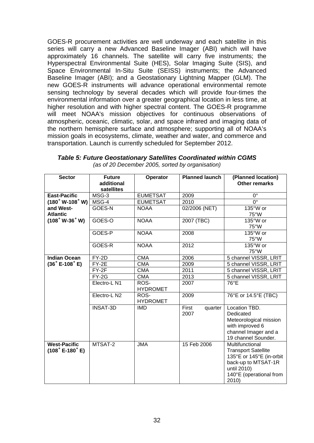<span id="page-31-0"></span>GOES-R procurement activities are well underway and each satellite in this series will carry a new Advanced Baseline Imager (ABI) which will have approximately 16 channels. The satellite will carry five instruments; the Hyperspectral Environmental Suite (HES), Solar Imaging Suite (SIS), and Space Environmental In-Situ Suite (SEISS) instruments; the Advanced Baseline Imager (ABI); and a Geostationary Lightning Mapper (GLM). The new GOES-R instruments will advance operational environmental remote sensing technology by several decades which will provide four-times the environmental information over a greater geographical location in less time, at higher resolution and with higher spectral content. The GOES-R programme will meet NOAA's mission objectives for continuous observations of atmospheric, oceanic, climatic, solar, and space infrared and imaging data of the northern hemisphere surface and atmosphere; supporting all of NOAA's mission goals in ecosystems, climate, weather and water, and commerce and transportation. Launch is currently scheduled for September 2012.

| <b>Sector</b>                                                          | <b>Future</b><br>additional<br>satellites | Operator                | <b>Planned launch</b>    | (Planned location)<br><b>Other remarks</b>                                                                                                          |
|------------------------------------------------------------------------|-------------------------------------------|-------------------------|--------------------------|-----------------------------------------------------------------------------------------------------------------------------------------------------|
| <b>East-Pacific</b>                                                    | MSG-3                                     | <b>EUMETSAT</b>         | 2009                     | $0^{\circ}$                                                                                                                                         |
| $(180°W-108°W)$                                                        | MSG-4                                     | <b>EUMETSAT</b>         | 2010                     | $0^{\circ}$                                                                                                                                         |
| and West-<br><b>Atlantic</b>                                           | GOES-N                                    | <b>NOAA</b>             | 02/2006 (NET)            | 135°W or<br>75°W                                                                                                                                    |
| $(108°W-36°W)$                                                         | GOES-O                                    | <b>NOAA</b>             | 2007 (TBC)               | 135°W or<br>75°W                                                                                                                                    |
|                                                                        | GOES-P                                    | <b>NOAA</b>             | 2008                     | 135°W or<br>75°W                                                                                                                                    |
|                                                                        | GOES-R                                    | <b>NOAA</b>             | 2012                     | 135°W or<br>75°W                                                                                                                                    |
| <b>Indian Ocean</b>                                                    | FY-2D                                     | <b>CMA</b>              | 2006                     | 5 channel VISSR, LRIT                                                                                                                               |
| $(36°E-108°E)$                                                         | $FY-2E$                                   | <b>CMA</b>              | 2009                     | 5 channel VISSR, LRIT                                                                                                                               |
|                                                                        | $FY-2F$                                   | <b>CMA</b>              | 2011                     | 5 channel VISSR, LRIT                                                                                                                               |
|                                                                        | $FY-2G$                                   | <b>CMA</b>              | 2013                     | 5 channel VISSR, LRIT                                                                                                                               |
|                                                                        | Electro-L N1                              | ROS-<br><b>HYDROMET</b> | 2007                     | 76°E                                                                                                                                                |
|                                                                        | Electro-L <sub>N2</sub>                   | ROS-<br><b>HYDROMET</b> | 2009                     | 76°E or 14.5°E (TBC)                                                                                                                                |
|                                                                        | <b>INSAT-3D</b>                           | <b>IMD</b>              | First<br>quarter<br>2007 | Location TBD.<br>Dedicated<br>Meteorological mission<br>with improved 6<br>channel Imager and a<br>19 channel Sounder.                              |
| <b>West-Pacific</b><br>$(108 \degree \text{E} - 180 \degree \text{E})$ | MTSAT-2                                   | <b>JMA</b>              | 15 Feb 2006              | Multifunctional<br><b>Transport Satellite</b><br>135°E or 145°E (in-orbit<br>back-up to MTSAT-1R<br>until 2010)<br>140°E (operational from<br>2010) |

*Table 5: Future Geostationary Satellites Coordinated within CGMS (as of 20 December 2005, sorted by organisation)*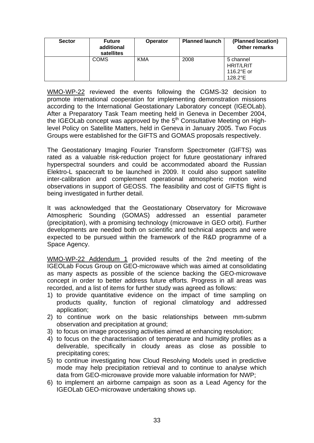| <b>Sector</b> | <b>Future</b><br>additional<br>satellites | <b>Operator</b> | <b>Planned launch</b> | (Planned location)<br>Other remarks                               |
|---------------|-------------------------------------------|-----------------|-----------------------|-------------------------------------------------------------------|
|               | <b>COMS</b>                               | <b>KMA</b>      | 2008                  | 5 channel<br><b>HRIT/LRIT</b><br>116.2 $^{\circ}$ E or<br>128.2°E |

WMO-WP-22 reviewed the events following the CGMS-32 decision to promote international cooperation for implementing demonstration missions according to the International Geostationary Laboratory concept (IGEOLab). After a Preparatory Task Team meeting held in Geneva in December 2004, the IGEOLab concept was approved by the 5<sup>th</sup> Consultative Meeting on Highlevel Policy on Satellite Matters, held in Geneva in January 2005. Two Focus Groups were established for the GIFTS and GOMAS proposals respectively.

The Geostationary Imaging Fourier Transform Spectrometer (GIFTS) was rated as a valuable risk-reduction project for future geostationary infrared hyperspectral sounders and could be accommodated aboard the Russian Elektro-L spacecraft to be launched in 2009. It could also support satellite inter-calibration and complement operational atmospheric motion wind observations in support of GEOSS. The feasibility and cost of GIFTS flight is being investigated in further detail.

It was acknowledged that the Geostationary Observatory for Microwave Atmospheric Sounding (GOMAS) addressed an essential parameter (precipitation), with a promising technology (microwave in GEO orbit). Further developments are needed both on scientific and technical aspects and were expected to be pursued within the framework of the R&D programme of a Space Agency.

WMO-WP-22 Addendum 1 provided results of the 2nd meeting of the IGEOLab Focus Group on GEO-microwave which was aimed at consolidating as many aspects as possible of the science backing the GEO-microwave concept in order to better address future efforts. Progress in all areas was recorded, and a list of items for further study was agreed as follows:

- 1) to provide quantitative evidence on the impact of time sampling on products quality, function of regional climatology and addressed application;
- 2) to continue work on the basic relationships between mm-submm observation and precipitation at ground;
- 3) to focus on image processing activities aimed at enhancing resolution;
- 4) to focus on the characterisation of temperature and humidity profiles as a deliverable, specifically in cloudy areas as close as possible to precipitating cores;
- 5) to continue investigating how Cloud Resolving Models used in predictive mode may help precipitation retrieval and to continue to analyse which data from GEO-microwave provide more valuable information for NWP;
- 6) to implement an airborne campaign as soon as a Lead Agency for the IGEOLab GEO-microwave undertaking shows up.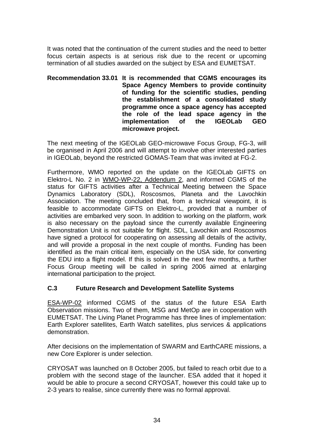It was noted that the continuation of the current studies and the need to better focus certain aspects is at serious risk due to the recent or upcoming termination of all studies awarded on the subject by ESA and EUMETSAT.

#### **Recommendation 33.01 It is recommended that CGMS encourages its Space Agency Members to provide continuity of funding for the scientific studies, pending the establishment of a consolidated study programme once a space agency has accepted the role of the lead space agency in the implementation of the IGEOLab GEO microwave project.**

The next meeting of the IGEOLab GEO-microwave Focus Group, FG-3, will be organised in April 2006 and will attempt to involve other interested parties in IGEOLab, beyond the restricted GOMAS-Team that was invited at FG-2.

Furthermore, WMO reported on the update on the IGEOLab GIFTS on Elektro-L No. 2 in WMO-WP-22, Addendum 2, and informed CGMS of the status for GIFTS activities after a Technical Meeting between the Space Dynamics Laboratory (SDL), Roscosmos, Planeta and the Lavochkin Association. The meeting concluded that, from a technical viewpoint, it is feasible to accommodate GIFTS on Elektro-L, provided that a number of activities are embarked very soon. In addition to working on the platform, work is also necessary on the payload since the currently available Engineering Demonstration Unit is not suitable for flight. SDL, Lavochkin and Roscosmos have signed a protocol for cooperating on assessing all details of the activity, and will provide a proposal in the next couple of months. Funding has been identified as the main critical item, especially on the USA side, for converting the EDU into a flight model. If this is solved in the next few months, a further Focus Group meeting will be called in spring 2006 aimed at enlarging international participation to the project.

#### **C.3 Future Research and Development Satellite Systems**

ESA-WP-02 informed CGMS of the status of the future ESA Earth Observation missions. Two of them, MSG and MetOp are in cooperation with EUMETSAT. The Living Planet Programme has three lines of implementation: Earth Explorer satellites, Earth Watch satellites, plus services & applications demonstration.

After decisions on the implementation of SWARM and EarthCARE missions, a new Core Explorer is under selection.

CRYOSAT was launched on 8 October 2005, but failed to reach orbit due to a problem with the second stage of the launcher. ESA added that it hoped it would be able to procure a second CRYOSAT, however this could take up to 2-3 years to realise, since currently there was no formal approval.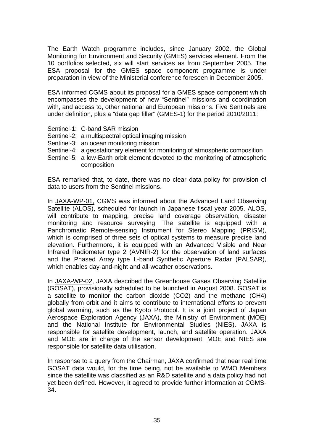The Earth Watch programme includes, since January 2002, the Global Monitoring for Environment and Security (GMES) services element. From the 10 portfolios selected, six will start services as from September 2005. The ESA proposal for the GMES space component programme is under preparation in view of the Ministerial conference foreseen in December 2005.

ESA informed CGMS about its proposal for a GMES space component which encompasses the development of new "Sentinel" missions and coordination with, and access to, other national and European missions. Five Sentinels are under definition, plus a "data gap filler" (GMES-1) for the period 2010/2011:

- Sentinel-1: C-band SAR mission
- Sentinel-2: a multispectral optical imaging mission
- Sentinel-3: an ocean monitoring mission
- Sentinel-4: a geostationary element for monitoring of atmospheric composition
- Sentinel-5: a low-Earth orbit element devoted to the monitoring of atmospheric composition

ESA remarked that, to date, there was no clear data policy for provision of data to users from the Sentinel missions.

In JAXA-WP-01, CGMS was informed about the Advanced Land Observing Satellite (ALOS), scheduled for launch in Japanese fiscal year 2005. ALOS, will contribute to mapping, precise land coverage observation, disaster monitoring and resource surveying. The satellite is equipped with a Panchromatic Remote-sensing Instrument for Stereo Mapping (PRISM), which is comprised of three sets of optical systems to measure precise land elevation. Furthermore, it is equipped with an Advanced Visible and Near Infrared Radiometer type 2 (AVNIR-2) for the observation of land surfaces and the Phased Array type L-band Synthetic Aperture Radar (PALSAR), which enables day-and-night and all-weather observations.

In JAXA-WP-02, JAXA described the Greenhouse Gases Observing Satellite (GOSAT), provisionally scheduled to be launched in August 2008. GOSAT is a satellite to monitor the carbon dioxide (CO2) and the methane (CH4) globally from orbit and it aims to contribute to international efforts to prevent global warming, such as the Kyoto Protocol. It is a joint project of Japan Aerospace Exploration Agency (JAXA), the Ministry of Environment (MOE) and the National Institute for Environmental Studies (NIES). JAXA is responsible for satellite development, launch, and satellite operation. JAXA and MOE are in charge of the sensor development. MOE and NIES are responsible for satellite data utilisation.

In response to a query from the Chairman, JAXA confirmed that near real time GOSAT data would, for the time being, not be available to WMO Members since the satellite was classified as an R&D satellite and a data policy had not yet been defined. However, it agreed to provide further information at CGMS-34.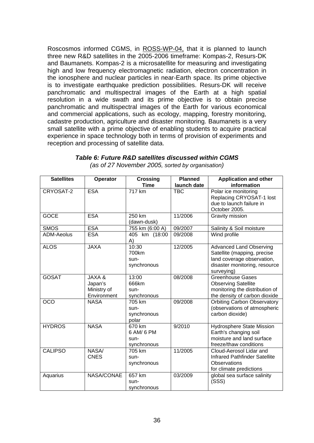<span id="page-35-0"></span>Roscosmos informed CGMS, in ROSS-WP-04, that it is planned to launch three new R&D satellites in the 2005-2006 timeframe: Kompas-2, Resurs-DK and Baumanets. Kompas-2 is a microsatellite for measuring and investigating high and low frequency electromagnetic radiation, electron concentration in the ionosphere and nuclear particles in near-Earth space. Its prime objective is to investigate earthquake prediction possibilities. Resurs-DK will receive panchromatic and multispectral images of the Earth at a high spatial resolution in a wide swath and its prime objective is to obtain precise panchromatic and multispectral images of the Earth for various economical and commercial applications, such as ecology, mapping, forestry monitoring, cadastre production, agriculture and disaster monitoring. Baumanets is a very small satellite with a prime objective of enabling students to acquire practical experience in space technology both in terms of provision of experiments and reception and processing of satellite data.

| <b>Satellites</b> | Operator                                                   | <b>Crossing</b><br><b>Time</b>              | <b>Planned</b><br>launch date | <b>Application and other</b><br>information                                                                                                |
|-------------------|------------------------------------------------------------|---------------------------------------------|-------------------------------|--------------------------------------------------------------------------------------------------------------------------------------------|
| CRYOSAT-2         | <b>ESA</b>                                                 | 717 km                                      | <b>TBC</b>                    | Polar ice monitoring<br>Replacing CRYOSAT-1 lost<br>due to launch failure in<br>October 2005.                                              |
| <b>GOCE</b>       | <b>ESA</b>                                                 | 250 km<br>(dawn-dusk)                       | 11/2006                       | Gravity mission                                                                                                                            |
| <b>SMOS</b>       | <b>ESA</b>                                                 | 755 km (6:00 A)                             | 09/2007                       | Salinity & Soil moisture                                                                                                                   |
| <b>ADM-Aeolus</b> | <b>ESA</b>                                                 | 405 km (18:00<br>A)                         | 09/2008                       | Wind profile                                                                                                                               |
| <b>ALOS</b>       | <b>JAXA</b>                                                | 10:30<br>700km<br>sun-<br>synchronous       | 12/2005                       | <b>Advanced Land Observing</b><br>Satellite (mapping, precise<br>land coverage observation,<br>disaster monitoring, resource<br>surveying) |
| <b>GOSAT</b>      | <b>JAXA &amp;</b><br>Japan's<br>Ministry of<br>Environment | 13:00<br>666km<br>sun-<br>synchronous       | 08/2008                       | Greenhouse Gases<br><b>Observing Satellite</b><br>monitoring the distribution of<br>the density of carbon dioxide                          |
| $\overline{OCO}$  | <b>NASA</b>                                                | 705 km<br>sun-<br>synchronous<br>polar      | 09/2008                       | <b>Orbiting Carbon Observatory</b><br>(observations of atmospheric<br>carbon dioxide)                                                      |
| <b>HYDROS</b>     | <b>NASA</b>                                                | 670 km<br>6 AM/ 6 PM<br>sun-<br>synchronous | 9/2010                        | <b>Hydrosphere State Mission</b><br>Earth's changing soil<br>moisture and land surface<br>freeze/thaw conditions                           |
| <b>CALIPSO</b>    | <b>NASA</b><br><b>CNES</b>                                 | 705 km<br>sun-<br>synchronous               | 11/2005                       | Cloud-Aerosol Lidar and<br><b>Infrared Pathfinder Satellite</b><br>Observations<br>for climate predictions                                 |
| Aquarius          | NASA/CONAE                                                 | 657 km<br>sun-<br>synchronous               | 03/2009                       | global sea surface salinity<br>(SSS)                                                                                                       |

#### *Table 6: Future R&D satellites discussed within CGMS (as of 27 November 2005, sorted by organisation)*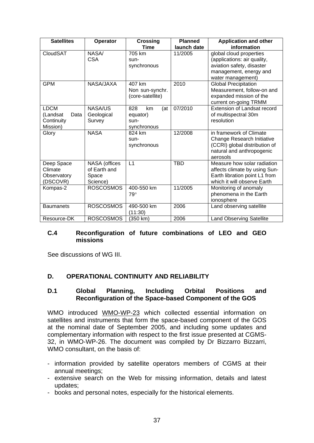| <b>Satellites</b>                                         | Operator                                           | <b>Crossing</b><br><b>Time</b>                      | <b>Planned</b><br>launch date | <b>Application and other</b><br>information                                                                                        |  |  |  |  |  |
|-----------------------------------------------------------|----------------------------------------------------|-----------------------------------------------------|-------------------------------|------------------------------------------------------------------------------------------------------------------------------------|--|--|--|--|--|
| CloudSAT                                                  | NASA/<br><b>CSA</b>                                | 705 km<br>sun-<br>synchronous                       | 11/2005                       | global cloud properties<br>(applications: air quality,<br>aviation safety, disaster<br>management, energy and<br>water management) |  |  |  |  |  |
| <b>GPM</b>                                                | NASA/JAXA                                          | 407 km<br>Non sun-synchr.<br>(core-satellite)       | 2010                          | <b>Global Precipitation</b><br>Measurement, follow-on and<br>expanded mission of the<br>current on-going TRMM                      |  |  |  |  |  |
| <b>LDCM</b><br>(Landsat<br>Data<br>Continuity<br>Mission) | NASA/US<br>Geological<br>Survey                    | 828<br>km<br>(at<br>equator)<br>sun-<br>synchronous | 07/2010                       | <b>Extension of Landsat record</b><br>of multispectral 30m<br>resolution                                                           |  |  |  |  |  |
| Glory                                                     | <b>NASA</b>                                        | 824 km<br>sun-<br>synchronous                       | 12/2008                       | in framework of Climate<br>Change Research Initiative<br>(CCRI) global distribution of<br>natural and anthropogenic<br>aerosols    |  |  |  |  |  |
| Deep Space<br>Climate<br>Observatory<br>(DSCOVR)          | NASA (offices<br>of Earth and<br>Space<br>Science) | L1                                                  | <b>TBD</b>                    | Measure how solar radiation<br>affects climate by using Sun-<br>Earth libration point L1 from<br>which it will observe Earth       |  |  |  |  |  |
| Kompas-2                                                  | <b>ROSCOSMOS</b>                                   | 400-550 km<br>$79^\circ$                            | 11/2005                       | Monitoring of anomaly<br>phenomena in the Earth<br>ionosphere                                                                      |  |  |  |  |  |
| <b>Baumanets</b>                                          | <b>ROSCOSMOS</b>                                   | 490-500 km<br>(11:30)                               | 2006                          | Land observing satellite                                                                                                           |  |  |  |  |  |
| Resource-DK                                               | <b>ROSCOSMOS</b>                                   | (350 km)                                            | 2006                          | <b>Land Observing Satellite</b>                                                                                                    |  |  |  |  |  |

#### **C.4 Reconfiguration of future combinations of LEO and GEO missions**

See discussions of WG III.

## **D. OPERATIONAL CONTINUITY AND RELIABILITY**

#### **D.1 Global Planning, Including Orbital Positions and Reconfiguration of the Space-based Component of the GOS**

WMO introduced WMO-WP-23 which collected essential information on satellites and instruments that form the space-based component of the GOS at the nominal date of September 2005, and including some updates and complementary information with respect to the first issue presented at CGMS-32, in WMO-WP-26. The document was compiled by Dr Bizzarro Bizzarri, WMO consultant, on the basis of:

- information provided by satellite operators members of CGMS at their annual meetings;
- extensive search on the Web for missing information, details and latest updates;
- books and personal notes, especially for the historical elements.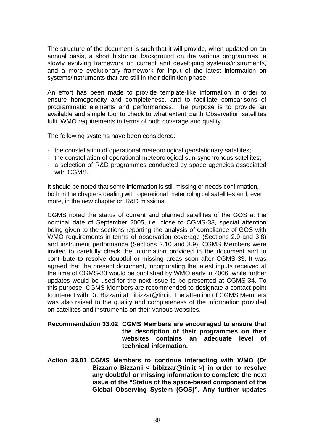The structure of the document is such that it will provide, when updated on an annual basis, a short historical background on the various programmes, a slowly evolving framework on current and developing systems/instruments, and a more evolutionary framework for input of the latest information on systems/instruments that are still in their definition phase.

An effort has been made to provide template-like information in order to ensure homogeneity and completeness, and to facilitate comparisons of programmatic elements and performances. The purpose is to provide an available and simple tool to check to what extent Earth Observation satellites fulfil WMO requirements in terms of both coverage and quality.

The following systems have been considered:

- the constellation of operational meteorological geostationary satellites;
- the constellation of operational meteorological sun-synchronous satellites;
- a selection of R&D programmes conducted by space agencies associated with CGMS.

It should be noted that some information is still missing or needs confirmation, both in the chapters dealing with operational meteorological satellites and, even more, in the new chapter on R&D missions.

CGMS noted the status of current and planned satellites of the GOS at the nominal date of September 2005, i.e. close to CGMS-33, special attention being given to the sections reporting the analysis of compliance of GOS with WMO requirements in terms of observation coverage (Sections 2.9 and 3.8) and instrument performance (Sections 2.10 and 3.9). CGMS Members were invited to carefully check the information provided in the document and to contribute to resolve doubtful or missing areas soon after CGMS-33. It was agreed that the present document, incorporating the latest inputs received at the time of CGMS-33 would be published by WMO early in 2006, while further updates would be used for the next issue to be presented at CGMS-34. To this purpose, CGMS Members are recommended to designate a contact point to interact with Dr. Bizzarri at [bibizzar@tin.it](mailto:bibizzar@tin.it). The attention of CGMS Members was also raised to the quality and completeness of the information provided on satellites and instruments on their various websites.

#### **Recommendation 33.02 CGMS Members are encouraged to ensure that the description of their programmes on their websites contains an adequate level of technical information.**

**Action 33.01 CGMS Members to continue interacting with WMO (Dr Bizzarro Bizzarri < [bibizzar@tin.it](mailto:bibizzar@tin.it) >) in order to resolve any doubtful or missing information to complete the next issue of the "Status of the space-based component of the Global Observing System (GOS)". Any further updates**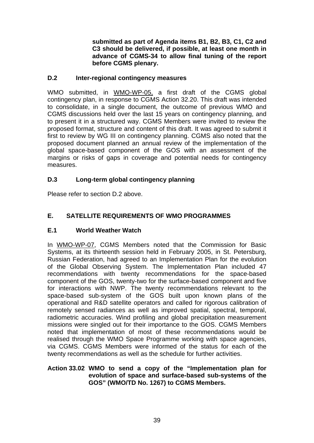**submitted as part of Agenda items B1, B2, B3, C1, C2 and C3 should be delivered, if possible, at least one month in advance of CGMS-34 to allow final tuning of the report before CGMS plenary.** 

### **D.2 Inter-regional contingency measures**

WMO submitted, in WMO-WP-05, a first draft of the CGMS global contingency plan, in response to CGMS Action 32.20. This draft was intended to consolidate, in a single document, the outcome of previous WMO and CGMS discussions held over the last 15 years on contingency planning, and to present it in a structured way. CGMS Members were invited to review the proposed format, structure and content of this draft. It was agreed to submit it first to review by WG III on contingency planning. CGMS also noted that the proposed document planned an annual review of the implementation of the global space-based component of the GOS with an assessment of the margins or risks of gaps in coverage and potential needs for contingency measures.

## **D.3 Long-term global contingency planning**

Please refer to section D.2 above.

## **E. SATELLITE REQUIREMENTS OF WMO PROGRAMMES**

## **E.1 World Weather Watch**

In WMO-WP-07, CGMS Members noted that the Commission for Basic Systems, at its thirteenth session held in February 2005, in St. Petersburg, Russian Federation, had agreed to an Implementation Plan for the evolution of the Global Observing System. The Implementation Plan included 47 recommendations with twenty recommendations for the space-based component of the GOS, twenty-two for the surface-based component and five for interactions with NWP. The twenty recommendations relevant to the space-based sub-system of the GOS built upon known plans of the operational and R&D satellite operators and called for rigorous calibration of remotely sensed radiances as well as improved spatial, spectral, temporal, radiometric accuracies. Wind profiling and global precipitation measurement missions were singled out for their importance to the GOS. CGMS Members noted that implementation of most of these recommendations would be realised through the WMO Space Programme working with space agencies, via CGMS. CGMS Members were informed of the status for each of the twenty recommendations as well as the schedule for further activities.

#### **Action 33.02 WMO to send a copy of the "Implementation plan for evolution of space and surface-based sub-systems of the GOS" (WMO/TD No. 1267) to CGMS Members.**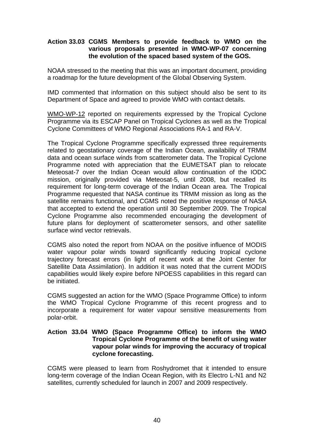#### **Action 33.03 CGMS Members to provide feedback to WMO on the various proposals presented in WMO-WP-07 concerning the evolution of the spaced based system of the GOS.**

NOAA stressed to the meeting that this was an important document, providing a roadmap for the future development of the Global Observing System.

IMD commented that information on this subject should also be sent to its Department of Space and agreed to provide WMO with contact details.

WMO-WP-12 reported on requirements expressed by the Tropical Cyclone Programme via its ESCAP Panel on Tropical Cyclones as well as the Tropical Cyclone Committees of WMO Regional Associations RA-1 and RA-V.

The Tropical Cyclone Programme specifically expressed three requirements related to geostationary coverage of the Indian Ocean, availability of TRMM data and ocean surface winds from scatterometer data. The Tropical Cyclone Programme noted with appreciation that the EUMETSAT plan to relocate Meteosat-7 over the Indian Ocean would allow continuation of the IODC mission, originally provided via Meteosat-5, until 2008, but recalled its requirement for long-term coverage of the Indian Ocean area. The Tropical Programme requested that NASA continue its TRMM mission as long as the satellite remains functional, and CGMS noted the positive response of NASA that accepted to extend the operation until 30 September 2009. The Tropical Cyclone Programme also recommended encouraging the development of future plans for deployment of scatterometer sensors, and other satellite surface wind vector retrievals.

CGMS also noted the report from NOAA on the positive influence of MODIS water vapour polar winds toward significantly reducing tropical cyclone trajectory forecast errors (in light of recent work at the Joint Center for Satellite Data Assimilation). In addition it was noted that the current MODIS capabilities would likely expire before NPOESS capabilities in this regard can be initiated.

CGMS suggested an action for the WMO (Space Programme Office) to inform the WMO Tropical Cyclone Programme of this recent progress and to incorporate a requirement for water vapour sensitive measurements from polar-orbit.

#### **Action 33.04 WMO (Space Programme Office) to inform the WMO Tropical Cyclone Programme of the benefit of using water vapour polar winds for improving the accuracy of tropical cyclone forecasting.**

CGMS were pleased to learn from Roshydromet that it intended to ensure long-term coverage of the Indian Ocean Region, with its Electro L-N1 and N2 satellites, currently scheduled for launch in 2007 and 2009 respectively.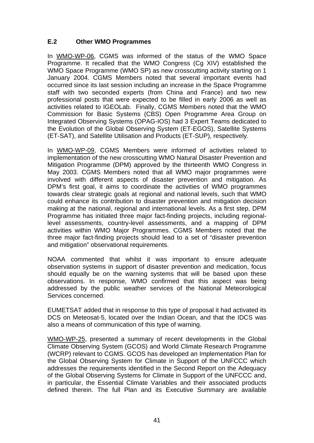## **E.2 Other WMO Programmes**

In WMO-WP-06, CGMS was informed of the status of the WMO Space Programme. It recalled that the WMO Congress (Cg XIV) established the WMO Space Programme (WMO SP) as new crosscutting activity starting on 1 January 2004. CGMS Members noted that several important events had occurred since its last session including an increase in the Space Programme staff with two seconded experts (from China and France) and two new professional posts that were expected to be filled in early 2006 as well as activities related to IGEOLab. Finally, CGMS Members noted that the WMO Commission for Basic Systems (CBS) Open Programme Area Group on Integrated Observing Systems (OPAG-IOS) had 3 Expert Teams dedicated to the Evolution of the Global Observing System (ET-EGOS), Satellite Systems (ET-SAT), and Satellite Utilisation and Products (ET-SUP), respectively.

In WMO-WP-09, CGMS Members were informed of activities related to implementation of the new crosscutting WMO Natural Disaster Prevention and Mitigation Programme (DPM) approved by the thirteenth WMO Congress in May 2003. CGMS Members noted that all WMO major programmes were involved with different aspects of disaster prevention and mitigation. As DPM's first goal, it aims to coordinate the activities of WMO programmes towards clear strategic goals at regional and national levels, such that WMO could enhance its contribution to disaster prevention and mitigation decision making at the national, regional and international levels. As a first step, DPM Programme has initiated three major fact-finding projects, including regionallevel assessments, country-level assessments, and a mapping of DPM activities within WMO Major Programmes. CGMS Members noted that the three major fact-finding projects should lead to a set of "disaster prevention and mitigation" observational requirements.

NOAA commented that whilst it was important to ensure adequate observation systems in support of disaster prevention and medication, focus should equally be on the warning systems that will be based upon these observations. In response, WMO confirmed that this aspect was being addressed by the public weather services of the National Meteorological Services concerned.

EUMETSAT added that in response to this type of proposal it had activated its DCS on Meteosat-5, located over the Indian Ocean, and that the IDCS was also a means of communication of this type of warning.

WMO-WP-25, presented a summary of recent developments in the Global Climate Observing System (GCOS) and World Climate Research Programme (WCRP) relevant to CGMS. GCOS has developed an Implementation Plan for the Global Observing System for Climate in Support of the UNFCCC which addresses the requirements identified in the Second Report on the Adequacy of the Global Observing Systems for Climate in Support of the UNFCCC and, in particular, the Essential Climate Variables and their associated products defined therein. The full Plan and its Executive Summary are available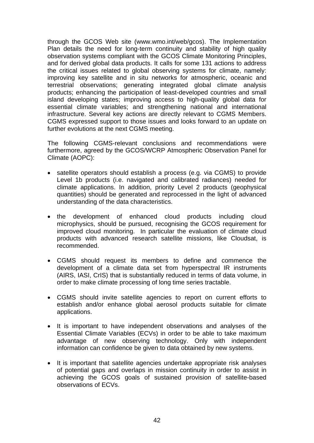through the GCOS Web site ([www.wmo.int/web/gcos\)](http://www.wmo.int/web/gcos). The Implementation Plan details the need for long-term continuity and stability of high quality observation systems compliant with the GCOS Climate Monitoring Principles, and for derived global data products. It calls for some 131 actions to address the critical issues related to global observing systems for climate, namely: improving key satellite and in situ networks for atmospheric, oceanic and terrestrial observations; generating integrated global climate analysis products; enhancing the participation of least-developed countries and small island developing states; improving access to high-quality global data for essential climate variables; and strengthening national and international infrastructure. Several key actions are directly relevant to CGMS Members. CGMS expressed support to those issues and looks forward to an update on further evolutions at the next CGMS meeting.

The following CGMS-relevant conclusions and recommendations were furthermore, agreed by the GCOS/WCRP Atmospheric Observation Panel for Climate (AOPC):

- satellite operators should establish a process (e.g. via CGMS) to provide Level 1b products (i.e. navigated and calibrated radiances) needed for climate applications. In addition, priority Level 2 products (geophysical quantities) should be generated and reprocessed in the light of advanced understanding of the data characteristics.
- the development of enhanced cloud products including cloud microphysics, should be pursued, recognising the GCOS requirement for improved cloud monitoring. In particular the evaluation of climate cloud products with advanced research satellite missions, like Cloudsat, is recommended.
- CGMS should request its members to define and commence the development of a climate data set from hyperspectral IR instruments (AIRS, IASI, CrIS) that is substantially reduced in terms of data volume, in order to make climate processing of long time series tractable.
- CGMS should invite satellite agencies to report on current efforts to establish and/or enhance global aerosol products suitable for climate applications.
- It is important to have independent observations and analyses of the Essential Climate Variables (ECVs) in order to be able to take maximum advantage of new observing technology. Only with independent information can confidence be given to data obtained by new systems.
- It is important that satellite agencies undertake appropriate risk analyses of potential gaps and overlaps in mission continuity in order to assist in achieving the GCOS goals of sustained provision of satellite-based observations of ECVs.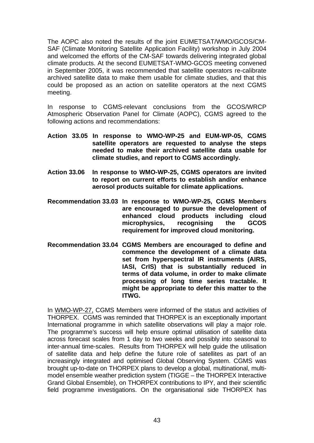The AOPC also noted the results of the joint EUMETSAT/WMO/GCOS/CM-SAF (Climate Monitoring Satellite Application Facility) workshop in July 2004 and welcomed the efforts of the CM-SAF towards delivering integrated global climate products. At the second EUMETSAT-WMO-GCOS meeting convened in September 2005, it was recommended that satellite operators re-calibrate archived satellite data to make them usable for climate studies, and that this could be proposed as an action on satellite operators at the next CGMS meeting.

In response to CGMS-relevant conclusions from the GCOS/WRCP Atmospheric Observation Panel for Climate (AOPC), CGMS agreed to the following actions and recommendations:

- **Action 33.05 In response to WMO-WP-25 and EUM-WP-05, CGMS satellite operators are requested to analyse the steps needed to make their archived satellite data usable for climate studies, and report to CGMS accordingly.**
- **Action 33.06 In response to WMO-WP-25, CGMS operators are invited to report on current efforts to establish and/or enhance aerosol products suitable for climate applications.**
- **Recommendation 33.03 In response to WMO-WP-25, CGMS Members are encouraged to pursue the development of enhanced cloud products including cloud microphysics, recognising the GCOS requirement for improved cloud monitoring.**
- **Recommendation 33.04 CGMS Members are encouraged to define and commence the development of a climate data set from hyperspectral IR instruments (AIRS, IASI, CrIS) that is substantially reduced in terms of data volume, in order to make climate processing of long time series tractable. It might be appropriate to defer this matter to the ITWG.**

In WMO-WP-27, CGMS Members were informed of the status and activities of THORPEX. CGMS was reminded that THORPEX is an exceptionally important International programme in which satellite observations will play a major role. The programme's success will help ensure optimal utilisation of satellite data across forecast scales from 1 day to two weeks and possibly into seasonal to inter-annual time-scales. Results from THORPEX will help guide the utilisation of satellite data and help define the future role of satellites as part of an increasingly integrated and optimised Global Observing System. CGMS was brought up-to-date on THORPEX plans to develop a global, multinational, multimodel ensemble weather prediction system (TIGGE – the THORPEX Interactive Grand Global Ensemble), on THORPEX contributions to IPY, and their scientific field programme investigations. On the organisational side THORPEX has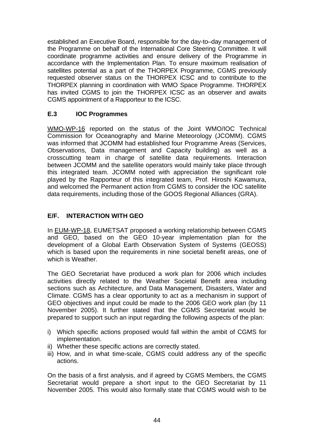established an Executive Board, responsible for the day-to–day management of the Programme on behalf of the International Core Steering Committee. It will coordinate programme activities and ensure delivery of the Programme in accordance with the Implementation Plan. To ensure maximum realisation of satellites potential as a part of the THORPEX Programme, CGMS previously requested observer status on the THORPEX ICSC and to contribute to the THORPEX planning in coordination with WMO Space Programme. THORPEX has invited CGMS to join the THORPEX ICSC as an observer and awaits CGMS appointment of a Rapporteur to the ICSC.

## **E.3 IOC Programmes**

WMO-WP-16 reported on the status of the Joint WMO/IOC Technical Commission for Oceanography and Marine Meteorology (JCOMM). CGMS was informed that JCOMM had established four Programme Areas (Services, Observations, Data management and Capacity building) as well as a crosscutting team in charge of satellite data requirements. Interaction between JCOMM and the satellite operators would mainly take place through this integrated team. JCOMM noted with appreciation the significant role played by the Rapporteur of this integrated team, Prof. Hiroshi Kawamura, and welcomed the Permanent action from CGMS to consider the IOC satellite data requirements, including those of the GOOS Regional Alliances (GRA).

## **E/F. INTERACTION WITH GEO**

In EUM-WP-18, EUMETSAT proposed a working relationship between CGMS and GEO, based on the GEO 10-year implementation plan for the development of a Global Earth Observation System of Systems (GEOSS) which is based upon the requirements in nine societal benefit areas, one of which is Weather.

The GEO Secretariat have produced a work plan for 2006 which includes activities directly related to the Weather Societal Benefit area including sections such as Architecture, and Data Management, Disasters, Water and Climate. CGMS has a clear opportunity to act as a mechanism in support of GEO objectives and input could be made to the 2006 GEO work plan (by 11 November 2005). It further stated that the CGMS Secretariat would be prepared to support such an input regarding the following aspects of the plan:

- i) Which specific actions proposed would fall within the ambit of CGMS for implementation.
- ii) Whether these specific actions are correctly stated.
- iii) How, and in what time-scale, CGMS could address any of the specific actions.

On the basis of a first analysis, and if agreed by CGMS Members, the CGMS Secretariat would prepare a short input to the GEO Secretariat by 11 November 2005. This would also formally state that CGMS would wish to be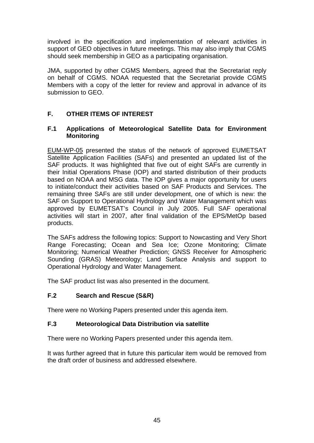involved in the specification and implementation of relevant activities in support of GEO objectives in future meetings. This may also imply that CGMS should seek membership in GEO as a participating organisation.

JMA, supported by other CGMS Members, agreed that the Secretariat reply on behalf of CGMS. NOAA requested that the Secretariat provide CGMS Members with a copy of the letter for review and approval in advance of its submission to GEO.

## **F. OTHER ITEMS OF INTEREST**

#### **F.1 Applications of Meteorological Satellite Data for Environment Monitoring**

EUM-WP-05 presented the status of the network of approved EUMETSAT Satellite Application Facilities (SAFs) and presented an updated list of the SAF products. It was highlighted that five out of eight SAFs are currently in their Initial Operations Phase (IOP) and started distribution of their products based on NOAA and MSG data. The IOP gives a major opportunity for users to initiate/conduct their activities based on SAF Products and Services. The remaining three SAFs are still under development, one of which is new: the SAF on Support to Operational Hydrology and Water Management which was approved by EUMETSAT's Council in July 2005. Full SAF operational activities will start in 2007, after final validation of the EPS/MetOp based products.

The SAFs address the following topics: Support to Nowcasting and Very Short Range Forecasting; Ocean and Sea Ice; Ozone Monitoring; Climate Monitoring; Numerical Weather Prediction; GNSS Receiver for Atmospheric Sounding (GRAS) Meteorology; Land Surface Analysis and support to Operational Hydrology and Water Management.

The SAF product list was also presented in the document.

## **F.2 Search and Rescue (S&R)**

There were no Working Papers presented under this agenda item.

#### **F.3 Meteorological Data Distribution via satellite**

There were no Working Papers presented under this agenda item.

It was further agreed that in future this particular item would be removed from the draft order of business and addressed elsewhere.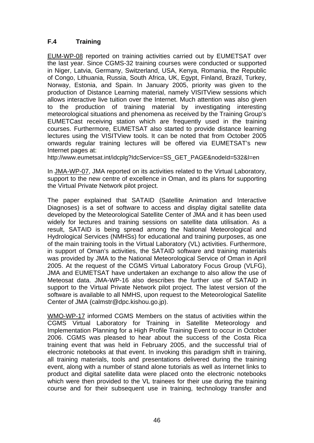## **F.4 Training**

EUM-WP-08 reported on training activities carried out by EUMETSAT over the last year. Since CGMS-32 training courses were conducted or supported in Niger, Latvia, Germany, Switzerland, USA, Kenya, Romania, the Republic of Congo, Lithuania, Russia, South Africa, UK, Egypt, Finland, Brazil, Turkey, Norway, Estonia, and Spain. In January 2005, priority was given to the production of Distance Learning material, namely VISITView sessions which allows interactive live tuition over the Internet. Much attention was also given to the production of training material by investigating interesting meteorological situations and phenomena as received by the Training Group's EUMETCast receiving station which are frequently used in the training courses. Furthermore, EUMETSAT also started to provide distance learning lectures using the VISITView tools. It can be noted that from October 2005 onwards regular training lectures will be offered via EUMETSAT's new Internet pages at:

http://www.eumetsat.int/idcplg?IdcService=SS\_GET\_PAGE&nodeId=532&l=en

In JMA-WP-07, JMA reported on its activities related to the Virtual Laboratory, support to the new centre of excellence in Oman, and its plans for supporting the Virtual Private Network pilot project.

The paper explained that SATAID (Satellite Animation and Interactive Diagnoses) is a set of software to access and display digital satellite data developed by the Meteorological Satellite Center of JMA and it has been used widely for lectures and training sessions on satellite data utilisation. As a result, SATAID is being spread among the National Meteorological and Hydrological Services (NMHSs) for educational and training purposes, as one of the main training tools in the Virtual Laboratory (VL) activities. Furthermore, in support of Oman's activities, the SATAID software and training materials was provided by JMA to the National Meteorological Service of Oman in April 2005. At the request of the CGMS Virtual Laboratory Focus Group (VLFG), JMA and EUMETSAT have undertaken an exchange to also allow the use of Meteosat data. JMA-WP-16 also describes the further use of SATAID in support to the Virtual Private Network pilot project. The latest version of the software is available to all NMHS, upon request to the Meteorological Satellite Center of JMA (calmstr@dpc.kishou.go.jp).

WMO-WP-17 informed CGMS Members on the status of activities within the CGMS Virtual Laboratory for Training in Satellite Meteorology and Implementation Planning for a High Profile Training Event to occur in October 2006. CGMS was pleased to hear about the success of the Costa Rica training event that was held in February 2005, and the successful trial of electronic notebooks at that event. In invoking this paradigm shift in training, all training materials, tools and presentations delivered during the training event, along with a number of stand alone tutorials as well as Internet links to product and digital satellite data were placed onto the electronic notebooks which were then provided to the VL trainees for their use during the training course and for their subsequent use in training, technology transfer and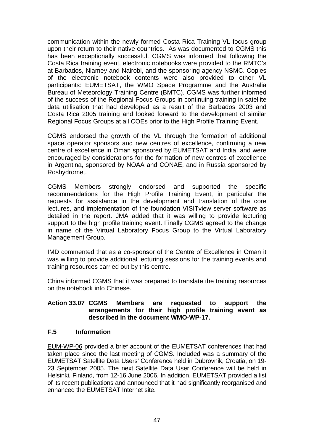communication within the newly formed Costa Rica Training VL focus group upon their return to their native countries. As was documented to CGMS this has been exceptionally successful. CGMS was informed that following the Costa Rica training event, electronic notebooks were provided to the RMTC's at Barbados, Niamey and Nairobi, and the sponsoring agency NSMC. Copies of the electronic notebook contents were also provided to other VL participants: EUMETSAT, the WMO Space Programme and the Australia Bureau of Meteorology Training Centre (BMTC). CGMS was further informed of the success of the Regional Focus Groups in continuing training in satellite data utilisation that had developed as a result of the Barbados 2003 and Costa Rica 2005 training and looked forward to the development of similar Regional Focus Groups at all COEs prior to the High Profile Training Event.

CGMS endorsed the growth of the VL through the formation of additional space operator sponsors and new centres of excellence, confirming a new centre of excellence in Oman sponsored by EUMETSAT and India, and were encouraged by considerations for the formation of new centres of excellence in Argentina, sponsored by NOAA and CONAE, and in Russia sponsored by Roshydromet.

CGMS Members strongly endorsed and supported the specific recommendations for the High Profile Training Event, in particular the requests for assistance in the development and translation of the core lectures, and implementation of the foundation VISITview server software as detailed in the report. JMA added that it was willing to provide lecturing support to the high profile training event. Finally CGMS agreed to the change in name of the Virtual Laboratory Focus Group to the Virtual Laboratory Management Group.

IMD commented that as a co-sponsor of the Centre of Excellence in Oman it was willing to provide additional lecturing sessions for the training events and training resources carried out by this centre.

China informed CGMS that it was prepared to translate the training resources on the notebook into Chinese.

#### **Action 33.07 CGMS Members are requested to support the arrangements for their high profile training event as described in the document WMO-WP-17.**

#### **F.5 Information**

EUM-WP-06 provided a brief account of the EUMETSAT conferences that had taken place since the last meeting of CGMS. Included was a summary of the EUMETSAT Satellite Data Users' Conference held in Dubrovnik, Croatia, on 19- 23 September 2005. The next Satellite Data User Conference will be held in Helsinki, Finland, from 12-16 June 2006. In addition, EUMETSAT provided a list of its recent publications and announced that it had significantly reorganised and enhanced the EUMETSAT Internet site.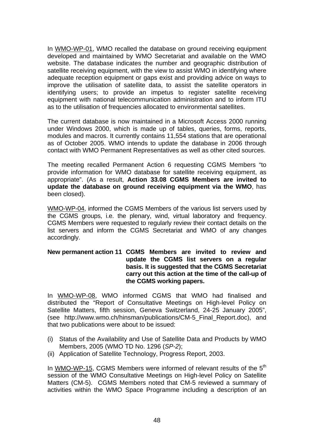In WMO-WP-01, WMO recalled the database on ground receiving equipment developed and maintained by WMO Secretariat and available on the WMO website. The database indicates the number and geographic distribution of satellite receiving equipment, with the view to assist WMO in identifying where adequate reception equipment or gaps exist and providing advice on ways to improve the utilisation of satellite data, to assist the satellite operators in identifying users; to provide an impetus to register satellite receiving equipment with national telecommunication administration and to inform ITU as to the utilisation of frequencies allocated to environmental satellites.

The current database is now maintained in a Microsoft Access 2000 running under Windows 2000, which is made up of tables, queries, forms, reports, modules and macros. It currently contains 11,554 stations that are operational as of October 2005. WMO intends to update the database in 2006 through contact with WMO Permanent Representatives as well as other cited sources.

The meeting recalled Permanent Action 6 requesting CGMS Members "to provide information for WMO database for satellite receiving equipment, as appropriate". (As a result, **Action 33.08 CGMS Members are invited to update the database on ground receiving equipment via the WMO**, has been closed).

WMO-WP-04, informed the CGMS Members of the various list servers used by the CGMS groups, i.e. the plenary, wind, virtual laboratory and frequency. CGMS Members were requested to regularly review their contact details on the list servers and inform the CGMS Secretariat and WMO of any changes accordingly.

#### **New permanent action 11 CGMS Members are invited to review and update the CGMS list servers on a regular basis. It is suggested that the CGMS Secretariat carry out this action at the time of the call-up of the CGMS working papers.**

In WMO-WP-08, WMO informed CGMS that WMO had finalised and distributed the "Report of Consultative Meetings on High-level Policy on Satellite Matters, fifth session, Geneva Switzerland, 24-25 January 2005", (see [http://www.wmo.ch/hinsman/publications/CM-5\\_Final\\_Report.doc](http://www.wmo.ch/hinsman/publications/CM-5_Final_Report.doc)), and that two publications were about to be issued:

- (i) Status of the Availability and Use of Satellite Data and Products by WMO Members, 2005 (WMO TD No. 1296 (*SP-2*);
- (ii) Application of Satellite Technology, Progress Report, 2003.

In WMO-WP-15, CGMS Members were informed of relevant results of the  $5<sup>th</sup>$ session of the WMO Consultative Meetings on High-level Policy on Satellite Matters (CM-5). CGMS Members noted that CM-5 reviewed a summary of activities within the WMO Space Programme including a description of an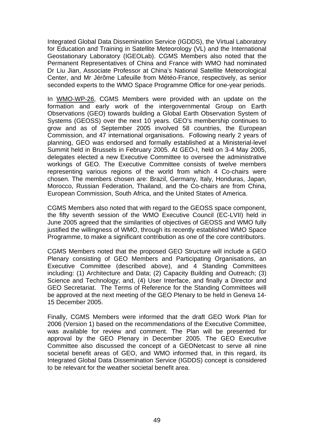Integrated Global Data Dissemination Service (IGDDS), the Virtual Laboratory for Education and Training in Satellite Meteorology (VL) and the International Geostationary Laboratory (IGEOLab). CGMS Members also noted that the Permanent Representatives of China and France with WMO had nominated Dr Liu Jian, Associate Professor at China's National Satellite Meteorological Center, and Mr Jérôme Lafeuille from Météo-France, respectively, as senior seconded experts to the WMO Space Programme Office for one-year periods.

In WMO-WP-26, CGMS Members were provided with an update on the formation and early work of the intergovernmental Group on Earth Observations (GEO) towards building a Global Earth Observation System of Systems (GEOSS) over the next 10 years. GEO's membership continues to grow and as of September 2005 involved 58 countries, the European Commission, and 47 international organisations. Following nearly 2 years of planning, GEO was endorsed and formally established at a Ministerial-level Summit held in Brussels in February 2005. At GEO-I, held on 3-4 May 2005, delegates elected a new Executive Committee to oversee the administrative workings of GEO. The Executive Committee consists of twelve members representing various regions of the world from which 4 Co-chairs were chosen. The members chosen are: Brazil, Germany, Italy, Honduras, Japan, Morocco, Russian Federation, Thailand, and the Co-chairs are from China, European Commission, South Africa, and the United States of America.

CGMS Members also noted that with regard to the GEOSS space component, the fifty seventh session of the WMO Executive Council (EC-LVII) held in June 2005 agreed that the similarities of objectives of GEOSS and WMO fully justified the willingness of WMO, through its recently established WMO Space Programme, to make a significant contribution as one of the core contributors.

CGMS Members noted that the proposed GEO Structure will include a GEO Plenary consisting of GEO Members and Participating Organisations, an Executive Committee (described above), and 4 Standing Committees including: (1) Architecture and Data; (2) Capacity Building and Outreach; (3) Science and Technology; and, (4) User Interface, and finally a Director and GEO Secretariat. The Terms of Reference for the Standing Committees will be approved at the next meeting of the GEO Plenary to be held in Geneva 14- 15 December 2005.

Finally, CGMS Members were informed that the draft GEO Work Plan for 2006 (Version 1) based on the recommendations of the Executive Committee, was available for review and comment. The Plan will be presented for approval by the GEO Plenary in December 2005. The GEO Executive Committee also discussed the concept of a GEONetcast to serve all nine societal benefit areas of GEO, and WMO informed that, in this regard, its Integrated Global Data Dissemination Service (IGDDS) concept is considered to be relevant for the weather societal benefit area.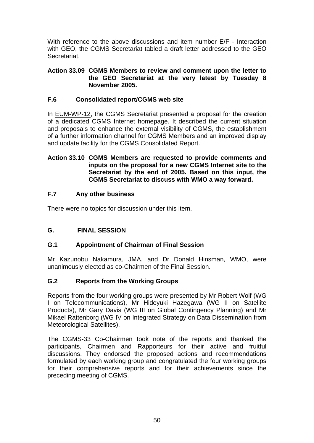With reference to the above discussions and item number  $E/F -$  Interaction with GEO, the CGMS Secretariat tabled a draft letter addressed to the GEO Secretariat.

#### **Action 33.09 CGMS Members to review and comment upon the letter to the GEO Secretariat at the very latest by Tuesday 8 November 2005.**

## **F.6 Consolidated report/CGMS web site**

In EUM-WP-12, the CGMS Secretariat presented a proposal for the creation of a dedicated CGMS Internet homepage. It described the current situation and proposals to enhance the external visibility of CGMS, the establishment of a further information channel for CGMS Members and an improved display and update facility for the CGMS Consolidated Report.

#### **Action 33.10 CGMS Members are requested to provide comments and inputs on the proposal for a new CGMS Internet site to the Secretariat by the end of 2005. Based on this input, the CGMS Secretariat to discuss with WMO a way forward.**

## **F.7 Any other business**

There were no topics for discussion under this item.

## **G. FINAL SESSION**

## **G.1 Appointment of Chairman of Final Session**

Mr Kazunobu Nakamura, JMA, and Dr Donald Hinsman, WMO, were unanimously elected as co-Chairmen of the Final Session.

## **G.2 Reports from the Working Groups**

Reports from the four working groups were presented by Mr Robert Wolf (WG I on Telecommunications), Mr Hideyuki Hazegawa (WG II on Satellite Products), Mr Gary Davis (WG III on Global Contingency Planning) and Mr Mikael Rattenborg (WG IV on Integrated Strategy on Data Dissemination from Meteorological Satellites).

The CGMS-33 Co-Chairmen took note of the reports and thanked the participants, Chairmen and Rapporteurs for their active and fruitful discussions. They endorsed the proposed actions and recommendations formulated by each working group and congratulated the four working groups for their comprehensive reports and for their achievements since the preceding meeting of CGMS.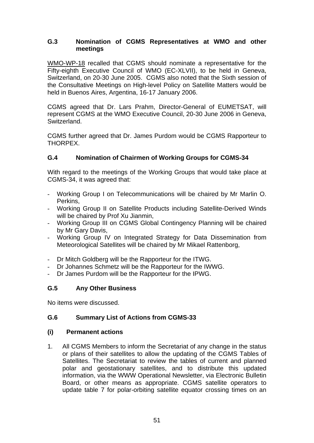#### **G.3 Nomination of CGMS Representatives at WMO and other meetings**

WMO-WP-18 recalled that CGMS should nominate a representative for the Fifty-eighth Executive Council of WMO (EC-XLVII), to be held in Geneva, Switzerland, on 20-30 June 2005. CGMS also noted that the Sixth session of the Consultative Meetings on High-level Policy on Satellite Matters would be held in Buenos Aires, Argentina, 16-17 January 2006.

CGMS agreed that Dr. Lars Prahm, Director-General of EUMETSAT, will represent CGMS at the WMO Executive Council, 20-30 June 2006 in Geneva, Switzerland.

CGMS further agreed that Dr. James Purdom would be CGMS Rapporteur to THORPEX.

## **G.4 Nomination of Chairmen of Working Groups for CGMS-34**

With regard to the meetings of the Working Groups that would take place at CGMS-34, it was agreed that:

- Working Group I on Telecommunications will be chaired by Mr Marlin O. Perkins,
- Working Group II on Satellite Products including Satellite-Derived Winds will be chaired by Prof Xu Jianmin,
- Working Group III on CGMS Global Contingency Planning will be chaired by Mr Gary Davis,
- Working Group IV on Integrated Strategy for Data Dissemination from Meteorological Satellites will be chaired by Mr Mikael Rattenborg,
- Dr Mitch Goldberg will be the Rapporteur for the ITWG.
- Dr Johannes Schmetz will be the Rapporteur for the IWWG.
- Dr James Purdom will be the Rapporteur for the IPWG.

## **G.5 Any Other Business**

No items were discussed.

## **G.6 Summary List of Actions from CGMS-33**

#### **(i) Permanent actions**

1. All CGMS Members to inform the Secretariat of any change in the status or plans of their satellites to allow the updating of the CGMS Tables of Satellites. The Secretariat to review the tables of current and planned polar and geostationary satellites, and to distribute this updated information, via the WWW Operational Newsletter, via Electronic Bulletin Board, or other means as appropriate. CGMS satellite operators to update table 7 for polar-orbiting satellite equator crossing times on an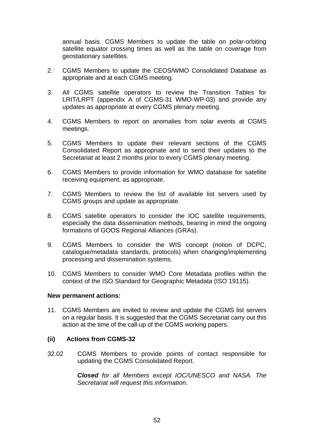annual basis. CGMS Members to update the table on polar-orbiting satellite equator crossing times as well as the table on coverage from geostationary satellites.

- 2. CGMS Members to update the CEOS/WMO Consolidated Database as appropriate and at each CGMS meeting.
- 3. All CGMS satellite operators to review the Transition Tables for LRIT/LRPT (appendix A of CGMS-31 WMO-WP-03) and provide any updates as appropriate at every CGMS plenary meeting.
- 4. CGMS Members to report on anomalies from solar events at CGMS meetings.
- 5. CGMS Members to update their relevant sections of the CGMS Consolidated Report as appropriate and to send their updates to the Secretariat at least 2 months prior to every CGMS plenary meeting.
- 6. CGMS Members to provide information for WMO database for satellite receiving equipment, as appropriate.
- 7. CGMS Members to review the list of available list servers used by CGMS groups and update as appropriate.
- 8. CGMS satellite operators to consider the IOC satellite requirements, especially the data dissemination methods, bearing in mind the ongoing formations of GOOS Regional Alliances (GRAs).
- 9. CGMS Members to consider the WIS concept (notion of DCPC, catalogue/metadata standards, protocols) when changing/implementing processing and dissemination systems.
- 10. CGMS Members to consider WMO Core Metadata profiles within the context of the ISO Standard for Geographic Metadata (ISO 19115).

#### **New permanent actions:**

11. CGMS Members are invited to review and update the CGMS list servers on a regular basis. It is suggested that the CGMS Secretariat carry out this action at the time of the call-up of the CGMS working papers.

#### **(ii) Actions from CGMS-32**

32.02 CGMS Members to provide points of contact responsible for updating the CGMS Consolidated Report.

> *Closed for all Members except IOC/UNESCO and NASA. The Secretariat will request this information.*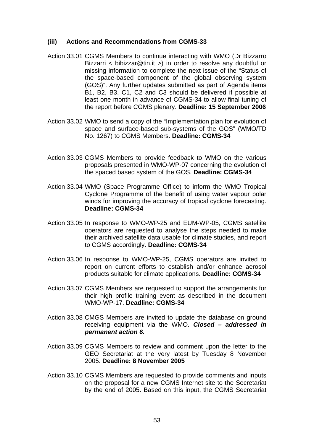#### **(iii) Actions and Recommendations from CGMS-33**

- Action 33.01 CGMS Members to continue interacting with WMO (Dr Bizzarro Bizzarri < [bibizzar@tin.it](mailto:bibizzar@tin.it) >) in order to resolve any doubtful or missing information to complete the next issue of the "Status of the space-based component of the global observing system (GOS)". Any further updates submitted as part of Agenda items B1, B2, B3, C1, C2 and C3 should be delivered if possible at least one month in advance of CGMS-34 to allow final tuning of the report before CGMS plenary. **Deadline: 15 September 2006**
- Action 33.02 WMO to send a copy of the "Implementation plan for evolution of space and surface-based sub-systems of the GOS" (WMO/TD No. 1267) to CGMS Members. **Deadline: CGMS-34**
- Action 33.03 CGMS Members to provide feedback to WMO on the various proposals presented in WMO-WP-07 concerning the evolution of the spaced based system of the GOS. **Deadline: CGMS-34**
- Action 33.04 WMO (Space Programme Office) to inform the WMO Tropical Cyclone Programme of the benefit of using water vapour polar winds for improving the accuracy of tropical cyclone forecasting. **Deadline: CGMS-34**
- Action 33.05 In response to WMO-WP-25 and EUM-WP-05, CGMS satellite operators are requested to analyse the steps needed to make their archived satellite data usable for climate studies, and report to CGMS accordingly. **Deadline: CGMS-34**
- Action 33.06 In response to WMO-WP-25, CGMS operators are invited to report on current efforts to establish and/or enhance aerosol products suitable for climate applications. **Deadline: CGMS-34**
- Action 33.07 CGMS Members are requested to support the arrangements for their high profile training event as described in the document WMO-WP-17. **Deadline: CGMS-34**
- Action 33.08 CMGS Members are invited to update the database on ground receiving equipment via the WMO. *Closed – addressed in permanent action 6.*
- Action 33.09 CGMS Members to review and comment upon the letter to the GEO Secretariat at the very latest by Tuesday 8 November 2005. **Deadline: 8 November 2005**
- Action 33.10 CGMS Members are requested to provide comments and inputs on the proposal for a new CGMS Internet site to the Secretariat by the end of 2005. Based on this input, the CGMS Secretariat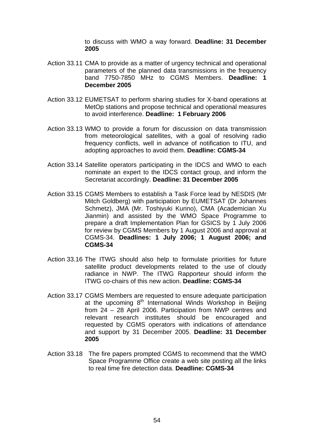to discuss with WMO a way forward. **Deadline: 31 December 2005** 

- Action 33.11 CMA to provide as a matter of urgency technical and operational parameters of the planned data transmissions in the frequency band 7750-7850 MHz to CGMS Members. **Deadline: 1 December 2005**
- Action 33.12 EUMETSAT to perform sharing studies for X-band operations at MetOp stations and propose technical and operational measures to avoid interference. **Deadline: 1 February 2006**
- Action 33.13 WMO to provide a forum for discussion on data transmission from meteorological satellites, with a goal of resolving radio frequency conflicts, well in advance of notification to ITU, and adopting approaches to avoid them. **Deadline: CGMS-34**
- Action 33.14 Satellite operators participating in the IDCS and WMO to each nominate an expert to the IDCS contact group, and inform the Secretariat accordingly. **Deadline: 31 December 2005**
- Action 33.15 CGMS Members to establish a Task Force lead by NESDIS (Mr Mitch Goldberg) with participation by EUMETSAT (Dr Johannes Schmetz), JMA (Mr. Toshiyuki Kurino), CMA (Academician Xu Jianmin) and assisted by the WMO Space Programme to prepare a draft Implementation Plan for GSICS by 1 July 2006 for review by CGMS Members by 1 August 2006 and approval at CGMS-34. **Deadlines: 1 July 2006; 1 August 2006; and CGMS-34**
- Action 33.16 The ITWG should also help to formulate priorities for future satellite product developments related to the use of cloudy radiance in NWP. The ITWG Rapporteur should inform the ITWG co-chairs of this new action. **Deadline: CGMS-34**
- Action 33.17 CGMS Members are requested to ensure adequate participation at the upcoming 8<sup>th</sup> International Winds Workshop in Beiling from 24 – 28 April 2006. Participation from NWP centres and relevant research institutes should be encouraged and requested by CGMS operators with indications of attendance and support by 31 December 2005. **Deadline: 31 December 2005**
- Action 33.18 The fire papers prompted CGMS to recommend that the WMO Space Programme Office create a web site posting all the links to real time fire detection data. **Deadline: CGMS-34**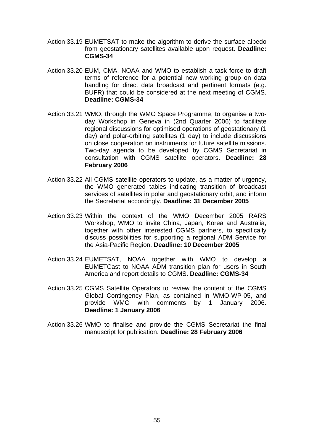- Action 33.19 EUMETSAT to make the algorithm to derive the surface albedo from geostationary satellites available upon request. **Deadline: CGMS-34**
- Action 33.20 EUM, CMA, NOAA and WMO to establish a task force to draft terms of reference for a potential new working group on data handling for direct data broadcast and pertinent formats (e.g. BUFR) that could be considered at the next meeting of CGMS. **Deadline: CGMS-34**
- Action 33.21 WMO, through the WMO Space Programme, to organise a twoday Workshop in Geneva in (2nd Quarter 2006) to facilitate regional discussions for optimised operations of geostationary (1 day) and polar-orbiting satellites (1 day) to include discussions on close cooperation on instruments for future satellite missions. Two-day agenda to be developed by CGMS Secretariat in consultation with CGMS satellite operators. **Deadline: 28 February 2006**
- Action 33.22 All CGMS satellite operators to update, as a matter of urgency, the WMO generated tables indicating transition of broadcast services of satellites in polar and geostationary orbit, and inform the Secretariat accordingly. **Deadline: 31 December 2005**
- Action 33.23 Within the context of the WMO December 2005 RARS Workshop, WMO to invite China, Japan, Korea and Australia, together with other interested CGMS partners, to specifically discuss possibilities for supporting a regional ADM Service for the Asia-Pacific Region. **Deadline: 10 December 2005**
- Action 33.24 EUMETSAT, NOAA together with WMO to develop a EUMETCast to NOAA ADM transition plan for users in South America and report details to CGMS. **Deadline: CGMS-34**
- Action 33.25 CGMS Satellite Operators to review the content of the CGMS Global Contingency Plan, as contained in WMO-WP-05, and provide WMO with comments by 1 January 2006. **Deadline: 1 January 2006**
- Action 33.26 WMO to finalise and provide the CGMS Secretariat the final manuscript for publication. **Deadline: 28 February 2006**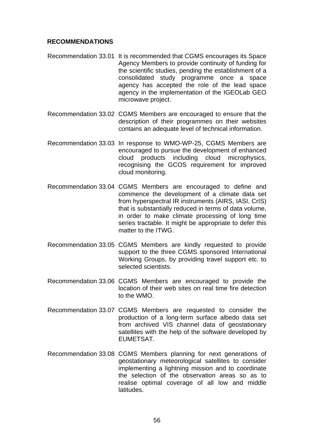#### **RECOMMENDATIONS**

- Recommendation 33.01 It is recommended that CGMS encourages its Space Agency Members to provide continuity of funding for the scientific studies, pending the establishment of a consolidated study programme once a space agency has accepted the role of the lead space agency in the implementation of the IGEOLab GEO microwave project.
- Recommendation 33.02 CGMS Members are encouraged to ensure that the description of their programmes on their websites contains an adequate level of technical information.
- Recommendation 33.03 In response to WMO-WP-25, CGMS Members are encouraged to pursue the development of enhanced cloud products including cloud microphysics, recognising the GCOS requirement for improved cloud monitoring.
- Recommendation 33.04 CGMS Members are encouraged to define and commence the development of a climate data set from hyperspectral IR instruments (AIRS, IASI, CrIS) that is substantially reduced in terms of data volume, in order to make climate processing of long time series tractable. It might be appropriate to defer this matter to the ITWG.
- Recommendation 33.05 CGMS Members are kindly requested to provide support to the three CGMS sponsored International Working Groups, by providing travel support etc. to selected scientists.
- Recommendation 33.06 CGMS Members are encouraged to provide the location of their web sites on real time fire detection to the WMO.
- Recommendation 33.07 CGMS Members are requested to consider the production of a long-term surface albedo data set from archived VIS channel data of geostationary satellites with the help of the software developed by EUMETSAT.
- Recommendation 33.08 CGMS Members planning for next generations of geostationary meteorological satellites to consider implementing a lightning mission and to coordinate the selection of the observation areas so as to realise optimal coverage of all low and middle latitudes.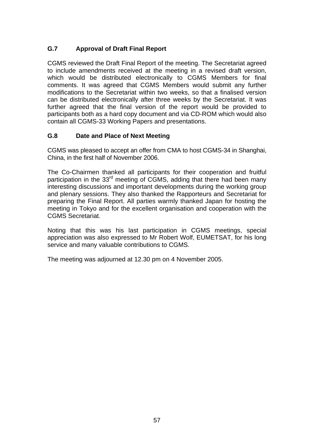## **G.7 Approval of Draft Final Report**

CGMS reviewed the Draft Final Report of the meeting. The Secretariat agreed to include amendments received at the meeting in a revised draft version, which would be distributed electronically to CGMS Members for final comments. It was agreed that CGMS Members would submit any further modifications to the Secretariat within two weeks, so that a finalised version can be distributed electronically after three weeks by the Secretariat. It was further agreed that the final version of the report would be provided to participants both as a hard copy document and via CD-ROM which would also contain all CGMS-33 Working Papers and presentations.

## **G.8 Date and Place of Next Meeting**

CGMS was pleased to accept an offer from CMA to host CGMS-34 in Shanghai, China, in the first half of November 2006.

The Co-Chairmen thanked all participants for their cooperation and fruitful participation in the 33<sup>rd</sup> meeting of CGMS, adding that there had been many interesting discussions and important developments during the working group and plenary sessions. They also thanked the Rapporteurs and Secretariat for preparing the Final Report. All parties warmly thanked Japan for hosting the meeting in Tokyo and for the excellent organisation and cooperation with the CGMS Secretariat.

Noting that this was his last participation in CGMS meetings, special appreciation was also expressed to Mr Robert Wolf, EUMETSAT, for his long service and many valuable contributions to CGMS.

The meeting was adjourned at 12.30 pm on 4 November 2005.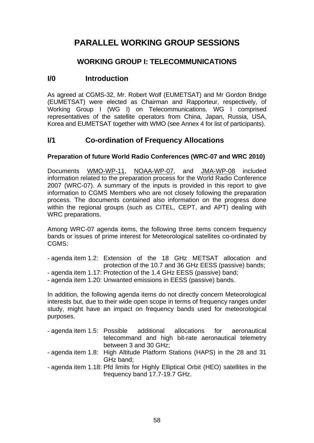# **PARALLEL WORKING GROUP SESSIONS**

## **WORKING GROUP I: TELECOMMUNICATIONS**

## **I/0 Introduction**

As agreed at CGMS-32, Mr. Robert Wolf (EUMETSAT) and Mr Gordon Bridge (EUMETSAT) were elected as Chairman and Rapporteur, respectively, of Working Group I (WG I) on Telecommunications. WG I comprised representatives of the satellite operators from China, Japan, Russia, USA, Korea and EUMETSAT together with WMO (see Annex 4 for list of participants).

## **I/1 Co-ordination of Frequency Allocations**

#### **Preparation of future World Radio Conferences (WRC-07 and WRC 2010)**

Documents WMO-WP-11, NOAA-WP-07, and JMA-WP-08 included information related to the preparation process for the World Radio Conference 2007 (WRC-07). A summary of the inputs is provided in this report to give information to CGMS Members who are not closely following the preparation process. The documents contained also information on the progress done within the regional groups (such as CITEL, CEPT, and APT) dealing with WRC preparations.

Among WRC-07 agenda items, the following three items concern frequency bands or issues of prime interest for Meteorological satellites co-ordinated by CGMS:

- agenda item 1.2: Extension of the 18 GHz METSAT allocation and protection of the 10.7 and 36 GHz EESS (passive) bands;
- agenda item 1.17: Protection of the 1.4 GHz EESS (passive) band;
- agenda item 1.20: Unwanted emissions in EESS (passive) bands.

In addition, the following agenda items do not directly concern Meteorological interests but, due to their wide open scope in terms of frequency ranges under study, might have an impact on frequency bands used for meteorological purposes.

- agenda item 1.5: Possible additional allocations for aeronautical telecommand and high bit-rate aeronautical telemetry between 3 and 30 GHz;
- agenda item 1.8: High Altitude Platform Stations (HAPS) in the 28 and 31 GHz band;
- agenda item 1.18: Pfd limits for Highly Elliptical Orbit (HEO) satellites in the frequency band 17.7-19.7 GHz.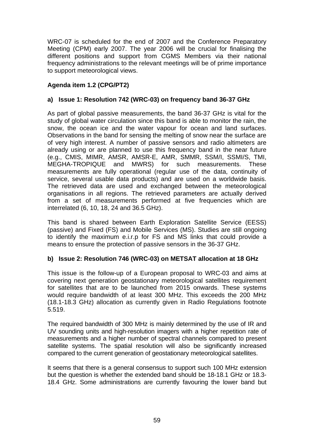WRC-07 is scheduled for the end of 2007 and the Conference Preparatory Meeting (CPM) early 2007. The year 2006 will be crucial for finalising the different positions and support from CGMS Members via their national frequency administrations to the relevant meetings will be of prime importance to support meteorological views.

## **Agenda item 1.2 (CPG/PT2)**

#### **a) Issue 1: Resolution 742 (WRC-03) on frequency band 36-37 GHz**

As part of global passive measurements, the band 36-37 GHz is vital for the study of global water circulation since this band is able to monitor the rain, the snow, the ocean ice and the water vapour for ocean and land surfaces. Observations in the band for sensing the melting of snow near the surface are of very high interest. A number of passive sensors and radio altimeters are already using or are planned to use this frequency band in the near future (e.g., CMIS, MIMR, AMSR, AMSR-E, AMR, SMMR, SSM/I, SSMI/S, TMI, MEGHA-TROPIQUE and MWRS) for such measurements. These measurements are fully operational (regular use of the data, continuity of service, several usable data products) and are used on a worldwide basis. The retrieved data are used and exchanged between the meteorological organisations in all regions. The retrieved parameters are actually derived from a set of measurements performed at five frequencies which are interrelated (6, 10, 18, 24 and 36.5 GHz).

This band is shared between Earth Exploration Satellite Service (EESS) (passive) and Fixed (FS) and Mobile Services (MS). Studies are still ongoing to identify the maximum e.i.r.p for FS and MS links that could provide a means to ensure the protection of passive sensors in the 36-37 GHz.

#### **b) Issue 2: Resolution 746 (WRC-03) on METSAT allocation at 18 GHz**

This issue is the follow-up of a European proposal to WRC-03 and aims at covering next generation geostationary meteorological satellites requirement for satellites that are to be launched from 2015 onwards. These systems would require bandwidth of at least 300 MHz. This exceeds the 200 MHz (18.1-18.3 GHz) allocation as currently given in Radio Regulations footnote 5.519.

The required bandwidth of 300 MHz is mainly determined by the use of IR and UV sounding units and high-resolution imagers with a higher repetition rate of measurements and a higher number of spectral channels compared to present satellite systems. The spatial resolution will also be significantly increased compared to the current generation of geostationary meteorological satellites.

It seems that there is a general consensus to support such 100 MHz extension but the question is whether the extended band should be 18-18.1 GHz or 18.3- 18.4 GHz. Some administrations are currently favouring the lower band but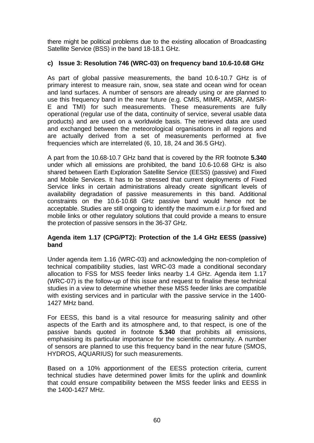there might be political problems due to the existing allocation of Broadcasting Satellite Service (BSS) in the band 18-18.1 GHz.

## **c) Issue 3: Resolution 746 (WRC-03) on frequency band 10.6-10.68 GHz**

As part of global passive measurements, the band 10.6-10.7 GHz is of primary interest to measure rain, snow, sea state and ocean wind for ocean and land surfaces. A number of sensors are already using or are planned to use this frequency band in the near future (e.g. CMIS, MIMR, AMSR, AMSR-E and TMI) for such measurements. These measurements are fully operational (regular use of the data, continuity of service, several usable data products) and are used on a worldwide basis. The retrieved data are used and exchanged between the meteorological organisations in all regions and are actually derived from a set of measurements performed at five frequencies which are interrelated (6, 10, 18, 24 and 36.5 GHz).

A part from the 10.68-10.7 GHz band that is covered by the RR footnote **5.340** under which all emissions are prohibited, the band 10.6-10.68 GHz is also shared between Earth Exploration Satellite Service (EESS) (passive) and Fixed and Mobile Services. It has to be stressed that current deployments of Fixed Service links in certain administrations already create significant levels of availability degradation of passive measurements in this band. Additional constraints on the 10.6-10.68 GHz passive band would hence not be acceptable. Studies are still ongoing to identify the maximum e.i.r.p for fixed and mobile links or other regulatory solutions that could provide a means to ensure the protection of passive sensors in the 36-37 GHz.

#### **Agenda item 1.17 (CPG/PT2): Protection of the 1.4 GHz EESS (passive) band**

Under agenda item 1.16 (WRC-03) and acknowledging the non-completion of technical compatibility studies, last WRC-03 made a conditional secondary allocation to FSS for MSS feeder links nearby 1.4 GHz. Agenda item 1.17 (WRC-07) is the follow-up of this issue and request to finalise these technical studies in a view to determine whether these MSS feeder links are compatible with existing services and in particular with the passive service in the 1400- 1427 MHz band.

For EESS, this band is a vital resource for measuring salinity and other aspects of the Earth and its atmosphere and, to that respect, is one of the passive bands quoted in footnote **5.340** that prohibits all emissions, emphasising its particular importance for the scientific community. A number of sensors are planned to use this frequency band in the near future (SMOS, HYDROS, AQUARIUS) for such measurements.

Based on a 10% apportionment of the EESS protection criteria, current technical studies have determined power limits for the uplink and downlink that could ensure compatibility between the MSS feeder links and EESS in the 1400-1427 MHz.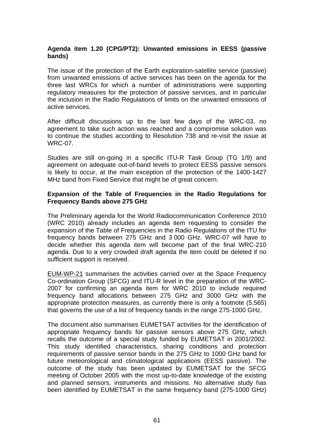#### **Agenda item 1.20 (CPG/PT2): Unwanted emissions in EESS (passive bands)**

The issue of the protection of the Earth exploration-satellite service (passive) from unwanted emissions of active services has been on the agenda for the three last WRCs for which a number of administrations were supporting regulatory measures for the protection of passive services, and in particular the inclusion in the Radio Regulations of limits on the unwanted emissions of active services.

After difficult discussions up to the last few days of the WRC-03, no agreement to take such action was reached and a compromise solution was to continue the studies according to Resolution 738 and re-visit the issue at WRC-07.

Studies are still on-going in a specific ITU-R Task Group (TG 1/9) and agreement on adequate out-of-band levels to protect EESS passive sensors is likely to occur, at the main exception of the protection of the 1400-1427 MHz band from Fixed Service that might be of great concern.

#### **Expansion of the Table of Frequencies in the Radio Regulations for Frequency Bands above 275 GHz**

The Preliminary agenda for the World Radiocommunication Conference 2010 (WRC 2010) already includes an agenda item requesting to consider the expansion of the Table of Frequencies in the Radio Regulations of the ITU for frequency bands between 275 GHz and 3 000 GHz. WRC-07 will have to decide whether this agenda item will become part of the final WRC-210 agenda. Due to a very crowded draft agenda the item could be deleted if no sufficient support is received.

EUM-WP-21 summarises the activities carried over at the Space Frequency Co-ordination Group (SFCG) and ITU-R level in the preparation of the WRC-2007 for confirming an agenda item for WRC 2010 to include required frequency band allocations between 275 GHz and 3000 GHz with the appropriate protection measures, as currently there is only a footnote (5.565) that governs the use of a list of frequency bands in the range 275-1000 GHz.

The document also summarises EUMETSAT activities for the identification of appropriate frequency bands for passive sensors above 275 GHz, which recalls the outcome of a special study funded by EUMETSAT in 2001/2002. This study identified characteristics, sharing conditions and protection requirements of passive sensor bands in the 275 GHz to 1000 GHz band for future meteorological and climatological applications (EESS passive). The outcome of the study has been updated by EUMETSAT for the SFCG meeting of October 2005 with the most up-to-date knowledge of the existing and planned sensors, instruments and missions. No alternative study has been identified by EUMETSAT in the same frequency band (275-1000 GHz)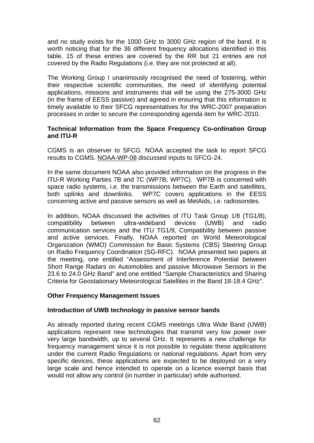and no study exists for the 1000 GHz to 3000 GHz region of the band. It is worth noticing that for the 36 different frequency allocations identified in this table, 15 of these entries are covered by the RR but 21 entries are not covered by the Radio Regulations (i.e. they are not protected at all).

The Working Group I unanimously recognised the need of fostering, within their respective scientific communities, the need of identifying potential applications, missions and instruments that will be using the 275-3000 GHz (in the frame of EESS passive) and agreed in ensuring that this information is timely available to their SFCG representatives for the WRC-2007 preparation processes in order to secure the corresponding agenda item for WRC-2010.

#### **Technical Information from the Space Frequency Co-ordination Group and ITU-R**

CGMS is an observer to SFCG. NOAA accepted the task to report SFCG results to CGMS. NOAA-WP-08 discussed inputs to SFCG-24.

In the same document NOAA also provided information on the progress in the ITU-R Working Parties 7B and 7C (WP7B, WP7C). WP7B is concerned with space radio systems, i.e. the transmissions between the Earth and satellites, both uplinks and downlinks. WP7C covers applications in the EESS concerning active and passive sensors as well as MetAids, i.e. radiosondes.

In addition, NOAA discussed the activities of ITU Task Group 1/8 (TG1/8), compatibility between ultra-wideband devices (UWB) and radio communication services and the ITU TG1/9, Compatibility between passive and active services. Finally, NOAA reported on World Meteorological Organization (WMO) Commission for Basic Systems (CBS) Steering Group on Radio Frequency Coordination (SG-RFC). NOAA presented two papers at the meeting, one entitled "Assessment of Interference Potential between Short Range Radars on Automobiles and passive Microwave Sensors in the 23.6 to 24.0 GHz Band" and one entitled "Sample Characteristics and Sharing Criteria for Geostationary Meteorological Satellites in the Band 18-18.4 GHz".

#### **Other Frequency Management Issues**

#### **Introduction of UWB technology in passive sensor bands**

As already reported during recent CGMS meetings Ultra Wide Band (UWB) applications represent new technologies that transmit very low power over very large bandwidth, up to several GHz. It represents a new challenge for frequency management since it is not possible to regulate these applications under the current Radio Regulations or national regulations. Apart from very specific devices, these applications are expected to be deployed on a very large scale and hence intended to operate on a licence exempt basis that would not allow any control (in number in particular) while authorised.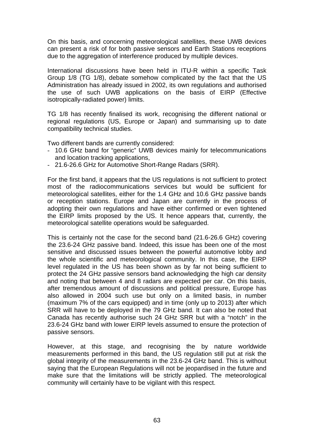On this basis, and concerning meteorological satellites, these UWB devices can present a risk of for both passive sensors and Earth Stations receptions due to the aggregation of interference produced by multiple devices.

International discussions have been held in ITU-R within a specific Task Group 1/8 (TG 1/8), debate somehow complicated by the fact that the US Administration has already issued in 2002, its own regulations and authorised the use of such UWB applications on the basis of EIRP (Effective isotropically-radiated power) limits.

TG 1/8 has recently finalised its work, recognising the different national or regional regulations (US, Europe or Japan) and summarising up to date compatibility technical studies.

Two different bands are currently considered:

- 10.6 GHz band for "generic" UWB devices mainly for telecommunications and location tracking applications,
- 21.6-26.6 GHz for Automotive Short-Range Radars (SRR).

For the first band, it appears that the US regulations is not sufficient to protect most of the radiocommunications services but would be sufficient for meteorological satellites, either for the 1.4 GHz and 10.6 GHz passive bands or reception stations. Europe and Japan are currently in the process of adopting their own regulations and have either confirmed or even tightened the EIRP limits proposed by the US. It hence appears that, currently, the meteorological satellite operations would be safeguarded.

This is certainly not the case for the second band (21.6-26.6 GHz) covering the 23.6-24 GHz passive band. Indeed, this issue has been one of the most sensitive and discussed issues between the powerful automotive lobby and the whole scientific and meteorological community. In this case, the EIRP level regulated in the US has been shown as by far not being sufficient to protect the 24 GHz passive sensors band acknowledging the high car density and noting that between 4 and 8 radars are expected per car. On this basis, after tremendous amount of discussions and political pressure, Europe has also allowed in 2004 such use but only on a limited basis, in number (maximum 7% of the cars equipped) and in time (only up to 2013) after which SRR will have to be deployed in the 79 GHz band. It can also be noted that Canada has recently authorise such 24 GHz SRR but with a "notch" in the 23.6-24 GHz band with lower EIRP levels assumed to ensure the protection of passive sensors.

However, at this stage, and recognising the by nature worldwide measurements performed in this band, the US regulation still put at risk the global integrity of the measurements in the 23.6-24 GHz band. This is without saying that the European Regulations will not be jeopardised in the future and make sure that the limitations will be strictly applied. The meteorological community will certainly have to be vigilant with this respect.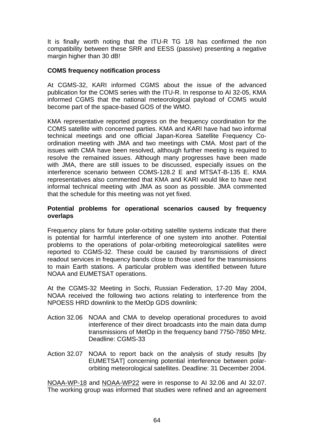It is finally worth noting that the ITU-R TG 1/8 has confirmed the non compatibility between these SRR and EESS (passive) presenting a negative margin higher than 30 dB!

#### **COMS frequency notification process**

At CGMS-32, KARI informed CGMS about the issue of the advanced publication for the COMS series with the ITU-R. In response to AI 32-05, KMA informed CGMS that the national meteorological payload of COMS would become part of the space-based GOS of the WMO.

KMA representative reported progress on the frequency coordination for the COMS satellite with concerned parties. KMA and KARI have had two informal technical meetings and one official Japan-Korea Satellite Frequency Coordination meeting with JMA and two meetings with CMA. Most part of the issues with CMA have been resolved, although further meeting is required to resolve the remained issues. Although many progresses have been made with JMA, there are still issues to be discussed, especially issues on the interference scenario between COMS-128.2 E and MTSAT-B-135 E. KMA representatives also commented that KMA and KARI would like to have next informal technical meeting with JMA as soon as possible. JMA commented that the schedule for this meeting was not yet fixed.

#### **Potential problems for operational scenarios caused by frequency overlaps**

Frequency plans for future polar-orbiting satellite systems indicate that there is potential for harmful interference of one system into another. Potential problems to the operations of polar-orbiting meteorological satellites were reported to CGMS-32. These could be caused by transmissions of direct readout services in frequency bands close to those used for the transmissions to main Earth stations. A particular problem was identified between future NOAA and EUMETSAT operations.

At the CGMS-32 Meeting in Sochi, Russian Federation, 17-20 May 2004, NOAA received the following two actions relating to interference from the NPOESS HRD downlink to the MetOp GDS downlink:

- Action 32.06 NOAA and CMA to develop operational procedures to avoid interference of their direct broadcasts into the main data dump transmissions of MetOp in the frequency band 7750-7850 MHz. Deadline: CGMS-33
- Action 32.07 NOAA to report back on the analysis of study results [by EUMETSAT] concerning potential interference between polarorbiting meteorological satellites. Deadline: 31 December 2004.

NOAA-WP-18 and NOAA-WP22 were in response to AI 32.06 and AI 32.07. The working group was informed that studies were refined and an agreement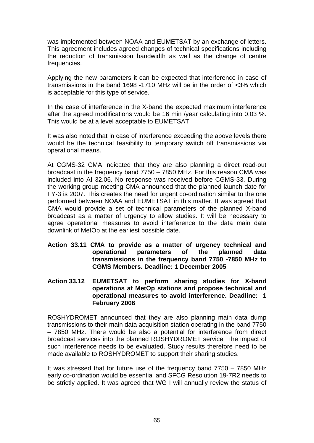was implemented between NOAA and EUMETSAT by an exchange of letters. This agreement includes agreed changes of technical specifications including the reduction of transmission bandwidth as well as the change of centre frequencies.

Applying the new parameters it can be expected that interference in case of transmissions in the band 1698 -1710 MHz will be in the order of <3% which is acceptable for this type of service.

In the case of interference in the X-band the expected maximum interference after the agreed modifications would be 16 min /year calculating into 0.03 %. This would be at a level acceptable to EUMETSAT.

It was also noted that in case of interference exceeding the above levels there would be the technical feasibility to temporary switch off transmissions via operational means.

At CGMS-32 CMA indicated that they are also planning a direct read-out broadcast in the frequency band 7750 – 7850 MHz. For this reason CMA was included into AI 32.06. No response was received before CGMS-33. During the working group meeting CMA announced that the planned launch date for FY-3 is 2007. This creates the need for urgent co-ordination similar to the one performed between NOAA and EUMETSAT in this matter. It was agreed that CMA would provide a set of technical parameters of the planned X-band broadcast as a matter of urgency to allow studies. It will be necessary to agree operational measures to avoid interference to the data main data downlink of MetOp at the earliest possible date.

- **Action 33.11 CMA to provide as a matter of urgency technical and operational parameters of the planned data transmissions in the frequency band 7750 -7850 MHz to CGMS Members. Deadline: 1 December 2005**
- **Action 33.12 EUMETSAT to perform sharing studies for X-band operations at MetOp stations and propose technical and operational measures to avoid interference. Deadline: 1 February 2006**

ROSHYDROMET announced that they are also planning main data dump transmissions to their main data acquisition station operating in the band 7750 – 7850 MHz. There would be also a potential for interference from direct broadcast services into the planned ROSHYDROMET service. The impact of such interference needs to be evaluated. Study results therefore need to be made available to ROSHYDROMET to support their sharing studies.

It was stressed that for future use of the frequency band 7750 – 7850 MHz early co-ordination would be essential and SFCG Resolution 19-7R2 needs to be strictly applied. It was agreed that WG I will annually review the status of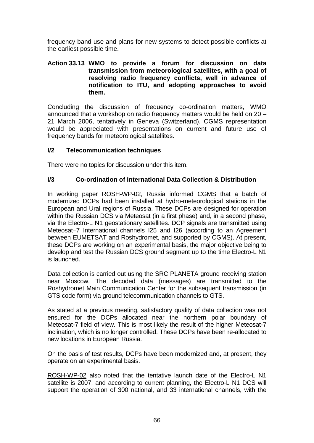frequency band use and plans for new systems to detect possible conflicts at the earliest possible time.

#### **Action 33.13 WMO to provide a forum for discussion on data transmission from meteorological satellites, with a goal of resolving radio frequency conflicts, well in advance of notification to ITU, and adopting approaches to avoid them.**

Concluding the discussion of frequency co-ordination matters, WMO announced that a workshop on radio frequency matters would be held on 20 – 21 March 2006, tentatively in Geneva (Switzerland). CGMS representation would be appreciated with presentations on current and future use of frequency bands for meteorological satellites.

#### **I/2 Telecommunication techniques**

There were no topics for discussion under this item.

#### **I/3 Co-ordination of International Data Collection & Distribution**

In working paper ROSH-WP-02, Russia informed CGMS that a batch of modernized DCPs had been installed at hydro-meteorological stations in the European and Ural regions of Russia. These DCPs are designed for operation within the Russian DCS via Meteosat (in a first phase) and, in a second phase, via the Electro-L N1 geostationary satellites. DCP signals are transmitted using Meteosat–7 International channels I25 and I26 (according to an Agreement between EUMETSAT and Roshydromet, and supported by CGMS). At present, these DCPs are working on an experimental basis, the major objective being to develop and test the Russian DCS ground segment up to the time Electro-L N1 is launched.

Data collection is carried out using the SRC PLANETA ground receiving station near Moscow. The decoded data (messages) are transmitted to the Roshydromet Main Communication Center for the subsequent transmission (in GTS code form) via ground telecommunication channels to GTS.

As stated at a previous meeting, satisfactory quality of data collection was not ensured for the DCPs allocated near the northern polar boundary of Meteosat-7 field of view. This is most likely the result of the higher Meteosat-7 inclination, which is no longer controlled. These DCPs have been re-allocated to new locations in European Russia.

On the basis of test results, DCPs have been modernized and, at present, they operate on an experimental basis.

ROSH-WP-02 also noted that the tentative launch date of the Electro-L N1 satellite is 2007, and according to current planning, the Electro-L N1 DCS will support the operation of 300 national, and 33 international channels, with the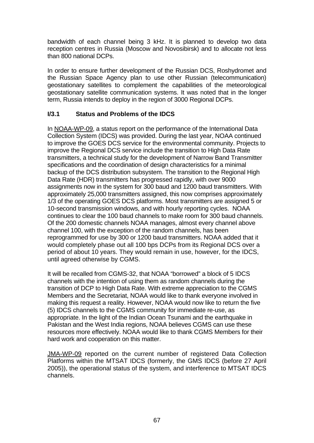bandwidth of each channel being 3 kHz. It is planned to develop two data reception centres in Russia (Moscow and Novosibirsk) and to allocate not less than 800 national DCPs.

In order to ensure further development of the Russian DCS, Roshydromet and the Russian Space Agency plan to use other Russian (telecommunication) geostationary satellites to complement the capabilities of the meteorological geostationary satellite communication systems. It was noted that in the longer term, Russia intends to deploy in the region of 3000 Regional DCPs.

## **I/3.1 Status and Problems of the IDCS**

In NOAA-WP-09, a status report on the performance of the International Data Collection System (IDCS) was provided. During the last year, NOAA continued to improve the GOES DCS service for the environmental community. Projects to improve the Regional DCS service include the transition to High Data Rate transmitters, a technical study for the development of Narrow Band Transmitter specifications and the coordination of design characteristics for a minimal backup of the DCS distribution subsystem. The transition to the Regional High Data Rate (HDR) transmitters has progressed rapidly, with over 9000 assignments now in the system for 300 baud and 1200 baud transmitters. With approximately 25,000 transmitters assigned, this now comprises approximately 1/3 of the operating GOES DCS platforms. Most transmitters are assigned 5 or 10-second transmission windows, and with hourly reporting cycles. NOAA continues to clear the 100 baud channels to make room for 300 baud channels. Of the 200 domestic channels NOAA manages, almost every channel above channel 100, with the exception of the random channels, has been reprogrammed for use by 300 or 1200 baud transmitters. NOAA added that it would completely phase out all 100 bps DCPs from its Regional DCS over a period of about 10 years. They would remain in use, however, for the IDCS, until agreed otherwise by CGMS.

It will be recalled from CGMS-32, that NOAA "borrowed" a block of 5 IDCS channels with the intention of using them as random channels during the transition of DCP to High Data Rate. With extreme appreciation to the CGMS Members and the Secretariat, NOAA would like to thank everyone involved in making this request a reality. However, NOAA would now like to return the five (5) IDCS channels to the CGMS community for immediate re-use, as appropriate. In the light of the Indian Ocean Tsunami and the earthquake in Pakistan and the West India regions, NOAA believes CGMS can use these resources more effectively. NOAA would like to thank CGMS Members for their hard work and cooperation on this matter.

JMA-WP-09 reported on the current number of registered Data Collection Platforms within the MTSAT IDCS (formerly, the GMS IDCS (before 27 April 2005)), the operational status of the system, and interference to MTSAT IDCS channels.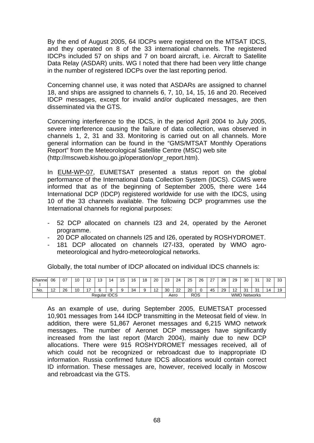By the end of August 2005, 64 IDCPs were registered on the MTSAT IDCS, and they operated on 8 of the 33 international channels. The registered IDCPs included 57 on ships and 7 on board aircraft, i.e. Aircraft to Satellite Data Relay (ASDAR) units. WG I noted that there had been very little change in the number of registered IDCPs over the last reporting period.

Concerning channel use, it was noted that ASDARs are assigned to channel 18, and ships are assigned to channels 6, 7, 10, 14, 15, 16 and 20. Received IDCP messages, except for invalid and/or duplicated messages, are then disseminated via the GTS.

Concerning interference to the IDCS, in the period April 2004 to July 2005, severe interference causing the failure of data collection, was observed in channels 1, 2, 31 and 33. Monitoring is carried out on all channels. More general information can be found in the "GMS/MTSAT Monthly Operations Report" from the Meteorological Satellite Centre (MSC) web site (http://mscweb.kishou.go.jp/operation/opr\_report.htm).

In EUM-WP-07, EUMETSAT presented a status report on the global performance of the International Data Collection System (IDCS). CGMS were informed that as of the beginning of September 2005, there were 144 International DCP (IDCP) registered worldwide for use with the IDCS, using 10 of the 33 channels available. The following DCP programmes use the International channels for regional purposes:

- 52 DCP allocated on channels I23 and 24, operated by the Aeronet programme.
- 20 DCP allocated on channels I25 and I26, operated by ROSHYDROMET.
- 181 DCP allocated on channels I27-I33, operated by WMO agrometeorological and hydro-meteorological networks.

Globally, the total number of IDCP allocated on individual IDCS channels is:

| Channe | 06             | ^7 | 10 | $\sqrt{2}$<br>- | $\sqrt{2}$<br>. | $\overline{a}$ | $\overline{ }$<br>э | 16                 | 18 | 20                    | 23                     | 24          | 25 | 26 | $\sim$    | 28 | 29                   | 30<br>ັບ          | 31       | 32 | $\sim$<br>ິ |
|--------|----------------|----|----|-----------------|-----------------|----------------|---------------------|--------------------|----|-----------------------|------------------------|-------------|----|----|-----------|----|----------------------|-------------------|----------|----|-------------|
| No.    | $\overline{ }$ | 26 | 10 | -               |                 |                |                     | 34                 |    | $\overline{A}$<br>. . | 30                     | $\sim$<br>ᅩ | 20 |    | . .<br>45 | 29 | $\sqrt{2}$<br>$\sim$ | $\sim$<br>$\cdot$ | 31<br>ິບ | 14 | 1 Q<br>-    |
|        | Regular IDCS   |    |    |                 |                 |                |                     | <b>ROS</b><br>Aero |    |                       | <b>WMO</b><br>Networks |             |    |    |           |    |                      |                   |          |    |             |

As an example of use, during September 2005, EUMETSAT processed 10,901 messages from 144 IDCP transmitting in the Meteosat field of view. In addition, there were 51,867 Aeronet messages and 6,215 WMO network messages. The number of Aeronet DCP messages have significantly increased from the last report (March 2004), mainly due to new DCP allocations. There were 915 ROSHYDROMET messages received, all of which could not be recognized or rebroadcast due to inappropriate ID information. Russia confirmed future IDCS allocations would contain correct ID information. These messages are, however, received locally in Moscow and rebroadcast via the GTS.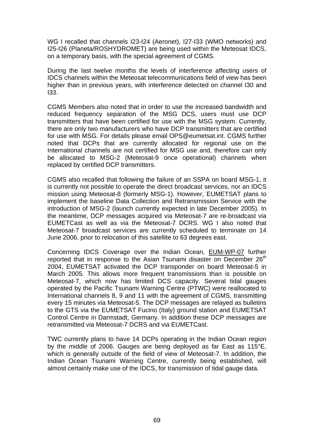WG I recalled that channels I23-I24 (Aeronet), I27-I33 (WMO networks) and I25-I26 (Planeta/ROSHYDROMET) are being used within the Meteosat IDCS, on a temporary basis, with the special agreement of CGMS.

During the last twelve months the levels of interference affecting users of IDCS channels within the Meteosat telecommunications field of view has been higher than in previous years, with interference detected on channel I30 and I33.

CGMS Members also noted that in order to use the increased bandwidth and reduced frequency separation of the MSG DCS, users must use DCP transmitters that have been certified for use with the MSG system. Currently, there are only two manufacturers who have DCP transmitters that are certified for use with MSG. For details please email [OPS@eumetsat.int.](mailto:OPS@eumetsat.int) CGMS further noted that DCPs that are currently allocated for regional use on the International channels are not certified for MSG use and, therefore can only be allocated to MSG-2 (Meteosat-9 once operational) channels when replaced by certified DCP transmitters.

CGMS also recalled that following the failure of an SSPA on board MSG-1, it is currently not possible to operate the direct broadcast services, nor an IDCS mission using Meteosat-8 (formerly MSG-1). However, EUMETSAT plans to implement the baseline Data Collection and Retransmission Service with the introduction of MSG-2 (launch currently expected in late December 2005). In the meantime, DCP messages acquired via Meteosat-7 are re-broadcast via EUMETCast as well as via the Meteosat-7 DCRS. WG I also noted that Meteosat-7 broadcast services are currently scheduled to terminate on 14 June 2006, prior to relocation of this satellite to 63 degrees east.

Concerning IDCS Coverage over the Indian Ocean, EUM-WP-07 further reported that in response to the Asian Tsunami disaster on December 26<sup>th</sup> 2004, EUMETSAT activated the DCP transponder on board Meteosat-5 in March 2005. This allows more frequent transmissions than is possible on Meteosat-7, which now has limited DCS capacity. Several tidal gauges operated by the Pacific Tsunami Warning Centre (PTWC) were reallocated to International channels 8, 9 and 11 with the agreement of CGMS, transmitting every 15 minutes via Meteosat-5. The DCP messages are relayed as bulletins to the GTS via the EUMETSAT Fucino (Italy) ground station and EUMETSAT Control Centre in Darmstadt, Germany. In addition these DCP messages are retransmitted via Meteosat-7 DCRS and via EUMETCast.

TWC currently plans to have 14 DCPs operating in the Indian Ocean region by the middle of 2006. Gauges are being deployed as far East as 115°E, which is generally outside of the field of view of Meteosat-7. In addition, the Indian Ocean Tsunami Warning Centre, currently being established, will almost certainly make use of the IDCS, for transmission of tidal gauge data.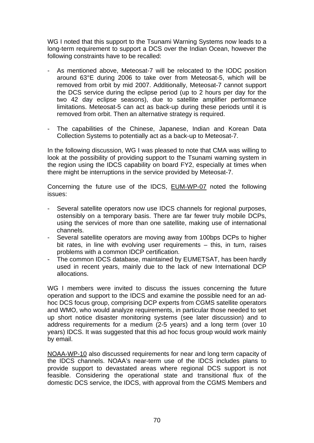WG I noted that this support to the Tsunami Warning Systems now leads to a long-term requirement to support a DCS over the Indian Ocean, however the following constraints have to be recalled:

- As mentioned above, Meteosat-7 will be relocated to the IODC position around 63°E during 2006 to take over from Meteosat-5, which will be removed from orbit by mid 2007. Additionally, Meteosat-7 cannot support the DCS service during the eclipse period (up to 2 hours per day for the two 42 day eclipse seasons), due to satellite amplifier performance limitations. Meteosat-5 can act as back-up during these periods until it is removed from orbit. Then an alternative strategy is required.
- The capabilities of the Chinese, Japanese, Indian and Korean Data Collection Systems to potentially act as a back-up to Meteosat-7.

In the following discussion, WG I was pleased to note that CMA was willing to look at the possibility of providing support to the Tsunami warning system in the region using the IDCS capability on board FY2, especially at times when there might be interruptions in the service provided by Meteosat-7.

Concerning the future use of the IDCS, EUM-WP-07 noted the following issues:

- Several satellite operators now use IDCS channels for regional purposes, ostensibly on a temporary basis. There are far fewer truly mobile DCPs, using the services of more than one satellite, making use of international channels.
- Several satellite operators are moving away from 100bps DCPs to higher bit rates, in line with evolving user requirements – this, in turn, raises problems with a common IDCP certification.
- The common IDCS database, maintained by EUMETSAT, has been hardly used in recent years, mainly due to the lack of new International DCP allocations.

WG I members were invited to discuss the issues concerning the future operation and support to the IDCS and examine the possible need for an adhoc DCS focus group, comprising DCP experts from CGMS satellite operators and WMO, who would analyze requirements, in particular those needed to set up short notice disaster monitoring systems (see later discussion) and to address requirements for a medium (2-5 years) and a long term (over 10 years) IDCS. It was suggested that this ad hoc focus group would work mainly by email.

NOAA-WP-10 also discussed requirements for near and long term capacity of the IDCS channels. NOAA's near-term use of the IDCS includes plans to provide support to devastated areas where regional DCS support is not feasible. Considering the operational state and transitional flux of the domestic DCS service, the IDCS, with approval from the CGMS Members and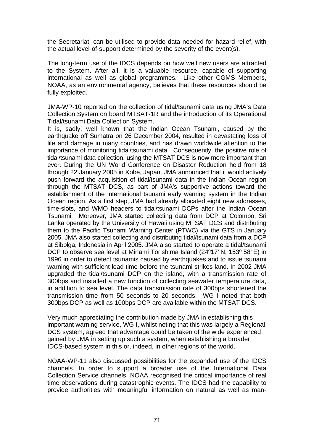the Secretariat, can be utilised to provide data needed for hazard relief, with the actual level-of-support determined by the severity of the event(s).

The long-term use of the IDCS depends on how well new users are attracted to the System. After all, it is a valuable resource, capable of supporting international as well as global programmes. Like other CGMS Members, NOAA, as an environmental agency, believes that these resources should be fully exploited.

JMA-WP-10 reported on the collection of tidal/tsunami data using JMA's Data Collection System on board MTSAT-1R and the introduction of its Operational Tidal/tsunami Data Collection System.

It is, sadly, well known that the Indian Ocean Tsunami, caused by the earthquake off Sumatra on 26 December 2004, resulted in devastating loss of life and damage in many countries, and has drawn worldwide attention to the importance of monitoring tidal/tsunami data. Consequently, the positive role of tidal/tsunami data collection, using the MTSAT DCS is now more important than ever. During the UN World Conference on Disaster Reduction held from 18 through 22 January 2005 in Kobe, Japan, JMA announced that it would actively push forward the acquisition of tidal/tsunami data in the Indian Ocean region through the MTSAT DCS, as part of JMA's supportive actions toward the establishment of the international tsunami early warning system in the Indian Ocean region. As a first step, JMA had already allocated eight new addresses, time-slots, and WMO headers to tidal/tsunami DCPs after the Indian Ocean Tsunami. Moreover, JMA started collecting data from DCP at Colombo, Sri Lanka operated by the University of Hawaii using MTSAT DCS and distributing them to the Pacific Tsunami Warning Center (PTWC) via the GTS in January 2005. JMA also started collecting and distributing tidal/tsunami data from a DCP at Sibolga, Indonesia in April 2005. JMA also started to operate a tidal/tsunami DCP to observe sea level at Minami Torishima Island (24º17' N, 153º 58' E) in 1996 in order to detect tsunamis caused by earthquakes and to issue tsunami warning with sufficient lead time before the tsunami strikes land. In 2002 JMA upgraded the tidal/tsunami DCP on the island, with a transmission rate of 300bps and installed a new function of collecting seawater temperature data, in addition to sea level. The data transmission rate of 300bps shortened the transmission time from 50 seconds to 20 seconds. WG I noted that both 300bps DCP as well as 100bps DCP are available within the MTSAT DCS.

Very much appreciating the contribution made by JMA in establishing this important warning service, WG I, whilst noting that this was largely a Regional DCS system, agreed that advantage could be taken of the wide experienced gained by JMA in setting up such a system, when establishing a broader IDCS-based system in this or, indeed, in other regions of the world.

NOAA-WP-11 also discussed possibilities for the expanded use of the IDCS channels. In order to support a broader use of the International Data Collection Service channels, NOAA recognised the critical importance of real time observations during catastrophic events. The IDCS had the capability to provide authorities with meaningful information on natural as well as man-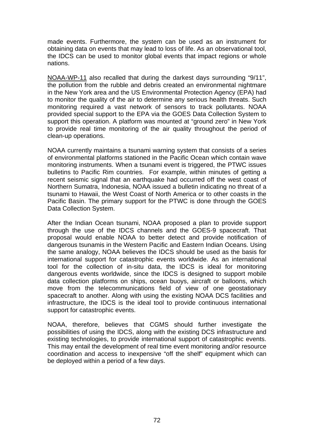made events. Furthermore, the system can be used as an instrument for obtaining data on events that may lead to loss of life. As an observational tool, the IDCS can be used to monitor global events that impact regions or whole nations.

NOAA-WP-11 also recalled that during the darkest days surrounding "9/11", the pollution from the rubble and debris created an environmental nightmare in the New York area and the US Environmental Protection Agency (EPA) had to monitor the quality of the air to determine any serious health threats. Such monitoring required a vast network of sensors to track pollutants. NOAA provided special support to the EPA via the GOES Data Collection System to support this operation. A platform was mounted at "ground zero" in New York to provide real time monitoring of the air quality throughout the period of clean-up operations.

NOAA currently maintains a tsunami warning system that consists of a series of environmental platforms stationed in the Pacific Ocean which contain wave monitoring instruments. When a tsunami event is triggered, the PTWC issues bulletins to Pacific Rim countries. For example, within minutes of getting a recent seismic signal that an earthquake had occurred off the west coast of Northern Sumatra, Indonesia, NOAA issued a bulletin indicating no threat of a tsunami to Hawaii, the West Coast of North America or to other coasts in the Pacific Basin. The primary support for the PTWC is done through the GOES Data Collection System.

After the Indian Ocean tsunami, NOAA proposed a plan to provide support through the use of the IDCS channels and the GOES-9 spacecraft. That proposal would enable NOAA to better detect and provide notification of dangerous tsunamis in the Western Pacific and Eastern Indian Oceans. Using the same analogy, NOAA believes the IDCS should be used as the basis for international support for catastrophic events worldwide. As an international tool for the collection of in-situ data, the IDCS is ideal for monitoring dangerous events worldwide, since the IDCS is designed to support mobile data collection platforms on ships, ocean buoys, aircraft or balloons, which move from the telecommunications field of view of one geostationary spacecraft to another. Along with using the existing NOAA DCS facilities and infrastructure, the IDCS is the ideal tool to provide continuous international support for catastrophic events.

NOAA, therefore, believes that CGMS should further investigate the possibilities of using the IDCS, along with the existing DCS infrastructure and existing technologies, to provide international support of catastrophic events. This may entail the development of real time event monitoring and/or resource coordination and access to inexpensive "off the shelf" equipment which can be deployed within a period of a few days.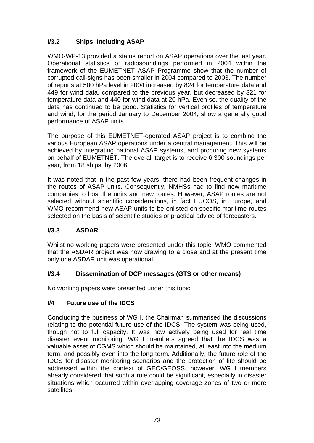# **I/3.2 Ships, Including ASAP**

WMO-WP-13 provided a status report on ASAP operations over the last year. Operational statistics of radiosoundings performed in 2004 within the framework of the EUMETNET ASAP Programme show that the number of corrupted call-signs has been smaller in 2004 compared to 2003. The number of reports at 500 hPa level in 2004 increased by 824 for temperature data and 449 for wind data, compared to the previous year, but decreased by 321 for temperature data and 440 for wind data at 20 hPa. Even so, the quality of the data has continued to be good. Statistics for vertical profiles of temperature and wind, for the period January to December 2004, show a generally good performance of ASAP units.

The purpose of this EUMETNET-operated ASAP project is to combine the various European ASAP operations under a central management. This will be achieved by integrating national ASAP systems, and procuring new systems on behalf of EUMETNET. The overall target is to receive 6,300 soundings per year, from 18 ships, by 2006.

It was noted that in the past few years, there had been frequent changes in the routes of ASAP units. Consequently, NMHSs had to find new maritime companies to host the units and new routes. However, ASAP routes are not selected without scientific considerations, in fact EUCOS, in Europe, and WMO recommend new ASAP units to be enlisted on specific maritime routes selected on the basis of scientific studies or practical advice of forecasters.

# **I/3.3 ASDAR**

Whilst no working papers were presented under this topic, WMO commented that the ASDAR project was now drawing to a close and at the present time only one ASDAR unit was operational.

# **I/3.4 Dissemination of DCP messages (GTS or other means)**

No working papers were presented under this topic.

## **I/4 Future use of the IDCS**

Concluding the business of WG I, the Chairman summarised the discussions relating to the potential future use of the IDCS. The system was being used, though not to full capacity. It was now actively being used for real time disaster event monitoring. WG I members agreed that the IDCS was a valuable asset of CGMS which should be maintained, at least into the medium term, and possibly even into the long term. Additionally, the future role of the IDCS for disaster monitoring scenarios and the protection of life should be addressed within the context of GEO/GEOSS, however, WG I members already considered that such a role could be significant, especially in disaster situations which occurred within overlapping coverage zones of two or more satellites.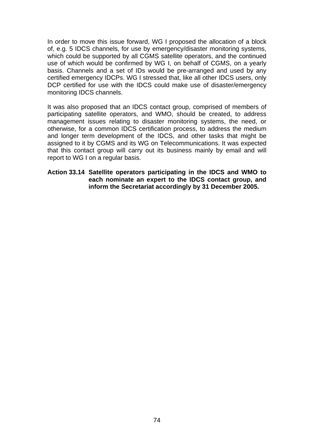In order to move this issue forward, WG I proposed the allocation of a block of, e.g. 5 IDCS channels, for use by emergency/disaster monitoring systems, which could be supported by all CGMS satellite operators, and the continued use of which would be confirmed by WG I, on behalf of CGMS, on a yearly basis. Channels and a set of IDs would be pre-arranged and used by any certified emergency IDCPs. WG I stressed that, like all other IDCS users, only DCP certified for use with the IDCS could make use of disaster/emergency monitoring IDCS channels.

It was also proposed that an IDCS contact group, comprised of members of participating satellite operators, and WMO, should be created, to address management issues relating to disaster monitoring systems, the need, or otherwise, for a common IDCS certification process, to address the medium and longer term development of the IDCS, and other tasks that might be assigned to it by CGMS and its WG on Telecommunications. It was expected that this contact group will carry out its business mainly by email and will report to WG I on a regular basis.

#### **Action 33.14 Satellite operators participating in the IDCS and WMO to each nominate an expert to the IDCS contact group, and inform the Secretariat accordingly by 31 December 2005.**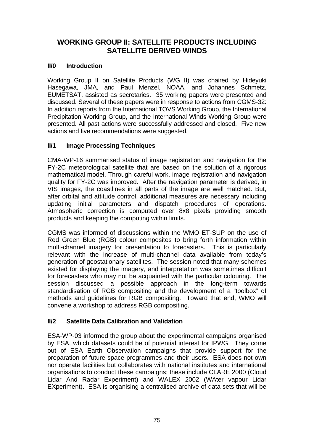# **WORKING GROUP II: SATELLITE PRODUCTS INCLUDING SATELLITE DERIVED WINDS**

## **II/0 Introduction**

Working Group II on Satellite Products (WG II) was chaired by Hideyuki Hasegawa, JMA, and Paul Menzel, NOAA, and Johannes Schmetz, EUMETSAT, assisted as secretaries. 35 working papers were presented and discussed. Several of these papers were in response to actions from CGMS-32: In addition reports from the International TOVS Working Group, the International Precipitation Working Group, and the International Winds Working Group were presented. All past actions were successfully addressed and closed. Five new actions and five recommendations were suggested.

## **II/1 Image Processing Techniques**

CMA-WP-16 summarised status of image registration and navigation for the FY-2C meteorological satellite that are based on the solution of a rigorous mathematical model. Through careful work, image registration and navigation quality for FY-2C was improved. After the navigation parameter is derived, in VIS images, the coastlines in all parts of the image are well matched. But, after orbital and attitude control, additional measures are necessary including updating initial parameters and dispatch procedures of operations. Atmospheric correction is computed over 8x8 pixels providing smooth products and keeping the computing within limits.

CGMS was informed of discussions within the WMO ET-SUP on the use of Red Green Blue (RGB) colour composites to bring forth information within multi-channel imagery for presentation to forecasters. This is particularly relevant with the increase of multi-channel data available from today's generation of geostationary satellites. The session noted that many schemes existed for displaying the imagery, and interpretation was sometimes difficult for forecasters who may not be acquainted with the particular colouring. The session discussed a possible approach in the long-term towards standardisation of RGB compositing and the development of a "toolbox" of methods and guidelines for RGB compositing. Toward that end, WMO will convene a workshop to address RGB compositing.

## **II/2 Satellite Data Calibration and Validation**

ESA-WP-03 informed the group about the experimental campaigns organised by ESA, which datasets could be of potential interest for IPWG. They come out of ESA Earth Observation campaigns that provide support for the preparation of future space programmes and their users. ESA does not own nor operate facilities but collaborates with national institutes and international organisations to conduct these campaigns; these include CLARE 2000 (Cloud Lidar And Radar Experiment) and WALEX 2002 (WAter vapour Lidar EXperiment). ESA is organising a centralised archive of data sets that will be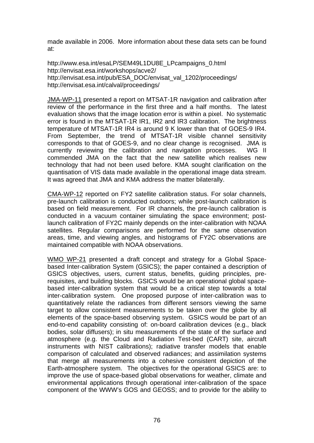made available in 2006. More information about these data sets can be found at:

[http://www.esa.int/esaLP/SEM49L1DU8E\\_LPcampaigns\\_0.html](http://www.esa.int/esaLP/SEM49L1DU8E_LPcampaigns_0.html)  <http://envisat.esa.int/workshops/acve2/> [http://envisat.esa.int/pub/ESA\\_DOC/envisat\\_val\\_1202/proceedings/](http://envisat.esa.int/pub/ESA_DOC/envisat_val_1202/proceedings/)  <http://envisat.esa.int/calval/proceedings/>

JMA-WP-11 presented a report on MTSAT-1R navigation and calibration after review of the performance in the first three and a half months. The latest evaluation shows that the image location error is within a pixel. No systematic error is found in the MTSAT-1R IR1, IR2 and IR3 calibration. The brightness temperature of MTSAT-1R IR4 is around 9 K lower than that of GOES-9 IR4. From September, the trend of MTSAT-1R visible channel sensitivity corresponds to that of GOES-9, and no clear change is recognised. JMA is currently reviewing the calibration and navigation processes. WG II commended JMA on the fact that the new satellite which realises new technology that had not been used before. KMA sought clarification on the quantisation of VIS data made available in the operational image data stream. It was agreed that JMA and KMA address the matter bilaterally.

CMA-WP-12 reported on FY2 satellite calibration status. For solar channels, pre-launch calibration is conducted outdoors; while post-launch calibration is based on field measurement. For IR channels, the pre-launch calibration is conducted in a vacuum container simulating the space environment; postlaunch calibration of FY2C mainly depends on the inter-calibration with NOAA satellites. Regular comparisons are performed for the same observation areas, time, and viewing angles, and histograms of FY2C observations are maintained compatible with NOAA observations.

WMO WP-21 presented a draft concept and strategy for a Global Spacebased Inter-calibration System (GSICS); the paper contained a description of GSICS objectives, users, current status, benefits, guiding principles, prerequisites, and building blocks. GSICS would be an operational global spacebased inter-calibration system that would be a critical step towards a total inter-calibration system. One proposed purpose of inter-calibration was to quantitatively relate the radiances from different sensors viewing the same target to allow consistent measurements to be taken over the globe by all elements of the space-based observing system. GSICS would be part of an end-to-end capability consisting of: on-board calibration devices (e.g., black bodies, solar diffusers); in situ measurements of the state of the surface and atmosphere (e.g. the Cloud and Radiation Test-bed (CART) site, aircraft instruments with NIST calibrations); radiative transfer models that enable comparison of calculated and observed radiances; and assimilation systems that merge all measurements into a cohesive consistent depiction of the Earth-atmosphere system. The objectives for the operational GSICS are: to improve the use of space-based global observations for weather, climate and environmental applications through operational inter-calibration of the space component of the WWW's GOS and GEOSS; and to provide for the ability to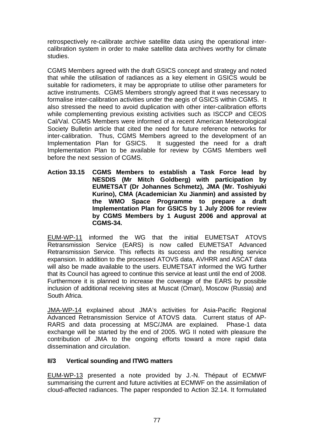retrospectively re-calibrate archive satellite data using the operational intercalibration system in order to make satellite data archives worthy for climate studies.

CGMS Members agreed with the draft GSICS concept and strategy and noted that while the utilisation of radiances as a key element in GSICS would be suitable for radiometers, it may be appropriate to utilise other parameters for active instruments. CGMS Members strongly agreed that it was necessary to formalise inter-calibration activities under the aegis of GSICS within CGMS. It also stressed the need to avoid duplication with other inter-calibration efforts while complementing previous existing activities such as ISCCP and CEOS Cal/Val. CGMS Members were informed of a recent American Meteorological Society Bulletin article that cited the need for future reference networks for inter-calibration. Thus, CGMS Members agreed to the development of an Implementation Plan for GSICS. It suggested the need for a draft Implementation Plan to be available for review by CGMS Members well before the next session of CGMS.

**Action 33.15 CGMS Members to establish a Task Force lead by NESDIS (Mr Mitch Goldberg) with participation by EUMETSAT (Dr Johannes Schmetz), JMA (Mr. Toshiyuki Kurino), CMA (Academician Xu Jianmin) and assisted by the WMO Space Programme to prepare a draft Implementation Plan for GSICS by 1 July 2006 for review by CGMS Members by 1 August 2006 and approval at CGMS-34.** 

EUM-WP-11 informed the WG that the initial EUMETSAT ATOVS Retransmission Service (EARS) is now called EUMETSAT Advanced Retransmission Service. This reflects its success and the resulting service expansion. In addition to the processed ATOVS data, AVHRR and ASCAT data will also be made available to the users. EUMETSAT informed the WG further that its Council has agreed to continue this service at least until the end of 2008. Furthermore it is planned to increase the coverage of the EARS by possible inclusion of additional receiving sites at Muscat (Oman), Moscow (Russia) and South Africa.

JMA-WP-14 explained about JMA's activities for Asia-Pacific Regional Advanced Retransmission Service of ATOVS data. Current status of AP-RARS and data processing at MSC/JMA are explained. Phase-1 data exchange will be started by the end of 2005. WG II noted with pleasure the contribution of JMA to the ongoing efforts toward a more rapid data dissemination and circulation.

## **II/3 Vertical sounding and ITWG matters**

EUM-WP-13 presented a note provided by J.-N. Thépaut of ECMWF summarising the current and future activities at ECMWF on the assimilation of cloud-affected radiances. The paper responded to Action 32.14. It formulated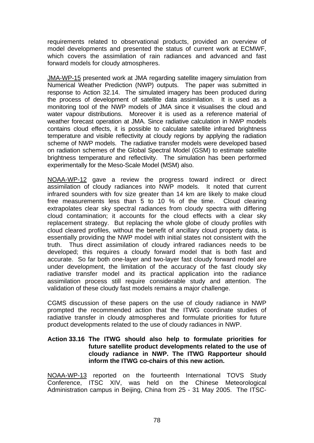requirements related to observational products, provided an overview of model developments and presented the status of current work at ECMWF, which covers the assimilation of rain radiances and advanced and fast forward models for cloudy atmospheres.

JMA-WP-15 presented work at JMA regarding satellite imagery simulation from Numerical Weather Prediction (NWP) outputs. The paper was submitted in response to Action 32.14. The simulated imagery has been produced during the process of development of satellite data assimilation. It is used as a monitoring tool of the NWP models of JMA since it visualises the cloud and water vapour distributions. Moreover it is used as a reference material of weather forecast operation at JMA. Since radiative calculation in NWP models contains cloud effects, it is possible to calculate satellite infrared brightness temperature and visible reflectivity at cloudy regions by applying the radiation scheme of NWP models. The radiative transfer models were developed based on radiation schemes of the Global Spectral Model (GSM) to estimate satellite brightness temperature and reflectivity. The simulation has been performed experimentally for the Meso-Scale Model (MSM) also.

NOAA-WP-12 gave a review the progress toward indirect or direct assimilation of cloudy radiances into NWP models. It noted that current infrared sounders with fov size greater than 14 km are likely to make cloud free measurements less than 5 to 10 % of the time. Cloud clearing extrapolates clear sky spectral radiances from cloudy spectra with differing cloud contamination; it accounts for the cloud effects with a clear sky replacement strategy. But replacing the whole globe of cloudy profiles with cloud cleared profiles, without the benefit of ancillary cloud property data, is essentially providing the NWP model with initial states not consistent with the truth. Thus direct assimilation of cloudy infrared radiances needs to be developed; this requires a cloudy forward model that is both fast and accurate. So far both one-layer and two-layer fast cloudy forward model are under development, the limitation of the accuracy of the fast cloudy sky radiative transfer model and its practical application into the radiance assimilation process still require considerable study and attention. The validation of these cloudy fast models remains a major challenge.

CGMS discussion of these papers on the use of cloudy radiance in NWP prompted the recommended action that the ITWG coordinate studies of radiative transfer in cloudy atmospheres and formulate priorities for future product developments related to the use of cloudy radiances in NWP.

#### **Action 33.16 The ITWG should also help to formulate priorities for future satellite product developments related to the use of cloudy radiance in NWP. The ITWG Rapporteur should inform the ITWG co-chairs of this new action.**

NOAA-WP-13 reported on the fourteenth International TOVS Study Conference, ITSC XIV, was held on the Chinese Meteorological Administration campus in Beijing, China from 25 - 31 May 2005. The ITSC-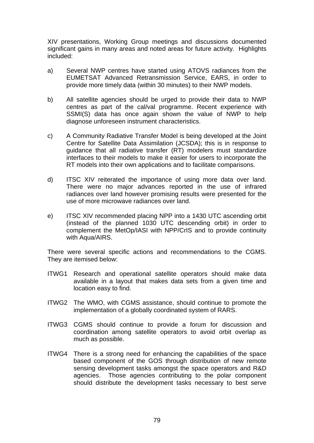XIV presentations, Working Group meetings and discussions documented significant gains in many areas and noted areas for future activity. Highlights included:

- a) Several NWP centres have started using ATOVS radiances from the EUMETSAT Advanced Retransmission Service, EARS, in order to provide more timely data (within 30 minutes) to their NWP models.
- b) All satellite agencies should be urged to provide their data to NWP centres as part of the cal/val programme. Recent experience with SSMI(S) data has once again shown the value of NWP to help diagnose unforeseen instrument characteristics.
- c) A Community Radiative Transfer Model is being developed at the Joint Centre for Satellite Data Assimilation (JCSDA); this is in response to guidance that all radiative transfer (RT) modelers must standardize interfaces to their models to make it easier for users to incorporate the RT models into their own applications and to facilitate comparisons.
- d) ITSC XIV reiterated the importance of using more data over land. There were no major advances reported in the use of infrared radiances over land however promising results were presented for the use of more microwave radiances over land.
- e) ITSC XIV recommended placing NPP into a 1430 UTC ascending orbit (instead of the planned 1030 UTC descending orbit) in order to complement the MetOp/IASI with NPP/CrIS and to provide continuity with Aqua/AIRS.

There were several specific actions and recommendations to the CGMS. They are itemised below:

- ITWG1 Research and operational satellite operators should make data available in a layout that makes data sets from a given time and location easy to find.
- ITWG2 The WMO, with CGMS assistance, should continue to promote the implementation of a globally coordinated system of RARS.
- ITWG3 CGMS should continue to provide a forum for discussion and coordination among satellite operators to avoid orbit overlap as much as possible.
- ITWG4 There is a strong need for enhancing the capabilities of the space based component of the GOS through distribution of new remote sensing development tasks amongst the space operators and R&D agencies. Those agencies contributing to the polar component should distribute the development tasks necessary to best serve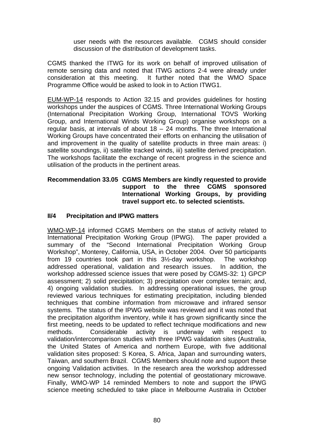user needs with the resources available. CGMS should consider discussion of the distribution of development tasks.

CGMS thanked the ITWG for its work on behalf of improved utilisation of remote sensing data and noted that ITWG actions 2-4 were already under consideration at this meeting. It further noted that the WMO Space Programme Office would be asked to look in to Action ITWG1.

EUM-WP-14 responds to Action 32.15 and provides guidelines for hosting workshops under the auspices of CGMS. Three International Working Groups (International Precipitation Working Group, International TOVS Working Group, and International Winds Working Group) organise workshops on a regular basis, at intervals of about  $18 - 24$  months. The three International Working Groups have concentrated their efforts on enhancing the utilisation of and improvement in the quality of satellite products in three main areas: i) satellite soundings, ii) satellite tracked winds, iii) satellite derived precipitation. The workshops facilitate the exchange of recent progress in the science and utilisation of the products in the pertinent areas.

#### **Recommendation 33.05 CGMS Members are kindly requested to provide support to the three CGMS sponsored International Working Groups, by providing travel support etc. to selected scientists.**

## **II/4 Precipitation and IPWG matters**

WMO-WP-14 informed CGMS Members on the status of activity related to International Precipitation Working Group (IPWG). The paper provided a summary of the "Second International Precipitation Working Group Workshop", Monterey, California, USA, in October 2004. Over 50 participants from 19 countries took part in this 3½-day workshop. The workshop addressed operational, validation and research issues. In addition, the workshop addressed science issues that were posed by CGMS-32: 1) GPCP assessment; 2) solid precipitation; 3) precipitation over complex terrain; and, 4) ongoing validation studies. In addressing operational issues, the group reviewed various techniques for estimating precipitation, including blended techniques that combine information from microwave and infrared sensor systems. The status of the IPWG website was reviewed and it was noted that the precipitation algorithm inventory, while it has grown significantly since the first meeting, needs to be updated to reflect technique modifications and new methods. Considerable activity is underway with respect to validation/intercomparison studies with three IPWG validation sites (Australia, the United States of America and northern Europe, with five additional validation sites proposed: S Korea, S. Africa, Japan and surrounding waters, Taiwan, and southern Brazil. CGMS Members should note and support these ongoing Validation activities. In the research area the workshop addressed new sensor technology, including the potential of geostationary microwave. Finally, WMO-WP 14 reminded Members to note and support the IPWG science meeting scheduled to take place in Melbourne Australia in October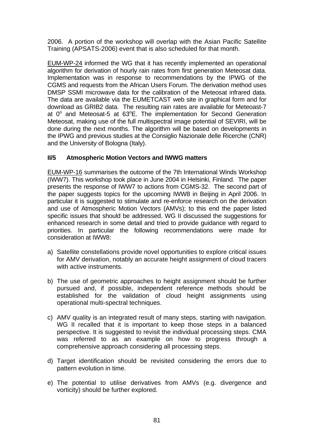2006. A portion of the workshop will overlap with the Asian Pacific Satellite Training (APSATS-2006) event that is also scheduled for that month.

EUM-WP-24 informed the WG that it has recently implemented an operational algorithm for derivation of hourly rain rates from first generation Meteosat data. Implementation was in response to recommendations by the IPWG of the CGMS and requests from the African Users Forum. The derivation method uses DMSP SSMI microwave data for the calibration of the Meteosat infrared data. The data are available via the EUMETCAST web site in graphical form and for download as GRIB2 data. The resulting rain rates are available for Meteoast-7 at  $0^{\circ}$  and Meteosat-5 at 63 $^{\circ}$ E. The implementation for Second Generation Meteosat, making use of the full multispectral image potential of SEVIRI, will be done during the next months. The algorithm will be based on developments in the IPWG and previous studies at the Consiglio Nazionale delle Ricerche (CNR) and the University of Bologna (Italy).

## **II/5 Atmospheric Motion Vectors and IWWG matters**

EUM-WP-16 summarises the outcome of the 7th International Winds Workshop (IWW7). This workshop took place in June 2004 in Helsinki, Finland. The paper presents the response of IWW7 to actions from CGMS-32. The second part of the paper suggests topics for the upcoming IWW8 in Beijing in April 2006. In particular it is suggested to stimulate and re-enforce research on the derivation and use of Atmospheric Motion Vectors (AMVs); to this end the paper listed specific issues that should be addressed. WG II discussed the suggestions for enhanced research in some detail and tried to provide guidance with regard to priorities. In particular the following recommendations were made for consideration at IWW8:

- a) Satellite constellations provide novel opportunities to explore critical issues for AMV derivation, notably an accurate height assignment of cloud tracers with active instruments.
- b) The use of geometric approaches to height assignment should be further pursued and, if possible, independent reference methods should be established for the validation of cloud height assignments using operational multi-spectral techniques.
- c) AMV quality is an integrated result of many steps, starting with navigation. WG II recalled that it is important to keep those steps in a balanced perspective. It is suggested to revisit the individual processing steps. CMA was referred to as an example on how to progress through a comprehensive approach considering all processing steps.
- d) Target identification should be revisited considering the errors due to pattern evolution in time.
- e) The potential to utilise derivatives from AMVs (e.g. divergence and vorticity) should be further explored.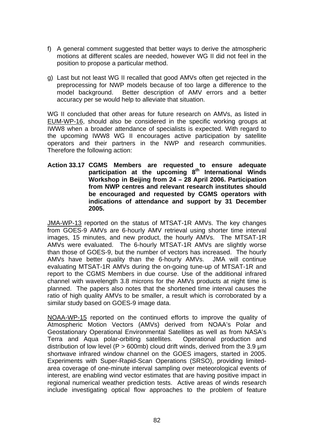- f) A general comment suggested that better ways to derive the atmospheric motions at different scales are needed, however WG II did not feel in the position to propose a particular method.
- g) Last but not least WG II recalled that good AMVs often get rejected in the preprocessing for NWP models because of too large a difference to the model background. Better description of AMV errors and a better accuracy per se would help to alleviate that situation.

WG II concluded that other areas for future research on AMVs, as listed in EUM-WP-16, should also be considered in the specific working groups at IWW8 when a broader attendance of specialists is expected. With regard to the upcoming IWW8 WG II encourages active participation by satellite operators and their partners in the NWP and research communities. Therefore the following action:

**Action 33.17 CGMS Members are requested to ensure adequate**  participation at the upcoming 8<sup>th</sup> International Winds **Workshop in Beijing from 24 – 28 April 2006. Participation from NWP centres and relevant research institutes should be encouraged and requested by CGMS operators with indications of attendance and support by 31 December 2005.** 

JMA-WP-13 reported on the status of MTSAT-1R AMVs. The key changes from GOES-9 AMVs are 6-hourly AMV retrieval using shorter time interval images, 15 minutes, and new product, the hourly AMVs. The MTSAT-1R AMVs were evaluated. The 6-hourly MTSAT-1R AMVs are slightly worse than those of GOES-9, but the number of vectors has increased. The hourly AMVs have better quality than the 6-hourly AMVs. JMA will continue evaluating MTSAT-1R AMVs during the on-going tune-up of MTSAT-1R and report to the CGMS Members in due course. Use of the additional infrared channel with wavelength 3.8 microns for the AMVs products at night time is planned. The papers also notes that the shortened time interval causes the ratio of high quality AMVs to be smaller, a result which is corroborated by a similar study based on GOES-9 image data.

NOAA-WP-15 reported on the continued efforts to improve the quality of Atmospheric Motion Vectors (AMVs) derived from NOAA's Polar and Geostationary Operational Environmental Satellites as well as from NASA's Terra and Aqua polar-orbiting satellites. Operational production and distribution of low level (P > 600mb) cloud drift winds, derived from the 3.9  $\mu$ m shortwave infrared window channel on the GOES imagers, started in 2005. Experiments with Super-Rapid-Scan Operations (SRSO), providing limitedarea coverage of one-minute interval sampling over meteorological events of interest, are enabling wind vector estimates that are having positive impact in regional numerical weather prediction tests. Active areas of winds research include investigating optical flow approaches to the problem of feature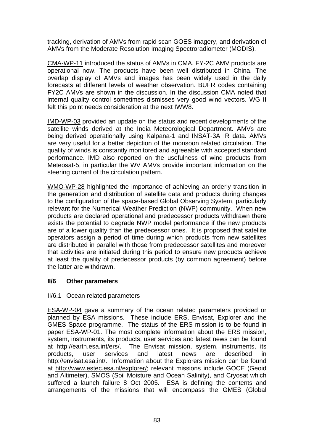tracking, derivation of AMVs from rapid scan GOES imagery, and derivation of AMVs from the Moderate Resolution Imaging Spectroradiometer (MODIS).

CMA-WP-11 introduced the status of AMVs in CMA. FY-2C AMV products are operational now. The products have been well distributed in China. The overlap display of AMVs and images has been widely used in the daily forecasts at different levels of weather observation. BUFR codes containing FY2C AMVs are shown in the discussion. In the discussion CMA noted that internal quality control sometimes dismisses very good wind vectors. WG II felt this point needs consideration at the next IWW8.

IMD-WP-03 provided an update on the status and recent developments of the satellite winds derived at the India Meteorological Department. AMVs are being derived operationally using Kalpana-1 and INSAT-3A IR data. AMVs are very useful for a better depiction of the monsoon related circulation. The quality of winds is constantly monitored and agreeable with accepted standard performance. IMD also reported on the usefulness of wind products from Meteosat-5, in particular the WV AMVs provide important information on the steering current of the circulation pattern.

WMO-WP-28 highlighted the importance of achieving an orderly transition in the generation and distribution of satellite data and products during changes to the configuration of the space-based Global Observing System, particularly relevant for the Numerical Weather Prediction (NWP) community. When new products are declared operational and predecessor products withdrawn there exists the potential to degrade NWP model performance if the new products are of a lower quality than the predecessor ones. It is proposed that satellite operators assign a period of time during which products from new satellites are distributed in parallel with those from predecessor satellites and moreover that activities are initiated during this period to ensure new products achieve at least the quality of predecessor products (by common agreement) before the latter are withdrawn.

#### **II/6 Other parameters**

#### II/6.1 Ocean related parameters

ESA-WP-04 gave a summary of the ocean related parameters provided or planned by ESA missions. These include ERS, Envisat, Explorer and the GMES Space programme. The status of the ERS mission is to be found in paper ESA-WP-01. The most complete information about the ERS mission, system, instruments, its products, user services and latest news can be found at http://earth.esa.int/ers/. The Envisat mission, system, instruments, its products, user services and latest news are described in <http://envisat.esa.int/>. Information about the Explorers mission can be found at <http://www.estec.esa.nl/explorer/>; relevant missions include GOCE (Geoid and Altimeter), SMOS (Soil Moisture and Ocean Salinity), and Cryosat which suffered a launch failure 8 Oct 2005. ESA is defining the contents and arrangements of the missions that will encompass the GMES (Global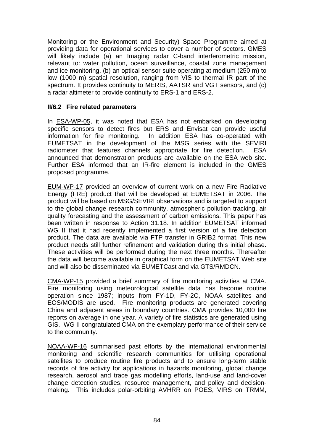Monitoring or the Environment and Security) Space Programme aimed at providing data for operational services to cover a number of sectors. GMES will likely include (a) an Imaging radar C-band interferometric mission, relevant to: water pollution, ocean surveillance, coastal zone management and ice monitoring, (b) an optical sensor suite operating at medium (250 m) to low (1000 m) spatial resolution, ranging from VIS to thermal IR part of the spectrum. It provides continuity to MERIS, AATSR and VGT sensors, and (c) a radar altimeter to provide continuity to ERS-1 and ERS-2.

## **II/6.2 Fire related parameters**

In ESA-WP-05, it was noted that ESA has not embarked on developing specific sensors to detect fires but ERS and Envisat can provide useful information for fire monitoring. In addition ESA has co-operated with EUMETSAT in the development of the MSG series with the SEVIRI radiometer that features channels appropriate for fire detection. ESA announced that demonstration products are available on the ESA web site. Further ESA informed that an IR-fire element is included in the GMES proposed programme.

EUM-WP-17 provided an overview of current work on a new Fire Radiative Energy (FRE) product that will be developed at EUMETSAT in 2006. The product will be based on MSG/SEVIRI observations and is targeted to support to the global change research community, atmospheric pollution tracking, air quality forecasting and the assessment of carbon emissions. This paper has been written in response to Action 31.18. In addition EUMETSAT informed WG II that it had recently implemented a first version of a fire detection product. The data are available via FTP transfer in GRIB2 format. This new product needs still further refinement and validation during this initial phase. These activities will be performed during the next three months. Thereafter the data will become available in graphical form on the EUMETSAT Web site and will also be disseminated via EUMETCast and via GTS/RMDCN.

CMA-WP-15 provided a brief summary of fire monitoring activities at CMA. Fire monitoring using meteorological satellite data has become routine operation since 1987; inputs from FY-1D, FY-2C, NOAA satellites and EOS/MODIS are used. Fire monitoring products are generated covering China and adjacent areas in boundary countries. CMA provides 10,000 fire reports on average in one year. A variety of fire statistics are generated using GIS. WG II congratulated CMA on the exemplary performance of their service to the community.

NOAA-WP-16 summarised past efforts by the international environmental monitoring and scientific research communities for utilising operational satellites to produce routine fire products and to ensure long-term stable records of fire activity for applications in hazards monitoring, global change research, aerosol and trace gas modelling efforts, land-use and land-cover change detection studies, resource management, and policy and decisionmaking. This includes polar-orbiting AVHRR on POES, VIRS on TRMM,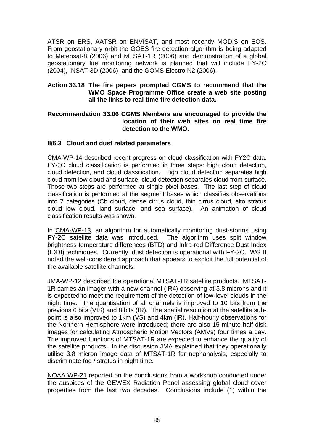ATSR on ERS, AATSR on ENVISAT, and most recently MODIS on EOS. From geostationary orbit the GOES fire detection algorithm is being adapted to Meteosat-8 (2006) and MTSAT-1R (2006) and demonstration of a global geostationary fire monitoring network is planned that will include FY-2C (2004), INSAT-3D (2006), and the GOMS Electro N2 (2006).

### **Action 33.18 The fire papers prompted CGMS to recommend that the WMO Space Programme Office create a web site posting all the links to real time fire detection data.**

#### **Recommendation 33.06 CGMS Members are encouraged to provide the location of their web sites on real time fire detection to the WMO.**

#### **II/6.3 Cloud and dust related parameters**

CMA-WP-14 described recent progress on cloud classification with FY2C data. FY-2C cloud classification is performed in three steps: high cloud detection, cloud detection, and cloud classification. High cloud detection separates high cloud from low cloud and surface; cloud detection separates cloud from surface. Those two steps are performed at single pixel bases. The last step of cloud classification is performed at the segment bases which classifies observations into 7 categories (Cb cloud, dense cirrus cloud, thin cirrus cloud, alto stratus cloud low cloud, land surface, and sea surface). An animation of cloud classification results was shown.

In CMA-WP-13, an algorithm for automatically monitoring dust-storms using FY-2C satellite data was introduced. The algorithm uses split window brightness temperature differences (BTD) and Infra-red Difference Dust Index (IDDI) techniques. Currently, dust detection is operational with FY-2C. WG II noted the well-considered approach that appears to exploit the full potential of the available satellite channels.

JMA-WP-12 described the operational MTSAT-1R satellite products. MTSAT-1R carries an imager with a new channel (IR4) observing at 3.8 microns and it is expected to meet the requirement of the detection of low-level clouds in the night time. The quantisation of all channels is improved to 10 bits from the previous 6 bits (VIS) and 8 bits (IR). The spatial resolution at the satellite subpoint is also improved to 1km (VS) and 4km (IR). Half-hourly observations for the Northern Hemisphere were introduced; there are also 15 minute half-disk images for calculating Atmospheric Motion Vectors (AMVs) four times a day. The improved functions of MTSAT-1R are expected to enhance the quality of the satellite products. In the discussion JMA explained that they operationally utilise 3.8 micron image data of MTSAT-1R for nephanalysis, especially to discriminate fog / stratus in night time.

NOAA WP-21 reported on the conclusions from a workshop conducted under the auspices of the GEWEX Radiation Panel assessing global cloud cover properties from the last two decades. Conclusions include (1) within the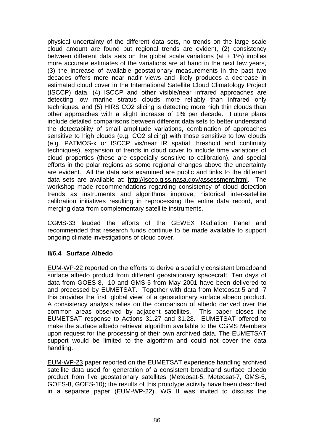physical uncertainty of the different data sets, no trends on the large scale cloud amount are found but regional trends are evident, (2) consistency between different data sets on the global scale variations (at  $+$  1%) implies more accurate estimates of the variations are at hand in the next few years, (3) the increase of available geostationary measurements in the past two decades offers more near nadir views and likely produces a decrease in estimated cloud cover in the International Satellite Cloud Climatology Project (ISCCP) data, (4) ISCCP and other visible/near infrared approaches are detecting low marine stratus clouds more reliably than infrared only techniques, and (5) HIRS CO2 slicing is detecting more high thin clouds than other approaches with a slight increase of 1% per decade. Future plans include detailed comparisons between different data sets to better understand the detectability of small amplitude variations, combination of approaches sensitive to high clouds (e.g. CO2 slicing) with those sensitive to low clouds (e.g. PATMOS-x or ISCCP vis/near IR spatial threshold and continuity techniques), expansion of trends in cloud cover to include time variations of cloud properties (these are especially sensitive to calibration), and special efforts in the polar regions as some regional changes above the uncertainty are evident. All the data sets examined are public and links to the different data sets are available at: [http://isccp.giss.nasa.gov/assessment.html.](http://isccp.giss.nasa.gov/assessment.html) The workshop made recommendations regarding consistency of cloud detection trends as instruments and algorithms improve, historical inter-satellite calibration initiatives resulting in reprocessing the entire data record, and merging data from complementary satellite instruments.

CGMS-33 lauded the efforts of the GEWEX Radiation Panel and recommended that research funds continue to be made available to support ongoing climate investigations of cloud cover.

## **II/6.4 Surface Albedo**

EUM-WP-22 reported on the efforts to derive a spatially consistent broadband surface albedo product from different geostationary spacecraft. Ten days of data from GOES-8, -10 and GMS-5 from May 2001 have been delivered to and processed by EUMETSAT. Together with data from Meteosat-5 and -7 this provides the first "global view" of a geostationary surface albedo product. A consistency analysis relies on the comparison of albedo derived over the common areas observed by adjacent satellites. This paper closes the EUMETSAT response to Actions 31.27 and 31.28. EUMETSAT offered to make the surface albedo retrieval algorithm available to the CGMS Members upon request for the processing of their own archived data. The EUMETSAT support would be limited to the algorithm and could not cover the data handling.

EUM-WP-23 paper reported on the EUMETSAT experience handling archived satellite data used for generation of a consistent broadband surface albedo product from five geostationary satellites (Meteosat-5, Meteosat-7, GMS-5, GOES-8, GOES-10); the results of this prototype activity have been described in a separate paper (EUM-WP-22). WG II was invited to discuss the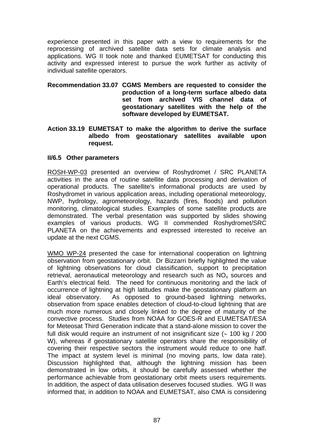experience presented in this paper with a view to requirements for the reprocessing of archived satellite data sets for climate analysis and applications. WG II took note and thanked EUMETSAT for conducting this activity and expressed interest to pursue the work further as activity of individual satellite operators.

- **Recommendation 33.07 CGMS Members are requested to consider the production of a long-term surface albedo data set from archived VIS channel data of geostationary satellites with the help of the software developed by EUMETSAT.**
- **Action 33.19 EUMETSAT to make the algorithm to derive the surface albedo from geostationary satellites available upon request.**

#### **II/6.5 Other parameters**

ROSH-WP-03 presented an overview of Roshydromet / SRC PLANETA activities in the area of routine satellite data processing and derivation of operational products. The satellite's informational products are used by Roshydromet in various application areas, including operational meteorology, NWP, hydrology, agrometeorology, hazards (fires, floods) and pollution monitoring, climatological studies. Examples of some satellite products are demonstrated. The verbal presentation was supported by slides showing examples of various products. WG II commended Roshydromet/SRC PLANETA on the achievements and expressed interested to receive an update at the next CGMS.

WMO WP-24 presented the case for international cooperation on lightning observation from geostationary orbit. Dr Bizzarri briefly highlighted the value of lightning observations for cloud classification, support to precipitation retrieval, aeronautical meteorology and research such as  $NO<sub>x</sub>$  sources and Earth's electrical field. The need for continuous monitoring and the lack of occurrence of lightning at high latitudes make the geostationary platform an ideal observatory. As opposed to ground-based lightning networks, observation from space enables detection of cloud-to-cloud lightning that are much more numerous and closely linked to the degree of maturity of the convective process. Studies from NOAA for GOES-R and EUMETSAT/ESA for Meteosat Third Generation indicate that a stand-alone mission to cover the full disk would require an instrument of not insignificant size (∼ 100 kg / 200 W), whereas if geostationary satellite operators share the responsibility of covering their respective sectors the instrument would reduce to one half. The impact at system level is minimal (no moving parts, low data rate). Discussion highlighted that, although the lightning mission has been demonstrated in low orbits, it should be carefully assessed whether the performance achievable from geostationary orbit meets users requirements. In addition, the aspect of data utilisation deserves focused studies. WG II was informed that, in addition to NOAA and EUMETSAT, also CMA is considering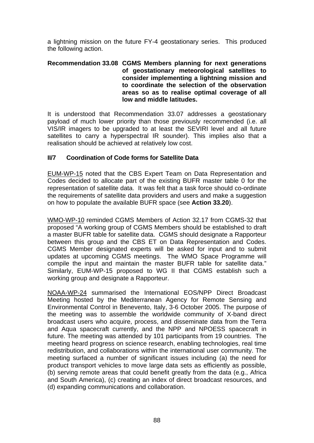a lightning mission on the future FY-4 geostationary series. This produced the following action.

#### **Recommendation 33.08 CGMS Members planning for next generations of geostationary meteorological satellites to consider implementing a lightning mission and to coordinate the selection of the observation areas so as to realise optimal coverage of all low and middle latitudes.**

It is understood that Recommendation 33.07 addresses a geostationary payload of much lower priority than those previously recommended (i.e. all VIS/IR imagers to be upgraded to at least the SEVIRI level and all future satellites to carry a hyperspectral IR sounder). This implies also that a realisation should be achieved at relatively low cost.

## **II/7 Coordination of Code forms for Satellite Data**

EUM-WP-15 noted that the CBS Expert Team on Data Representation and Codes decided to allocate part of the existing BUFR master table 0 for the representation of satellite data. It was felt that a task force should co-ordinate the requirements of satellite data providers and users and make a suggestion on how to populate the available BUFR space (see **Action 33.20**).

WMO-WP-10 reminded CGMS Members of Action 32.17 from CGMS-32 that proposed "A working group of CGMS Members should be established to draft a master BUFR table for satellite data. CGMS should designate a Rapporteur between this group and the CBS ET on Data Representation and Codes. CGMS Member designated experts will be asked for input and to submit updates at upcoming CGMS meetings. The WMO Space Programme will compile the input and maintain the master BUFR table for satellite data." Similarly, EUM-WP-15 proposed to WG II that CGMS establish such a working group and designate a Rapporteur.

NOAA-WP-24 summarised the International EOS/NPP Direct Broadcast Meeting hosted by the Mediterranean Agency for Remote Sensing and Environmental Control in Benevento, Italy, 3-6 October 2005. The purpose of the meeting was to assemble the worldwide community of X-band direct broadcast users who acquire, process, and disseminate data from the Terra and Aqua spacecraft currently, and the NPP and NPOESS spacecraft in future. The meeting was attended by 101 participants from 19 countries. The meeting heard progress on science research, enabling technologies, real time redistribution, and collaborations within the international user community. The meeting surfaced a number of significant issues including (a) the need for product transport vehicles to move large data sets as efficiently as possible, (b) serving remote areas that could benefit greatly from the data (e.g., Africa and South America), (c) creating an index of direct broadcast resources, and (d) expanding communications and collaboration.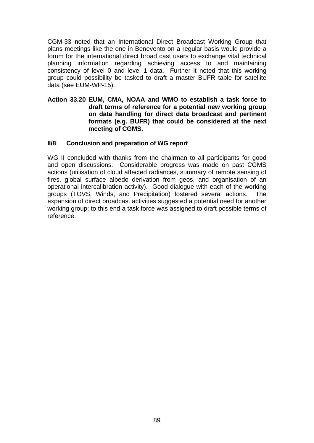CGM-33 noted that an International Direct Broadcast Working Group that plans meetings like the one in Benevento on a regular basis would provide a forum for the international direct broad cast users to exchange vital technical planning information regarding achieving access to and maintaining consistency of level 0 and level 1 data. Further it noted that this working group could possibility be tasked to draft a master BUFR table for satellite data (see EUM-WP-15).

#### **Action 33.20 EUM, CMA, NOAA and WMO to establish a task force to draft terms of reference for a potential new working group on data handling for direct data broadcast and pertinent formats (e.g. BUFR) that could be considered at the next meeting of CGMS.**

## **II/8 Conclusion and preparation of WG report**

WG II concluded with thanks from the chairman to all participants for good and open discussions. Considerable progress was made on past CGMS actions (utilisation of cloud affected radiances, summary of remote sensing of fires, global surface albedo derivation from geos, and organisation of an operational intercalibration activity). Good dialogue with each of the working groups (TOVS, Winds, and Precipitation) fostered several actions. The expansion of direct broadcast activities suggested a potential need for another working group; to this end a task force was assigned to draft possible terms of reference.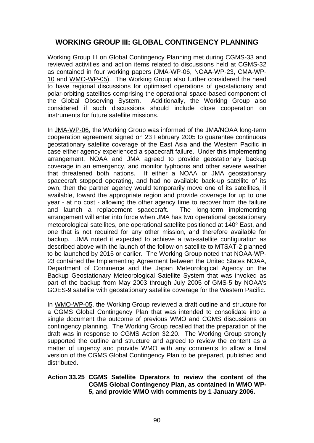# **WORKING GROUP III: GLOBAL CONTINGENCY PLANNING**

Working Group III on Global Contingency Planning met during CGMS-33 and reviewed activities and action items related to discussions held at CGMS-32 as contained in four working papers (JMA-WP-06, NOAA-WP-23, CMA-WP-10 and WMO-WP-05). The Working Group also further considered the need to have regional discussions for optimised operations of geostationary and polar-orbiting satellites comprising the operational space-based component of the Global Observing System. Additionally, the Working Group also considered if such discussions should include close cooperation on instruments for future satellite missions.

In JMA-WP-06, the Working Group was informed of the JMA/NOAA long-term cooperation agreement signed on 23 February 2005 to guarantee continuous geostationary satellite coverage of the East Asia and the Western Pacific in case either agency experienced a spacecraft failure. Under this implementing arrangement, NOAA and JMA agreed to provide geostationary backup coverage in an emergency, and monitor typhoons and other severe weather that threatened both nations. If either a NOAA or JMA geostationary spacecraft stopped operating, and had no available back-up satellite of its own, then the partner agency would temporarily move one of its satellites, if available, toward the appropriate region and provide coverage for up to one year - at no cost - allowing the other agency time to recover from the failure and launch a replacement spacecraft. The long-term implementing arrangement will enter into force when JMA has two operational geostationary meteorological satellites, one operational satellite positioned at 140° East, and one that is not required for any other mission, and therefore available for backup. JMA noted it expected to achieve a two-satellite configuration as described above with the launch of the follow-on satellite to MTSAT-2 planned to be launched by 2015 or earlier. The Working Group noted that NOAA-WP-23 contained the Implementing Agreement between the United States NOAA, Department of Commerce and the Japan Meteorological Agency on the Backup Geostationary Meteorological Satellite System that was invoked as part of the backup from May 2003 through July 2005 of GMS-5 by NOAA's GOES-9 satellite with geostationary satellite coverage for the Western Pacific.

In WMO-WP-05, the Working Group reviewed a draft outline and structure for a CGMS Global Contingency Plan that was intended to consolidate into a single document the outcome of previous WMO and CGMS discussions on contingency planning. The Working Group recalled that the preparation of the draft was in response to CGMS Action 32.20. The Working Group strongly supported the outline and structure and agreed to review the content as a matter of urgency and provide WMO with any comments to allow a final version of the CGMS Global Contingency Plan to be prepared, published and distributed.

#### **Action 33.25 CGMS Satellite Operators to review the content of the CGMS Global Contingency Plan, as contained in WMO WP-5, and provide WMO with comments by 1 January 2006.**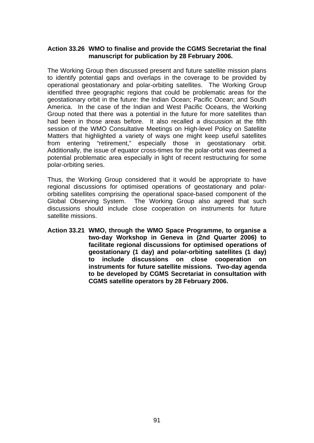#### **Action 33.26 WMO to finalise and provide the CGMS Secretariat the final manuscript for publication by 28 February 2006.**

The Working Group then discussed present and future satellite mission plans to identify potential gaps and overlaps in the coverage to be provided by operational geostationary and polar-orbiting satellites. The Working Group identified three geographic regions that could be problematic areas for the geostationary orbit in the future: the Indian Ocean; Pacific Ocean; and South America. In the case of the Indian and West Pacific Oceans, the Working Group noted that there was a potential in the future for more satellites than had been in those areas before. It also recalled a discussion at the fifth session of the WMO Consultative Meetings on High-level Policy on Satellite Matters that highlighted a variety of ways one might keep useful satellites from entering "retirement," especially those in geostationary orbit. Additionally, the issue of equator cross-times for the polar-orbit was deemed a potential problematic area especially in light of recent restructuring for some polar-orbiting series.

Thus, the Working Group considered that it would be appropriate to have regional discussions for optimised operations of geostationary and polarorbiting satellites comprising the operational space-based component of the Global Observing System. The Working Group also agreed that such discussions should include close cooperation on instruments for future satellite missions.

**Action 33.21 WMO, through the WMO Space Programme, to organise a two-day Workshop in Geneva in (2nd Quarter 2006) to facilitate regional discussions for optimised operations of geostationary (1 day) and polar-orbiting satellites (1 day) to include discussions on close cooperation on instruments for future satellite missions. Two-day agenda to be developed by CGMS Secretariat in consultation with CGMS satellite operators by 28 February 2006.**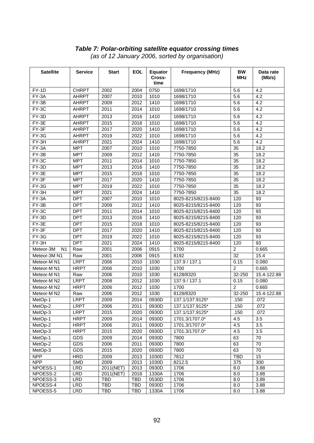#### *Table 7: Polar-orbiting satellite equator crossing times (as of 12 January 2006, sorted by organisation)*

| <b>Satellite</b>            | <b>Service</b> | <b>Start</b> | <b>EOL</b> | Equator<br>Cross-<br>time | <b>Frequency (MHz)</b> | <b>BW</b><br><b>MHz</b> | Data rate<br>(Mb/s) |
|-----------------------------|----------------|--------------|------------|---------------------------|------------------------|-------------------------|---------------------|
| FY-1D                       | <b>CHRPT</b>   | 2002         | 2004       | 0750                      | 1698/1710              | 5.6                     | 4.2                 |
| FY-3A                       | <b>AHRPT</b>   | 2007         | 2010       | 1010                      | 1698/1710              | 5.6                     | 4.2                 |
| $FY-3B$                     | <b>AHRPT</b>   | 2009         | 2012       | 1410                      | 1698/1710              | 5.6                     | 4.2                 |
| FY-3C                       | <b>AHRPT</b>   | 2011         | 2014       | 1010                      | 1698/1710              | 5.6                     | 4.2                 |
| $FY-3D$                     | <b>AHRPT</b>   | 2013         | 2016       | 1410                      | 1698/1710              | 5.6                     | 4.2                 |
| $FY-3E$                     | <b>AHRPT</b>   | 2015         | 2018       | 1010                      | 1698/1710              | 5.6                     | 4.2                 |
| FY-3F                       | <b>AHRPT</b>   | 2017         | 2020       | 1410                      | 1698/1710              | 5.6                     | 4.2                 |
| FY-3G                       | <b>AHRPT</b>   | 2019         | 2022       | 1010                      | 1698/1710              | 5.6                     | 4.2                 |
| FY-3H                       | <b>AHRPT</b>   | 2021         | 2024       | 1410                      | 1698/1710              | 5.6                     | 4.2                 |
| $FY-3A$                     | <b>MPT</b>     | 2007         | 2010       | 1010                      | 7750-7850              | 35                      | 18.2                |
| $FY-3B$                     | <b>MPT</b>     | 2009         | 2012       | 1410                      | 7750-7850              | $\overline{35}$         | 18.2                |
| $FY-3C$                     | <b>MPT</b>     | 2011         | 2014       | 1010                      | 7750-7850              | $\overline{35}$         | 18.2                |
| $FY-3D$                     | <b>MPT</b>     | 2013         | 2016       | 1410                      | 7750-7850              | $\overline{35}$         | 18.2                |
| $FY-3E$                     | <b>MPT</b>     | 2015         | 2018       | 1010                      | 7750-7850              | $\overline{35}$         | 18.2                |
| $FY-3F$                     | <b>MPT</b>     | 2017         | 2020       | 1410                      | 7750-7850              | $\overline{35}$         | 18.2                |
| $FY-3G$                     | <b>MPT</b>     | 2019         | 2022       | 1010                      | 7750-7850              | $\overline{35}$         | 18.2                |
| $FY-3H$                     | <b>MPT</b>     | 2021         | 2024       | 1410                      | 7750-7850              | 35                      | 18.2                |
| $FY-3A$                     | <b>DPT</b>     | 2007         | 2010       | 1010                      | 8025-8215/8215-8400    | 120                     | 93                  |
| $FY-3B$                     | <b>DPT</b>     | 2009         | 2012       | 1410                      | 8025-8215/8215-8400    | 120                     | 93                  |
| $FY-3C$                     | <b>DPT</b>     | 2011         | 2014       | 1010                      | 8025-8215/8215-8400    | 120                     | 93                  |
| $FY-3D$                     | <b>DPT</b>     | 2013         | 2016       | 1410                      | 8025-8215/8215-8400    | 120                     | 93                  |
| $FY-3E$                     | <b>DPT</b>     | 2015         | 2018       | 1010                      | 8025-8215/8215-8400    | 120                     | 93                  |
| FY-3F                       | <b>DPT</b>     | 2017         | 2020       | 1410                      | 8025-8215/8215-8400    | 120                     | 93                  |
| $FY-3G$                     | <b>DPT</b>     | 2019         | 2022       | 1010                      | 8025-8215/8215-8400    | 120                     | 93                  |
| FY-3H                       | <b>DPT</b>     | 2021         | 2024       | 1410                      | 8025-8215/8215-8400    | 120                     | 93                  |
| Meteor-3M<br>N <sub>1</sub> | Raw            | 2001         | 2006       | 0915                      | 1700                   | $\overline{2}$          | 0.665               |
| Meteor-3M N1                | Raw            | 2001         | 2006       | 0915                      | 8192                   | 32                      | 15.4                |
| Meteor-M N1                 | <b>LRPT</b>    | 2006         | 2010       | 1030                      | 137.9 / 137.1          | 0.15                    | 0.080               |
| Meteor-M N1                 | <b>HRPT</b>    | 2006         | 2010       | 1030                      | 1700                   | $\overline{2}$          | 0.665               |
| Meteor-M N1                 | Raw            | 2006         | 2010       | 1030                      | 8128/8320              | 32-250                  | 15.4-122.88         |
| Meteor-M N2                 | <b>LRPT</b>    | 2008         | 2012       | 1030                      | 137.9 / 137.1          | 0.15                    | 0.080               |
| Meteor-M N2                 | <b>HRPT</b>    | 2006         | 2012       | 1030                      | 1700                   | $\overline{2}$          | 0.665               |
| Meteor-M N2                 | Raw            | 2006         | 2012       | 1030                      | 8128/8320              | 32-250                  | 15.4-122.88         |
| MetOp-1                     | <b>LRPT</b>    | 2009         | 2014       | 0930D                     | 137.1/137.9125*        | .150                    | .072                |
| MetOp-2                     | <b>LRPT</b>    | 2006         | 2011       | 0930D                     | 137.1/137.9125*        | .150                    | .072                |
| MetOp-3                     | <b>LRPT</b>    | 2015         | 2020       | 0930D                     | 137.1/137.9125*        | .150                    | .072                |
| MetOp-1                     | <b>HRPT</b>    | 2009         | 2014       | 0930D                     | 1701.3/1707.0*         | 4.5                     | 3.5                 |
| MetOp-2                     | <b>HRPT</b>    | 2006         | 2011       | 0930D                     | 1701.3/1707.0*         | 4.5                     | $\overline{3.5}$    |
| MetOp-3                     | <b>HRPT</b>    | 2015         | 2020       | 0930D                     | 1701.3/1707.0*         | 4.5                     | $\overline{3.5}$    |
| MetOp-1                     | <b>GDS</b>     | 2009         | 2014       | 0930D                     | 7800                   | 63                      | 70                  |
| MetOp-2                     | <b>GDS</b>     | 2006         | 2011       | 0930D                     | 7800                   | 63                      | 70                  |
| MetOp-3                     | <b>GDS</b>     | 2015         | 2020       | 0930D                     | 7800                   | 63                      | 70                  |
| <b>NPP</b>                  | <b>HRD</b>     | 2009         | 2013       | 1030D                     | 7812                   | <b>TBD</b>              | $\overline{15}$     |
| <b>NPP</b>                  | <b>SMD</b>     | 2009         | 2013       | 1030D                     | 8212.5                 | 375                     | 300                 |
| NPOESS-1                    | <b>LRD</b>     | 2011(NET)    | 2013       | 0930D                     | 1706                   | 8.0                     | 3.88                |
| NPOESS-2                    | LRD            | 2011(NET)    | 2018       | 1330A                     | 1706                   | 8.0                     | 3.88                |
| NPOESS-3                    | <b>LRD</b>     | TBD          | <b>TBD</b> | 0530D                     | 1706                   | 8.0                     | 3.88                |
| NPOESS-4                    | <b>LRD</b>     | TBD          | TBD        | 0930D                     | 1706                   | 8.0                     | 3.88                |
| NPOESS-5                    | <b>LRD</b>     | TBD          | <b>TBD</b> | 1330A                     | 1706                   | 8.0                     | 3.88                |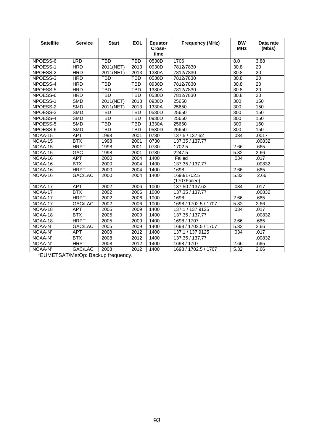| <b>Satellite</b> | <b>Service</b> | <b>Start</b> | <b>EOL</b> | Equator<br>Cross-<br>time | <b>Frequency (MHz)</b>      | <b>BW</b><br><b>MHz</b> | Data rate<br>(Mb/s) |
|------------------|----------------|--------------|------------|---------------------------|-----------------------------|-------------------------|---------------------|
| NPOESS-6         | <b>LRD</b>     | <b>TBD</b>   | <b>TBD</b> | 0530D                     | 1706                        | 8.0                     | 3.88                |
| NPOESS-1         | <b>HRD</b>     | 2011(NET)    | 2013       | 0930D                     | 7812/7830                   | 30.8                    | 20                  |
| NPOESS-2         | <b>HRD</b>     | 2011(NET)    | 2013       | 1330A                     | 7812/7830                   | 30.8                    | 20                  |
| NPOESS-3         | <b>HRD</b>     | <b>TBD</b>   | <b>TBD</b> | 0530D                     | 7812/7830                   | 30.8                    | 20                  |
| NPOESS-4         | <b>HRD</b>     | <b>TBD</b>   | <b>TBD</b> | 0930D                     | 7812/7830                   | 30.8                    | $\overline{20}$     |
| NPOESS-5         | <b>HRD</b>     | <b>TBD</b>   | <b>TBD</b> | 1330A                     | 7812/7830                   | 30.8                    | $\overline{20}$     |
| NPOESS-6         | <b>HRD</b>     | <b>TBD</b>   | <b>TBD</b> | 0530D                     | 7812/7830                   | 30.8                    | $\overline{20}$     |
| NPOESS-1         | <b>SMD</b>     | 2011(NET)    | 2013       | 0930D                     | 25650                       | 300                     | 150                 |
| NPOESS-2         | <b>SMD</b>     | 2011(NET)    | 2013       | 1330A                     | 25650                       | 300                     | 150                 |
| NPOESS-3         | <b>SMD</b>     | <b>TBD</b>   | <b>TBD</b> | 0530D                     | 25650                       | 300                     | 150                 |
| NPOESS-4         | <b>SMD</b>     | <b>TBD</b>   | <b>TBD</b> | 0930D                     | 25650                       | 300                     | 150                 |
| NPOESS-5         | <b>SMD</b>     | <b>TBD</b>   | <b>TBD</b> | 1330A                     | 25650                       | 300                     | 150                 |
| NPOESS-6         | <b>SMD</b>     | <b>TBD</b>   | <b>TBD</b> | 0530D                     | 25650                       | 300                     | 150                 |
| NOAA-15          | <b>APT</b>     | 1998         | 2001       | 0730                      | 137.5 / 137.62              | .034                    | .0017               |
| NOAA-15          | BTX            | 1998         | 2001       | 0730                      | 137.35 / 137.77             |                         | .00832              |
| NOAA-15          | <b>HRPT</b>    | 1998         | 2001       | 0730                      | 1702.5                      | 2.66                    | .665                |
| NOAA-15          | <b>GAC</b>     | 1998         | 2001       | 0730                      | 2247.5                      | 5.32                    | 2.66                |
| NOAA-16          | <b>APT</b>     | 2000         | 2004       | 1400                      | Failed                      | .034                    | .017                |
| NOAA-16          | <b>BTX</b>     | 2000         | 2004       | 1400                      | 137.35 / 137.77             |                         | .00832              |
| NOAA-16          | <b>HRPT</b>    | 2000         | 2004       | 1400                      | 1698                        | 2.66                    | .665                |
| NOAA-16          | GAC/LAC        | 2000         | 2004       | 1400                      | 1698/1702.5<br>(1707Failed) | 5.32                    | 2.66                |
| NOAA-17          | <b>APT</b>     | 2002         | 2006       | 1000                      | 137.50 / 137.62             | .034                    | .017                |
| NOAA-17          | <b>BTX</b>     | 2002         | 2006       | 1000                      | 137.35 / 137.77             |                         | .00832              |
| $NOAA-17$        | <b>HRPT</b>    | 2002         | 2006       | 1000                      | 1698                        | 2.66                    | .665                |
| NOAA-17          | GAC/LAC        | 2002         | 2006       | 1000                      | 1698 / 1702.5 / 1707        | 5.32                    | 2.66                |
| NOAA-18          | <b>APT</b>     | 2005         | 2009       | 1400                      | 137.1 / 137.9125            | .034                    | .017                |
| NOAA-18          | <b>BTX</b>     | 2005         | 2009       | 1400                      | 137.35 / 137.77             |                         | 00832               |
| NOAA-18          | <b>HRPT</b>    | 2005         | 2009       | 1400                      | 1698 / 1707                 | 2.66                    | .665                |
| NOAA-N           | GAC/LAC        | 2005         | 2009       | 1400                      | 1698 / 1702.5 / 1707        | 5.32                    | 2.66                |
| NOAA-N'          | <b>APT</b>     | 2008         | 2012       | 1400                      | 137.1 / 137.9125            | .034                    | .017                |
| NOAA-N'          | <b>BTX</b>     | 2008         | 2012       | 1400                      | 137.35 / 137.77             |                         | .00832              |
| NOAA-N'          | <b>HRPT</b>    | 2008         | 2012       | 1400                      | 1698 / 1707                 | 2.66                    | .665                |
| NOAA-N'          | GAC/LAC        | 2008         | 2012       | 1400                      | 1698 / 1702.5 / 1707        | 5.32                    | 2.66                |
|                  |                |              |            |                           |                             |                         |                     |

\*EUMETSAT/MetOp: Backup frequency.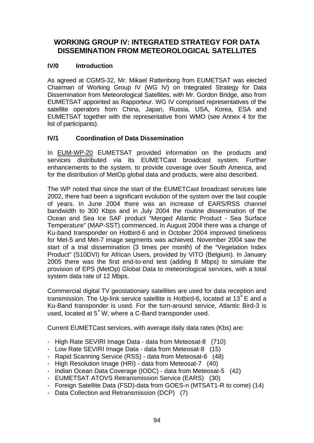# **WORKING GROUP IV: INTEGRATED STRATEGY FOR DATA DISSEMINATION FROM METEOROLOGICAL SATELLITES**

## **IV/0 Introduction**

As agreed at CGMS-32, Mr. Mikael Rattenborg from EUMETSAT was elected Chairman of Working Group IV (WG IV) on Integrated Strategy for Data Dissemination from Meteorological Satellites, with Mr. Gordon Bridge, also from EUMETSAT appointed as Rapporteur. WG IV comprised representatives of the satellite operators from China, Japan, Russia, USA, Korea, ESA and EUMETSAT together with the representative from WMO (see Annex 4 for the list of participants).

## **IV/1 Coordination of Data Dissemination**

In EUM-WP-20 EUMETSAT provided information on the products and services distributed via its EUMETCast broadcast system. Further enhancements to the system, to provide coverage over South America, and for the distribution of MetOp global data and products, were also described.

The WP noted that since the start of the EUMETCast broadcast services late 2002, there had been a significant evolution of the system over the last couple of years. In June 2004 there was an increase of EARS/RSS channel bandwidth to 300 Kbps and in July 2004 the routine dissemination of the Ocean and Sea Ice SAF product "Merged Atlantic Product - Sea Surface Temperature" (MAP-SST) commenced. In August 2004 there was a change of Ku-band transponder on Hotbird-6 and in October 2004 improved timeliness for Met-5 and Met-7 image segments was achieved. November 2004 saw the start of a trial dissemination (3 times per month) of the "Vegetation Index Product" (S10DVI) for African Users, provided by VITO (Belgium). In January 2005 there was the first end-to-end test (adding 8 Mbps) to simulate the provision of EPS (MetOp) Global Data to meteorological services, with a total system data rate of 12 Mbps.

Commercial digital TV geostationary satellites are used for data reception and transmission. The Up-link service satellite is Hotbird-6, located at 13˚E and a Ku-Band transponder is used. For the turn-around service, Atlantic Bird-3 is used, located at 5˚W, where a C-Band transponder used.

Current EUMETCast services, with average daily data rates (Kbs) are:

- High Rate SEVIRI Image Data data from Meteosat-8 (710)
- Low Rate SEVIRI Image Data data from Meteosat-8 (15)
- Rapid Scanning Service (RSS) data from Meteosat-6 (48)
- High Resolution Image (HRI) data from Meteosat-7 (40)
- Indian Ocean Data Coverage (IODC) data from Meteosat-5 (42)
- EUMETSAT ATOVS Retransmission Service (EARS) (30)
- Foreign Satellite Data (FSD)-data from GOES-n (MTSAT1-R to come) (14)
- Data Collection and Retransmission (DCP) (7)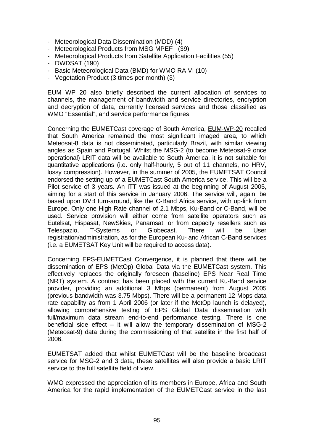- Meteorological Data Dissemination (MDD) (4)
- Meteorological Products from MSG MPEF (39)
- Meteorological Products from Satellite Application Facilities (55)
- DWDSAT (190)
- Basic Meteorological Data (BMD) for WMO RA VI (10)
- Vegetation Product (3 times per month) (3)

EUM WP 20 also briefly described the current allocation of services to channels, the management of bandwidth and service directories, encryption and decryption of data, currently licensed services and those classified as WMO "Essential", and service performance figures.

Concerning the EUMETCast coverage of South America, EUM-WP-20 recalled that South America remained the most significant imaged area, to which Meteosat-8 data is not disseminated, particularly Brazil, with similar viewing angles as Spain and Portugal. Whilst the MSG-2 (to become Meteosat-9 once operational) LRIT data will be available to South America, it is not suitable for quantitative applications (i.e. only half-hourly, 5 out of 11 channels, no HRV, lossy compression). However, in the summer of 2005, the EUMETSAT Council endorsed the setting up of a EUMETCast South America service. This will be a Pilot service of 3 years. An ITT was issued at the beginning of August 2005, aiming for a start of this service in January 2006. The service will, again, be based upon DVB turn-around, like the C-Band Africa service, with up-link from Europe. Only one High Rate channel of 2.1 Mbps, Ku-Band or C-Band, will be used. Service provision will either come from satellite operators such as Eutelsat, Hispasat, NewSkies, Panamsat, or from capacity resellers such as Telespazio, T-Systems or Globecast. There will be User registration/administration, as for the European Ku- and African C-Band services (i.e. a EUMETSAT Key Unit will be required to access data).

Concerning EPS-EUMETCast Convergence, it is planned that there will be dissemination of EPS (MetOp) Global Data via the EUMETCast system. This effectively replaces the originally foreseen (baseline) EPS Near Real Time (NRT) system. A contract has been placed with the current Ku-Band service provider, providing an additional 3 Mbps (permanent) from August 2005 (previous bandwidth was 3.75 Mbps). There will be a permanent 12 Mbps data rate capability as from 1 April 2006 (or later if the MetOp launch is delayed), allowing comprehensive testing of EPS Global Data dissemination with full/maximum data stream end-to-end performance testing. There is one beneficial side effect – it will allow the temporary dissemination of MSG-2 (Meteosat-9) data during the commissioning of that satellite in the first half of 2006.

EUMETSAT added that whilst EUMETCast will be the baseline broadcast service for MSG-2 and 3 data, these satellites will also provide a basic LRIT service to the full satellite field of view.

WMO expressed the appreciation of its members in Europe, Africa and South America for the rapid implementation of the EUMETCast service in the last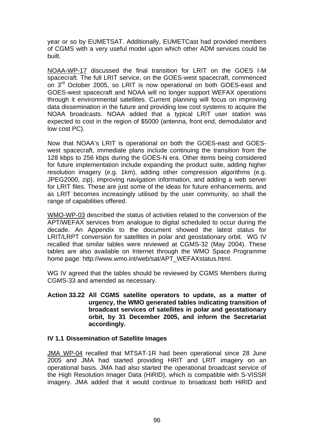year or so by EUMETSAT. Additionally, EUMETCast had provided members of CGMS with a very useful model upon which other ADM services could be built.

NOAA-WP-17 discussed the final transition for LRIT on the GOES I-M spacecraft. The full LRIT service, on the GOES-west spacecraft, commenced on 3rd October 2005, so LRIT is now operational on both GOES-east and GOES-west spacecraft and NOAA will no longer support WEFAX operations through it environmental satellites. Current planning will focus on improving data dissemination in the future and providing low cost systems to acquire the NOAA broadcasts. NOAA added that a typical LRIT user station was expected to cost in the region of \$5000 (antenna, front end, demodulator and low cost PC).

Now that NOAA's LRIT is operational on both the GOES-east and GOESwest spacecraft, immediate plans include continuing the transition from the 128 kbps to 256 kbps during the GOES-N era. Other items being considered for future implementation include expanding the product suite, adding higher resolution imagery (e.g. 1km), adding other compression algorithms (e.g. JPEG2000, zip), improving navigation information, and adding a web server for LRIT files. These are just some of the ideas for future enhancements, and as LRIT becomes increasingly utilised by the user community, so shall the range of capabilities offered.

WMO-WP-03 described the status of activities related to the conversion of the APT/WEFAX services from analogue to digital scheduled to occur during the decade. An Appendix to the document showed the latest status for LRIT/LRPT conversion for satellites in polar and geostationary orbit. WG IV recalled that similar tables were reviewed at CGMS-32 (May 2004). These tables are also available on Internet through the WMO Space Programme home page: http://www.wmo.int/web/sat/APT\_WEFAXstatus.html.

WG IV agreed that the tables should be reviewed by CGMS Members during CGMS-33 and amended as necessary.

**Action 33.22 All CGMS satellite operators to update, as a matter of urgency, the WMO generated tables indicating transition of broadcast services of satellites in polar and geostationary orbit, by 31 December 2005, and inform the Secretariat accordingly.**

#### **IV 1.1 Dissemination of Satellite Images**

JMA WP-04 recalled that MTSAT-1R had been operational since 28 June 2005 and JMA had started providing HRIT and LRIT imagery on an operational basis. JMA had also started the operational broadcast service of the High Resolution Imager Data (HiRID), which is compatible with S-VISSR imagery. JMA added that it would continue to broadcast both HiRID and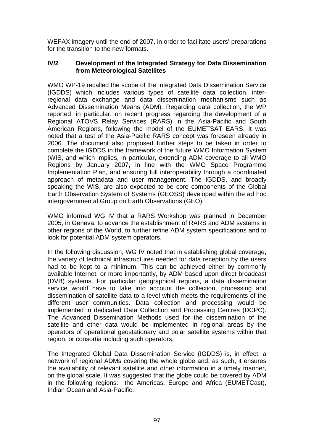WEFAX imagery until the end of 2007, in order to facilitate users' preparations for the transition to the new formats.

## **IV/2 Development of the Integrated Strategy for Data Dissemination from Meteorological Satellites**

WMO WP-19 recalled the scope of the Integrated Data Dissemination Service (IGDDS) which includes various types of satellite data collection, interregional data exchange and data dissemination mechanisms such as Advanced Dissemination Means (ADM). Regarding data collection, the WP reported, in particular, on recent progress regarding the development of a Regional ATOVS Relay Services (RARS) in the Asia-Pacific and South American Regions, following the model of the EUMETSAT EARS. It was noted that a test of the Asia-Pacific RARS concept was foreseen already in 2006. The document also proposed further steps to be taken in order to complete the IGDDS in the framework of the future WMO Information System (WIS, and which implies, in particular, extending ADM coverage to all WMO Regions by January 2007, in line with the WMO Space Programme Implementation Plan, and ensuring full interoperability through a coordinated approach of metadata and user management. The IGDDS, and broadly speaking the WIS, are also expected to be core components of the Global Earth Observation System of Systems (GEOSS) developed within the ad hoc intergovernmental Group on Earth Observations (GEO).

WMO informed WG IV that a RARS Workshop was planned in December 2005, in Geneva, to advance the establishment of RARS and ADM systems in other regions of the World, to further refine ADM system specifications and to look for potential ADM system operators.

In the following discussion, WG IV noted that in establishing global coverage, the variety of technical infrastructures needed for data reception by the users had to be kept to a minimum. This can be achieved either by commonly available Internet, or more importantly, by ADM based upon direct broadcast (DVB) systems. For particular geographical regions, a data dissemination service would have to take into account the collection, processing and dissemination of satellite data to a level which meets the requirements of the different user communities. Data collection and processing would be implemented in dedicated Data Collection and Processing Centres (DCPC). The Advanced Dissemination Methods used for the dissemination of the satellite and other data would be implemented in regional areas by the operators of operational geostationary and polar satellite systems within that region, or consortia including such operators.

The Integrated Global Data Dissemination Service (IGDDS) is, in effect, a network of regional ADMs covering the whole globe and, as such, it ensures the availability of relevant satellite and other information in a timely manner, on the global scale. It was suggested that the globe could be covered by ADM in the following regions: the Americas, Europe and Africa (EUMETCast), Indian Ocean and Asia-Pacific.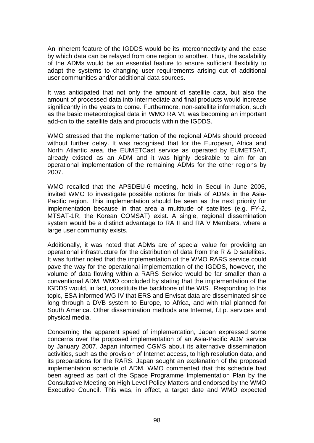An inherent feature of the IGDDS would be its interconnectivity and the ease by which data can be relayed from one region to another. Thus, the scalability of the ADMs would be an essential feature to ensure sufficient flexibility to adapt the systems to changing user requirements arising out of additional user communities and/or additional data sources.

It was anticipated that not only the amount of satellite data, but also the amount of processed data into intermediate and final products would increase significantly in the years to come. Furthermore, non-satellite information, such as the basic meteorological data in WMO RA VI, was becoming an important add-on to the satellite data and products within the IGDDS.

WMO stressed that the implementation of the regional ADMs should proceed without further delay. It was recognised that for the European, Africa and North Atlantic area, the EUMETCast service as operated by EUMETSAT, already existed as an ADM and it was highly desirable to aim for an operational implementation of the remaining ADMs for the other regions by 2007.

WMO recalled that the APSDEU-6 meeting, held in Seoul in June 2005, invited WMO to investigate possible options for trials of ADMs in the Asia-Pacific region. This implementation should be seen as the next priority for implementation because in that area a multitude of satellites (e.g. FY-2, MTSAT-1R, the Korean COMSAT) exist. A single, regional dissemination system would be a distinct advantage to RA II and RA V Members, where a large user community exists.

Additionally, it was noted that ADMs are of special value for providing an operational infrastructure for the distribution of data from the R & D satellites. It was further noted that the implementation of the WMO RARS service could pave the way for the operational implementation of the IGDDS, however, the volume of data flowing within a RARS Service would be far smaller than a conventional ADM. WMO concluded by stating that the implementation of the IGDDS would, in fact, constitute the backbone of the WIS. Responding to this topic, ESA informed WG IV that ERS and Envisat data are disseminated since long through a DVB system to Europe, to Africa, and with trial planned for South America. Other dissemination methods are Internet, f.t.p. services and physical media.

Concerning the apparent speed of implementation, Japan expressed some concerns over the proposed implementation of an Asia-Pacific ADM service by January 2007. Japan informed CGMS about its alternative dissemination activities, such as the provision of Internet access, to high resolution data, and its preparations for the RARS. Japan sought an explanation of the proposed implementation schedule of ADM. WMO commented that this schedule had been agreed as part of the Space Programme Implementation Plan by the Consultative Meeting on High Level Policy Matters and endorsed by the WMO Executive Council. This was, in effect, a target date and WMO expected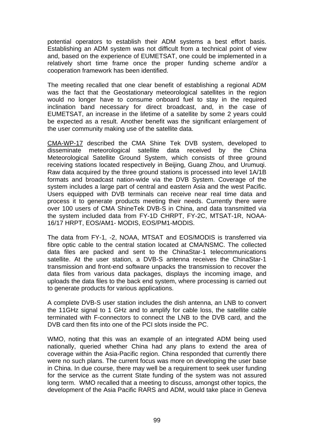potential operators to establish their ADM systems a best effort basis. Establishing an ADM system was not difficult from a technical point of view and, based on the experience of EUMETSAT, one could be implemented in a relatively short time frame once the proper funding scheme and/or a cooperation framework has been identified.

The meeting recalled that one clear benefit of establishing a regional ADM was the fact that the Geostationary meteorological satellites in the region would no longer have to consume onboard fuel to stay in the required inclination band necessary for direct broadcast, and, in the case of EUMETSAT, an increase in the lifetime of a satellite by some 2 years could be expected as a result. Another benefit was the significant enlargement of the user community making use of the satellite data.

CMA-WP-17 described the CMA Shine Tek DVB system, developed to disseminate meteorological satellite data received by the China Meteorological Satellite Ground System, which consists of three ground receiving stations located respectively in Beijing, Guang Zhou, and Urumuqi. Raw data acquired by the three ground stations is processed into level 1A/1B formats and broadcast nation-wide via the DVB System. Coverage of the system includes a large part of central and eastern Asia and the west Pacific. Users equipped with DVB terminals can receive near real time data and process it to generate products meeting their needs. Currently there were over 100 users of CMA ShineTek DVB-S in China, and data transmitted via the system included data from FY-1D CHRPT, FY-2C, MTSAT-1R, NOAA-16/17 HRPT, EOS/AM1- MODIS, EOS/PM1-MODIS.

The data from FY-1, -2, NOAA, MTSAT and EOS/MODIS is transferred via fibre optic cable to the central station located at CMA/NSMC. The collected data files are packed and sent to the ChinaStar-1 telecommunications satellite. At the user station, a DVB-S antenna receives the ChinaStar-1 transmission and front-end software unpacks the transmission to recover the data files from various data packages, displays the incoming image, and uploads the data files to the back end system, where processing is carried out to generate products for various applications.

A complete DVB-S user station includes the dish antenna, an LNB to convert the 11GHz signal to 1 GHz and to amplify for cable loss, the satellite cable terminated with F-connectors to connect the LNB to the DVB card, and the DVB card then fits into one of the PCI slots inside the PC.

WMO, noting that this was an example of an integrated ADM being used nationally, queried whether China had any plans to extend the area of coverage within the Asia-Pacific region. China responded that currently there were no such plans. The current focus was more on developing the user base in China. In due course, there may well be a requirement to seek user funding for the service as the current State funding of the system was not assured long term. WMO recalled that a meeting to discuss, amongst other topics, the development of the Asia Pacific RARS and ADM, would take place in Geneva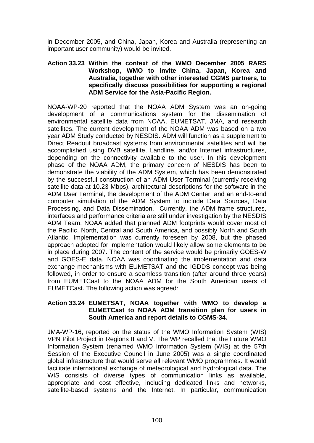in December 2005, and China, Japan, Korea and Australia (representing an important user community) would be invited.

#### **Action 33.23 Within the context of the WMO December 2005 RARS Workshop, WMO to invite China, Japan, Korea and Australia, together with other interested CGMS partners, to specifically discuss possibilities for supporting a regional ADM Service for the Asia-Pacific Region.**

NOAA-WP-20 reported that the NOAA ADM System was an on-going development of a communications system for the dissemination of environmental satellite data from NOAA, EUMETSAT, JMA, and research satellites. The current development of the NOAA ADM was based on a two year ADM Study conducted by NESDIS. ADM will function as a supplement to Direct Readout broadcast systems from environmental satellites and will be accomplished using DVB satellite, Landline, and/or Internet infrastructures, depending on the connectivity available to the user. In this development phase of the NOAA ADM, the primary concern of NESDIS has been to demonstrate the viability of the ADM System, which has been demonstrated by the successful construction of an ADM User Terminal (currently receiving satellite data at 10.23 Mbps), architectural descriptions for the software in the ADM User Terminal, the development of the ADM Center, and an end-to-end computer simulation of the ADM System to include Data Sources, Data Processing, and Data Dissemination. Currently, the ADM frame structures, interfaces and performance criteria are still under investigation by the NESDIS ADM Team. NOAA added that planned ADM footprints would cover most of the Pacific, North, Central and South America, and possibly North and South Atlantic. Implementation was currently foreseen by 2008, but the phased approach adopted for implementation would likely allow some elements to be in place during 2007. The content of the service would be primarily GOES-W and GOES-E data. NOAA was coordinating the implementation and data exchange mechanisms with EUMETSAT and the IGDDS concept was being followed, in order to ensure a seamless transition (after around three years) from EUMETCast to the NOAA ADM for the South American users of EUMETCast. The following action was agreed:

#### **Action 33.24 EUMETSAT, NOAA together with WMO to develop a EUMETCast to NOAA ADM transition plan for users in South America and report details to CGMS-34.**

JMA-WP-16, reported on the status of the WMO Information System (WIS) VPN Pilot Project in Regions II and V. The WP recalled that the Future WMO Information System (renamed WMO Information System (WIS) at the 57th Session of the Executive Council in June 2005) was a single coordinated global infrastructure that would serve all relevant WMO programmes. It would facilitate international exchange of meteorological and hydrological data. The WIS consists of diverse types of communication links as available, appropriate and cost effective, including dedicated links and networks, satellite-based systems and the Internet. In particular, communication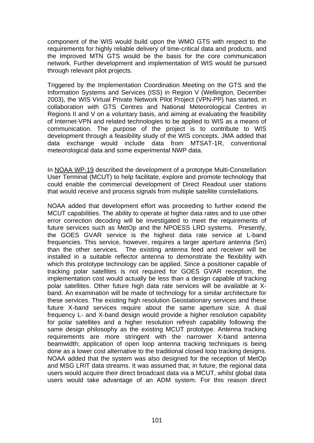component of the WIS would build upon the WMO GTS with respect to the requirements for highly reliable delivery of time-critical data and products, and the Improved MTN GTS would be the basis for the core communication network. Further development and implementation of WIS would be pursued through relevant pilot projects.

Triggered by the Implementation Coordination Meeting on the GTS and the Information Systems and Services (ISS) in Region V (Wellington, December 2003), the WIS Virtual Private Network Pilot Project (VPN-PP) has started, in collaboration with GTS Centres and National Meteorological Centres in Regions II and V on a voluntary basis, and aiming at evaluating the feasibility of Internet-VPN and related technologies to be applied to WIS as a means of communication. The purpose of the project is to contribute to WIS development through a feasibility study of the WIS concepts. JMA added that data exchange would include data from MTSAT-1R, conventional meteorological data and some experimental NWP data.

In NOAA WP-19 described the development of a prototype Multi-Constellation User Terminal (MCUT) to help facilitate, explore and promote technology that could enable the commercial development of Direct Readout user stations that would receive and process signals from multiple satellite constellations.

NOAA added that development effort was proceeding to further extend the MCUT capabilities. The ability to operate at higher data rates and to use other error correction decoding will be investigated to meet the requirements of future services such as MetOp and the NPOESS LRD systems. Presently, the GOES GVAR service is the highest data rate service at L-band frequencies. This service, however, requires a larger aperture antenna (5m) than the other services. The existing antenna feed and receiver will be installed in a suitable reflector antenna to demonstrate the flexibility with which this prototype technology can be applied. Since a positioner capable of tracking polar satellites is not required for GOES GVAR reception, the implementation cost would actually be less than a design capable of tracking polar satellites. Other future high data rate services will be available at Xband. An examination will be made of technology for a similar architecture for these services. The existing high resolution Geostationary services and these future X-band services require about the same aperture size. A dual frequency L- and X-band design would provide a higher resolution capability for polar satellites and a higher resolution refresh capability following the same design philosophy as the existing MCUT prototype. Antenna tracking requirements are more stringent with the narrower X-band antenna beamwidth; application of open loop antenna tracking techniques is being done as a lower cost alternative to the traditional closed loop tracking designs. NOAA added that the system was also designed for the reception of MetOp and MSG LRIT data streams. It was assumed that, in future, the regional data users would acquire their direct broadcast data via a MCUT, whilst global data users would take advantage of an ADM system. For this reason direct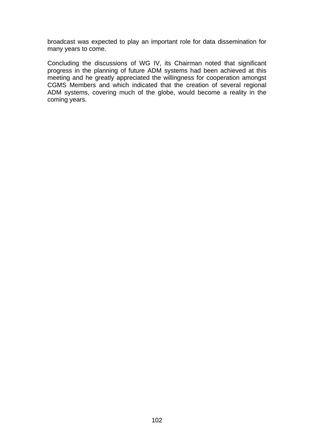broadcast was expected to play an important role for data dissemination for many years to come.

Concluding the discussions of WG IV, its Chairman noted that significant progress in the planning of future ADM systems had been achieved at this meeting and he greatly appreciated the willingness for cooperation amongst CGMS Members and which indicated that the creation of several regional ADM systems, covering much of the globe, would become a reality in the coming years.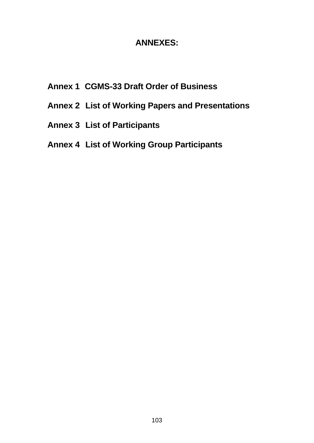# **ANNEXES:**

- **Annex 1 CGMS-33 Draft Order of Business**
- **Annex 2 List of Working Papers and Presentations**
- **Annex 3 List of Participants**
- **Annex 4 List of Working Group Participants**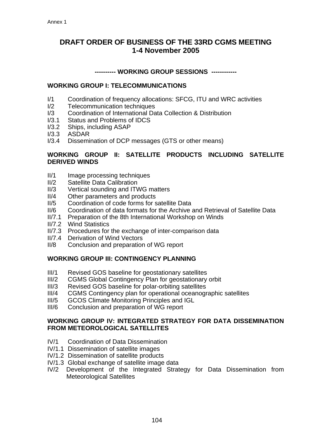# **DRAFT ORDER OF BUSINESS OF THE 33RD CGMS MEETING 1-4 November 2005**

#### **---------- WORKING GROUP SESSIONS ------------**

### **WORKING GROUP I: TELECOMMUNICATIONS**

- I/1 Coordination of frequency allocations: SFCG, ITU and WRC activities
- I/2 Telecommunication techniques
- I/3 Coordination of International Data Collection & Distribution
- I/3.1 Status and Problems of IDCS
- I/3.2 Ships, including ASAP
- I/3.3 ASDAR
- I/3.4 Dissemination of DCP messages (GTS or other means)

#### **WORKING GROUP II: SATELLITE PRODUCTS INCLUDING SATELLITE DERIVED WINDS**

- II/1 Image processing techniques
- II/2 Satellite Data Calibration
- II/3 Vertical sounding and ITWG matters
- II/4 Other parameters and products
- II/5 Coordination of code forms for satellite Data
- II/6 Coordination of data formats for the Archive and Retrieval of Satellite Data
- II/7.1 Preparation of the 8th International Workshop on Winds
- II/7.2 Wind Statistics
- II/7.3 Procedures for the exchange of inter-comparison data
- II/7.4 Derivation of Wind Vectors
- II/8 Conclusion and preparation of WG report

## **WORKING GROUP III: CONTINGENCY PLANNING**

- III/1 Revised GOS baseline for geostationary satellites
- III/2 CGMS Global Contingency Plan for geostationary orbit
- III/3 Revised GOS baseline for polar-orbiting satellites
- III/4 CGMS Contingency plan for operational oceanographic satellites
- III/5 GCOS Climate Monitoring Principles and IGL
- III/6 Conclusion and preparation of WG report

#### **WORKING GROUP IV: INTEGRATED STRATEGY FOR DATA DISSEMINATION FROM METEOROLOGICAL SATELLITES**

- IV/1 Coordination of Data Dissemination
- IV/1.1 Dissemination of satellite images
- IV/1.2 Dissemination of satellite products
- IV/1.3 Global exchange of satellite image data
- IV/2 Development of the Integrated Strategy for Data Dissemination from Meteorological Satellites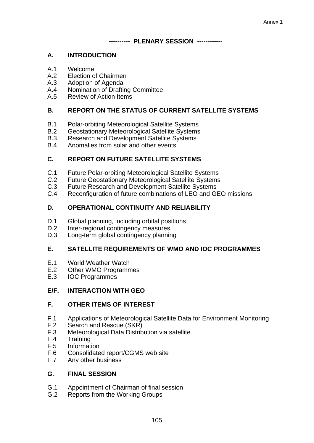#### **---------- PLENARY SESSION ------------**

### **A. INTRODUCTION**

- A.1 Welcome
- A.2 Election of Chairmen
- A.3 Adoption of Agenda
- A.4 Nomination of Drafting Committee
- A.5 Review of Action Items

## **B. REPORT ON THE STATUS OF CURRENT SATELLITE SYSTEMS**

- B.1 Polar-orbiting Meteorological Satellite Systems
- B.2 Geostationary Meteorological Satellite Systems
- B.3 Research and Development Satellite Systems
- B.4 Anomalies from solar and other events

## **C. REPORT ON FUTURE SATELLITE SYSTEMS**

- C.1 Future Polar-orbiting Meteorological Satellite Systems
- C.2 Future Geostationary Meteorological Satellite Systems
- C.3 Future Research and Development Satellite Systems
- C.4 Reconfiguration of future combinations of LEO and GEO missions

## **D. OPERATIONAL CONTINUITY AND RELIABILITY**

- D.1 Global planning, including orbital positions
- D.2 Inter-regional contingency measures
- D.3 Long-term global contingency planning

#### **E. SATELLITE REQUIREMENTS OF WMO AND IOC PROGRAMMES**

- E.1 World Weather Watch
- E.2 Other WMO Programmes
- E.3 IOC Programmes

## **E/F. INTERACTION WITH GEO**

#### **F. OTHER ITEMS OF INTEREST**

- F.1 Applications of Meteorological Satellite Data for Environment Monitoring
- F.2 Search and Rescue (S&R)<br>F.3 Meteorological Data Distrib
- Meteorological Data Distribution via satellite
- F.4 Training
- F.5 Information
- F.6 Consolidated report/CGMS web site<br>F.7 Any other business
- Any other business

## **G. FINAL SESSION**

- G.1 Appointment of Chairman of final session
- G.2 Reports from the Working Groups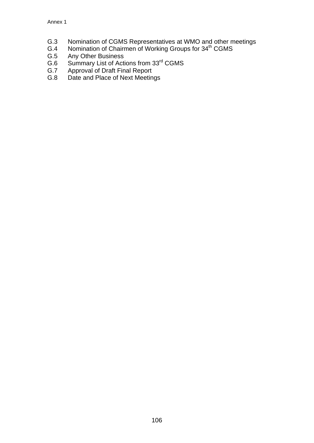- G.3 Nomination of CGMS Representatives at WMO and other meetings
- G.4 Nomination of Chairmen of Working Groups for 34<sup>th</sup> CGMS
- G.5 Any Other Business
- G.6 Summary List of Actions from 33<sup>rd</sup> CGMS
- G.7 Approval of Draft Final Report
- G.8 Date and Place of Next Meetings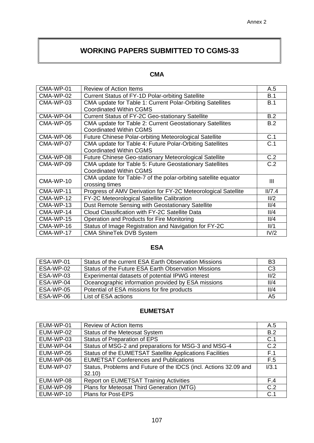# **WORKING PAPERS SUBMITTED TO CGMS-33**

## **CMA**

| CMA-WP-01 | <b>Review of Action Items</b>                                  | A.5    |  |
|-----------|----------------------------------------------------------------|--------|--|
| CMA-WP-02 | <b>Current Status of FY-1D Polar-orbiting Satellite</b>        | B.1    |  |
| CMA-WP-03 | CMA update for Table 1: Current Polar-Orbiting Satellites      | B.1    |  |
|           | <b>Coordinated Within CGMS</b>                                 |        |  |
| CMA-WP-04 | <b>Current Status of FY-2C Geo-stationary Satellite</b>        | B.2    |  |
| CMA-WP-05 | CMA update for Table 2: Current Geostationary Satellites       | B.2    |  |
|           | <b>Coordinated Within CGMS</b>                                 |        |  |
| CMA-WP-06 | <b>Future Chinese Polar-orbiting Meteorological Satellite</b>  | C.1    |  |
| CMA-WP-07 | CMA update for Table 4: Future Polar-Orbiting Satellites       | C.1    |  |
|           | <b>Coordinated Within CGMS</b>                                 |        |  |
| CMA-WP-08 | <b>Future Chinese Geo-stationary Meteorological Satellite</b>  | C.2    |  |
| CMA-WP-09 | CMA update for Table 5: Future Geostationary Satellites        | C.2    |  |
|           | <b>Coordinated Within CGMS</b>                                 |        |  |
| CMA-WP-10 | CMA update for Table-7 of the polar-orbiting satellite equator | Ш      |  |
|           | crossing times                                                 |        |  |
| CMA-WP-11 | Progress of AMV Derivation for FY-2C Meteorological Satellite  | II/7.4 |  |
| CMA-WP-12 | FY-2C Meteorological Satellite Calibration                     | II/2   |  |
| CMA-WP-13 | Dust Remote Sensing with Geostationary Satellite               | 11/4   |  |
| CMA-WP-14 | Cloud Classification with FY-2C Satellite Data                 | II/4   |  |
| CMA-WP-15 | Operation and Products for Fire Monitoring                     | II/4   |  |
| CMA-WP-16 | Status of Image Registration and Navigation for FY-2C          | II/1   |  |
| CMA-WP-17 | <b>CMA ShineTek DVB System</b>                                 | IV/2   |  |

## **ESA**

| ESA-WP-01 | Status of the current ESA Earth Observation Missions | B <sub>3</sub> |
|-----------|------------------------------------------------------|----------------|
| ESA-WP-02 | Status of the Future ESA Earth Observation Missions  | C <sub>3</sub> |
| ESA-WP-03 | Experimental datasets of potential IPWG interest     | II/2           |
| ESA-WP-04 | Oceanographic information provided by ESA missions   | 11/4           |
| ESA-WP-05 | Potential of ESA missions for fire products          | II/4           |
| ESA-WP-06 | List of ESA actions                                  | A5             |

## **EUMETSAT**

| EUM-WP-01 | <b>Review of Action Items</b>                                    | A.5   |
|-----------|------------------------------------------------------------------|-------|
| EUM-WP-02 | Status of the Meteosat System                                    | B.2   |
| EUM-WP-03 | Status of Preparation of EPS                                     | C.1   |
| EUM-WP-04 | Status of MSG-2 and preparations for MSG-3 and MSG-4             | C.2   |
| EUM-WP-05 | Status of the EUMETSAT Satellite Applications Facilities         | F.1   |
| EUM-WP-06 | <b>EUMETSAT Conferences and Publications</b>                     | F.5   |
| EUM-WP-07 | Status, Problems and Future of the IDCS (incl. Actions 32.09 and | 1/3.1 |
|           | 32.10                                                            |       |
| EUM-WP-08 | Report on EUMETSAT Training Activities                           | F.4   |
| EUM-WP-09 | Plans for Meteosat Third Generation (MTG)                        | C.2   |
| EUM-WP-10 | <b>Plans for Post-EPS</b>                                        | C.1   |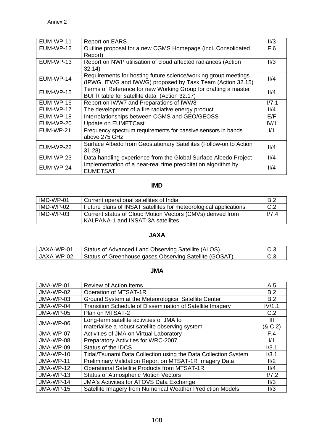| EUM-WP-11 | <b>Report on EARS</b>                                                            | II/3   |
|-----------|----------------------------------------------------------------------------------|--------|
| EUM-WP-12 | Outline proposal for a new CGMS Homepage (incl. Consolidated                     | F.6    |
|           | Report)                                                                          |        |
| EUM-WP-13 | Report on NWP utilisation of cloud affected radiances (Action                    | II/3   |
|           | 32.14)                                                                           |        |
| EUM-WP-14 | Requirements for hosting future science/working group meetings                   | 11/4   |
|           | (IPWG, ITWG and IWWG) proposed by Task Team (Action 32.15)                       |        |
| EUM-WP-15 | Terms of Reference for new Working Group for drafting a master                   | II/4   |
|           | BUFR table for satellite data (Action 32.17)                                     |        |
| EUM-WP-16 | Report on IWW7 and Preparations of IWW8                                          | II/7.1 |
| EUM-WP-17 | The development of a fire radiative energy product                               | 11/4   |
| EUM-WP-18 | Interrelationships between CGMS and GEO/GEOSS                                    | E/F    |
| EUM-WP-20 | <b>Update on EUMETCast</b>                                                       | IV/1   |
| EUM-WP-21 | Frequency spectrum requirements for passive sensors in bands                     | 1/1    |
|           | above 275 GHz                                                                    |        |
| EUM-WP-22 | Surface Albedo from Geostationary Satellites (Follow-on to Action                | II/4   |
|           | 31.28                                                                            |        |
| EUM-WP-23 | Data handling experience from the Global Surface Albedo Project                  | 11/4   |
| EUM-WP-24 | Implementation of a near-real time precipitation algorithm by<br><b>EUMETSAT</b> | 11/4   |

# **IMD**

| IMD-WP-01 | Current operational satellites of India                                                         | B.2    |
|-----------|-------------------------------------------------------------------------------------------------|--------|
| IMD-WP-02 | Future plans of INSAT satellites for meteorological applications                                | C.2    |
| IMD-WP-03 | Current status of Cloud Motion Vectors (CMVs) derived from<br>KALPANA-1 and INSAT-3A satellites | II/7.4 |

# **JAXA**

| JAXA-WP-01   Status of Advanced Land Observing Satellite (ALOS)     | -C.3 |
|---------------------------------------------------------------------|------|
| JAXA-WP-02   Status of Greenhouse gases Observing Satellite (GOSAT) |      |

## **JMA**

| JMA-WP-01 | Review of Action Items                                         | A.5     |
|-----------|----------------------------------------------------------------|---------|
| JMA-WP-02 | Operation of MTSAT-1R                                          | B.2     |
| JMA-WP-03 | Ground System at the Meteorological Satellite Center           | B.2     |
| JMA-WP-04 | Transition Schedule of Dissemination of Satellite Imagery      | IV/1.1  |
| JMA-WP-05 | Plan on MTSAT-2                                                | C.2     |
| JMA-WP-06 | Long-term satellite activities of JMA to                       | Ш       |
|           | materialise a robust satellite observing system                | (8 C.2) |
| JMA-WP-07 | Activities of JMA on Virtual Laboratory                        | F.4     |
| JMA-WP-08 | Preparatory Activities for WRC-2007                            | 1/1     |
| JMA-WP-09 | Status of the <b>IDCS</b>                                      | 1/3.1   |
| JMA-WP-10 | Tidal/Tsunami Data Collection using the Data Collection System | I/3.1   |
| JMA-WP-11 | Preliminary Validation Report on MTSAT-1R Imagery Data         | II/2    |
| JMA-WP-12 | Operational Satellite Products from MTSAT-1R                   | II/4    |
| JMA-WP-13 | <b>Status of Atmospheric Motion Vectors</b>                    | II/7.2  |
| JMA-WP-14 | <b>JMA's Activities for ATOVS Data Exchange</b>                | II/3    |
| JMA-WP-15 | Satellite Imagery from Numerical Weather Prediction Models     | II/3    |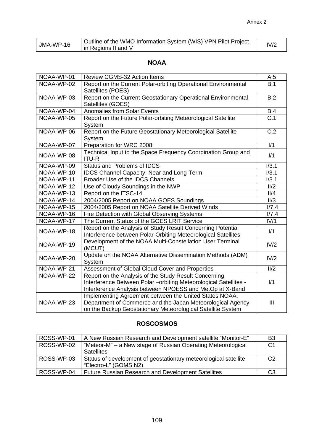| JMA-WP-16 | Outline of the WMO Information System (WIS) VPN Pilot Project<br>in Regions II and V | IV/2 |
|-----------|--------------------------------------------------------------------------------------|------|
|           |                                                                                      |      |

# **NOAA**

| NOAA-WP-01 | Review CGMS-32 Action Items                                                                                                                                                            | A.5              |
|------------|----------------------------------------------------------------------------------------------------------------------------------------------------------------------------------------|------------------|
| NOAA-WP-02 | Report on the Current Polar-orbiting Operational Environmental<br>Satellites (POES)                                                                                                    | B.1              |
| NOAA-WP-03 | Report on the Current Geostationary Operational Environmental<br>Satellites (GOES)                                                                                                     |                  |
| NOAA-WP-04 | <b>Anomalies from Solar Events</b>                                                                                                                                                     | <b>B.4</b>       |
| NOAA-WP-05 | Report on the Future Polar-orbiting Meteorological Satellite<br>System                                                                                                                 | $\overline{C.1}$ |
| NOAA-WP-06 | Report on the Future Geostationary Meteorological Satellite<br>System                                                                                                                  | $\overline{C.2}$ |
| NOAA-WP-07 | Preparation for WRC 2008                                                                                                                                                               | $\overline{V1}$  |
| NOAA-WP-08 | Technical Input to the Space Frequency Coordination Group and<br><b>ITU-R</b>                                                                                                          | 1/1              |
| NOAA-WP-09 | <b>Status and Problems of IDCS</b>                                                                                                                                                     | 1/3.1            |
| NOAA-WP-10 | <b>IDCS Channel Capacity: Near and Long-Term</b>                                                                                                                                       | I/3.1            |
| NOAA-WP-11 | Broader Use of the IDCS Channels                                                                                                                                                       | 1/3.1            |
| NOAA-WP-12 | Use of Cloudy Soundings in the NWP                                                                                                                                                     | II/2             |
| NOAA-WP-13 | Report on the ITSC-14                                                                                                                                                                  | II/4             |
| NOAA-WP-14 | 2004/2005 Report on NOAA GOES Soundings                                                                                                                                                | II/3             |
| NOAA-WP-15 | 2004/2005 Report on NOAA Satellite Derived Winds                                                                                                                                       | II/7.4           |
| NOAA-WP-16 | Fire Detection with Global Observing Systems                                                                                                                                           | II/7.4           |
| NOAA-WP-17 | The Current Status of the GOES LRIT Service                                                                                                                                            | IV/1             |
| NOAA-WP-18 | Report on the Analysis of Study Result Concerning Potential<br>Interference between Polar-Orbiting Meteorological Satellites                                                           | 1/1              |
| NOAA-WP-19 | Development of the NOAA Multi-Constellation User Terminal<br>(MCUT)                                                                                                                    | IV/2             |
| NOAA-WP-20 | Update on the NOAA Alternative Dissemination Methods (ADM)<br>System                                                                                                                   | IV/2             |
| NOAA-WP-21 | Assessment of Global Cloud Cover and Properties                                                                                                                                        | II/2             |
| NOAA-WP-22 | Report on the Analysis of the Study Result Concerning<br>Interference Between Polar - orbiting Meteorological Satellites -<br>Interference Analysis between NPOESS and MetOp at X-Band | 1/1              |
| NOAA-WP-23 | Implementing Agreement between the United States NOAA,<br>Department of Commerce and the Japan Meteorological Agency<br>on the Backup Geostationary Meteorological Satellite System    | III              |

# **ROSCOSMOS**

| ROSS-WP-01 | A New Russian Research and Development satellite "Monitor-E"    | B3             |
|------------|-----------------------------------------------------------------|----------------|
| ROSS-WP-02 | "Meteor-M" – a New stage of Russian Operating Meteorological    | C <sub>1</sub> |
|            | <b>Satellites</b>                                               |                |
| ROSS-WP-03 | Status of development of geostationary meteorological satellite | C <sub>2</sub> |
|            | "Electro-L" (GOMS N2)                                           |                |
| ROSS-WP-04 | <b>Future Russian Research and Development Satellites</b>       | C <sub>3</sub> |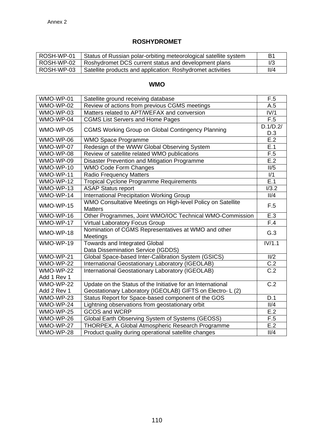# **ROSHYDROMET**

| l ROSH-WP-01 | Status of Russian polar-orbiting meteorological satellite system | B1   |
|--------------|------------------------------------------------------------------|------|
| l ROSH-WP-02 | Roshydromet DCS current status and development plans             |      |
| ROSH-WP-03   | Satellite products and application: Roshydromet activities       | 11/4 |

## **WMO**

| WMO-WP-01   | Satellite ground receiving database                                           | F.5              |
|-------------|-------------------------------------------------------------------------------|------------------|
| WMO-WP-02   | Review of actions from previous CGMS meetings                                 | A.5              |
| WMO-WP-03   | Matters related to APT/WEFAX and conversion                                   | IV/1             |
| WMO-WP-04   | <b>CGMS List Servers and Home Pages</b>                                       | F.5              |
| WMO-WP-05   | <b>CGMS Working Group on Global Contingency Planning</b>                      | D.1/D.2/<br>D.3  |
| WMO-WP-06   | <b>WMO Space Programme</b>                                                    | E.2              |
| WMO-WP-07   | Redesign of the WWW Global Observing System                                   | E.1              |
| WMO-WP-08   | Review of satellite related WMO publications                                  | F.5              |
| WMO-WP-09   | Disaster Prevention and Mitigation Programme                                  | E.2              |
| WMO-WP-10   | <b>WMO Code Form Changes</b>                                                  | II/5             |
| WMO-WP-11   | <b>Radio Frequency Matters</b>                                                | 1/1              |
| WMO-WP-12   | <b>Tropical Cyclone Programme Requirements</b>                                | $\overline{E.1}$ |
| WMO-WP-13   | <b>ASAP Status report</b>                                                     | I/3.2            |
| WMO-WP-14   | <b>International Precipitation Working Group</b>                              | II/4             |
| WMO-WP-15   | WMO Consultative Meetings on High-level Policy on Satellite<br><b>Matters</b> | F.5              |
| WMO-WP-16   | Other Programmes, Joint WMO/IOC Technical WMO-Commission                      | E.3              |
| $WMO-WP-17$ | <b>Virtual Laboratory Focus Group</b>                                         | F.4              |
| WMO-WP-18   | Nomination of CGMS Representatives at WMO and other<br>Meetings               | G.3              |
| WMO-WP-19   | <b>Towards and Integrated Global</b><br>Data Dissemination Service (IGDDS)    | IV/1.1           |
| WMO-WP-21   | Global Space-based Inter-Calibration System (GSICS)                           | II/2             |
| WMO-WP-22   | International Geostationary Laboratory (IGEOLAB)                              | C.2              |
| WMO-WP-22   | International Geostationary Laboratory (IGEOLAB)                              | C.2              |
| Add 1 Rev 1 |                                                                               |                  |
| WMO-WP-22   | Update on the Status of the Initiative for an International                   | $\overline{C.2}$ |
| Add 2 Rev 1 | Geostationary Laboratory (IGEOLAB) GIFTS on Electro- L (2)                    |                  |
| WMO-WP-23   | Status Report for Space-based component of the GOS                            | D.1              |
| WMO-WP-24   | Lightning observations from geostationary orbit                               | II/4             |
| WMO-WP-25   | <b>GCOS and WCRP</b>                                                          | E.2              |
| WMO-WP-26   | Global Earth Observing System of Systems (GEOSS)                              | F.5              |
| WMO-WP-27   | THORPEX, A Global Atmospheric Research Programme                              | E.2              |
| WMO-WP-28   | Product quality during operational satellite changes                          | II/4             |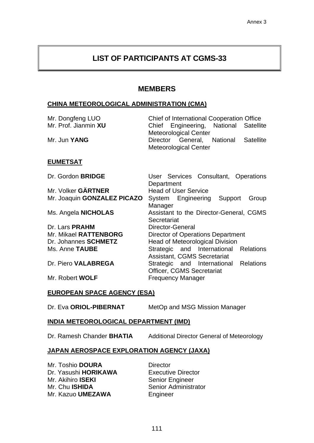# **LIST OF PARTICIPANTS AT CGMS-33**

## **MEMBERS**

#### **CHINA METEOROLOGICAL ADMINISTRATION (CMA)**

| Mr. Dongfeng LUO<br>Mr. Prof. Jianmin XU<br>Mr. Jun YANG | Chief of International Cooperation Office<br>Engineering, National Satellite<br>Chief<br><b>Meteorological Center</b><br>Director General, National Satellite |  |
|----------------------------------------------------------|---------------------------------------------------------------------------------------------------------------------------------------------------------------|--|
|                                                          | <b>Meteorological Center</b>                                                                                                                                  |  |
| <b>EUMETSAT</b>                                          |                                                                                                                                                               |  |
| Dr. Gordon BRIDGE                                        | User Services Consultant, Operations<br>Department                                                                                                            |  |
| Mr. Volker GÄRTNER                                       | <b>Head of User Service</b>                                                                                                                                   |  |
| Mr. Joaquin GONZALEZ PICAZO                              | System Engineering Support<br>Group<br>Manager                                                                                                                |  |
| Ms. Angela <b>NICHOLAS</b>                               | Assistant to the Director-General, CGMS<br>Secretariat                                                                                                        |  |
| Dr. Lars PRAHM                                           | Director-General                                                                                                                                              |  |
| Mr. Mikael RATTENBORG                                    | Director of Operations Department                                                                                                                             |  |
| Dr. Johannes SCHMETZ                                     | <b>Head of Meteorological Division</b>                                                                                                                        |  |
| Ms. Anne TAUBE                                           | Strategic and International Relations<br><b>Assistant, CGMS Secretariat</b>                                                                                   |  |
| Dr. Piero VALABREGA                                      | Strategic and International Relations<br><b>Officer, CGMS Secretariat</b>                                                                                     |  |
| Mr. Robert WOLF                                          | <b>Frequency Manager</b>                                                                                                                                      |  |
| <b>EUROPEAN SPACE AGENCY (ESA)</b>                       |                                                                                                                                                               |  |

# Dr. Eva ORIOL-PIBERNAT MetOp and MSG Mission Manager

#### **INDIA METEOROLOGICAL DEPARTMENT (IMD)**

Dr. Ramesh Chander **BHATIA** Additional Director General of Meteorology

#### **JAPAN AEROSPACE EXPLORATION AGENCY (JAXA)**

Mr. Toshio **DOURA Director** Dr. Yasushi **HORIKAWA** Executive Director Mr. Akihiro **ISEKI** Senior Engineer<br>
Mr. Chu **ISHIDA** Senior Administr Mr. Kazuo **UMEZAWA** Engineer

**Senior Administrator**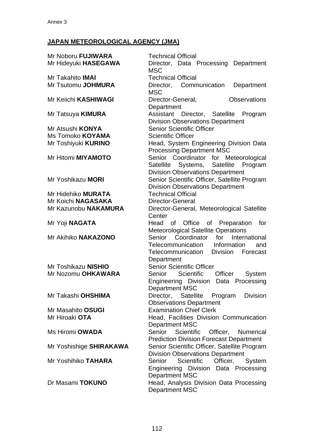# **JAPAN METEOROLOGICAL AGENCY (JMA)**

| Mr Noboru FUJIWARA         | <b>Technical Official</b>                         |
|----------------------------|---------------------------------------------------|
| Mr Hideyuki HASEGAWA       | Director, Data Processing Department              |
|                            | <b>MSC</b>                                        |
| Mr Takahito <b>IMAI</b>    | <b>Technical Official</b>                         |
| Mr Tsutomu JOHMURA         | Director, Communication<br>Department             |
|                            | <b>MSC</b>                                        |
| Mr Keiichi KASHIWAGI       | <b>Observations</b><br>Director-General,          |
|                            | Department                                        |
| Mr Tatsuya <b>KIMURA</b>   | Assistant Director, Satellite Program             |
|                            | <b>Division Observations Department</b>           |
| Mr Atsushi <b>KONYA</b>    | <b>Senior Scientific Officer</b>                  |
| Ms Tomoko KOYAMA           | <b>Scientific Officer</b>                         |
| Mr Toshiyuki <b>KURINO</b> | Head, System Engineering Division Data            |
|                            | <b>Processing Department MSC</b>                  |
| Mr Hitomi MIYAMOTO         | Senior Coordinator for Meteorological             |
|                            | Satellite Systems, Satellite Program              |
|                            | <b>Division Observations Department</b>           |
| Mr Yoshikazu MORI          | Senior Scientific Officer, Satellite Program      |
|                            | <b>Division Observations Department</b>           |
| Mr Hidehiko <b>MURATA</b>  | <b>Technical Official</b>                         |
| Mr Koichi NAGASAKA         | Director-General                                  |
| Mr Kazunobu NAKAMURA       | Director-General, Meteorological Satellite        |
|                            | Center                                            |
| Mr Yoji NAGATA             | Head of Office<br>of Preparation<br>for           |
|                            | <b>Meteorological Satellite Operations</b>        |
| Mr Akihiko NAKAZONO        | Senior Coordinator for International              |
|                            | Telecommunication Information<br>and              |
|                            | Division<br>Telecommunication<br>Forecast         |
|                            | Department                                        |
| Mr Toshikazu NISHIO        | <b>Senior Scientific Officer</b>                  |
| Mr Nozomu OHKAWARA         | Senior<br>Scientific<br>Officer<br>System         |
|                            | Engineering Division Data Processing              |
|                            | Department MSC                                    |
| Mr Takashi OHSHIMA         | Satellite Program<br><b>Division</b><br>Director, |
|                            | <b>Observations Department</b>                    |
| Mr Masahito OSUGI          | <b>Examination Chief Clerk</b>                    |
| Mr Hiroaki OTA             | Head, Facilities Division Communication           |
|                            | Department MSC                                    |
| Ms Hiromi <b>OWADA</b>     | Senior Scientific<br>Officer, Numerical           |
|                            | <b>Prediction Division Forecast Department</b>    |
| Mr Yoshishige SHIRAKAWA    | Senior Scientific Officer, Satellite Program      |
|                            | <b>Division Observations Department</b>           |
| Mr Yoshihiko TAHARA        | Senior<br><b>Scientific</b><br>Officer,<br>System |
|                            | Engineering Division Data Processing              |
|                            | <b>Department MSC</b>                             |
| Dr Masami TOKUNO           | Head, Analysis Division Data Processing           |
|                            | <b>Department MSC</b>                             |
|                            |                                                   |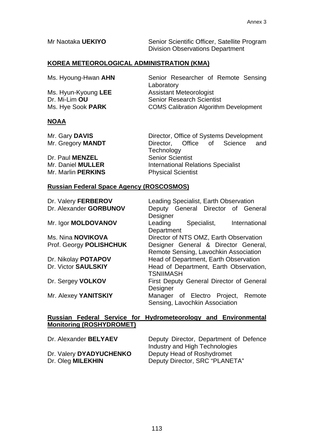Mr Naotaka **UEKIYO** Senior Scientific Officer, Satellite Program Division Observations Department

# **KOREA METEOROLOGICAL ADMINISTRATION (KMA)**

| Ms. Hyoung-Hwan AHN | Senior Researcher of Remote Sensing           |
|---------------------|-----------------------------------------------|
|                     | Laboratory                                    |
| Ms. Hyun-Kyoung LEE | <b>Assistant Meteorologist</b>                |
| Dr. Mi-Lim OU       | <b>Senior Research Scientist</b>              |
| Ms. Hye Sook PARK   | <b>COMS Calibration Algorithm Development</b> |

#### **NOAA**

| Mr. Gary DAVIS           | Director, Office of Systems Development   |
|--------------------------|-------------------------------------------|
| Mr. Gregory MANDT        | Director, Office of Science<br>and        |
|                          | Technology                                |
| Dr. Paul MENZEL          | <b>Senior Scientist</b>                   |
| Mr. Daniel <b>MULLER</b> | <b>International Relations Specialist</b> |
| Mr. Marlin PERKINS       | <b>Physical Scientist</b>                 |

#### **Russian Federal Space Agency (ROSCOSMOS)**

| Dr. Valery FERBEROV<br>Dr. Alexander GORBUNOV | Leading Specialist, Earth Observation<br>Deputy General Director of General<br>Designer |
|-----------------------------------------------|-----------------------------------------------------------------------------------------|
| Mr. Igor MOLDOVANOV                           | Leading<br>Specialist,<br>International<br>Department                                   |
| Ms. Nina NOVIKOVA                             | Director of NTS OMZ, Earth Observation                                                  |
| Prof. Georgy POLISHCHUK                       | Designer General & Director General,<br>Remote Sensing, Lavochkin Association           |
| Dr. Nikolay POTAPOV                           | Head of Department, Earth Observation                                                   |
| Dr. Victor SAULSKIY                           | Head of Department, Earth Observation,<br><b>TSNIIMASH</b>                              |
| Dr. Sergey VOLKOV                             | <b>First Deputy General Director of General</b><br>Designer                             |
| Mr. Alexey YANITSKIY                          | Manager of Electro Project,<br>Remote<br>Sensing, Lavochkin Association                 |

#### **Russian Federal Service for Hydrometeorology and Environmental Monitoring (ROSHYDROMET)**

| Dr. Alexander BELYAEV   | Deputy Director, Department of Defence<br>Industry and High Technologies |
|-------------------------|--------------------------------------------------------------------------|
| Dr. Valery DYADYUCHENKO | Deputy Head of Roshydromet                                               |
| Dr. Oleg MILEKHIN       | Deputy Director, SRC "PLANETA"                                           |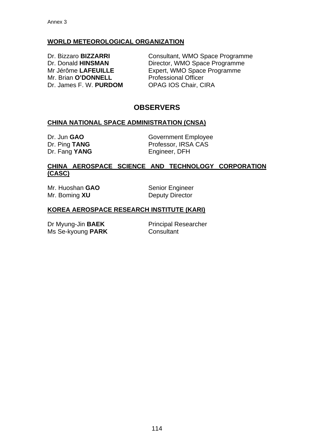## **WORLD METEOROLOGICAL ORGANIZATION**

Mr. Brian **O'DONNELL** Professional Officer Dr. James F. W. **PURDOM** OPAG IOS Chair, CIRA

Dr. Bizzaro **BIZZARRI Consultant, WMO Space Programme** Dr. Donald **HINSMAN** Director, WMO Space Programme Mr Jérôme **LAFEUILLE** Expert, WMO Space Programme

# **OBSERVERS**

#### **CHINA NATIONAL SPACE ADMINISTRATION (CNSA)**

Dr. Fang YANG Engineer, DFH

Dr. Jun **GAO GOVER COVERT EMPLOYEE** Dr. Ping **TANG** Professor, IRSA CAS

#### **CHINA AEROSPACE SCIENCE AND TECHNOLOGY CORPORATION (CASC)**

Mr. Huoshan **GAO** Senior Engineer Mr. Boming **XU** Deputy Director

#### **KOREA AEROSPACE RESEARCH INSTITUTE (KARI)**

Dr Myung-Jin **BAEK** Principal Researcher Ms Se-kyoung **PARK** Consultant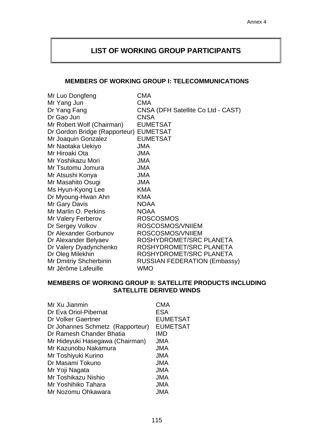# **LIST OF WORKING GROUP PARTICIPANTS**

#### **MEMBERS OF WORKING GROUP I: TELECOMMUNICATIONS**

| Mr Luo Dongfeng               | <b>CMA</b>                          |
|-------------------------------|-------------------------------------|
| Mr Yang Jun                   | <b>CMA</b>                          |
| Dr Yang Fang                  | CNSA (DFH Satellite Co Ltd - CAST)  |
| Dr Gao Jun                    | <b>CNSA</b>                         |
| Mr Robert Wolf (Chairman)     | <b>EUMETSAT</b>                     |
| Dr Gordon Bridge (Rapporteur) | <b>EUMETSAT</b>                     |
| Mr Joaquin Gonzalez           | <b>EUMETSAT</b>                     |
| Mr Naotaka Uekiyo             | <b>JMA</b>                          |
| Mr Hiroaki Ota                | <b>JMA</b>                          |
| Mr Yoshikazu Mori             | <b>JMA</b>                          |
| Mr Tsutomu Jomura             | <b>JMA</b>                          |
| Mr Atsushi Konya              | <b>JMA</b>                          |
| Mr Masahito Osugi             | <b>JMA</b>                          |
| Ms Hyun-Kyong Lee             | <b>KMA</b>                          |
| Dr Myoung-Hwan Ahn            | <b>KMA</b>                          |
| Mr Gary Davis                 | <b>NOAA</b>                         |
| Mr Marlin O. Perkins          | <b>NOAA</b>                         |
| Mr Valery Ferberov            | <b>ROSCOSMOS</b>                    |
| Dr Sergey Volkov              | ROSCOSMOS/VNIIEM                    |
| Dr Alexander Gorbunov         | ROSCOSMOS/VNIIEM                    |
| Dr Alexander Belyaev          | ROSHYDROMET/SRC PLANETA             |
| Dr Valery Dyadynchenko        | ROSHYDROMET/SRC PLANETA             |
| Dr Oleg Milekhin              | ROSHYDROMET/SRC PLANETA             |
| <b>Mr Dmitriy Shcherbinin</b> | <b>RUSSIAN FEDERATION (Embassy)</b> |
| Mr Jérôme Lafeuille           | WMO                                 |

#### **MEMBERS OF WORKING GROUP II: SATELLITE PRODUCTS INCLUDING SATELLITE DERIVED WINDS**

| Mr Xu Jianmin                    | <b>CMA</b>      |
|----------------------------------|-----------------|
| Dr Eva Oriol-Pibernat            | <b>ESA</b>      |
| Dr Volker Gaertner               | <b>EUMETSAT</b> |
| Dr Johannes Schmetz (Rapporteur) | <b>EUMETSAT</b> |
| Dr Ramesh Chander Bhatia         | IMD             |
| Mr Hideyuki Hasegawa (Chairman)  | <b>JMA</b>      |
| Mr Kazunobu Nakamura             | JMA             |
| Mr Toshiyuki Kurino              | <b>JMA</b>      |
| Dr Masami Tokuno                 | <b>JMA</b>      |
| Mr Yoji Nagata                   | <b>JMA</b>      |
| Mr Toshikazu Nishio              | <b>JMA</b>      |
| Mr Yoshihiko Tahara              | <b>JMA</b>      |
| Mr Nozomu Ohkawara               | JMA             |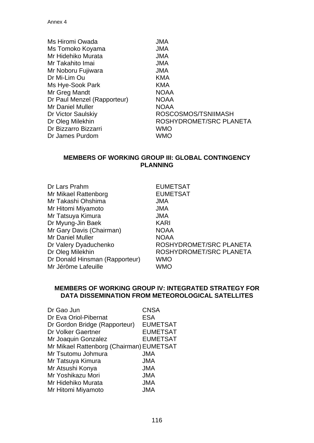| Ms Hiromi Owada             | <b>JMA</b>              |
|-----------------------------|-------------------------|
| Ms Tomoko Koyama            | <b>JMA</b>              |
| Mr Hidehiko Murata          | <b>JMA</b>              |
| Mr Takahito Imai            | <b>JMA</b>              |
| Mr Noboru Fujiwara          | <b>JMA</b>              |
| Dr Mi-Lim Ou                | <b>KMA</b>              |
| Ms Hye-Sook Park            | <b>KMA</b>              |
| Mr Greg Mandt               | <b>NOAA</b>             |
| Dr Paul Menzel (Rapporteur) | <b>NOAA</b>             |
| <b>Mr Daniel Muller</b>     | <b>NOAA</b>             |
| Dr Victor Saulskiy          | ROSCOSMOS/TSNIIMASH     |
| Dr Oleg Milekhin            | ROSHYDROMET/SRC PLANETA |
| Dr Bizzarro Bizzarri        | <b>WMO</b>              |
| Dr James Purdom             | <b>WMO</b>              |

#### **MEMBERS OF WORKING GROUP III: GLOBAL CONTINGENCY PLANNING**

| Dr Lars Prahm                  | <b>EUMETSAT</b>         |
|--------------------------------|-------------------------|
| Mr Mikael Rattenborg           | <b>EUMETSAT</b>         |
| Mr Takashi Ohshima             | <b>JMA</b>              |
| Mr Hitomi Miyamoto             | <b>JMA</b>              |
| Mr Tatsuya Kimura              | <b>JMA</b>              |
| Dr Myung-Jin Baek              | <b>KARI</b>             |
| Mr Gary Davis (Chairman)       | <b>NOAA</b>             |
| Mr Daniel Muller               | <b>NOAA</b>             |
| Dr Valery Dyaduchenko          | ROSHYDROMET/SRC PLANETA |
| Dr Oleg Milekhin               | ROSHYDROMET/SRC PLANETA |
| Dr Donald Hinsman (Rapporteur) | <b>WMO</b>              |
| Mr Jérôme Lafeuille            | WMO                     |
|                                |                         |

#### **MEMBERS OF WORKING GROUP IV: INTEGRATED STRATEGY FOR DATA DISSEMINATION FROM METEOROLOGICAL SATELLITES**

| <b>CNSA</b>                              |
|------------------------------------------|
| <b>ESA</b>                               |
| <b>EUMETSAT</b>                          |
| <b>EUMETSAT</b>                          |
| <b>EUMETSAT</b>                          |
| Mr Mikael Rattenborg (Chairman) EUMETSAT |
| <b>JMA</b>                               |
| JMA                                      |
| <b>JMA</b>                               |
| <b>JMA</b>                               |
| <b>JMA</b>                               |
| JMA                                      |
|                                          |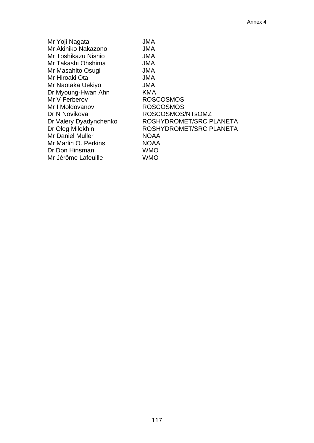| Mr Yoji Nagata         | <b>JMA</b>              |
|------------------------|-------------------------|
| Mr Akihiko Nakazono    | <b>JMA</b>              |
| Mr Toshikazu Nishio    | <b>JMA</b>              |
| Mr Takashi Ohshima     | <b>JMA</b>              |
| Mr Masahito Osugi      | <b>JMA</b>              |
| Mr Hiroaki Ota         | <b>JMA</b>              |
| Mr Naotaka Uekiyo      | <b>JMA</b>              |
| Dr Myoung-Hwan Ahn     | KMA                     |
| Mr V Ferberov          | <b>ROSCOSMOS</b>        |
| Mr I Moldovanov        | <b>ROSCOSMOS</b>        |
| Dr N Novikova          | ROSCOSMOS/NTsOMZ        |
| Dr Valery Dyadynchenko | ROSHYDROMET/SRC PLANETA |
| Dr Oleg Milekhin       | ROSHYDROMET/SRC PLANETA |
| Mr Daniel Muller       | <b>NOAA</b>             |
| Mr Marlin O. Perkins   | <b>NOAA</b>             |
| Dr Don Hinsman         | <b>WMO</b>              |
| Mr Jérôme Lafeuille    | <b>WMO</b>              |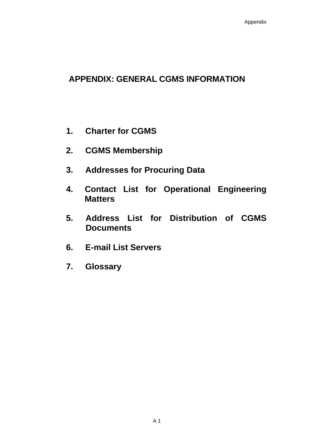# **APPENDIX: GENERAL CGMS INFORMATION**

- **1. Charter for CGMS**
- **2. CGMS Membership**
- **3. Addresses for Procuring Data**
- **4. Contact List for Operational Engineering Matters**
- **5. Address List for Distribution of CGMS Documents**
- **6. E-mail List Servers**
- **7. Glossary**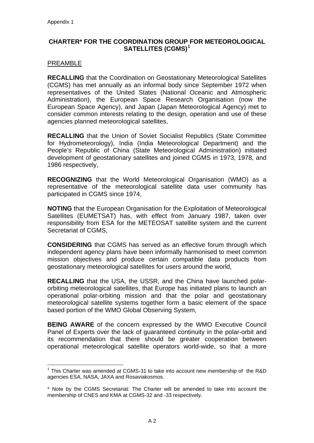#### <span id="page-119-0"></span>**CHARTER\* FOR THE COORDINATION GROUP FOR METEOROLOGICAL SATELLITES (CGMS)[1](#page-119-0)**

#### **PREAMBLE**

**RECALLING** that the Coordination on Geostationary Meteorological Satellites (CGMS) has met annually as an informal body since September 1972 when representatives of the United States (National Oceanic and Atmospheric Administration), the European Space Research Organisation (now the European Space Agency), and Japan (Japan Meteorological Agency) met to consider common interests relating to the design, operation and use of these agencies planned meteorological satellites,

**RECALLING** that the Union of Soviet Socialist Republics (State Committee for Hydrometeorology), India (India Meteorological Department) and the People's Republic of China (State Meteorological Administration) initiated development of geostationary satellites and joined CGMS in 1973, 1978, and 1986 respectively,

**RECOGNIZING** that the World Meteorological Organisation (WMO) as a representative of the meteorological satellite data user community has participated in CGMS since 1974,

**NOTING** that the European Organisation for the Exploitation of Meteorological Satellites (EUMETSAT) has, with effect from January 1987, taken over responsibility from ESA for the METEOSAT satellite system and the current Secretariat of CGMS,

**CONSIDERING** that CGMS has served as an effective forum through which independent agency plans have been informally harmonised to meet common mission objectives and produce certain compatible data products from geostationary meteorological satellites for users around the world,

**RECALLING** that the USA, the USSR, and the China have launched polarorbiting meteorological satellites, that Europe has initiated plans to launch an operational polar-orbiting mission and that the polar and geostationary meteorological satellite systems together form a basic element of the space based portion of the WMO Global Observing System,

**BEING AWARE** of the concern expressed by the WMO Executive Council Panel of Experts over the lack of guaranteed continuity in the polar-orbit and its recommendation that there should be greater cooperation between operational meteorological satellite operators world-wide, so that a more

 $\overline{a}$  $1$  This Charter was amended at CGMS-31 to take into account new membership of the R&D agencies ESA, NASA, JAXA and Rosaviakosmos.

<sup>\*</sup> Note by the CGMS Secretariat: The Charter will be amended to take into account the membership of CNES and KMA at CGMS-32 and -33 respectively.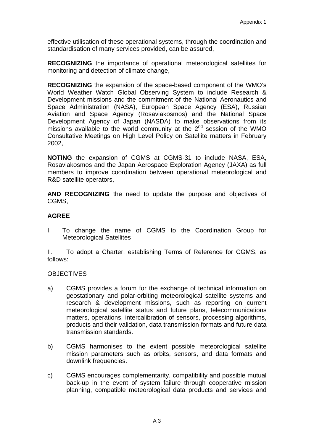effective utilisation of these operational systems, through the coordination and standardisation of many services provided, can be assured,

**RECOGNIZING** the importance of operational meteorological satellites for monitoring and detection of climate change,

**RECOGNIZING** the expansion of the space-based component of the WMO's World Weather Watch Global Observing System to include Research & Development missions and the commitment of the National Aeronautics and Space Administration (NASA), European Space Agency (ESA), Russian Aviation and Space Agency (Rosaviakosmos) and the National Space Development Agency of Japan (NASDA) to make observations from its missions available to the world community at the  $2<sup>nd</sup>$  session of the WMO Consultative Meetings on High Level Policy on Satellite matters in February 2002,

**NOTING** the expansion of CGMS at CGMS-31 to include NASA, ESA, Rosaviakosmos and the Japan Aerospace Exploration Agency (JAXA) as full members to improve coordination between operational meteorological and R&D satellite operators,

**AND RECOGNIZING** the need to update the purpose and objectives of CGMS,

#### **AGREE**

I. To change the name of CGMS to the Coordination Group for Meteorological Satellites

II. To adopt a Charter, establishing Terms of Reference for CGMS, as follows:

#### **OBJECTIVES**

- a) CGMS provides a forum for the exchange of technical information on geostationary and polar-orbiting meteorological satellite systems and research & development missions, such as reporting on current meteorological satellite status and future plans, telecommunications matters, operations, intercalibration of sensors, processing algorithms, products and their validation, data transmission formats and future data transmission standards.
- b) CGMS harmonises to the extent possible meteorological satellite mission parameters such as orbits, sensors, and data formats and downlink frequencies.
- c) CGMS encourages complementarity, compatibility and possible mutual back-up in the event of system failure through cooperative mission planning, compatible meteorological data products and services and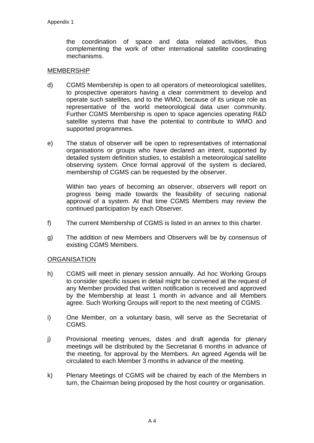the coordination of space and data related activities, thus complementing the work of other international satellite coordinating mechanisms.

#### MEMBERSHIP

- d) CGMS Membership is open to all operators of meteorological satellites, to prospective operators having a clear commitment to develop and operate such satellites, and to the WMO, because of its unique role as representative of the world meteorological data user community. Further CGMS Membership is open to space agencies operating R&D satellite systems that have the potential to contribute to WMO and supported programmes.
- e) The status of observer will be open to representatives of international organisations or groups who have declared an intent, supported by detailed system definition studies, to establish a meteorological satellite observing system. Once formal approval of the system is declared, membership of CGMS can be requested by the observer.

 Within two years of becoming an observer, observers will report on progress being made towards the feasibility of securing national approval of a system. At that time CGMS Members may review the continued participation by each Observer.

- f) The current Membership of CGMS is listed in an annex to this charter.
- g) The addition of new Members and Observers will be by consensus of existing CGMS Members.

#### **ORGANISATION**

- h) CGMS will meet in plenary session annually. Ad hoc Working Groups to consider specific issues in detail might be convened at the request of any Member provided that written notification is received and approved by the Membership at least 1 month in advance and all Members agree. Such Working Groups will report to the next meeting of CGMS.
- i) One Member, on a voluntary basis, will serve as the Secretariat of CGMS.
- j) Provisional meeting venues, dates and draft agenda for plenary meetings will be distributed by the Secretariat 6 months in advance of the meeting, for approval by the Members. An agreed Agenda will be circulated to each Member 3 months in advance of the meeting.
- k) Plenary Meetings of CGMS will be chaired by each of the Members in turn, the Chairman being proposed by the host country or organisation.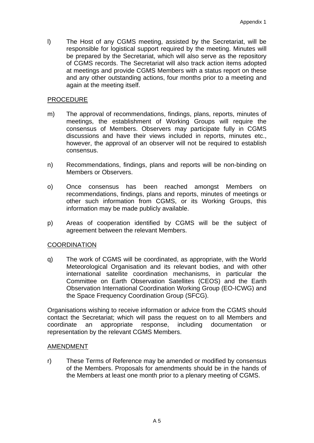l) The Host of any CGMS meeting, assisted by the Secretariat, will be responsible for logistical support required by the meeting. Minutes will be prepared by the Secretariat, which will also serve as the repository of CGMS records. The Secretariat will also track action items adopted at meetings and provide CGMS Members with a status report on these and any other outstanding actions, four months prior to a meeting and again at the meeting itself.

#### PROCEDURE

- m) The approval of recommendations, findings, plans, reports, minutes of meetings, the establishment of Working Groups will require the consensus of Members. Observers may participate fully in CGMS discussions and have their views included in reports, minutes etc., however, the approval of an observer will not be required to establish consensus.
- n) Recommendations, findings, plans and reports will be non-binding on Members or Observers.
- o) Once consensus has been reached amongst Members on recommendations, findings, plans and reports, minutes of meetings or other such information from CGMS, or its Working Groups, this information may be made publicly available.
- p) Areas of cooperation identified by CGMS will be the subject of agreement between the relevant Members.

#### **COORDINATION**

q) The work of CGMS will be coordinated, as appropriate, with the World Meteorological Organisation and its relevant bodies, and with other international satellite coordination mechanisms, in particular the Committee on Earth Observation Satellites (CEOS) and the Earth Observation International Coordination Working Group (EO-ICWG) and the Space Frequency Coordination Group (SFCG).

Organisations wishing to receive information or advice from the CGMS should contact the Secretariat; which will pass the request on to all Members and coordinate an appropriate response, including documentation or representation by the relevant CGMS Members.

#### AMENDMENT

r) These Terms of Reference may be amended or modified by consensus of the Members. Proposals for amendments should be in the hands of the Members at least one month prior to a plenary meeting of CGMS.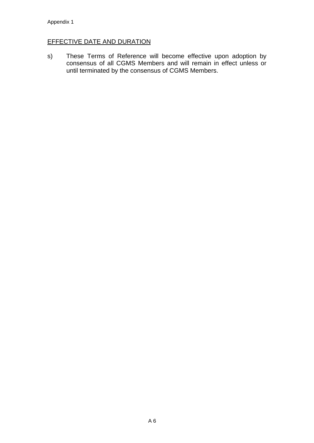#### **EFFECTIVE DATE AND DURATION**

s) These Terms of Reference will become effective upon adoption by consensus of all CGMS Members and will remain in effect unless or until terminated by the consensus of CGMS Members.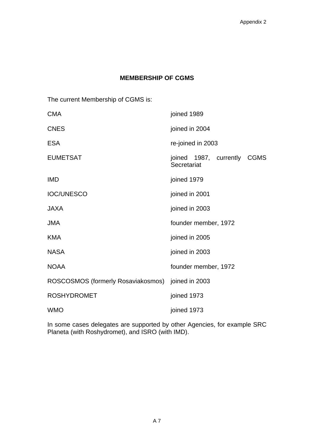## **MEMBERSHIP OF CGMS**

The current Membership of CGMS is:

| <b>CMA</b>                         | joined 1989                                          |
|------------------------------------|------------------------------------------------------|
| <b>CNES</b>                        | joined in 2004                                       |
| <b>ESA</b>                         | re-joined in 2003                                    |
| <b>EUMETSAT</b>                    | joined 1987, currently<br><b>CGMS</b><br>Secretariat |
| <b>IMD</b>                         | joined 1979                                          |
| <b>IOC/UNESCO</b>                  | joined in 2001                                       |
| <b>JAXA</b>                        | joined in 2003                                       |
| <b>JMA</b>                         | founder member, 1972                                 |
| <b>KMA</b>                         | joined in 2005                                       |
| <b>NASA</b>                        | joined in 2003                                       |
| <b>NOAA</b>                        | founder member, 1972                                 |
| ROSCOSMOS (formerly Rosaviakosmos) | joined in 2003                                       |
| <b>ROSHYDROMET</b>                 | joined 1973                                          |
| <b>WMO</b>                         | joined 1973                                          |

In some cases delegates are supported by other Agencies, for example SRC Planeta (with Roshydromet), and ISRO (with IMD).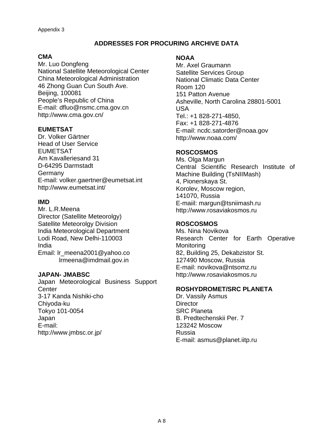## **ADDRESSES FOR PROCURING ARCHIVE DATA**

#### **CMA**

Mr. Luo Dongfeng National Satellite Meteorological Center China Meteorological Administration 46 Zhong Guan Cun South Ave. Beijing, 100081 People's Republic of China E-mail: dfluo@nsmc.cma.gov.cn http://www.cma.gov.cn/

#### **EUMETSAT**

Dr. Volker Gärtner Head of User Service EUMETSAT Am Kavalleriesand 31 D-64295 Darmstadt **Germany** E-mail: volker.gaertner@eumetsat.int http://www.eumetsat.int/

#### **IMD**

Mr. L.R.Meena Director (Satellite Meteorolgy) Satellite Meteorolgy Division India Meteorological Department Lodi Road, New Delhi-110003 India Email: Ir\_meena2001@yahoo.co [lrmeena@imdmail.gov.in](mailto:lrmeena@imdmail.gov.in)

#### **JAPAN- JMABSC**

Japan Meteorological Business Support **Center** 3-17 Kanda Nishiki-cho Chiyoda-ku Tokyo 101-0054 Japan E-mail: http://www.jmbsc.or.jp/

#### **NOAA**

Mr. Axel Graumann Satellite Services Group National Climatic Data Center Room 120 151 Patton Avenue Asheville, North Carolina 28801-5001 USA Tel.: +1 828-271-4850, Fax: +1 828-271-4876 E-mail: [ncdc.satorder@noaa.gov](mailto:ncdc.satorder@noaa.gov)  http://www.noaa.com/

#### **ROSCOSMOS**

Ms. Olga Margun Central Scientific Research Institute of Machine Building (TsNIIMash) 4, Pionerskaya St. Korolev, Moscow region, 141070, Russia E-maiil: margun@tsniimash.ru http://www.rosaviakosmos.ru

#### **ROSCOSMOS**

Ms. Nina Novikova Research Center for Earth Operative **Monitoring** 82, Building 25, Dekabzistor St. 127490 Moscow, Russia E-mail: novikova@ntsomz.ru http://www.rosaviakosmos.ru

#### **ROSHYDROMET/SRC PLANETA**

Dr. Vassily Asmus **Director** SRC Planeta B. Predtechenskii Per. 7 123242 Moscow Russia E-mail: asmus@planet.iitp.ru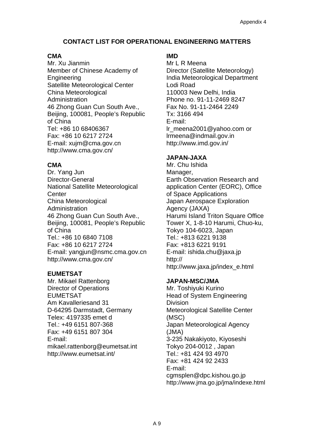# **CONTACT LIST FOR OPERATIONAL ENGINEERING MATTERS**

#### **CMA**

Mr. Xu Jianmin Member of Chinese Academy of Engineering Satellite Meteorological Center China Meteorological **Administration** 46 Zhong Guan Cun South Ave., Beijing, 100081, People's Republic of China Tel: +86 10 68406367 Fax: +86 10 6217 2724 E-mail: xujm@cma.gov.cn http://www.cma.gov.cn/

# **CMA**

Dr. Yang Jun Director-General National Satellite Meteorological **Center** China Meteorological Administration 46 Zhong Guan Cun South Ave., Beijing, 100081, People's Republic of China Tel.: +86 10 6840 7108 Fax: +86 10 6217 2724 E-mail: yangjun@nsmc.cma.gov.cn http://www.cma.gov.cn/

## **EUMETSAT**

Mr. Mikael Rattenborg Director of Operations EUMETSAT Am Kavalleriesand 31 D-64295 Darmstadt, Germany Telex: 4197335 emet d Tel.: +49 6151 807-368 Fax: +49 6151 807 304 E-mail: mikael.rattenborg@eumetsat.int http://www.eumetsat.int/

# **IMD**

Mr L R Meena Director (Satellite Meteorology) India Meteorological Department Lodi Road 110003 New Delhi, India Phone no. 91-11-2469 8247 Fax No. 91-11-2464 2249 Tx: 3166 494 E-mail: [lr\\_meena2001@yahoo.com](mailto:lr_meena2001@yahoo.com) or lrmeena@indmail.gov.in http://www.imd.gov.in/

# **JAPAN-JAXA**

Mr. Chu Ishida Manager, Earth Observation Research and application Center (EORC), Office of Space Applications Japan Aerospace Exploration Agency (JAXA) Harumi Island Triton Square Office Tower X, 1-8-10 Harumi, Chuo-ku, Tokyo 104-6023, Japan Tel.: +813 6221 9138 Fax: +813 6221 9191 E-mail: ishida.chu@jaxa.jp http:// http://www.jaxa.jp/index\_e.html

## **JAPAN-MSC/JMA**

Mr. Toshiyuki Kurino Head of System Engineering Division Meteorological Satellite Center (MSC) Japan Meteorological Agency (JMA) 3-235 Nakakiyoto, Kiyoseshi Tokyo 204-0012 , Japan Tel.: +81 424 93 4970 Fax: +81 424 92 2433 E-mail: cgmsplen@dpc.kishou.go.jp http://www.jma.go.jp/jma/indexe.html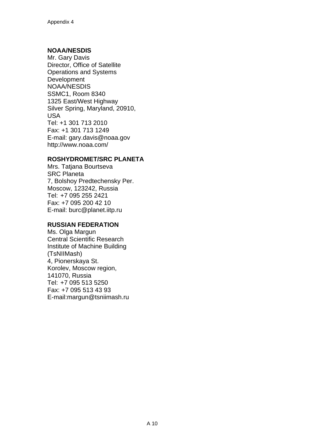#### **NOAA/NESDIS**

Mr. Gary Davis Director, Office of Satellite Operations and Systems **Development** NOAA/NESDIS SSMC1, Room 8340 1325 East/West Highway Silver Spring, Maryland, 20910, USA Tel: +1 301 713 2010 Fax: +1 301 713 1249 E-mail: gary.davis@noaa.gov http://www.noaa.com/

#### **ROSHYDROMET/SRC PLANETA**

Mrs. Tatjana Bourtseva SRC Planeta 7, Bolshoy Predtechensky Per. Moscow, 123242, Russia Tel: +7 095 255 2421 Fax: +7 095 200 42 10 E-mail: burc@planet.iitp.ru

#### **RUSSIAN FEDERATION**

Ms. Olga Margun Central Scientific Research Institute of Machine Building (TsNIIMash) 4, Pionerskaya St. Korolev, Moscow region, 141070, Russia Tel: +7 095 513 5250 Fax: +7 095 513 43 93 E-mail:margun@tsniimash.ru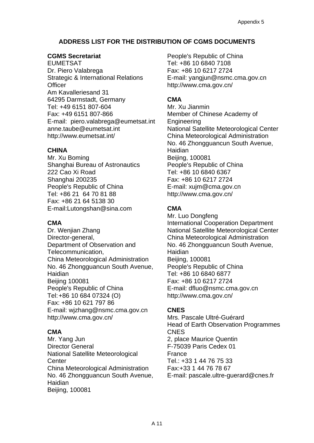# **ADDRESS LIST FOR THE DISTRIBUTION OF CGMS DOCUMENTS**

#### **CGMS Secretariat**

EUMETSAT Dr. Piero Valabrega Strategic & International Relations **Officer** Am Kavalleriesand 31 64295 Darmstadt, Germany Tel: +49 6151 807-604 Fax: +49 6151 807-866 E-mail: piero.valabrega@eumetsat.int anne.taube@eumetsat.int http://www.eumetsat.int/

#### **CHINA**

Mr. Xu Boming Shanghai Bureau of Astronautics 222 Cao Xi Road Shanghai 200235 People's Republic of China Tel: +86 21 64 70 81 88 Fax: +86 21 64 5138 30 E-mail:Lutongshan@sina.com

#### **CMA**

Dr. Wenjian Zhang Director-general, Department of Observation and Telecommunication, China Meteorological Administration No. 46 Zhongguancun South Avenue, Haidian Beijing 100081 People's Republic of China Tel: +86 10 684 07324 (O) Fax: +86 10 621 797 86 E-mail: wjzhang@nsmc.cma.gov.cn http://www.cma.gov.cn/

## **CMA**

Mr. Yang Jun Director General National Satellite Meteorological **Center** China Meteorological Administration No. 46 Zhongguancun South Avenue, Haidian Beijing, 100081

People's Republic of China Tel: +86 10 6840 7108 Fax: +86 10 6217 2724 E-mail: yangjun@nsmc.cma.gov.cn http://www.cma.gov.cn/

# **CMA**

Mr. Xu Jianmin Member of Chinese Academy of Engineering National Satellite Meteorological Center China Meteorological Administration No. 46 Zhongguancun South Avenue, Haidian Beijing, 100081 People's Republic of China Tel: +86 10 6840 6367 Fax: +86 10 6217 2724 E-mail: xujm@cma.gov.cn http://www.cma.gov.cn/

## **CMA**

Mr. Luo Dongfeng International Cooperation Department National Satellite Meteorological Center China Meteorological Administration No. 46 Zhongguancun South Avenue, Haidian Beijing, 100081 People's Republic of China Tel: +86 10 6840 6877 Fax: +86 10 6217 2724 E-mail: dfluo@nsmc.cma.gov.cn http://www.cma.gov.cn/

# **CNES**

Mrs. Pascale Ultré-Guérard Head of Earth Observation Programmes **CNES** 2, place Maurice Quentin F-75039 Paris Cedex 01 France Tel.: +33 1 44 76 75 33 Fax:+33 1 44 76 78 67 E-mail: pascale.ultre-guerard@cnes.fr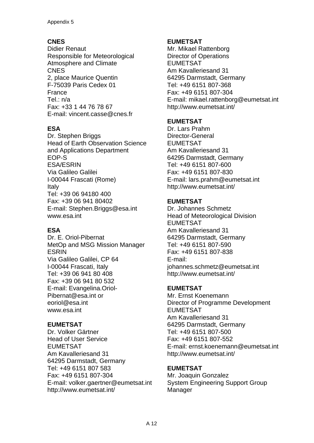# **CNES**

Didier Renaut Responsible for Meteorological Atmosphere and Climate **CNES** 2, place Maurice Quentin F-75039 Paris Cedex 01 France Tel.: n/a Fax: +33 1 44 76 78 67 E-mail: vincent.casse@cnes.fr

# **ESA**

Dr. Stephen Briggs Head of Earth Observation Science and Applications Department EOP-S ESA/ESRIN Via Galileo Galilei I-00044 Frascati (Rome) Italy Tel: +39 06 94180 400 Fax: +39 06 941 80402 E-mail: Stephen.Briggs@esa.int www.esa.int

## **ESA**

Dr. E. Oriol-Pibernat MetOp and MSG Mission Manager ESRIN Via Galileo Galilei, CP 64 I-00044 Frascati, Italy Tel: +39 06 941 80 408 Fax: +39 06 941 80 532 E-mail: Evangelina.Oriol-Pibernat@esa.int or eoriol@esa.int www.esa.int

## **EUMETSAT**

Dr. Volker Gärtner Head of User Service EUMETSAT Am Kavalleriesand 31 64295 Darmstadt, Germany Tel: +49 6151 807 583 Fax: +49 6151 807-304 E-mail: volker.gaertner@eumetsat.int http://www.eumetsat.int/

#### **EUMETSAT**

Mr. Mikael Rattenborg Director of Operations EUMETSAT Am Kavalleriesand 31 64295 Darmstadt, Germany Tel: +49 6151 807-368 Fax: +49 6151 807-304 E-mail: mikael.rattenborg@eumetsat.int http://www.eumetsat.int/

# **EUMETSAT**

Dr. Lars Prahm Director-General EUMETSAT Am Kavalleriesand 31 64295 Darmstadt, Germany Tel: +49 6151 807-600 Fax: +49 6151 807-830 E-mail: lars.prahm@eumetsat.int http://www.eumetsat.int/

# **EUMETSAT**

Dr. Johannes Schmetz Head of Meteorological Division EUMETSAT Am Kavalleriesand 31 64295 Darmstadt, Germany Tel: +49 6151 807-590 Fax: +49 6151 807-838 E-mail: johannes.schmetz@eumetsat.int http://www.eumetsat.int/

## **EUMETSAT**

Mr. Ernst Koenemann Director of Programme Development EUMETSAT Am Kavalleriesand 31 64295 Darmstadt, Germany Tel: +49 6151 807-500 Fax: +49 6151 807-552 E-mail: ernst.koenemann@eumetsat.int http://www.eumetsat.int/

## **EUMETSAT**

Mr. Joaquin Gonzalez System Engineering Support Group Manager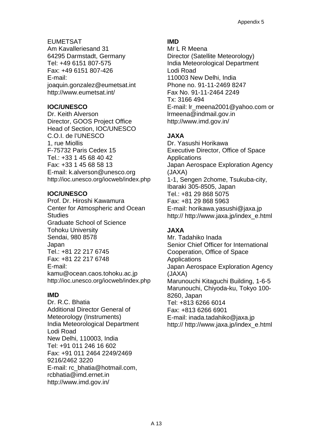EUMETSAT Am Kavalleriesand 31 64295 Darmstadt, Germany Tel: +49 6151 807-575 Fax: +49 6151 807-426 E-mail: joaquin.gonzalez@eumetsat.int http://www.eumetsat.int/

## **IOC/UNESCO**

Dr. Keith Alverson Director, GOOS Project Office Head of Section, IOC/UNESCO C.O.I. de l'UNESCO 1, rue Miollis F-75732 Paris Cedex 15 Tel.: +33 1 45 68 40 42 Fax: +33 1 45 68 58 13 E-mail: k.alverson@unesco.org http://ioc.unesco.org/iocweb/index.php

#### **IOC/UNESCO**

Prof. Dr. Hiroshi Kawamura Center for Atmospheric and Ocean **Studies** Graduate School of Science Tohoku University Sendai, 980 8578 Japan Tel.: +81 22 217 6745 Fax: +81 22 217 6748 E-mail: kamu@ocean.caos.tohoku.ac.jp http://ioc.unesco.org/iocweb/index.php

## **IMD**

Dr. R.C. Bhatia Additional Director General of Meteorology (Instruments) India Meteorological Department Lodi Road New Delhi, 110003, India Tel: +91 011 246 16 602 Fax: +91 011 2464 2249/2469 9216/2462 3220 E-mail: rc\_bhatia@hotmail.com, rcbhatia@imd.ernet.in http://www.imd.gov.in/

# **IMD**

Mr L R Meena Director (Satellite Meteorology) India Meteorological Department Lodi Road 110003 New Delhi, India Phone no. 91-11-2469 8247 Fax No. 91-11-2464 2249 Tx: 3166 494 E-mail: [lr\\_meena2001@yahoo.com](mailto:lr_meena2001@yahoo.com) or lrmeena@indmail.gov.in http://www.imd.gov.in/

# **JAXA**

Dr. Yasushi Horikawa Executive Director, Office of Space **Applications** Japan Aerospace Exploration Agency (JAXA) 1-1, Sengen 2chome, Tsukuba-city, Ibaraki 305-8505, Japan Tel.: +81 29 868 5075 Fax: +81 29 868 5963 E-mail: horikawa.yasushi@jaxa.jp http:// http://www.jaxa.jp/index\_e.html

# **JAXA**

Mr. Tadahiko Inada Senior Chief Officer for International Cooperation, Office of Space **Applications** Japan Aerospace Exploration Agency (JAXA) Marunouchi Kitaguchi Building, 1-6-5 Marunouchi, Chiyoda-ku, Tokyo 100- 8260, Japan Tel: +813 6266 6014 Fax: +813 6266 6901 E-mail: inada.tadahiko@jaxa.jp http:// http://www.jaxa.jp/index\_e.html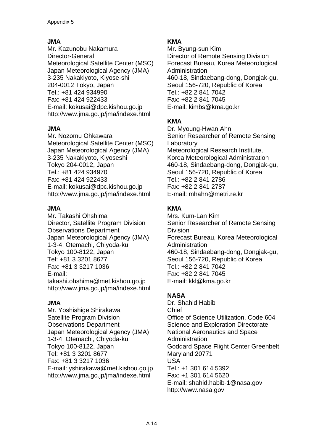# **JMA**

Mr. Kazunobu Nakamura Director-General Meteorological Satellite Center (MSC) Japan Meteorological Agency (JMA) 3-235 Nakakiyoto, Kiyose-shi 204-0012 Tokyo, Japan Tel.: +81 424 934990 Fax: +81 424 922433 E-mail: kokusai@dpc.kishou.go.jp http://www.jma.go.jp/jma/indexe.html

# **JMA**

Mr. Nozomu Ohkawara Meteorological Satellite Center (MSC) Japan Meteorological Agency (JMA) 3-235 Nakakiyoto, Kiyoseshi Tokyo 204-0012, Japan Tel.: +81 424 934970 Fax: +81 424 922433 E-mail: kokusai@dpc.kishou.go.jp http://www.jma.go.jp/jma/indexe.html

## **JMA**

Mr. Takashi Ohshima Director, Satellite Program Division Observations Department Japan Meteorological Agency (JMA) 1-3-4, Otemachi, Chiyoda-ku Tokyo 100-8122, Japan Tel: +81 3 3201 8677 Fax: +81 3 3217 1036 E-mail: takashi.ohshima@met.kishou.go.jp http://www.jma.go.jp/jma/indexe.html

## **JMA**

Mr. Yoshishige Shirakawa Satellite Program Division Observations Department Japan Meteorological Agency (JMA) 1-3-4, Otemachi, Chiyoda-ku Tokyo 100-8122, Japan Tel: +81 3 3201 8677 Fax: +81 3 3217 1036 E-mail: yshirakawa@met.kishou.go.jp http://www.jma.go.jp/jma/indexe.html

# **KMA**

Mr. Byung-sun Kim Director of Remote Sensing Division Forecast Bureau, Korea Meteorological Administration 460-18, Sindaebang-dong, Dongjak-gu, Seoul 156-720, Republic of Korea Tel.: +82 2 841 7042 Fax: +82 2 841 7045 E-mail: kimbs@kma.go.kr

# **KMA**

Dr. Myoung-Hwan Ahn Senior Researcher of Remote Sensing Laboratory Meteorological Research Institute, Korea Meteorological Administration 460-18, Sindaebang-dong, Dongjak-gu, Seoul 156-720, Republic of Korea Tel.: +82 2 841 2786 Fax: +82 2 841 2787 E-mail: mhahn@metri.re.kr

# **KMA**

Mrs. Kum-Lan Kim Senior Researcher of Remote Sensing Division Forecast Bureau, Korea Meteorological **Administration** 460-18, Sindaebang-dong, Dongjak-gu, Seoul 156-720, Republic of Korea Tel.: +82 2 841 7042 Fax: +82 2 841 7045 E-mail: kkl@kma.go.kr

# **NASA**

Dr. Shahid Habib Chief Office of Science Utilization, Code 604 Science and Exploration Directorate National Aeronautics and Space Administration Goddard Space Flight Center Greenbelt Maryland 20771 USA Tel.: +1 301 614 5392 Fax: +1 301 614 5620 E-mail: shahid.habib-1@nasa.gov http://www.nasa.gov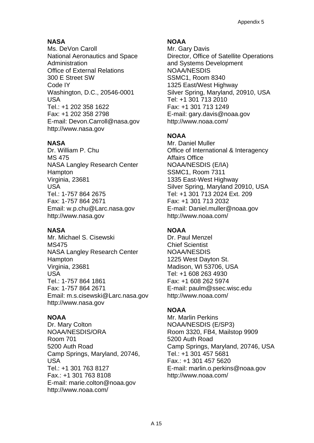# **NASA**

Ms. DeVon Caroll National Aeronautics and Space Administration Office of External Relations 300 E Street SW Code IY Washington, D.C., 20546-0001 USA Tel.: +1 202 358 1622 Fax: +1 202 358 2798 E-mail: Devon.Carroll@nasa.gov http://www.nasa.gov

## **NASA**

Dr. William P. Chu MS 475 NASA Langley Research Center Hampton Virginia, 23681 USA Tel.: 1-757 864 2675 Fax: 1-757 864 2671 Email: w.p.chu@Larc.nasa.gov http://www.nasa.gov

## **NASA**

Mr. Michael S. Cisewski MS475 NASA Langley Research Center Hampton Virginia, 23681 USA Tel.: 1-757 864 1861 Fax: 1-757 864 2671 Email: m.s.cisewski@Larc.nasa.gov http://www.nasa.gov

# **NOAA**

Dr. Mary Colton NOAA/NESDIS/ORA Room 701 5200 Auth Road Camp Springs, Maryland, 20746, USA Tel.: +1 301 763 8127 Fax.: +1 301 763 8108 E-mail: [marie.colton@noaa.gov](mailto:mperkins@nesdis.noaa.gov) <http://www.noaa.com/>

# **NOAA**

Mr. Gary Davis Director, Office of Satellite Operations and Systems Development NOAA/NESDIS SSMC1, Room 8340 1325 East/West Highway Silver Spring, Maryland, 20910, USA Tel: +1 301 713 2010 Fax: +1 301 713 1249 E-mail: [gary.davis@noaa.gov](mailto:gdavis@nesdis.noaa.gov) http://www.noaa.com/

# **NOAA**

Mr. Daniel Muller Office of International & Interagency Affairs Office NOAA/NESDIS (E/IA) SSMC1, Room 7311 1335 East-West Highway Silver Spring, Maryland 20910, USA Tel: +1 301 713 2024 Ext. 209 Fax: +1 301 713 2032 E-mail: Daniel.muller@noaa.gov http://www.noaa.com/

# **NOAA**

Dr. Paul Menzel Chief Scientist NOAA/NESDIS 1225 West Dayton St. Madison, WI 53706, USA Tel: +1 608 263 4930 Fax: +1 608 262 5974 E-mail: [paulm@ssec.wisc.edu](mailto:paulm@ssec.wisc.edu) http://www.noaa.com/

# **NOAA**

Mr. Marlin Perkins NOAA/NESDIS (E/SP3) Room 3320, FB4, Mailstop 9909 5200 Auth Road Camp Springs, Maryland, 20746, USA Tel.: +1 301 457 5681 Fax.: +1 301 457 5620 E-mail: [marlin.o.perkins@noaa.gov](mailto:mperkins@nesdis.noaa.gov) http://www.noaa.com/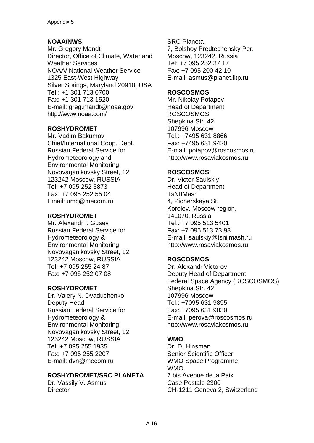# **NOAA/NWS**

Mr. Gregory Mandt Director, Office of Climate, Water and Weather Services NOAA/ National Weather Service 1325 East-West Highway Silver Springs, Maryland 20910, USA Tel.: +1 301 713 0700 Fax: +1 301 713 1520 E-mail: [greg.mandt@noaa.gov](mailto:greg.mandt@noaa.gov)  http://www.noaa.com/

## **ROSHYDROMET**

Mr. Vadim Bakumov Chief/International Coop. Dept. Russian Federal Service for Hydrometeorology and Environmental Monitoring Novovagan'kovsky Street, 12 123242 Moscow, RUSSIA Tel: +7 095 252 3873 Fax: +7 095 252 55 04 Email: [umc@mecom.ru](mailto:umc@mecom.ru) 

## **ROSHYDROMET**

Mr. Alexandr I. Gusev Russian Federal Service for Hydrometeorology & Environmental Monitoring Novovagan'kovsky Street, 12 123242 Moscow, RUSSIA Tel: +7 095 255 24 87 Fax: +7 095 252 07 08

#### **ROSHYDROMET**

Dr. Valery N. Dyaduchenko Deputy Head Russian Federal Service for Hydrometeorology & Environmental Monitoring Novovagan'kovsky Street, 12 123242 Moscow, RUSSIA Tel: +7 095 255 1935 Fax: +7 095 255 2207 E-mail: dvn@mecom.ru

## **ROSHYDROMET/SRC PLANETA**

Dr. Vassily V. Asmus **Director** 

SRC Planeta 7, Bolshoy Predtechensky Per. Moscow, 123242, Russia Tel: +7 095 252 37 17 Fax: +7 095 200 42 10 E-mail: asmus@planet.iitp.ru

#### **ROSCOSMOS**

Mr. Nikolay Potapov Head of Department ROSCOSMOS Shepkina Str. 42 107996 Moscow Tel.: +7495 631 8866 Fax: +7495 631 9420 E-mail: potapov@roscosmos.ru http://www.rosaviakosmos.ru

#### **ROSCOSMOS**

Dr. Victor Saulskiy Head of Department TsNIIMash 4, Pionerskaya St. Korolev, Moscow region, 141070, Russia Tel.: +7 095 513 5401 Fax: +7 095 513 73 93 E-mail: saulskiy@tsniimash.ru http://www.rosaviakosmos.ru

## **ROSCOSMOS**

Dr. Alexandr Victorov Deputy Head of Department Federal Space Agency (ROSCOSMOS) Shepkina Str. 42 107996 Moscow Tel.: +7095 631 9895 Fax: +7095 631 9030 E-mail: perova@roscosmos.ru http://www.rosaviakosmos.ru

## **WMO**

Dr. D. Hinsman Senior Scientific Officer WMO Space Programme WMO 7 bis Avenue de la Paix Case Postale 2300 CH-1211 Geneva 2, Switzerland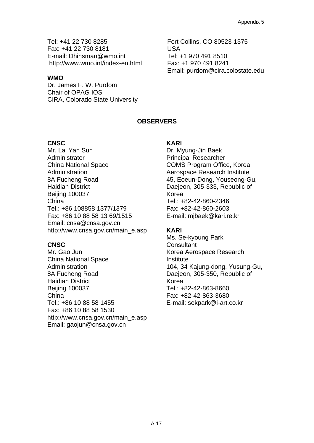Tel: +41 22 730 8285 Fax: +41 22 730 8181 E-mail: Dhinsman@wmo.int http://www.wmo.int/index-en.html

#### **WMO**

Dr. James F. W. Purdom Chair of OPAG IOS CIRA, Colorado State University Fort Collins, CO 80523-1375 USA Tel: +1 970 491 8510 Fax: +1 970 491 8241 Email: purdom@cira.colostate.edu

#### **OBSERVERS**

#### **CNSC**

Mr. Lai Yan Sun **Administrator** China National Space Administration 8A Fucheng Road Haidian District Beijing 100037 China Tel.: +86 108858 1377/1379 Fax: +86 10 88 58 13 69/1515 Email: cnsa@cnsa.gov.cn http://www.cnsa.gov.cn/main\_e.asp

#### **CNSC**

Mr. Gao Jun China National Space Administration 8A Fucheng Road Haidian District Beijing 100037 China Tel.: +86 10 88 58 1455 Fax: +86 10 88 58 1530 http://www.cnsa.gov.cn/main\_e.asp Email: gaojun@cnsa.gov.cn

#### **KARI**

Dr. Myung-Jin Baek Principal Researcher COMS Program Office, Korea Aerospace Research Institute 45, Eoeun-Dong, Youseong-Gu, Daejeon, 305-333, Republic of Korea Tel.: +82-42-860-2346 Fax: +82-42-860-2603 E-mail: mjbaek@kari.re.kr

#### **KARI**

Ms. Se-kyoung Park **Consultant** Korea Aerospace Research **Institute** 104, 34 Kajung-dong, Yusung-Gu, Daejeon, 305-350, Republic of Korea Tel.: +82-42-863-8660 Fax: +82-42-863-3680 E-mail: sekpark@i-art.co.kr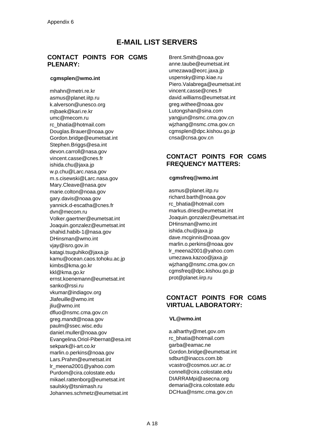# **E-MAIL LIST SERVERS**

#### **CONTACT POINTS FOR CGMS PLENARY:**

#### **cgmsplen@wmo.int**

[mhahn@metri.re.kr](mailto:mhahn@metri.re.kr)  [asmus@planet.iitp.ru](mailto:asmus@planet.iitp.ru)  k.alverson@unesco.org [mjbaek@kari.re.kr](mailto:mjbaek@kari.re.kr)  [umc@mecom.ru](mailto:umc@mecom.ru) [rc\\_bhatia@hotmail.com](mailto:rc_bhatia@hotmail.com)  [Douglas.Brauer@noaa.gov](mailto:Douglas.Brauer@noaa.gov) [Gordon.bridge@eumetsat.int](mailto:Gordon.bridge@eumetsat.int) [Stephen.Briggs@esa.int](mailto:Stephen.Briggs@esa.int)  [devon.carroll@nasa.gov](mailto:devon.carroll@nasa.gov)  [vincent.casse@cnes.fr](mailto:vincent.casse@cnes.fr)  [ishida.chu@jaxa.jp](mailto:ishida.chu@jaxa.jp)  [w.p.chu@Larc.nasa.gov](mailto:w.p.chu@Larc.nasa.gov)  [m.s.cisewski@Larc.nasa.gov](mailto:m.s.cisewski@Larc.nasa.gov)  Mary.Cleave@nasa.gov [marie.colton@noaa.gov](mailto:marie.colton@noaa.gov) [gary.davis@noaa.gov](mailto:gary.davis@noaa.gov) [yannick.d-escatha@cnes.fr](mailto:yannick.d-escatha@cnes.fr) [dvn@mecom.ru](mailto:dvn@mecom.ru) [Volker.gaertner@eumetsat.int](mailto:Volker.gaertner@eumetsat.int)  [Joaquin.gonzalez@eumetsat.int](mailto:Joaquin.gonzalez@eumetsat.int)  [shahid.habib-1@nasa.gov](mailto:shahid.habib-1@nasa.gov)  [DHinsman@wmo.int](mailto:DHinsman@wmo.int)  [vjay@isro.gov.in](mailto:vjay@isro.gov.in) [katagi.tsuguhiko@jaxa.jp](mailto:katagi.tsuguhiko@jaxa.jp)  [kamu@ocean.caos.tohoku.ac.jp](mailto:kamu@ocean.caos.tohoku.ac.jp) [kimbs@kma.go.kr](mailto:kimbs@kma.go.kr)  [kkl@kma.go.kr](mailto:kkl@kma.go.kr)  [ernst.koenemann@eumetsat.int](mailto:ernst.koenemann@eumetsat.int) [sanko@rssi.ru](mailto:sanko@rssi.ru)  [vkumar@indiagov.org](mailto:vkumar@indiagov.org) Jlafeuille@wmo.int iliu@wmo.int [dfluo@nsmc.cma.gov.cn](mailto:dfluo@nsmc.cma.gov.cn) [greg.mandt@noaa.gov](mailto:greg.mandt@noaa.gov) [paulm@ssec.wisc.edu](mailto:paulm@ssec.wisc.edu) [daniel.muller@noaa.gov](mailto:daniel.muller@noaa.gov)  [Evangelina.Oriol-Pibernat@esa.int](mailto:Evangelina.Oriol-Pibernat@esa.int) [sekpark@i-art.co.kr](mailto:sekpark@i-art.co.kr) [marlin.o.perkins@noaa.gov](mailto:marlin.o.perkins@noaa.gov) [Lars.Prahm@eumetsat.int](mailto:Lars.Prahm@eumetsat.int)  [lr\\_meena2001@yahoo.com](mailto:lr_meena2001@yahoo.com)  [Purdom@cira.colostate.edu](mailto:Purdom@cira.colostate.edu) [mikael.rattenborg@eumetsat.int](mailto:mikael.rattenborg@eumetsat.int) [saulskiy@tsniimash.ru](mailto:saulskiy@tsniimash.ru)  [Johannes.schmetz@eumetsat.int](mailto:Johannes.schmetz@eumetsat.int) 

[Brent.Smith@noaa.gov](mailto:Brent.Smith@noaa.gov)  [anne.taube@eumetsat.int](mailto:anne.taube@eumetsat.int)  [umezawa@eorc.jaxa.jp](mailto:umezawa@eorc.jaxa.jp) [uspensky@imp.kiae.ru](mailto:uspensky@imp.kiae.ru)  [Piero.Valabrega@eumetsat.int](mailto:Piero.Valabrega@eumetsat.int)  [vincent.casse@cnes.fr](mailto:vincent.casse@cnes.fr)  [david.williams@eumetsat.int](mailto:david.williams@eumetsat.int)  [greg.withee@noaa.gov](mailto:greg.withee@noaa.gov) [Lutongshan@sina.com](mailto:Lutongshan@sina.com)  [yangjun@nsmc.cma.gov.cn](mailto:yangjun@nsmc.cma.gov.cn) [wjzhang@nsmc.cma.gov.cn](mailto:wjzhang@cma.gov.cn) [cgmsplen@dpc.kishou.go.jp](mailto:cgmsplen@dpc.kishou.go.jp)  [cnsa@cnsa.gov.cn](mailto:cnsa@cnsa.gov.cn)

#### **CONTACT POINTS FOR CGMS FREQUENCY MATTERS:**

#### **cgmsfreq@wmo.int**

[asmus@planet.iitp.ru](mailto:asmus@planet.iitp.ru) [richard.barth@noaa.gov](mailto:richard.barth@noaa.gov)  [rc\\_bhatia@hotmail.com](mailto:rc_bhatia@hotmail.com)  [markus.dries@eumetsat.int](mailto:markus.dries@eumetsat.int) [Joaquin.gonzalez@eumetsat.int](mailto:Joaquin.gonzalez@eumetsat.int)  [DHinsman@wmo.int](mailto:DHinsman@wmo.int)  [ishida.chu@jaxa.jp](mailto:ishida.chu@jaxa.jp) [dave.mcginnis@noaa.gov](mailto:dave.mcginnis@noaa.gov)  [marlin.o.perkins@noaa.gov](mailto:marlin.o.perkins@noaa.gov) [lr\\_meena2001@yahoo.com](mailto:lr_meena2001@yahoo.com) [umezawa.kazoo@jaxa.jp](mailto:umezawa.kazoo@jaxa.jp)  [wjzhang@nsmc.cma.gov.cn](mailto:wjzhang@cma.gov.cn) [cgmsfreq@dpc.kishou.go.jp](mailto:cgmsfreq@dpc.kishou.go.jp)  [prot@planet.iirp.ru](mailto:prot@planet.iirp.ru) 

#### **CONTACT POINTS FOR CGMS VIRTUAL LABORATORY:**

#### **VL@wmo.int**

a.alharthy@met.gov.om rc\_bhatia@hotmail.com garba@eamac.ne [Gordon.bridge@eumetsat.int](mailto:Gordon.bridge@eumetsat.int)  [sdburt@inaccs.com.bb](mailto:sdburt@inaccs.com.bb) [vcastro@cosmos.ucr.ac.cr](mailto:vcastro@cosmos.ucr.ac.cr) [connell@cira.colostate.edu](mailto:connell@cira.colostate.edu)  [DIARRAMpi@asecna.org](mailto:DIARRAMpi@asecna.org)  [demaria@cira.colostate.edu](mailto:demaria@cira.colostate.edu)  [DCHua@nsmc.cma.gov.cn](mailto:DCHua@nsmc.cma.gov.cn)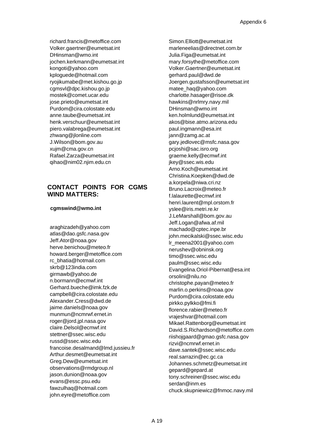[richard.francis@metoffice.com](mailto:richard.francis@metoffice.com)  [Volker.gaertner@eumetsat.int](mailto:Volker.gaertner@eumetsat.int)  [DHinsman@wmo.int](mailto:DHinsman@wmo.int)  [jochen.kerkmann@eumetsat.int](mailto:jochen.kerkmann@eumetsat.int) [kongoti@yahoo.com](mailto:kongoti@yahoo.com)  [kploguede@hotmail.com](mailto:kploguede@hotmail.com)  ryojikumabe@met.kishou.go.jp [cgmsvl@dpc.kishou.go.jp](mailto:cgmsvl@dpc.kishou.go.jp) [mostek@comet.ucar.edu](mailto:mostek@comet.ucar.edu)  [jose.prieto@eumetsat.int](mailto:jose.prieto@eumetsat.int) [Purdom@cira.colostate.edu](mailto:Purdom@cira.colostate.edu) [anne.taube@eumetsat.int](mailto:anne.taube@eumetsat.int) [henk.verschuur@eumetsat.int](mailto:henk.verschuur@eumetsat.int)  [piero.valabrega@eumetsat.int](mailto:piero.valabrega@eumetsat.int) [zhwang@jlonline.com](mailto:zhwang@jlonline.com) [J.Wilson@bom.gov.au](mailto:J.Wilson@bom.gov.au)  [xujm@cma.gov.cn](mailto:xujm@cma.gov.cn)  [Rafael.Zarza@eumetsat.int](mailto:Rafael.Zarza@eumetsat.int) [qihao@nim02.njim.edu.cn](mailto:qihao@nim02.njim.edu.cn)

#### **CONTACT POINTS FOR CGMS WIND MATTERS:**

#### **cgmswind@wmo.int**

[araghizadeh@yahoo.com](mailto:araghizadeh@yahoo.com)  atlas@dao.gsfc.nasa.gov [Jeff.Ator@noaa.gov](mailto:Jeff.Ator@noaa.gov) [herve.benichou@meteo.fr](mailto:herve.benichou@meteo.fr)  [howard.berger@metoffice.com](mailto:howard.berger@metoffice.com) [rc\\_bhatia@hotmail.com](mailto:rc_bhatia@hotmail.com)  [skrb@123india.com](mailto:skrb@123india.com) [girmawb@yahoo.de](mailto:girmawb@yahoo.de)  [n.bormann@ecmwf.int](mailto:n.bormann@ecmwf.int)  [Gerhard.bueche@imk.fzk.de](mailto:Gerhard.bueche@imk.fzk.de) [campbell@cira.colostate.edu](mailto:campbell@cira.colostate.edu) [Alexander.Cress@dwd.de](mailto:Alexander.Cress@dwd.de)  [jaime.daniels@noaa.gov](mailto:jaime.daniels@noaa.gov) [munmun@ncmrwf.ernet.in](mailto:munmun@ncmrwf.ernet.in)  [roger@jord.jpl.nasa.gov](mailto:roger@jord.jpl.nasa.gov)  [claire.Delsol@ecmwf.int](mailto:claire.Delsol@ecmwf.int) [stettner@ssec.wisc.edu](mailto:stettner@ssec.wisc.edu)) [russd@ssec.wisc.edu](mailto:russd@ssec.wisc.edu)) [francoise.desalmand@lmd.jussieu.fr](mailto:francoise.desalmand@lmd.jussieu.fr)  [Arthur.desmet@eumetsat.int](mailto:Arthur.desmet@eumetsat.int)  [Greg.Dew@eumetsat.int](mailto:Greg.Dew@eumetsat.int) [observations@rmdgroup.nl](mailto:observations@rmdgroup.nl)  [jason.dunion@noaa.gov](mailto:jason.dunion@noaa.gov)  [evans@essc.psu.edu](mailto:evans@essc.psu.edu) [fawzulhaq@hotmail.com](mailto:fawzulhaq@hotmail.com)  [john.eyre@metoffice.com](mailto:john.eyre@metoffice.com)

[Simon.Elliott@eumetsat.int](mailto:Simon.Elliott@eumetsat.int)  [marleneelias@directnet.com.br](mailto:marleneelias@directnet.com.br)  [Julia.Figa@eumetsat.int](mailto:Julia.Figa@eumetsat.int)  [mary.forsythe@metoffice.com](mailto:mary.forsythe@metoffice.com) [Volker.Gaertner@eumetsat.int](mailto:Volker.Gaertner@eumetsat.int)  [gerhard.paul@dwd.de](mailto:gerhard.paul@dwd.de)  [Joergen.gustafsson@eumetsat.int](mailto:Joergen.gustafsson@eumetsat.int) [matee\\_haq@yahoo.com](mailto:matee_haq@yahoo.com) [charlotte.hasager@risoe.dk](mailto:charlotte.hasager@risoe.dk)  [hawkins@nrlmry.navy.mil](mailto:hawkins@nrlmry.navy.mil)  [DHinsman@wmo.int](mailto:DHinsman@wmo.int)  [ken.holmlund@eumetsat.int](mailto:ken.holmlund@eumetsat.int) [akos@bise.atmo.arizona.edu](mailto:akos@bise.atmo.arizona.edu)  [paul.ingmann@esa.int](mailto:paul.ingmann@esa.int) [jann@zamg.ac.at](mailto:jann@zamg.ac.at) [gary.jedlovec@msfc.nasa.gov](mailto:gary.jedlovec@msfc.nasa.gov)  [pcjoshi@sac.isro.org](mailto:pcjoshi@sac.isro.org) [graeme.kelly@ecmwf.int](mailto:graeme.kelly@ecmwf.int) [jkey@ssec.wis.edu](mailto:jkey@ssec.wis.edu)  [Arno.Koch@eumetsat.int](mailto:Arno.Koch@eumetsat.int)  [Christina.Koepken@dwd.de](mailto:Christina.Koepken@dwd.de) [a.korpela@niwa.cri.nz](mailto:a.korpela@niwa.cri.nz)  [Bruno.Lacroix@meteo.fr](mailto:Bruno.Lacroix@meteo.fr)  [f.lalaurette@ecmwf.int](mailto:f.lalaurette@ecmwf.int) [henri.laurent@mpl.orstom.fr](mailto:henri.laurent@mpl.orstom.fr) [yslee@iris.metri.re.kr](mailto:yslee@iris.metri.re.kr) [J.LeMarshall@bom.gov.au](mailto:J.LeMarshall@bom.gov.au) [Jeff.Logan@afwa.af.mil](mailto:Jeff.Logan@afwa.af.mil) [machado@cptec.inpe.br](mailto:machado@cptec.inpe.br)  [john.mecikalski@ssec.wisc.edu](mailto:john.mecikalski@ssec.wisc.edu)  [lr\\_meena2001@yahoo.com](mailto:lr_meena2001@yahoo.com) [nerushev@obninsk.org](mailto:nerushev@obninsk.org) [timo@ssec.wisc.edu](mailto:timo@ssec.wisc.edu)  [paulm@ssec.wisc.edu](mailto:paulm@ssec.wisc.edu)  [Evangelina.Oriol-Pibernat@esa.int](mailto:Evangelina.Oriol-Pibernat@esa.int)  [orsolini@nilu.no](mailto:orsolini@nilu.no)  [christophe.payan@meteo.fr](mailto:christophe.payan@meteo.fr) [marlin.o.perkins@noaa.gov](mailto:marlin.o.perkins@noaa.gov) [Purdom@cira.colostate.edu](mailto:Purdom@cira.colostate.edu)  [pirkko.pylkko@fmi.fi](mailto:pirkko.pylkko@fmi.fi) [florence.rabier@meteo.fr](mailto:florence.rabier@meteo.fr) [vrajeshvar@hotmail.com](mailto:vrajeshvar@hotmail.com)  [Mikael.Rattenborg@eumetsat.int](mailto:Mikael.Rattenborg@eumetsat.int) [David.S.Richardson@metoffice.com](mailto:David.S.Richardson@metoffice.com) [riishojgaard@gmao.gsfc.nasa.gov](mailto:riishojgaard@gmao.gsfc.nasa.gov)  [rizvi@ncmrwf.ernet.in](mailto:rizvi@ncmrwf.ernet.in)  [dave.santek@ssec.wisc.edu](mailto:dave.santek@ssec.wisc.edu)  [real.sarrazin@ec.gc.ca](mailto:real.sarrazin@ec.gc.ca)  [Johannes.schmetz@eumetsat.int](mailto:Johannes.schmetz@eumetsat.int) [gepard@gepard.at](mailto:gepard@gepard.at)  [tony.schreiner@ssec.wisc.edu](mailto:tony.schreiner@ssec.wisc.edu)  [serdan@inm.es](mailto:serdan@inm.es)  [chuck.skupniewicz@fnmoc.navy.mil](mailto:chuck.skupniewicz@fnmoc.navy.mil)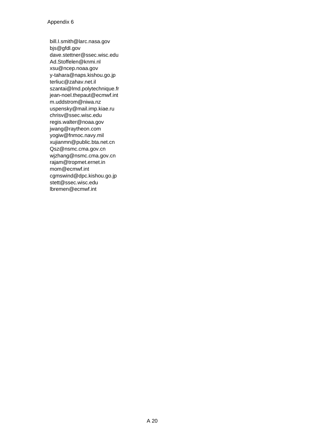[bill.I.smith@larc.nasa.gov](mailto:bill.I.smith@larc.nasa.gov)  [bjs@gfdl.gov](mailto:bjs@gfdl.gov)  [dave.stettner@ssec.wisc.edu](mailto:dave.stettner@ssec.wisc.edu)  [Ad.Stoffelen@knmi.nl](mailto:Ad.Stoffelen@knmi.nl)  [xsu@ncep.noaa.gov](mailto:xsu@ncep.noaa.gov)  [y-tahara@naps.kishou.go.jp](mailto:y-tahara@naps.kishou.go.jp) [terliuc@zahav.net.il](mailto:terliuc@zahav.net.il)  [szantai@lmd.polytechnique.fr](mailto:szantai@lmd.polytechnique.fr)  [jean-noel.thepaut@ecmwf.int](mailto:jean-noel.thepaut@ecmwf.int) [m.uddstrom@niwa.nz](mailto:m.uddstrom@niwa.nz) [uspensky@mail.imp.kiae.ru](mailto:uspensky@mail.imp.kiae.ru)  [chrisv@ssec.wisc.edu](mailto:chrisv@ssec.wisc.edu) [regis.walter@noaa.gov](mailto:regis.walter@noaa.gov)  [jwang@raytheon.com](mailto:jwang@raytheon.com) [yogiw@fnmoc.navy.mil](mailto:yogiw@fnmoc.navy.mil)  [xujianmn@public.bta.net.cn](mailto:xujianmn@public.bta.net.cn)  [Qsz@nsmc.cma.gov.cn](mailto:Qsz@nsmc.cma.gov.cn) [wjzhang@nsmc.cma.gov.cn](mailto:wjzhang@cma.gov.cn) [rajam@tropmet.ernet.in](mailto:rajam@tropmet.ernet.in)  [mom@ecmwf.int](mailto:mom@ecmwf.int) [cgmswind@dpc.kishou.go.jp](mailto:cgmswind@dpc.kishou.go.jp) [stett@ssec.wisc.edu](mailto:stett@ssec.wisc.edu)  [lbremen@ecmwf.int](mailto:lbremen@ecmwf.int)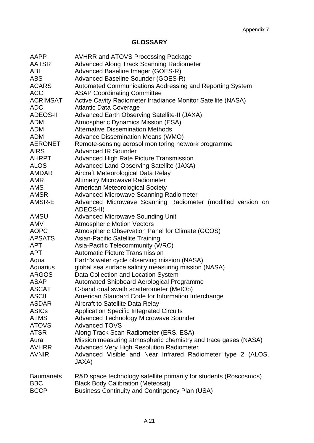# **GLOSSARY**

| AAPP             | <b>AVHRR and ATOVS Processing Package</b>                         |
|------------------|-------------------------------------------------------------------|
| AATSR            | <b>Advanced Along Track Scanning Radiometer</b>                   |
| ABI              | Advanced Baseline Imager (GOES-R)                                 |
| <b>ABS</b>       | Advanced Baseline Sounder (GOES-R)                                |
| <b>ACARS</b>     | Automated Communications Addressing and Reporting System          |
| <b>ACC</b>       | <b>ASAP Coordinating Committee</b>                                |
| <b>ACRIMSAT</b>  | Active Cavity Radiometer Irradiance Monitor Satellite (NASA)      |
| <b>ADC</b>       | <b>Atlantic Data Coverage</b>                                     |
| <b>ADEOS-II</b>  | <b>Advanced Earth Observing Satellite-II (JAXA)</b>               |
| <b>ADM</b>       | <b>Atmospheric Dynamics Mission (ESA)</b>                         |
| <b>ADM</b>       | <b>Alternative Dissemination Methods</b>                          |
| <b>ADM</b>       | <b>Advance Dissemination Means (WMO)</b>                          |
| <b>AERONET</b>   | Remote-sensing aerosol monitoring network programme               |
| <b>AIRS</b>      | <b>Advanced IR Sounder</b>                                        |
| <b>AHRPT</b>     | <b>Advanced High Rate Picture Transmission</b>                    |
| <b>ALOS</b>      | <b>Advanced Land Observing Satellite (JAXA)</b>                   |
| <b>AMDAR</b>     | Aircraft Meteorological Data Relay                                |
| <b>AMR</b>       | <b>Altimetry Microwave Radiometer</b>                             |
| <b>AMS</b>       | American Meteorological Society                                   |
| <b>AMSR</b>      | <b>Advanced Microwave Scanning Radiometer</b>                     |
| AMSR-E           | Advanced Microwave Scanning Radiometer (modified version on       |
|                  | ADEOS-II)                                                         |
| AMSU             | <b>Advanced Microwave Sounding Unit</b>                           |
| <b>AMV</b>       | <b>Atmospheric Motion Vectors</b>                                 |
| <b>AOPC</b>      | Atmospheric Observation Panel for Climate (GCOS)                  |
| <b>APSATS</b>    | <b>Asian-Pacific Satellite Training</b>                           |
| <b>APT</b>       | Asia-Pacific Telecommunity (WRC)                                  |
| <b>APT</b>       | <b>Automatic Picture Transmission</b>                             |
| Aqua             | Earth's water cycle observing mission (NASA)                      |
| Aquarius         | global sea surface salinity measuring mission (NASA)              |
| <b>ARGOS</b>     | Data Collection and Location System                               |
| <b>ASAP</b>      | <b>Automated Shipboard Aerological Programme</b>                  |
| <b>ASCAT</b>     | C-band dual swath scatterometer (MetOp)                           |
| <b>ASCII</b>     | American Standard Code for Information Interchange                |
| <b>ASDAR</b>     | <b>Aircraft to Satellite Data Relay</b>                           |
| <b>ASICs</b>     | <b>Application Specific Integrated Circuits</b>                   |
| <b>ATMS</b>      | <b>Advanced Technology Microwave Sounder</b>                      |
| <b>ATOVS</b>     | <b>Advanced TOVS</b>                                              |
| <b>ATSR</b>      | Along Track Scan Radiometer (ERS, ESA)                            |
| Aura             | Mission measuring atmospheric chemistry and trace gases (NASA)    |
| <b>AVHRR</b>     | <b>Advanced Very High Resolution Radiometer</b>                   |
| <b>AVNIR</b>     | Advanced Visible and Near Infrared Radiometer type 2 (ALOS,       |
|                  | JAXA)                                                             |
| <b>Baumanets</b> | R&D space technology satellite primarily for students (Roscosmos) |
| <b>BBC</b>       | <b>Black Body Calibration (Meteosat)</b>                          |
| <b>BCCP</b>      | <b>Business Continuity and Contingency Plan (USA)</b>             |
|                  |                                                                   |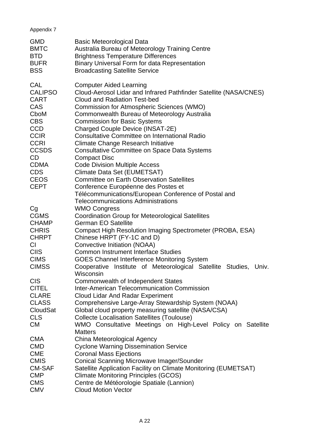# Appendix 7

| <b>GMD</b><br><b>BMTC</b><br><b>BTD</b><br><b>BUFR</b><br><b>BSS</b>                                                                                                    | <b>Basic Meteorological Data</b><br>Australia Bureau of Meteorology Training Centre<br><b>Brightness Temperature Differences</b><br><b>Binary Universal Form for data Representation</b><br><b>Broadcasting Satellite Service</b>                                                                                                                                                                                                                                                                                                                                                                                                       |
|-------------------------------------------------------------------------------------------------------------------------------------------------------------------------|-----------------------------------------------------------------------------------------------------------------------------------------------------------------------------------------------------------------------------------------------------------------------------------------------------------------------------------------------------------------------------------------------------------------------------------------------------------------------------------------------------------------------------------------------------------------------------------------------------------------------------------------|
| <b>CAL</b><br><b>CALIPSO</b><br><b>CART</b><br>CAS<br>CboM<br><b>CBS</b><br><b>CCD</b><br><b>CCIR</b><br><b>CCRI</b><br><b>CCSDS</b><br>CD<br><b>CDMA</b><br><b>CDS</b> | <b>Computer Aided Learning</b><br>Cloud-Aerosol Lidar and Infrared Pathfinder Satellite (NASA/CNES)<br><b>Cloud and Radiation Test-bed</b><br><b>Commission for Atmospheric Sciences (WMO)</b><br>Commonwealth Bureau of Meteorology Australia<br><b>Commission for Basic Systems</b><br>Charged Couple Device (INSAT-2E)<br><b>Consultative Committee on International Radio</b><br><b>Climate Change Research Initiative</b><br><b>Consultative Committee on Space Data Systems</b><br><b>Compact Disc</b><br><b>Code Division Multiple Access</b><br>Climate Data Set (EUMETSAT)<br><b>Committee on Earth Observation Satellites</b> |
| <b>CEOS</b><br><b>CEPT</b>                                                                                                                                              | Conference Européenne des Postes et<br>Télécommunications/European Conference of Postal and<br><b>Telecommunications Administrations</b>                                                                                                                                                                                                                                                                                                                                                                                                                                                                                                |
| Cg                                                                                                                                                                      | <b>WMO Congress</b>                                                                                                                                                                                                                                                                                                                                                                                                                                                                                                                                                                                                                     |
| <b>CGMS</b>                                                                                                                                                             | <b>Coordination Group for Meteorological Satellites</b>                                                                                                                                                                                                                                                                                                                                                                                                                                                                                                                                                                                 |
| <b>CHAMP</b>                                                                                                                                                            | <b>German EO Satellite</b>                                                                                                                                                                                                                                                                                                                                                                                                                                                                                                                                                                                                              |
| <b>CHRIS</b>                                                                                                                                                            | Compact High Resolution Imaging Spectrometer (PROBA, ESA)                                                                                                                                                                                                                                                                                                                                                                                                                                                                                                                                                                               |
| <b>CHRPT</b>                                                                                                                                                            | Chinese HRPT (FY-1C and D)                                                                                                                                                                                                                                                                                                                                                                                                                                                                                                                                                                                                              |
| CI.<br><b>CIIS</b>                                                                                                                                                      | Convective Initiation (NOAA)                                                                                                                                                                                                                                                                                                                                                                                                                                                                                                                                                                                                            |
| <b>CIMS</b>                                                                                                                                                             | <b>Common Instrument Interface Studies</b>                                                                                                                                                                                                                                                                                                                                                                                                                                                                                                                                                                                              |
| <b>CIMSS</b>                                                                                                                                                            | <b>GOES Channel Interference Monitoring System</b><br>Cooperative Institute of Meteorological Satellite Studies, Univ.<br>Wisconsin                                                                                                                                                                                                                                                                                                                                                                                                                                                                                                     |
| <b>CIS</b>                                                                                                                                                              | Commonwealth of Independent States                                                                                                                                                                                                                                                                                                                                                                                                                                                                                                                                                                                                      |
| <b>CITEL</b>                                                                                                                                                            | <b>Inter-American Telecommunication Commission</b>                                                                                                                                                                                                                                                                                                                                                                                                                                                                                                                                                                                      |
| <b>CLARE</b>                                                                                                                                                            | <b>Cloud Lidar And Radar Experiment</b>                                                                                                                                                                                                                                                                                                                                                                                                                                                                                                                                                                                                 |
| <b>CLASS</b>                                                                                                                                                            | Comprehensive Large-Array Stewardship System (NOAA)                                                                                                                                                                                                                                                                                                                                                                                                                                                                                                                                                                                     |
| CloudSat                                                                                                                                                                | Global cloud property measuring satellite (NASA/CSA)                                                                                                                                                                                                                                                                                                                                                                                                                                                                                                                                                                                    |
| <b>CLS</b>                                                                                                                                                              | <b>Collecte Localisation Satellites (Toulouse)</b>                                                                                                                                                                                                                                                                                                                                                                                                                                                                                                                                                                                      |
| <b>CM</b>                                                                                                                                                               | WMO Consultative Meetings on High-Level Policy on Satellite                                                                                                                                                                                                                                                                                                                                                                                                                                                                                                                                                                             |
|                                                                                                                                                                         | <b>Matters</b>                                                                                                                                                                                                                                                                                                                                                                                                                                                                                                                                                                                                                          |
| <b>CMA</b>                                                                                                                                                              | China Meteorological Agency                                                                                                                                                                                                                                                                                                                                                                                                                                                                                                                                                                                                             |
| <b>CMD</b>                                                                                                                                                              | <b>Cyclone Warning Dissemination Service</b>                                                                                                                                                                                                                                                                                                                                                                                                                                                                                                                                                                                            |
| <b>CME</b>                                                                                                                                                              | <b>Coronal Mass Ejections</b>                                                                                                                                                                                                                                                                                                                                                                                                                                                                                                                                                                                                           |
| <b>CMIS</b>                                                                                                                                                             | <b>Conical Scanning Microwave Imager/Sounder</b>                                                                                                                                                                                                                                                                                                                                                                                                                                                                                                                                                                                        |
| <b>CM-SAF</b><br><b>CMP</b>                                                                                                                                             | Satellite Application Facility on Climate Monitoring (EUMETSAT)                                                                                                                                                                                                                                                                                                                                                                                                                                                                                                                                                                         |
| <b>CMS</b>                                                                                                                                                              | <b>Climate Monitoring Principles (GCOS)</b>                                                                                                                                                                                                                                                                                                                                                                                                                                                                                                                                                                                             |
| <b>CMV</b>                                                                                                                                                              | Centre de Météorologie Spatiale (Lannion)<br><b>Cloud Motion Vector</b>                                                                                                                                                                                                                                                                                                                                                                                                                                                                                                                                                                 |
|                                                                                                                                                                         |                                                                                                                                                                                                                                                                                                                                                                                                                                                                                                                                                                                                                                         |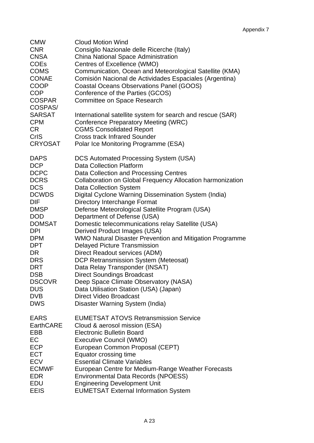| <b>CMW</b><br><b>CNR</b><br><b>CNSA</b><br><b>COEs</b><br><b>COMS</b><br><b>CONAE</b><br><b>COOP</b><br><b>COP</b><br><b>COSPAR</b><br>COSPAS/<br><b>SARSAT</b><br><b>CPM</b><br>CR<br><b>CrIS</b><br><b>CRYOSAT</b> | <b>Cloud Motion Wind</b><br>Consiglio Nazionale delle Ricerche (Italy)<br>China National Space Administration<br>Centres of Excellence (WMO)<br>Communication, Ocean and Meteorological Satellite (KMA)<br>Comisión Nacional de Actividades Espaciales (Argentina)<br><b>Coastal Oceans Observations Panel (GOOS)</b><br>Conference of the Parties (GCOS)<br>Committee on Space Research<br>International satellite system for search and rescue (SAR)<br><b>Conference Preparatory Meeting (WRC)</b><br><b>CGMS Consolidated Report</b><br><b>Cross track Infrared Sounder</b><br>Polar Ice Monitoring Programme (ESA) |
|----------------------------------------------------------------------------------------------------------------------------------------------------------------------------------------------------------------------|-------------------------------------------------------------------------------------------------------------------------------------------------------------------------------------------------------------------------------------------------------------------------------------------------------------------------------------------------------------------------------------------------------------------------------------------------------------------------------------------------------------------------------------------------------------------------------------------------------------------------|
| <b>DAPS</b>                                                                                                                                                                                                          | <b>DCS Automated Processing System (USA)</b>                                                                                                                                                                                                                                                                                                                                                                                                                                                                                                                                                                            |
| <b>DCP</b>                                                                                                                                                                                                           | <b>Data Collection Platform</b>                                                                                                                                                                                                                                                                                                                                                                                                                                                                                                                                                                                         |
| <b>DCPC</b>                                                                                                                                                                                                          | Data Collection and Processing Centres                                                                                                                                                                                                                                                                                                                                                                                                                                                                                                                                                                                  |
| <b>DCRS</b>                                                                                                                                                                                                          | Collaboration on Global Frequency Allocation harmonization                                                                                                                                                                                                                                                                                                                                                                                                                                                                                                                                                              |
| <b>DCS</b>                                                                                                                                                                                                           | <b>Data Collection System</b>                                                                                                                                                                                                                                                                                                                                                                                                                                                                                                                                                                                           |
| <b>DCWDS</b>                                                                                                                                                                                                         | Digital Cyclone Warning Dissemination System (India)                                                                                                                                                                                                                                                                                                                                                                                                                                                                                                                                                                    |
| DIF                                                                                                                                                                                                                  | Directory Interchange Format                                                                                                                                                                                                                                                                                                                                                                                                                                                                                                                                                                                            |
| <b>DMSP</b>                                                                                                                                                                                                          | Defense Meteorological Satellite Program (USA)                                                                                                                                                                                                                                                                                                                                                                                                                                                                                                                                                                          |
| <b>DOD</b>                                                                                                                                                                                                           | Department of Defense (USA)                                                                                                                                                                                                                                                                                                                                                                                                                                                                                                                                                                                             |
| <b>DOMSAT</b>                                                                                                                                                                                                        | Domestic telecommunications relay Satellite (USA)                                                                                                                                                                                                                                                                                                                                                                                                                                                                                                                                                                       |
| <b>DPI</b>                                                                                                                                                                                                           | Derived Product Images (USA)                                                                                                                                                                                                                                                                                                                                                                                                                                                                                                                                                                                            |
| <b>DPM</b>                                                                                                                                                                                                           | WMO Natural Disaster Prevention and Mitigation Programme                                                                                                                                                                                                                                                                                                                                                                                                                                                                                                                                                                |
| <b>DPT</b>                                                                                                                                                                                                           | <b>Delayed Picture Transmission</b>                                                                                                                                                                                                                                                                                                                                                                                                                                                                                                                                                                                     |
| DR.                                                                                                                                                                                                                  | Direct Readout services (ADM)                                                                                                                                                                                                                                                                                                                                                                                                                                                                                                                                                                                           |
| <b>DRS</b>                                                                                                                                                                                                           | <b>DCP Retransmission System (Meteosat)</b>                                                                                                                                                                                                                                                                                                                                                                                                                                                                                                                                                                             |
| <b>DRT</b>                                                                                                                                                                                                           | Data Relay Transponder (INSAT)                                                                                                                                                                                                                                                                                                                                                                                                                                                                                                                                                                                          |
| <b>DSB</b>                                                                                                                                                                                                           | <b>Direct Soundings Broadcast</b>                                                                                                                                                                                                                                                                                                                                                                                                                                                                                                                                                                                       |
| <b>DSCOVR</b>                                                                                                                                                                                                        | Deep Space Climate Observatory (NASA)                                                                                                                                                                                                                                                                                                                                                                                                                                                                                                                                                                                   |
| <b>DUS</b>                                                                                                                                                                                                           | Data Utilisation Station (USA) (Japan)                                                                                                                                                                                                                                                                                                                                                                                                                                                                                                                                                                                  |
| DVB                                                                                                                                                                                                                  | <b>Direct Video Broadcast</b>                                                                                                                                                                                                                                                                                                                                                                                                                                                                                                                                                                                           |
| <b>DWS</b>                                                                                                                                                                                                           | Disaster Warning System (India)                                                                                                                                                                                                                                                                                                                                                                                                                                                                                                                                                                                         |
| <b>EARS</b>                                                                                                                                                                                                          | <b>EUMETSAT ATOVS Retransmission Service</b>                                                                                                                                                                                                                                                                                                                                                                                                                                                                                                                                                                            |
| <b>EarthCARE</b>                                                                                                                                                                                                     | Cloud & aerosol mission (ESA)                                                                                                                                                                                                                                                                                                                                                                                                                                                                                                                                                                                           |
| EBB                                                                                                                                                                                                                  | <b>Electronic Bulletin Board</b>                                                                                                                                                                                                                                                                                                                                                                                                                                                                                                                                                                                        |
| EC                                                                                                                                                                                                                   | <b>Executive Council (WMO)</b>                                                                                                                                                                                                                                                                                                                                                                                                                                                                                                                                                                                          |
| <b>ECP</b>                                                                                                                                                                                                           | European Common Proposal (CEPT)                                                                                                                                                                                                                                                                                                                                                                                                                                                                                                                                                                                         |
| <b>ECT</b>                                                                                                                                                                                                           | Equator crossing time                                                                                                                                                                                                                                                                                                                                                                                                                                                                                                                                                                                                   |
| <b>ECV</b>                                                                                                                                                                                                           | <b>Essential Climate Variables</b>                                                                                                                                                                                                                                                                                                                                                                                                                                                                                                                                                                                      |
| <b>ECMWF</b>                                                                                                                                                                                                         | European Centre for Medium-Range Weather Forecasts                                                                                                                                                                                                                                                                                                                                                                                                                                                                                                                                                                      |
| <b>EDR</b>                                                                                                                                                                                                           | <b>Environmental Data Records (NPOESS)</b>                                                                                                                                                                                                                                                                                                                                                                                                                                                                                                                                                                              |
| EDU                                                                                                                                                                                                                  | <b>Engineering Development Unit</b>                                                                                                                                                                                                                                                                                                                                                                                                                                                                                                                                                                                     |
| <b>EEIS</b>                                                                                                                                                                                                          | <b>EUMETSAT External Information System</b>                                                                                                                                                                                                                                                                                                                                                                                                                                                                                                                                                                             |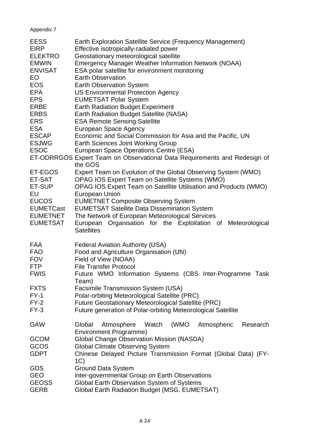# Appendix 7

| <b>EESS</b><br><b>EIRP</b><br><b>ELEKTRO</b><br><b>EMWIN</b><br><b>ENVISAT</b><br>EO<br><b>EOS</b><br><b>EPA</b><br><b>EPS</b><br><b>ERBE</b><br><b>ERBS</b><br><b>ERS</b><br><b>ESA</b><br><b>ESCAP</b><br><b>ESJWG</b><br><b>ESOC</b> | Earth Exploration Satellite Service (Frequency Management)<br>Effective isotropically-radiated power<br>Geostationary meteorological satellite<br><b>Emergency Manager Weather Information Network (NOAA)</b><br>ESA polar satellite for environment monitoring<br><b>Earth Observation</b><br><b>Earth Observation System</b><br><b>US Environmental Protection Agency</b><br><b>EUMETSAT Polar System</b><br><b>Earth Radiation Budget Experiment</b><br>Earth Radiation Budget Satellite (NASA)<br><b>ESA Remote Sensing Satellite</b><br>European Space Agency<br>Economic and Social Commission for Asia and the Pacific, UN<br>Earth Sciences Joint Working Group<br>European Space Operations Centre (ESA)<br>ET-ODRRGOS Expert Team on Observational Data Requirements and Redesign of |
|-----------------------------------------------------------------------------------------------------------------------------------------------------------------------------------------------------------------------------------------|------------------------------------------------------------------------------------------------------------------------------------------------------------------------------------------------------------------------------------------------------------------------------------------------------------------------------------------------------------------------------------------------------------------------------------------------------------------------------------------------------------------------------------------------------------------------------------------------------------------------------------------------------------------------------------------------------------------------------------------------------------------------------------------------|
| ET-EGOS<br>ET-SAT<br>ET-SUP<br>EU<br><b>EUCOS</b><br><b>EUMETCast</b><br><b>EUMETNET</b><br><b>EUMETSAT</b>                                                                                                                             | the GOS<br>Expert Team on Evolution of the Global Observing System (WMO)<br>OPAG IOS Expert Team on Satellite Systems (WMO)<br>OPAG IOS Expert Team on Satellite Utilisation and Products (WMO)<br><b>European Union</b><br><b>EUMETNET Composite Observing System</b><br><b>EUMETSAT Satellite Data Dissemination System</b><br>The Network of European Meteorological Services<br>European<br>Organisation for the Exploitation of Meteorological<br><b>Satellites</b>                                                                                                                                                                                                                                                                                                                       |
| <b>FAA</b><br><b>FAO</b><br><b>FOV</b><br><b>FTP</b><br><b>FWIS</b><br><b>FXTS</b><br>$FY-1$<br>$FY-2$<br>$FY-3$                                                                                                                        | Federal Aviation Authority (USA)<br>Food and Agriculture Organisation (UN)<br>Field of View (NOAA)<br><b>File Transfer Protocol</b><br>Future WMO Information Systems (CBS Inter-Programme Task<br>Team)<br>Facsimile Transmission System (USA)<br>Polar-orbiting Meteorological Satellite (PRC)<br>Future Geostationary Meteorological Satellite (PRC)<br>Future generation of Polar-orbiting Meteorological Satellite                                                                                                                                                                                                                                                                                                                                                                        |
| <b>GAW</b><br><b>GCOM</b><br><b>GCOS</b><br><b>GDPT</b><br><b>GDS</b><br><b>GEO</b><br><b>GEOSS</b><br><b>GERB</b>                                                                                                                      | (WMO<br>Global<br>Watch<br>Atmospheric<br>Research<br>Atmosphere<br><b>Environment Programme)</b><br><b>Global Change Observation Mission (NASDA)</b><br><b>Global Climate Observing System</b><br>Chinese Delayed Picture Transmission Format (Global Data) (FY-<br>1C)<br><b>Ground Data System</b><br>inter-governmental Group on Earth Observations<br>Global Earth Observation System of Systems<br>Global Earth Radiation Budget (MSG, EUMETSAT)                                                                                                                                                                                                                                                                                                                                         |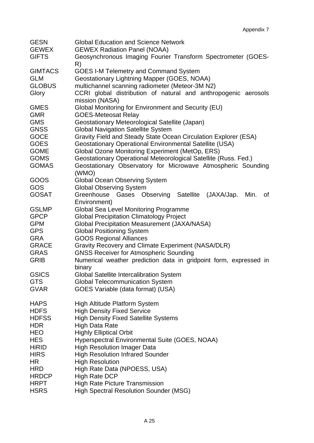| <b>GESN</b><br><b>GEWEX</b> | <b>Global Education and Science Network</b><br><b>GEWEX Radiation Panel (NOAA)</b> |
|-----------------------------|------------------------------------------------------------------------------------|
| <b>GIFTS</b>                | Geosynchronous Imaging Fourier Transform Spectrometer (GOES-<br>R)                 |
| <b>GIMTACS</b>              | <b>GOES I-M Telemetry and Command System</b>                                       |
| <b>GLM</b>                  | Geostationary Lightning Mapper (GOES, NOAA)                                        |
| <b>GLOBUS</b>               | multichannel scanning radiometer (Meteor-3M N2)                                    |
| Glory                       | CCRI global distribution of natural and anthropogenic aerosols<br>mission (NASA)   |
| <b>GMES</b>                 | Global Monitoring for Environment and Security (EU)                                |
| <b>GMR</b>                  | <b>GOES-Meteosat Relay</b>                                                         |
| <b>GMS</b>                  | Geostationary Meteorological Satellite (Japan)                                     |
| <b>GNSS</b>                 | <b>Global Navigation Satellite System</b>                                          |
| <b>GOCE</b>                 | Gravity Field and Steady State Ocean Circulation Explorer (ESA)                    |
| <b>GOES</b>                 | <b>Geostationary Operational Environmental Satellite (USA)</b>                     |
| <b>GOME</b>                 | Global Ozone Monitoring Experiment (MetOp, ERS)                                    |
| <b>GOMS</b>                 | Geostationary Operational Meteorological Satellite (Russ. Fed.)                    |
| <b>GOMAS</b>                | Geostationary Observatory for Microwave Atmospheric Sounding<br>(WMO)              |
| GOOS                        | <b>Global Ocean Observing System</b>                                               |
| GOS                         | <b>Global Observing System</b>                                                     |
| <b>GOSAT</b>                | Greenhouse Gases Observing Satellite (JAXA/Jap.<br>Min.<br>οf<br>Environment)      |
| <b>GSLMP</b>                | Global Sea Level Monitoring Programme                                              |
| <b>GPCP</b>                 | <b>Global Precipitation Climatology Project</b>                                    |
| <b>GPM</b>                  | <b>Global Precipitation Measurement (JAXA/NASA)</b>                                |
| <b>GPS</b>                  | <b>Global Positioning System</b>                                                   |
| <b>GRA</b>                  | <b>GOOS Regional Alliances</b>                                                     |
| <b>GRACE</b>                | Gravity Recovery and Climate Experiment (NASA/DLR)                                 |
| <b>GRAS</b>                 | <b>GNSS Receiver for Atmospheric Sounding</b>                                      |
| <b>GRIB</b>                 | Numerical weather prediction data in gridpoint form, expressed in<br>binary        |
| <b>GSICS</b>                | <b>Global Satellite Intercalibration System</b>                                    |
| <b>GTS</b>                  | <b>Global Telecommunication System</b>                                             |
| <b>GVAR</b>                 | GOES Variable (data format) (USA)                                                  |
| <b>HAPS</b>                 | <b>High Altitude Platform System</b>                                               |
| <b>HDFS</b>                 | <b>High Density Fixed Service</b>                                                  |
| <b>HDFSS</b>                | <b>High Density Fixed Satellite Systems</b>                                        |
| <b>HDR</b>                  | <b>High Data Rate</b>                                                              |
| <b>HEO</b>                  | <b>Highly Elliptical Orbit</b>                                                     |
| <b>HES</b>                  | Hyperspectral Environmental Suite (GOES, NOAA)                                     |
| <b>HiRID</b>                | <b>High Resolution Imager Data</b>                                                 |
| <b>HIRS</b>                 | <b>High Resolution Infrared Sounder</b>                                            |
| <b>HR</b>                   | <b>High Resolution</b>                                                             |
| <b>HRD</b>                  | High Rate Data (NPOESS, USA)                                                       |
| <b>HRDCP</b>                | <b>High Rate DCP</b>                                                               |
| <b>HRPT</b>                 | <b>High Rate Picture Transmission</b>                                              |
| <b>HSRS</b>                 | <b>High Spectral Resolution Sounder (MSG)</b>                                      |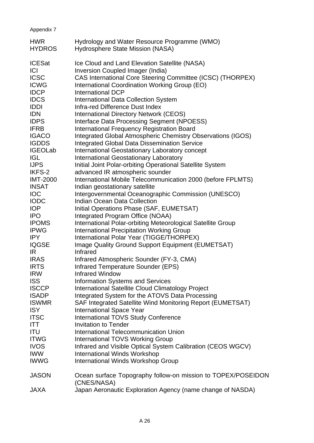| HWR<br>HYDROS  | Hydrology and Water Resource Programme (WMO)<br>Hydrosphere State Mission (NASA) |
|----------------|----------------------------------------------------------------------------------|
| <b>ICESat</b>  | Ice Cloud and Land Elevation Satellite (NASA)                                    |
| ICI            | Inversion Coupled Imager (India)                                                 |
| <b>ICSC</b>    | CAS International Core Steering Committee (ICSC) (THORPEX)                       |
| <b>ICWG</b>    | International Coordination Working Group (EO)                                    |
| <b>IDCP</b>    | International DCP                                                                |
| <b>IDCS</b>    | <b>International Data Collection System</b>                                      |
| IDDI           | Infra-red Difference Dust Index                                                  |
| IDN            | <b>International Directory Network (CEOS)</b>                                    |
| <b>IDPS</b>    | <b>Interface Data Processing Segment (NPOESS)</b>                                |
| <b>IFRB</b>    | <b>International Frequency Registration Board</b>                                |
| <b>IGACO</b>   | Integrated Global Atmospheric Chemistry Observations (IGOS)                      |
| <b>IGDDS</b>   | <b>Integrated Global Data Dissemination Service</b>                              |
| <b>IGEOLab</b> | International Geostationary Laboratory concept                                   |
| IGL            | <b>International Geostationary Laboratory</b>                                    |
| <b>IJPS</b>    | Initial Joint Polar-orbiting Operational Satellite System                        |
| IKFS-2         | advanced IR atmospheric sounder                                                  |
| IMT-2000       | International Mobile Telecommunication 2000 (before FPLMTS)                      |
| INSAT          | Indian geostationary satellite                                                   |
| IOC            | Intergovernmental Oceanographic Commission (UNESCO)                              |
| <b>IODC</b>    | <b>Indian Ocean Data Collection</b>                                              |
|                |                                                                                  |
| IOP            | Initial Operations Phase (SAF, EUMETSAT)                                         |
| <b>IPO</b>     | Integrated Program Office (NOAA)                                                 |
| <b>IPOMS</b>   | International Polar-orbiting Meteorological Satellite Group                      |
| <b>IPWG</b>    | <b>International Precipitation Working Group</b>                                 |
| IPY            | International Polar Year (TIGGE/THORPEX)                                         |
| IQGSE          | <b>Image Quality Ground Support Equipment (EUMETSAT)</b>                         |
| IR             | Infrared                                                                         |
| <b>IRAS</b>    | Infrared Atmospheric Sounder (FY-3, CMA)                                         |
| <b>IRTS</b>    | <b>Infrared Temperature Sounder (EPS)</b>                                        |
| <b>IRW</b>     | <b>Infrared Window</b>                                                           |
| <b>ISS</b>     | <b>Information Systems and Services</b>                                          |
| <b>ISCCP</b>   | International Satellite Cloud Climatology Project                                |
| <b>ISADP</b>   | Integrated System for the ATOVS Data Processing                                  |
| ISWMR          | SAF Integrated Satellite Wind Monitoring Report (EUMETSAT)                       |
| ISY            | <b>International Space Year</b>                                                  |
| <b>ITSC</b>    | <b>International TOVS Study Conference</b>                                       |
| ITT            | <b>Invitation to Tender</b>                                                      |
| ITU            | <b>International Telecommunication Union</b>                                     |
| <b>ITWG</b>    | <b>International TOVS Working Group</b>                                          |
| <b>IVOS</b>    | Infrared and Visible Optical System Calibration (CEOS WGCV)                      |
| IWW            | International Winds Workshop                                                     |
| IWWG           | International Winds Workshop Group                                               |
| JASON          | Ocean surface Topography follow-on mission to TOPEX/POSEII                       |

Appendix 7

# JASON Ocean surface Topography follow-on mission to TOPEX/POSEIDON (CNES/NASA)

JAXA Japan Aeronautic Exploration Agency (name change of NASDA)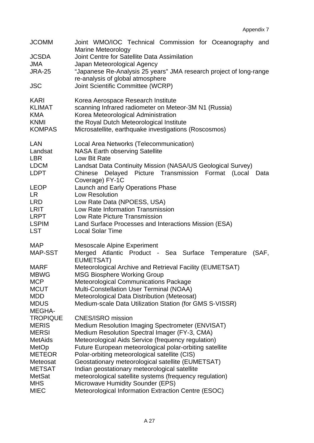| <b>JCOMM</b>                 | Joint WMO/IOC Technical Commission for Oceanography and<br><b>Marine Meteorology</b>                   |
|------------------------------|--------------------------------------------------------------------------------------------------------|
| <b>JCSDA</b>                 | Joint Centre for Satellite Data Assimilation                                                           |
| <b>JMA</b>                   | Japan Meteorological Agency                                                                            |
| <b>JRA-25</b>                | "Japanese Re-Analysis 25 years" JMA research project of long-range<br>re-analysis of global atmosphere |
| <b>JSC</b>                   | Joint Scientific Committee (WCRP)                                                                      |
| <b>KARI</b><br><b>KLIMAT</b> | Korea Aerospace Research Institute<br>scanning Infrared radiometer on Meteor-3M N1 (Russia)            |
| <b>KMA</b>                   | Korea Meteorological Administration                                                                    |
| <b>KNMI</b>                  | the Royal Dutch Meteorological Institute                                                               |
| <b>KOMPAS</b>                | Microsatellite, earthquake investigations (Roscosmos)                                                  |
| <b>LAN</b>                   | Local Area Networks (Telecommunication)                                                                |
| Landsat<br><b>LBR</b>        | <b>NASA Earth observing Satellite</b><br>Low Bit Rate                                                  |
| <b>LDCM</b>                  | Landsat Data Continuity Mission (NASA/US Geological Survey)                                            |
| <b>LDPT</b>                  | Picture Transmission Format (Local<br>Chinese<br>Delayed<br>Data                                       |
|                              | Coverage) FY-1C                                                                                        |
| <b>LEOP</b>                  | Launch and Early Operations Phase<br>Low Resolution                                                    |
| LR.<br><b>LRD</b>            | Low Rate Data (NPOESS, USA)                                                                            |
| <b>LRIT</b>                  | Low Rate Information Transmission                                                                      |
| <b>LRPT</b>                  | Low Rate Picture Transmission                                                                          |
| <b>LSPIM</b>                 | Land Surface Processes and Interactions Mission (ESA)                                                  |
| <b>LST</b>                   | <b>Local Solar Time</b>                                                                                |
| <b>MAP</b>                   | <b>Mesoscale Alpine Experiment</b>                                                                     |
| <b>MAP-SST</b>               | Merged Atlantic Product - Sea Surface<br>Temperature<br>(SAF,<br><b>EUMETSAT)</b>                      |
| <b>MARF</b>                  | Meteorological Archive and Retrieval Facility (EUMETSAT)                                               |
| <b>MBWG</b>                  | MSG Biosphere Working Group                                                                            |
| <b>MCP</b>                   | Meteorological Communications Package                                                                  |
| <b>MCUT</b>                  | Multi-Constellation User Terminal (NOAA)                                                               |
| <b>MDD</b><br><b>MDUS</b>    | Meteorological Data Distribution (Meteosat)                                                            |
| <b>MEGHA-</b>                | Medium-scale Data Utilization Station (for GMS S-VISSR)                                                |
| <b>TROPIQUE</b>              | <b>CNES/ISRO</b> mission                                                                               |
| <b>MERIS</b>                 | Medium Resolution Imaging Spectrometer (ENVISAT)                                                       |
| <b>MERSI</b>                 | Medium Resolution Spectral Imager (FY-3, CMA)                                                          |
| <b>MetAids</b>               | Meteorological Aids Service (frequency regulation)                                                     |
| MetOp                        | Future European meteorological polar-orbiting satellite                                                |
| <b>METEOR</b>                | Polar-orbiting meteorological satellite (CIS)                                                          |
| Meteosat                     | Geostationary meteorological satellite (EUMETSAT)                                                      |
| <b>METSAT</b>                | Indian geostationary meteorological satellite                                                          |
| <b>MetSat</b>                | meteorological satellite systems (frequency regulation)                                                |
| <b>MHS</b>                   | Microwave Humidity Sounder (EPS)                                                                       |
| <b>MIEC</b>                  | Meteorological Information Extraction Centre (ESOC)                                                    |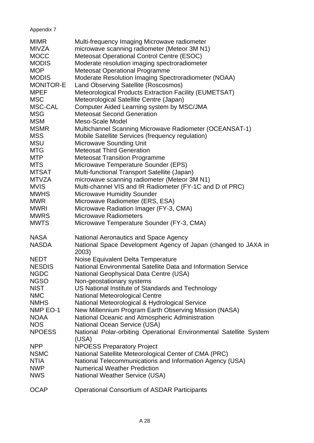## Appendix 7

| <b>MIMR</b>      | Multi-frequency Imaging Microwave radiometer                                |
|------------------|-----------------------------------------------------------------------------|
| MIVZA            | microwave scanning radiometer (Meteor 3M N1)                                |
| <b>MOCC</b>      | Meteosat Operational Control Centre (ESOC)                                  |
| <b>MODIS</b>     | Moderate resolution imaging spectroradiometer                               |
| <b>MOP</b>       | <b>Meteosat Operational Programme</b>                                       |
| <b>MODIS</b>     | Moderate Resolution Imaging Spectroradiometer (NOAA)                        |
| <b>MONITOR-E</b> | Land Observing Satellite (Roscosmos)                                        |
| <b>MPEF</b>      | Meteorological Products Extraction Facility (EUMETSAT)                      |
| <b>MSC</b>       | Meteorological Satellite Centre (Japan)                                     |
| MSC-CAL          | Computer Aided Learning system by MSC/JMA                                   |
| <b>MSG</b>       | <b>Meteosat Second Generation</b>                                           |
| <b>MSM</b>       | <b>Meso-Scale Model</b>                                                     |
| <b>MSMR</b>      | Multichannel Scanning Microwave Radiometer (OCEANSAT-1)                     |
| <b>MSS</b>       | Mobile Satellite Services (frequency regulation)                            |
| <b>MSU</b>       | <b>Microwave Sounding Unit</b>                                              |
| <b>MTG</b>       | <b>Meteosat Third Generation</b>                                            |
| <b>MTP</b>       | <b>Meteosat Transition Programme</b>                                        |
| <b>MTS</b>       | Microwave Temperature Sounder (EPS)                                         |
| <b>MTSAT</b>     | Multi-functional Transport Satellite (Japan)                                |
| <b>MTVZA</b>     | microwave scanning radiometer (Meteor 3M N1)                                |
| <b>MVIS</b>      | Multi-channel VIS and IR Radiometer (FY-1C and D of PRC)                    |
| <b>MWHS</b>      | <b>Microwave Humidity Sounder</b>                                           |
| <b>MWR</b>       | Microwave Radiometer (ERS, ESA)                                             |
| <b>MWRI</b>      | Microwave Radiation Imager (FY-3, CMA)                                      |
| <b>MWRS</b>      | <b>Microwave Radiometers</b>                                                |
| <b>MWTS</b>      | Microwave Temperature Sounder (FY-3, CMA)                                   |
| <b>NASA</b>      | National Aeronautics and Space Agency                                       |
| <b>NASDA</b>     | National Space Development Agency of Japan (changed to JAXA in              |
|                  | 2003)                                                                       |
| <b>NEDT</b>      | Noise Equivalent Delta Temperature                                          |
| <b>NESDIS</b>    | National Environmental Satellite Data and Information Service               |
| <b>NGDC</b>      | National Geophysical Data Centre (USA)                                      |
| <b>NGSO</b>      | Non-geostationary systems                                                   |
| <b>NIST</b>      | US National Institute of Standards and Technology                           |
| <b>NMC</b>       | <b>National Meteorological Centre</b>                                       |
| <b>NMHS</b>      | National Meteorological & Hydrological Service                              |
| NMP EO-1         | New Millennium Program Earth Observing Mission (NASA)                       |
| <b>NOAA</b>      | National Oceanic and Atmospheric Administration                             |
| <b>NOS</b>       | National Ocean Service (USA)                                                |
| <b>NPOESS</b>    | National Polar-orbiting Operational Environmental Satellite System<br>(USA) |
| <b>NPP</b>       | <b>NPOESS Preparatory Project</b>                                           |
| <b>NSMC</b>      | National Satellite Meteorological Center of CMA (PRC)                       |
| <b>NTIA</b>      | National Telecommunications and Information Agency (USA)                    |
| <b>NWP</b>       | <b>Numerical Weather Prediction</b>                                         |
| <b>NWS</b>       | <b>National Weather Service (USA)</b>                                       |
| <b>OCAP</b>      | <b>Operational Consortium of ASDAR Participants</b>                         |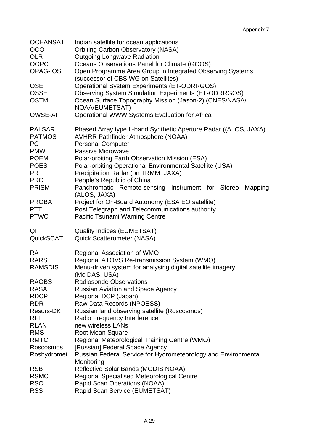| <b>OCEANSAT</b><br><b>OCO</b><br><b>OLR</b><br><b>OOPC</b><br>OPAG-IOS | Indian satellite for ocean applications<br><b>Orbiting Carbon Observatory (NASA)</b><br><b>Outgoing Longwave Radiation</b><br>Oceans Observations Panel for Climate (GOOS)<br>Open Programme Area Group in Integrated Observing Systems<br>(successor of CBS WG on Satellites) |
|------------------------------------------------------------------------|--------------------------------------------------------------------------------------------------------------------------------------------------------------------------------------------------------------------------------------------------------------------------------|
| <b>OSE</b><br><b>OSSE</b><br><b>OSTM</b>                               | <b>Operational System Experiments (ET-ODRRGOS)</b><br><b>Observing System Simulation Experiments (ET-ODRRGOS)</b><br>Ocean Surface Topography Mission (Jason-2) (CNES/NASA/<br>NOAA/EUMETSAT)                                                                                  |
| <b>OWSE-AF</b>                                                         | Operational WWW Systems Evaluation for Africa                                                                                                                                                                                                                                  |
| <b>PALSAR</b>                                                          | Phased Array type L-band Synthetic Aperture Radar ((ALOS, JAXA)                                                                                                                                                                                                                |
| <b>PATMOS</b>                                                          | <b>AVHRR Pathfinder Atmosphere (NOAA)</b>                                                                                                                                                                                                                                      |
| <b>PC</b>                                                              | <b>Personal Computer</b>                                                                                                                                                                                                                                                       |
| <b>PMW</b>                                                             | Passive Microwave                                                                                                                                                                                                                                                              |
| <b>POEM</b>                                                            | Polar-orbiting Earth Observation Mission (ESA)                                                                                                                                                                                                                                 |
| <b>POES</b>                                                            | Polar-orbiting Operational Environmental Satellite (USA)                                                                                                                                                                                                                       |
| PR.<br><b>PRC</b><br><b>PRISM</b>                                      | Precipitation Radar (on TRMM, JAXA)<br>People's Republic of China<br>Panchromatic Remote-sensing Instrument for Stereo<br>Mapping<br>(ALOS, JAXA)                                                                                                                              |
| <b>PROBA</b>                                                           | Project for On-Board Autonomy (ESA EO satellite)                                                                                                                                                                                                                               |
| <b>PTT</b>                                                             | Post Telegraph and Telecommunications authority                                                                                                                                                                                                                                |
| <b>PTWC</b>                                                            | Pacific Tsunami Warning Centre                                                                                                                                                                                                                                                 |
| QI                                                                     | <b>Quality Indices (EUMETSAT)</b>                                                                                                                                                                                                                                              |
| <b>QuickSCAT</b>                                                       | <b>Quick Scatterometer (NASA)</b>                                                                                                                                                                                                                                              |
| <b>RA</b><br><b>RARS</b><br><b>RAMSDIS</b>                             | Regional Association of WMO<br>Regional ATOVS Re-transmission System (WMO)<br>Menu-driven system for analysing digital satellite imagery<br>(McIDAS, USA)                                                                                                                      |
| <b>RAOBS</b>                                                           | <b>Radiosonde Observations</b>                                                                                                                                                                                                                                                 |
| <b>RASA</b>                                                            | <b>Russian Aviation and Space Agency</b>                                                                                                                                                                                                                                       |
| <b>RDCP</b>                                                            | Regional DCP (Japan)                                                                                                                                                                                                                                                           |
| <b>RDR</b>                                                             | Raw Data Records (NPOESS)                                                                                                                                                                                                                                                      |
| <b>Resurs-DK</b>                                                       | Russian land observing satellite (Roscosmos)                                                                                                                                                                                                                                   |
| <b>RFI</b>                                                             | Radio Frequency Interference                                                                                                                                                                                                                                                   |
| <b>RLAN</b>                                                            | new wireless LANs                                                                                                                                                                                                                                                              |
| <b>RMS</b>                                                             | Root Mean Square                                                                                                                                                                                                                                                               |
| <b>RMTC</b>                                                            | Regional Meteorological Training Centre (WMO)                                                                                                                                                                                                                                  |
| Roscosmos                                                              | [Russian] Federal Space Agency                                                                                                                                                                                                                                                 |
| Roshydromet                                                            | Russian Federal Service for Hydrometeorology and Environmental                                                                                                                                                                                                                 |
| <b>RSB</b><br><b>RSMC</b><br><b>RSO</b><br><b>RSS</b>                  | Monitoring<br>Reflective Solar Bands (MODIS NOAA)<br><b>Regional Specialised Meteorological Centre</b><br>Rapid Scan Operations (NOAA)<br>Rapid Scan Service (EUMETSAT)                                                                                                        |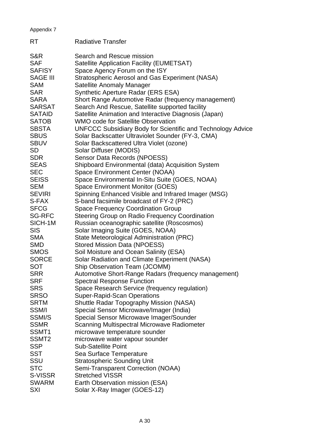| Appendix 7        |                                                                    |
|-------------------|--------------------------------------------------------------------|
| <b>RT</b>         | <b>Radiative Transfer</b>                                          |
| S&R               | Search and Rescue mission                                          |
| <b>SAF</b>        | Satellite Application Facility (EUMETSAT)                          |
| <b>SAFISY</b>     | Space Agency Forum on the ISY                                      |
| <b>SAGE III</b>   | Stratospheric Aerosol and Gas Experiment (NASA)                    |
| <b>SAM</b>        | Satellite Anomaly Manager                                          |
| <b>SAR</b>        | Synthetic Aperture Radar (ERS ESA)                                 |
| <b>SARA</b>       | Short Range Automotive Radar (frequency management)                |
| <b>SARSAT</b>     | Search And Rescue, Satellite supported facility                    |
| <b>SATAID</b>     | Satellite Animation and Interactive Diagnosis (Japan)              |
| <b>SATOB</b>      | WMO code for Satellite Observation                                 |
| <b>SBSTA</b>      | <b>UNFCCC Subsidiary Body for Scientific and Technology Advice</b> |
| <b>SBUS</b>       | Solar Backscatter Ultraviolet Sounder (FY-3, CMA)                  |
| <b>SBUV</b>       | Solar Backscattered Ultra Violet (ozone)                           |
| <b>SD</b>         | Solar Diffuser (MODIS)                                             |
| <b>SDR</b>        | Sensor Data Records (NPOESS)                                       |
| <b>SEAS</b>       | Shipboard Environmental (data) Acquisition System                  |
| <b>SEC</b>        | Space Environment Center (NOAA)                                    |
| <b>SEISS</b>      | Space Environmental In-Situ Suite (GOES, NOAA)                     |
| <b>SEM</b>        | <b>Space Environment Monitor (GOES)</b>                            |
| <b>SEVIRI</b>     | Spinning Enhanced Visible and Infrared Imager (MSG)                |
| S-FAX             | S-band facsimile broadcast of FY-2 (PRC)                           |
| <b>SFCG</b>       | <b>Space Frequency Coordination Group</b>                          |
| <b>SG-RFC</b>     | Steering Group on Radio Frequency Coordination                     |
| SICH-1M           | Russian oceanographic satellite (Roscosmos)                        |
| <b>SIS</b>        | Solar Imaging Suite (GOES, NOAA)                                   |
| <b>SMA</b>        | State Meteorological Administration (PRC)                          |
| <b>SMD</b>        | <b>Stored Mission Data (NPOESS)</b>                                |
| <b>SMOS</b>       | Soil Moisture and Ocean Salinity (ESA)                             |
| <b>SORCE</b>      | Solar Radiation and Climate Experiment (NASA)                      |
| SOT               | Ship Observation Team (JCOMM)                                      |
| <b>SRR</b>        | Automotive Short-Range Radars (frequency management)               |
| <b>SRF</b>        | <b>Spectral Response Function</b>                                  |
| <b>SRS</b>        | Space Research Service (frequency regulation)                      |
| <b>SRSO</b>       | <b>Super-Rapid-Scan Operations</b>                                 |
| <b>SRTM</b>       | <b>Shuttle Radar Topography Mission (NASA)</b>                     |
| SSM/I             | Special Sensor Microwave/Imager (India)                            |
| SSMI/S            | Special Sensor Microwave Imager/Sounder                            |
| <b>SSMR</b>       | <b>Scanning Multispectral Microwave Radiometer</b>                 |
| SSMT <sub>1</sub> | microwave temperature sounder                                      |
| SSMT <sub>2</sub> | microwave water vapour sounder                                     |
| <b>SSP</b>        | <b>Sub-Satellite Point</b>                                         |
| <b>SST</b>        | Sea Surface Temperature                                            |
| SSU               | <b>Stratospheric Sounding Unit</b>                                 |
| <b>STC</b>        | Semi-Transparent Correction (NOAA)                                 |
| S-VISSR           | <b>Stretched VISSR</b>                                             |
| <b>SWARM</b>      | Earth Observation mission (ESA)                                    |
| SXI               | Solar X-Ray Imager (GOES-12)                                       |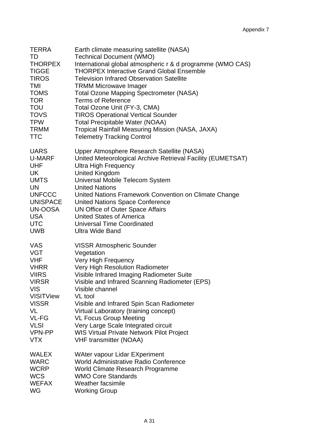| TERRA            | Earth climate measuring satellite (NASA)                    |
|------------------|-------------------------------------------------------------|
| TD               | <b>Technical Document (WMO)</b>                             |
| <b>THORPEX</b>   | International global atmospheric r & d programme (WMO CAS)  |
| <b>TIGGE</b>     | <b>THORPEX Interactive Grand Global Ensemble</b>            |
| <b>TIROS</b>     | <b>Television Infrared Observation Satellite</b>            |
| TMI              | <b>TRMM Microwave Imager</b>                                |
| <b>TOMS</b>      | <b>Total Ozone Mapping Spectrometer (NASA)</b>              |
| <b>TOR</b>       | <b>Terms of Reference</b>                                   |
| <b>TOU</b>       | Total Ozone Unit (FY-3, CMA)                                |
| <b>TOVS</b>      | <b>TIROS Operational Vertical Sounder</b>                   |
| <b>TPW</b>       | <b>Total Precipitable Water (NOAA)</b>                      |
| <b>TRMM</b>      | Tropical Rainfall Measuring Mission (NASA, JAXA)            |
| <b>TTC</b>       | <b>Telemetry Tracking Control</b>                           |
| <b>UARS</b>      | Upper Atmosphere Research Satellite (NASA)                  |
| U-MARF           | United Meteorological Archive Retrieval Facility (EUMETSAT) |
| UHF              | <b>Ultra High Frequency</b>                                 |
| UK               | <b>United Kingdom</b>                                       |
| <b>UMTS</b>      | Universal Mobile Telecom System                             |
| UN               | <b>United Nations</b>                                       |
| <b>UNFCCC</b>    | United Nations Framework Convention on Climate Change       |
| <b>UNISPACE</b>  | <b>United Nations Space Conference</b>                      |
| UN-OOSA          | UN Office of Outer Space Affairs                            |
| <b>USA</b>       | <b>United States of America</b>                             |
| <b>UTC</b>       | <b>Universal Time Coordinated</b>                           |
| <b>UWB</b>       | <b>Ultra Wide Band</b>                                      |
| <b>VAS</b>       | <b>VISSR Atmospheric Sounder</b>                            |
| <b>VGT</b>       | Vegetation                                                  |
| <b>VHF</b>       | Very High Frequency                                         |
| <b>VHRR</b>      | Very High Resolution Radiometer                             |
| <b>VIIRS</b>     | Visible Infrared Imaging Radiometer Suite                   |
| <b>VIRSR</b>     | Visible and Infrared Scanning Radiometer (EPS)              |
| <b>VIS</b>       | Visible channel                                             |
| <b>VISITView</b> | VL tool                                                     |
| <b>VISSR</b>     | Visible and Infrared Spin Scan Radiometer                   |
| VL               | Virtual Laboratory (training concept)                       |
| VL-FG            | <b>VL Focus Group Meeting</b>                               |
| <b>VLSI</b>      | Very Large Scale Integrated circuit                         |
| VPN-PP           | <b>WIS Virtual Private Network Pilot Project</b>            |
| <b>VTX</b>       | <b>VHF transmitter (NOAA)</b>                               |
| <b>WALEX</b>     | <b>WAter vapour Lidar EXperiment</b>                        |
| <b>WARC</b>      | World Administrative Radio Conference                       |
| <b>WCRP</b>      | World Climate Research Programme                            |
| <b>WCS</b>       | <b>WMO Core Standards</b>                                   |
| <b>WEFAX</b>     | Weather facsimile                                           |
| <b>WG</b>        | <b>Working Group</b>                                        |